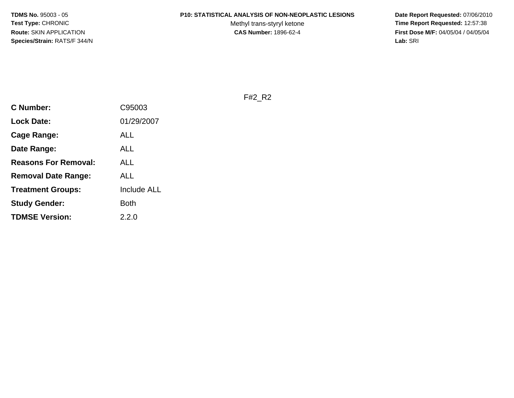#### **P10: STATISTICAL ANALYSIS OF NON-NEOPLASTIC LESIONS**

Methyl trans-styryl ketone<br>CAS Number: 1896-62-4

 **Date Report Requested:** 07/06/2010 **Time Report Requested:** 12:57:38 **First Dose M/F:** 04/05/04 / 04/05/04<br>Lab: SRI **Lab:** SRI

F#2\_R2

| <b>C Number:</b>            | C95003             |
|-----------------------------|--------------------|
| <b>Lock Date:</b>           | 01/29/2007         |
| Cage Range:                 | ALL                |
| Date Range:                 | ALL                |
| <b>Reasons For Removal:</b> | ALL                |
| <b>Removal Date Range:</b>  | ALL                |
| <b>Treatment Groups:</b>    | <b>Include ALL</b> |
| <b>Study Gender:</b>        | <b>Both</b>        |
| <b>TDMSE Version:</b>       | 2.2.0              |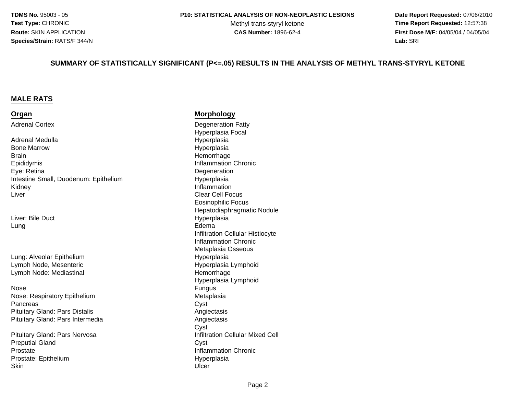Methyl trans-styryl ketone<br>CAS Number: 1896-62-4

 **Date Report Requested:** 07/06/2010 **Time Report Requested:** 12:57:38 **First Dose M/F:** 04/05/04 / 04/05/04 **Lab:** SRI **Lab:** SRI

#### **SUMMARY OF STATISTICALLY SIGNIFICANT (P<=.05) RESULTS IN THE ANALYSIS OF METHYL TRANS-STYRYL KETONE**

#### **MALE RATS**

#### **Organ**

Adrenal Cortex

Adrenal MedullaBone Marrow**Brain** EpididymisEye: RetinaIntestine Small, Duodenum: EpitheliumKidneyr **Clear Cell Focus** Liver

Liver: Bile DuctLungg<br>Edema

Lung: Alveolar EpitheliumLymph Node, MesentericLymph Node: Mediastinal

Nosee Fungus de la provincia de la provincia de la provincia de la provincia de la provincia de la provincia de la<br>En 1910, estableceu de la provincia de la provincia de la provincia de la provincia de la provincia de la prov Nose: Respiratory Epithelium**Pancreas** s Cyst Pituitary Gland: Pars DistalisPituitary Gland: Pars Intermedia

Pituitary Gland: Pars NervosaPreputial Glandd Cyst ProstateProstate: Epithelium**Skin** n Ulcer is a strong of the control of the Ulcer in the Ulcer is a strong of the Ulcer in the Ulcer is a strong of the Ulcer in the Ulcer in the Ulcer in the Ulcer in the Ulcer in the Ulcer in the Ulcer in the Ulcer in the

#### **Morphology**

 Degeneration Fatty Hyperplasia Focal Hyperplasia Hyperplasia Hemorrhage Inflammation Chronic **Degeneration**  Hyperplasia Inflammation Eosinophilic Focus Hepatodiaphragmatic Nodule HyperplasiaInfiltration Cellular HistiocyteInflammation Chronic Metaplasia Osseous Hyperplasia Hyperplasia Lymphoid Hemorrhage Hyperplasia LymphoidMetaplasia<br>Cyst Angiectasis Angiectasis Cysta **Infiltration Cellular Mixed Cell**  Inflammation Chronic Hyperplasia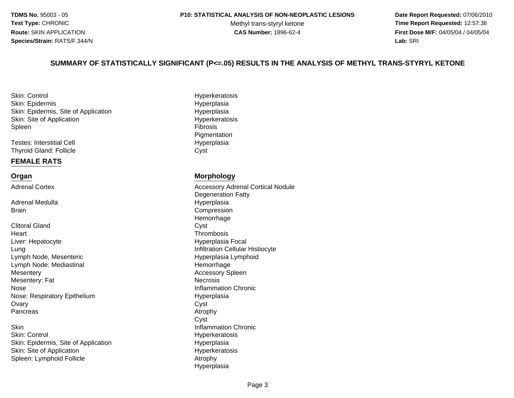Methyl trans-styryl ketone<br>CAS Number: 1896-62-4

 **Date Report Requested:** 07/06/2010 **Time Report Requested:** 12:57:38 **First Dose M/F:** 04/05/04 / 04/05/04 **Lab:** SRI **Lab:** SRI

#### **SUMMARY OF STATISTICALLY SIGNIFICANT (P<=.05) RESULTS IN THE ANALYSIS OF METHYL TRANS-STYRYL KETONE**

Skin: ControlSkin: EpidermisSkin: Epidermis, Site of ApplicationSkin: Site of ApplicationSpleenn Fibrosis<br>External of the contract of the contract of the contract of the contract of the contract of the contract of th

Testes: Interstitial CellThyroid Gland: Follicle

#### **FEMALE RATS**

#### **Organ**

Adrenal Cortex

Adrenal Medulla**Brain** 

Clitoral Glandd Cyst **Heart** Liver: HepatocyteLungLymph Node, MesentericLymph Node: Mediastinaly and the contract of the contract of the Accessory Spleen **Mesentery** Mesentery: Fate Inflammation Chronic NoseNose: Respiratory Epithelium**Ovary** y Cyst Pancreass Atrophy

n<br>
Inflammation Chronic **Skin** Skin: ControlSkin: Epidermis, Site of ApplicationSkin: Site of ApplicationSpleen: Lymphoid Follicle

**Hyperkeratosis**  Hyperplasian Hyperplasia Hyperkeratosis **Pigmentation** l and the contract of the Hyperplasia e Cyst

#### **Morphology**

 Accessory Adrenal Cortical NoduleDegeneration Fatty Hyperplasia Compression Hemorrhage**Thrombosis**  Hyperplasia Focal Infiltration Cellular Histiocyte Hyperplasia Lymphoid Hemorrhage**Necrosis** Hyperplasia<br>Cyst Cyst Hyperkeratosis Hyperplasia Hyperkeratosis Atrophy Hyperplasia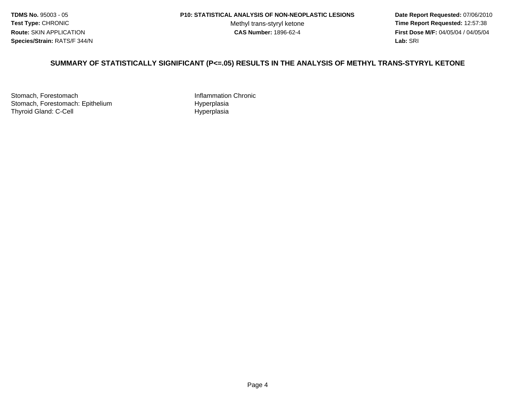Methyl trans-styryl ketone<br>CAS Number: 1896-62-4

 **Date Report Requested:** 07/06/2010 **Time Report Requested:** 12:57:38 **First Dose M/F:** 04/05/04 / 04/05/04 Lab: SRI **Lab:** SRI

#### **SUMMARY OF STATISTICALLY SIGNIFICANT (P<=.05) RESULTS IN THE ANALYSIS OF METHYL TRANS-STYRYL KETONE**

Stomach, ForestomachStomach, Forestomach: EpitheliumThyroid Gland: C-Cell

 Inflammation Chronic Hyperplasia Hyperplasia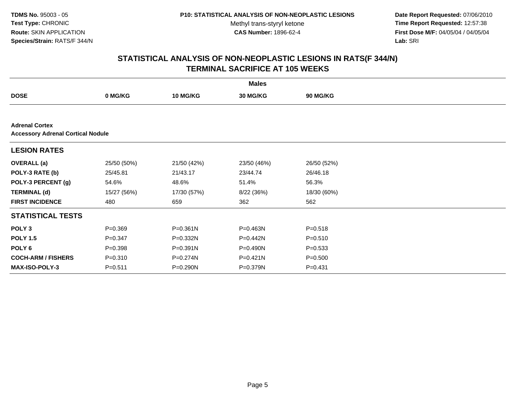Methyl trans-styryl ketone<br>CAS Number: 1896-62-4

 **Date Report Requested:** 07/06/2010 **Time Report Requested:** 12:57:38 **First Dose M/F:** 04/05/04 / 04/05/04<br>Lab: SRI **Lab:** SRI

|                                                                   |             |                 | <b>Males</b> |                 |  |  |  |  |
|-------------------------------------------------------------------|-------------|-----------------|--------------|-----------------|--|--|--|--|
| <b>DOSE</b>                                                       | 0 MG/KG     | <b>10 MG/KG</b> | 30 MG/KG     | <b>90 MG/KG</b> |  |  |  |  |
|                                                                   |             |                 |              |                 |  |  |  |  |
| <b>Adrenal Cortex</b><br><b>Accessory Adrenal Cortical Nodule</b> |             |                 |              |                 |  |  |  |  |
| <b>LESION RATES</b>                                               |             |                 |              |                 |  |  |  |  |
| <b>OVERALL</b> (a)                                                | 25/50 (50%) | 21/50 (42%)     | 23/50 (46%)  | 26/50 (52%)     |  |  |  |  |
| POLY-3 RATE (b)                                                   | 25/45.81    | 21/43.17        | 23/44.74     | 26/46.18        |  |  |  |  |
| POLY-3 PERCENT (g)                                                | 54.6%       | 48.6%           | 51.4%        | 56.3%           |  |  |  |  |
| <b>TERMINAL (d)</b>                                               | 15/27 (56%) | 17/30 (57%)     | 8/22 (36%)   | 18/30 (60%)     |  |  |  |  |
| <b>FIRST INCIDENCE</b>                                            | 480         | 659             | 362          | 562             |  |  |  |  |
| <b>STATISTICAL TESTS</b>                                          |             |                 |              |                 |  |  |  |  |
| POLY <sub>3</sub>                                                 | $P = 0.369$ | $P = 0.361N$    | P=0.463N     | $P = 0.518$     |  |  |  |  |
| <b>POLY 1.5</b>                                                   | $P = 0.347$ | P=0.332N        | P=0.442N     | $P = 0.510$     |  |  |  |  |
| POLY 6                                                            | $P = 0.398$ | $P = 0.391N$    | P=0.490N     | $P = 0.533$     |  |  |  |  |
| <b>COCH-ARM / FISHERS</b>                                         | $P = 0.310$ | $P = 0.274N$    | $P = 0.421N$ | $P = 0.500$     |  |  |  |  |
| <b>MAX-ISO-POLY-3</b>                                             | $P = 0.511$ | P=0.290N        | P=0.379N     | $P = 0.431$     |  |  |  |  |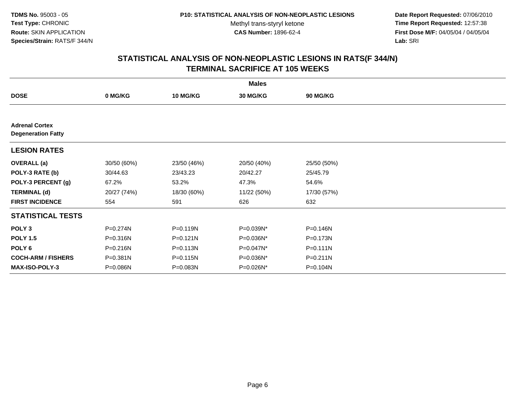Methyl trans-styryl ketone<br>CAS Number: 1896-62-4

 **Date Report Requested:** 07/06/2010 **Time Report Requested:** 12:57:38 **First Dose M/F:** 04/05/04 / 04/05/04<br>Lab: SRI **Lab:** SRI

|                                                    |             |                 | <b>Males</b> |                 |  |
|----------------------------------------------------|-------------|-----------------|--------------|-----------------|--|
| <b>DOSE</b>                                        | 0 MG/KG     | <b>10 MG/KG</b> | 30 MG/KG     | <b>90 MG/KG</b> |  |
|                                                    |             |                 |              |                 |  |
| <b>Adrenal Cortex</b><br><b>Degeneration Fatty</b> |             |                 |              |                 |  |
| <b>LESION RATES</b>                                |             |                 |              |                 |  |
| <b>OVERALL</b> (a)                                 | 30/50 (60%) | 23/50 (46%)     | 20/50 (40%)  | 25/50 (50%)     |  |
| POLY-3 RATE (b)                                    | 30/44.63    | 23/43.23        | 20/42.27     | 25/45.79        |  |
| POLY-3 PERCENT (g)                                 | 67.2%       | 53.2%           | 47.3%        | 54.6%           |  |
| <b>TERMINAL (d)</b>                                | 20/27 (74%) | 18/30 (60%)     | 11/22 (50%)  | 17/30 (57%)     |  |
| <b>FIRST INCIDENCE</b>                             | 554         | 591             | 626          | 632             |  |
| <b>STATISTICAL TESTS</b>                           |             |                 |              |                 |  |
| POLY <sub>3</sub>                                  | P=0.274N    | $P = 0.119N$    | P=0.039N*    | P=0.146N        |  |
| <b>POLY 1.5</b>                                    | P=0.316N    | $P = 0.121N$    | P=0.036N*    | P=0.173N        |  |
| POLY <sub>6</sub>                                  | P=0.216N    | $P = 0.113N$    | P=0.047N*    | $P = 0.111N$    |  |
| <b>COCH-ARM / FISHERS</b>                          | P=0.381N    | $P = 0.115N$    | P=0.036N*    | P=0.211N        |  |
| <b>MAX-ISO-POLY-3</b>                              | P=0.086N    | P=0.083N        | P=0.026N*    | P=0.104N        |  |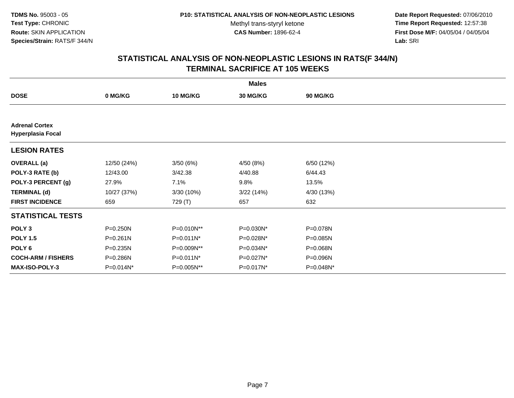Methyl trans-styryl ketone<br>CAS Number: 1896-62-4

 **Date Report Requested:** 07/06/2010 **Time Report Requested:** 12:57:38 **First Dose M/F:** 04/05/04 / 04/05/04<br>**Lab:** SRI **Lab:** SRI

|                                                   |              |                 | <b>Males</b> |                 |  |
|---------------------------------------------------|--------------|-----------------|--------------|-----------------|--|
| <b>DOSE</b>                                       | 0 MG/KG      | <b>10 MG/KG</b> | 30 MG/KG     | <b>90 MG/KG</b> |  |
|                                                   |              |                 |              |                 |  |
| <b>Adrenal Cortex</b><br><b>Hyperplasia Focal</b> |              |                 |              |                 |  |
| <b>LESION RATES</b>                               |              |                 |              |                 |  |
| <b>OVERALL</b> (a)                                | 12/50 (24%)  | 3/50(6%)        | 4/50 (8%)    | 6/50 (12%)      |  |
| POLY-3 RATE (b)                                   | 12/43.00     | 3/42.38         | 4/40.88      | 6/44.43         |  |
| POLY-3 PERCENT (g)                                | 27.9%        | 7.1%            | 9.8%         | 13.5%           |  |
| <b>TERMINAL (d)</b>                               | 10/27 (37%)  | 3/30 (10%)      | 3/22(14%)    | 4/30 (13%)      |  |
| <b>FIRST INCIDENCE</b>                            | 659          | 729 (T)         | 657          | 632             |  |
| <b>STATISTICAL TESTS</b>                          |              |                 |              |                 |  |
| POLY <sub>3</sub>                                 | P=0.250N     | P=0.010N**      | P=0.030N*    | P=0.078N        |  |
| <b>POLY 1.5</b>                                   | $P = 0.261N$ | $P=0.011N^*$    | P=0.028N*    | P=0.085N        |  |
| POLY 6                                            | P=0.235N     | P=0.009N**      | P=0.034N*    | P=0.068N        |  |
| <b>COCH-ARM / FISHERS</b>                         | P=0.286N     | $P=0.011N^*$    | P=0.027N*    | P=0.096N        |  |
| MAX-ISO-POLY-3                                    | P=0.014N*    | P=0.005N**      | P=0.017N*    | P=0.048N*       |  |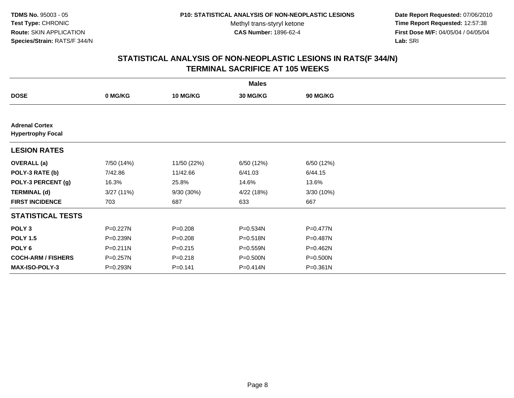**Date Report Requested:** 07/06/2010 **Time Report Requested:** 12:57:38 **First Dose M/F:** 04/05/04 / 04/05/04<br>Lab: SRI **Lab:** SRI

|                                                   |              |                 | <b>Males</b> |              |  |
|---------------------------------------------------|--------------|-----------------|--------------|--------------|--|
| <b>DOSE</b>                                       | 0 MG/KG      | <b>10 MG/KG</b> | 30 MG/KG     | 90 MG/KG     |  |
|                                                   |              |                 |              |              |  |
| <b>Adrenal Cortex</b><br><b>Hypertrophy Focal</b> |              |                 |              |              |  |
| <b>LESION RATES</b>                               |              |                 |              |              |  |
| <b>OVERALL</b> (a)                                | 7/50 (14%)   | 11/50 (22%)     | 6/50 (12%)   | 6/50 (12%)   |  |
| POLY-3 RATE (b)                                   | 7/42.86      | 11/42.66        | 6/41.03      | 6/44.15      |  |
| POLY-3 PERCENT (g)                                | 16.3%        | 25.8%           | 14.6%        | 13.6%        |  |
| <b>TERMINAL (d)</b>                               | 3/27(11%)    | $9/30(30\%)$    | 4/22 (18%)   | 3/30 (10%)   |  |
| <b>FIRST INCIDENCE</b>                            | 703          | 687             | 633          | 667          |  |
| <b>STATISTICAL TESTS</b>                          |              |                 |              |              |  |
| POLY <sub>3</sub>                                 | $P=0.227N$   | $P = 0.208$     | P=0.534N     | $P = 0.477N$ |  |
| <b>POLY 1.5</b>                                   | P=0.239N     | $P = 0.208$     | P=0.518N     | P=0.487N     |  |
| POLY <sub>6</sub>                                 | $P = 0.211N$ | $P = 0.215$     | P=0.559N     | $P=0.462N$   |  |
| <b>COCH-ARM / FISHERS</b>                         | $P = 0.257N$ | $P = 0.218$     | P=0.500N     | P=0.500N     |  |
| <b>MAX-ISO-POLY-3</b>                             | P=0.293N     | $P = 0.141$     | P=0.414N     | $P = 0.361N$ |  |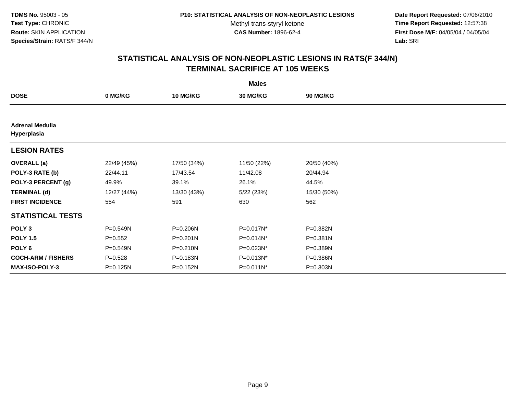**Date Report Requested:** 07/06/2010 **Time Report Requested:** 12:57:38 **First Dose M/F:** 04/05/04 / 04/05/04<br>Lab: SRI **Lab:** SRI

| <b>Males</b>                          |             |                 |                 |             |  |  |
|---------------------------------------|-------------|-----------------|-----------------|-------------|--|--|
| <b>DOSE</b>                           | 0 MG/KG     | <b>10 MG/KG</b> | <b>30 MG/KG</b> | 90 MG/KG    |  |  |
|                                       |             |                 |                 |             |  |  |
| <b>Adrenal Medulla</b><br>Hyperplasia |             |                 |                 |             |  |  |
| <b>LESION RATES</b>                   |             |                 |                 |             |  |  |
| <b>OVERALL</b> (a)                    | 22/49 (45%) | 17/50 (34%)     | 11/50 (22%)     | 20/50 (40%) |  |  |
| POLY-3 RATE (b)                       | 22/44.11    | 17/43.54        | 11/42.08        | 20/44.94    |  |  |
| POLY-3 PERCENT (g)                    | 49.9%       | 39.1%           | 26.1%           | 44.5%       |  |  |
| <b>TERMINAL (d)</b>                   | 12/27 (44%) | 13/30 (43%)     | 5/22 (23%)      | 15/30 (50%) |  |  |
| <b>FIRST INCIDENCE</b>                | 554         | 591             | 630             | 562         |  |  |
| <b>STATISTICAL TESTS</b>              |             |                 |                 |             |  |  |
| POLY <sub>3</sub>                     | P=0.549N    | P=0.206N        | P=0.017N*       | P=0.382N    |  |  |
| <b>POLY 1.5</b>                       | $P = 0.552$ | P=0.201N        | P=0.014N*       | P=0.381N    |  |  |
| POLY <sub>6</sub>                     | P=0.549N    | P=0.210N        | P=0.023N*       | P=0.389N    |  |  |
| <b>COCH-ARM / FISHERS</b>             | $P = 0.528$ | P=0.183N        | P=0.013N*       | P=0.386N    |  |  |
| <b>MAX-ISO-POLY-3</b>                 | P=0.125N    | P=0.152N        | P=0.011N*       | P=0.303N    |  |  |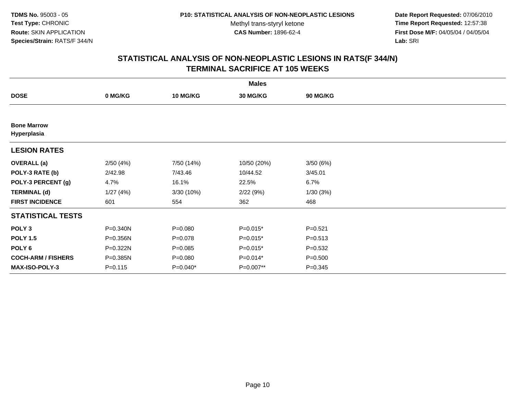**Date Report Requested:** 07/06/2010 **Time Report Requested:** 12:57:38 **First Dose M/F:** 04/05/04 / 04/05/04<br>Lab: SRI **Lab:** SRI

|                                   |             |                 | <b>Males</b> |             |  |
|-----------------------------------|-------------|-----------------|--------------|-------------|--|
| <b>DOSE</b>                       | 0 MG/KG     | <b>10 MG/KG</b> | 30 MG/KG     | 90 MG/KG    |  |
|                                   |             |                 |              |             |  |
| <b>Bone Marrow</b><br>Hyperplasia |             |                 |              |             |  |
| <b>LESION RATES</b>               |             |                 |              |             |  |
| <b>OVERALL</b> (a)                | 2/50(4%)    | 7/50 (14%)      | 10/50 (20%)  | 3/50(6%)    |  |
| POLY-3 RATE (b)                   | 2/42.98     | 7/43.46         | 10/44.52     | 3/45.01     |  |
| POLY-3 PERCENT (g)                | 4.7%        | 16.1%           | 22.5%        | 6.7%        |  |
| <b>TERMINAL (d)</b>               | 1/27(4%)    | 3/30 (10%)      | 2/22(9%)     | 1/30(3%)    |  |
| <b>FIRST INCIDENCE</b>            | 601         | 554             | 362          | 468         |  |
| <b>STATISTICAL TESTS</b>          |             |                 |              |             |  |
| POLY <sub>3</sub>                 | P=0.340N    | $P = 0.080$     | $P=0.015*$   | $P = 0.521$ |  |
| <b>POLY 1.5</b>                   | P=0.356N    | $P = 0.078$     | $P=0.015*$   | $P = 0.513$ |  |
| POLY <sub>6</sub>                 | P=0.322N    | $P = 0.085$     | $P=0.015*$   | $P = 0.532$ |  |
| <b>COCH-ARM / FISHERS</b>         | P=0.385N    | $P = 0.080$     | $P=0.014*$   | $P = 0.500$ |  |
| <b>MAX-ISO-POLY-3</b>             | $P = 0.115$ | $P=0.040*$      | P=0.007**    | $P = 0.345$ |  |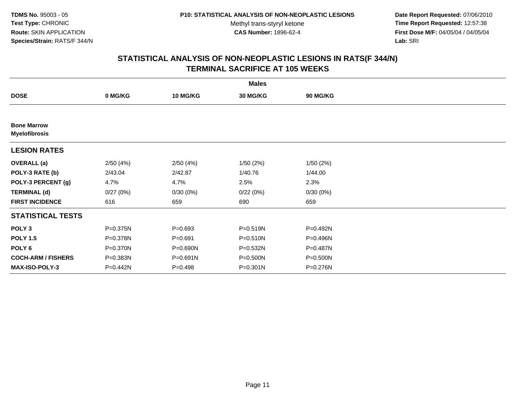**Date Report Requested:** 07/06/2010 **Time Report Requested:** 12:57:38 **First Dose M/F:** 04/05/04 / 04/05/04<br>Lab: SRI **Lab:** SRI

|                                            |          |                 | <b>Males</b> |          |  |
|--------------------------------------------|----------|-----------------|--------------|----------|--|
| <b>DOSE</b>                                | 0 MG/KG  | <b>10 MG/KG</b> | 30 MG/KG     | 90 MG/KG |  |
|                                            |          |                 |              |          |  |
| <b>Bone Marrow</b><br><b>Myelofibrosis</b> |          |                 |              |          |  |
| <b>LESION RATES</b>                        |          |                 |              |          |  |
| <b>OVERALL</b> (a)                         | 2/50(4%) | 2/50(4%)        | 1/50(2%)     | 1/50(2%) |  |
| POLY-3 RATE (b)                            | 2/43.04  | 2/42.87         | 1/40.76      | 1/44.00  |  |
| POLY-3 PERCENT (g)                         | 4.7%     | 4.7%            | 2.5%         | 2.3%     |  |
| <b>TERMINAL (d)</b>                        | 0/27(0%) | 0/30(0%)        | 0/22(0%)     | 0/30(0%) |  |
| <b>FIRST INCIDENCE</b>                     | 616      | 659             | 690          | 659      |  |
| <b>STATISTICAL TESTS</b>                   |          |                 |              |          |  |
| POLY <sub>3</sub>                          | P=0.375N | $P = 0.693$     | P=0.519N     | P=0.492N |  |
| <b>POLY 1.5</b>                            | P=0.378N | $P = 0.691$     | P=0.510N     | P=0.496N |  |
| POLY <sub>6</sub>                          | P=0.370N | $P = 0.690N$    | P=0.532N     | P=0.487N |  |
| <b>COCH-ARM / FISHERS</b>                  | P=0.383N | $P = 0.691N$    | P=0.500N     | P=0.500N |  |
| <b>MAX-ISO-POLY-3</b>                      | P=0.442N | $P = 0.498$     | P=0.301N     | P=0.276N |  |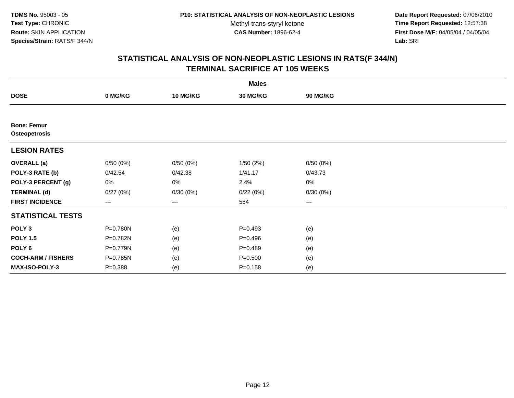**Date Report Requested:** 07/06/2010 **Time Report Requested:** 12:57:38 **First Dose M/F:** 04/05/04 / 04/05/04<br>Lab: SRI **Lab:** SRI

|                                     |             |                 | <b>Males</b> |          |  |
|-------------------------------------|-------------|-----------------|--------------|----------|--|
| <b>DOSE</b>                         | 0 MG/KG     | <b>10 MG/KG</b> | 30 MG/KG     | 90 MG/KG |  |
|                                     |             |                 |              |          |  |
| <b>Bone: Femur</b><br>Osteopetrosis |             |                 |              |          |  |
| <b>LESION RATES</b>                 |             |                 |              |          |  |
| <b>OVERALL</b> (a)                  | 0/50(0%)    | 0/50(0%)        | 1/50(2%)     | 0/50(0%) |  |
| POLY-3 RATE (b)                     | 0/42.54     | 0/42.38         | 1/41.17      | 0/43.73  |  |
| POLY-3 PERCENT (g)                  | 0%          | $0\%$           | 2.4%         | 0%       |  |
| <b>TERMINAL (d)</b>                 | 0/27(0%)    | 0/30(0%)        | 0/22(0%)     | 0/30(0%) |  |
| <b>FIRST INCIDENCE</b>              | $---$       | $---$           | 554          | $--$     |  |
| <b>STATISTICAL TESTS</b>            |             |                 |              |          |  |
| POLY <sub>3</sub>                   | P=0.780N    | (e)             | $P=0.493$    | (e)      |  |
| <b>POLY 1.5</b>                     | P=0.782N    | (e)             | $P=0.496$    | (e)      |  |
| POLY <sub>6</sub>                   | P=0.779N    | (e)             | $P=0.489$    | (e)      |  |
| <b>COCH-ARM / FISHERS</b>           | P=0.785N    | (e)             | $P = 0.500$  | (e)      |  |
| MAX-ISO-POLY-3                      | $P = 0.388$ | (e)             | $P = 0.158$  | (e)      |  |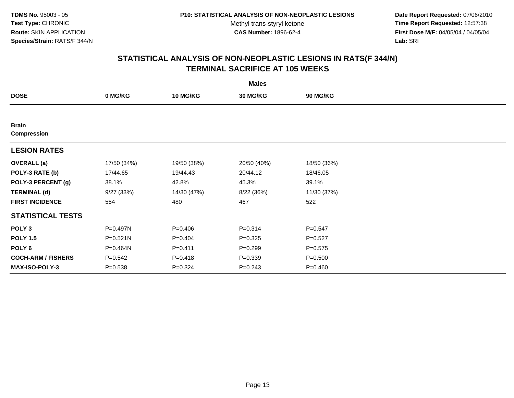**Date Report Requested:** 07/06/2010 **Time Report Requested:** 12:57:38 **First Dose M/F:** 04/05/04 / 04/05/04<br>Lab: SRI **Lab:** SRI

|                           |             |                 | <b>Males</b>    |             |  |
|---------------------------|-------------|-----------------|-----------------|-------------|--|
| <b>DOSE</b>               | 0 MG/KG     | <b>10 MG/KG</b> | <b>30 MG/KG</b> | 90 MG/KG    |  |
|                           |             |                 |                 |             |  |
| <b>Brain</b>              |             |                 |                 |             |  |
| <b>Compression</b>        |             |                 |                 |             |  |
| <b>LESION RATES</b>       |             |                 |                 |             |  |
| <b>OVERALL</b> (a)        | 17/50 (34%) | 19/50 (38%)     | 20/50 (40%)     | 18/50 (36%) |  |
| POLY-3 RATE (b)           | 17/44.65    | 19/44.43        | 20/44.12        | 18/46.05    |  |
| POLY-3 PERCENT (g)        | 38.1%       | 42.8%           | 45.3%           | 39.1%       |  |
| <b>TERMINAL (d)</b>       | 9/27(33%)   | 14/30 (47%)     | 8/22 (36%)      | 11/30 (37%) |  |
| <b>FIRST INCIDENCE</b>    | 554         | 480             | 467             | 522         |  |
| <b>STATISTICAL TESTS</b>  |             |                 |                 |             |  |
| POLY <sub>3</sub>         | P=0.497N    | $P = 0.406$     | $P = 0.314$     | $P = 0.547$ |  |
| <b>POLY 1.5</b>           | P=0.521N    | $P=0.404$       | $P = 0.325$     | $P = 0.527$ |  |
| POLY <sub>6</sub>         | P=0.464N    | $P=0.411$       | $P = 0.299$     | $P = 0.575$ |  |
| <b>COCH-ARM / FISHERS</b> | $P = 0.542$ | $P = 0.418$     | $P = 0.339$     | $P = 0.500$ |  |
| <b>MAX-ISO-POLY-3</b>     | $P = 0.538$ | $P = 0.324$     | $P = 0.243$     | $P = 0.460$ |  |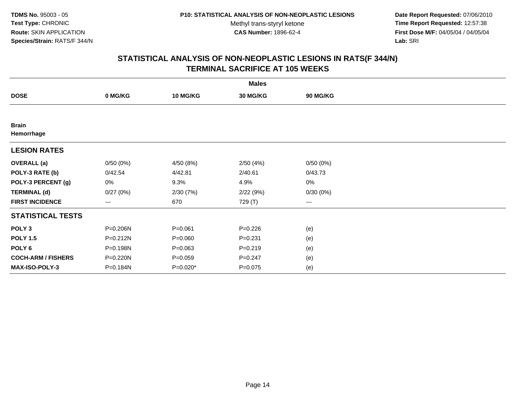**Date Report Requested:** 07/06/2010 **Time Report Requested:** 12:57:38 **First Dose M/F:** 04/05/04 / 04/05/04<br>Lab: SRI **Lab:** SRI

|                            |                        |             | <b>Males</b> |                   |  |
|----------------------------|------------------------|-------------|--------------|-------------------|--|
| <b>DOSE</b>                | 0 MG/KG                | 10 MG/KG    | 30 MG/KG     | <b>90 MG/KG</b>   |  |
|                            |                        |             |              |                   |  |
| <b>Brain</b><br>Hemorrhage |                        |             |              |                   |  |
| <b>LESION RATES</b>        |                        |             |              |                   |  |
| <b>OVERALL</b> (a)         | 0/50(0%)               | 4/50 (8%)   | 2/50(4%)     | 0/50(0%)          |  |
| POLY-3 RATE (b)            | 0/42.54                | 4/42.81     | 2/40.61      | 0/43.73           |  |
| POLY-3 PERCENT (g)         | 0%                     | 9.3%        | 4.9%         | $0\%$             |  |
| <b>TERMINAL (d)</b>        | 0/27(0%)               | 2/30(7%)    | 2/22(9%)     | 0/30(0%)          |  |
| <b>FIRST INCIDENCE</b>     | $\qquad \qquad \cdots$ | 670         | 729 (T)      | $\qquad \qquad -$ |  |
| <b>STATISTICAL TESTS</b>   |                        |             |              |                   |  |
| POLY <sub>3</sub>          | P=0.206N               | $P = 0.061$ | $P = 0.226$  | (e)               |  |
| <b>POLY 1.5</b>            | $P = 0.212N$           | $P = 0.060$ | $P = 0.231$  | (e)               |  |
| POLY <sub>6</sub>          | P=0.198N               | $P = 0.063$ | $P = 0.219$  | (e)               |  |
| <b>COCH-ARM / FISHERS</b>  | P=0.220N               | $P = 0.059$ | $P = 0.247$  | (e)               |  |
| <b>MAX-ISO-POLY-3</b>      | P=0.184N               | $P=0.020*$  | $P = 0.075$  | (e)               |  |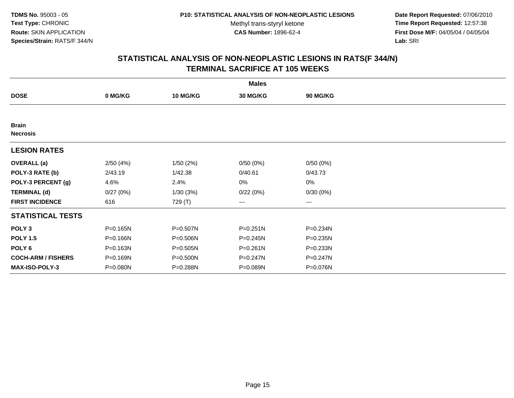**Date Report Requested:** 07/06/2010 **Time Report Requested:** 12:57:38 **First Dose M/F:** 04/05/04 / 04/05/04<br>Lab: SRI **Lab:** SRI

|                                 |          |                 | <b>Males</b> |                        |  |
|---------------------------------|----------|-----------------|--------------|------------------------|--|
| <b>DOSE</b>                     | 0 MG/KG  | <b>10 MG/KG</b> | 30 MG/KG     | <b>90 MG/KG</b>        |  |
|                                 |          |                 |              |                        |  |
| <b>Brain</b><br><b>Necrosis</b> |          |                 |              |                        |  |
| <b>LESION RATES</b>             |          |                 |              |                        |  |
| <b>OVERALL</b> (a)              | 2/50(4%) | 1/50(2%)        | 0/50(0%)     | 0/50(0%)               |  |
| POLY-3 RATE (b)                 | 2/43.19  | 1/42.38         | 0/40.61      | 0/43.73                |  |
| POLY-3 PERCENT (g)              | 4.6%     | 2.4%            | 0%           | 0%                     |  |
| <b>TERMINAL (d)</b>             | 0/27(0%) | 1/30(3%)        | 0/22(0%)     | 0/30(0%)               |  |
| <b>FIRST INCIDENCE</b>          | 616      | 729 (T)         | ---          | $\qquad \qquad \cdots$ |  |
| <b>STATISTICAL TESTS</b>        |          |                 |              |                        |  |
| POLY <sub>3</sub>               | P=0.165N | P=0.507N        | P=0.251N     | P=0.234N               |  |
| <b>POLY 1.5</b>                 | P=0.166N | P=0.506N        | P=0.245N     | $P = 0.235N$           |  |
| POLY <sub>6</sub>               | P=0.163N | P=0.505N        | P=0.261N     | P=0.233N               |  |
| <b>COCH-ARM / FISHERS</b>       | P=0.169N | P=0.500N        | P=0.247N     | P=0.247N               |  |
| <b>MAX-ISO-POLY-3</b>           | P=0.080N | P=0.288N        | P=0.089N     | P=0.076N               |  |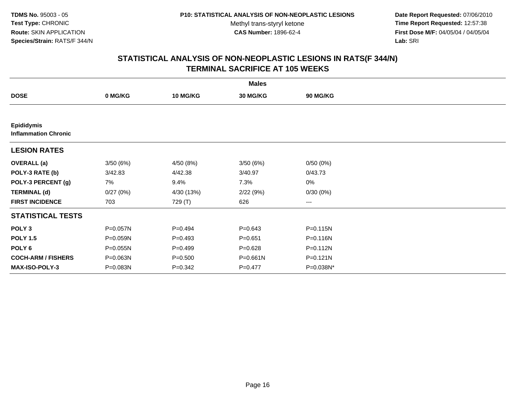**Date Report Requested:** 07/06/2010 **Time Report Requested:** 12:57:38 **First Dose M/F:** 04/05/04 / 04/05/04<br>Lab: SRI **Lab:** SRI

|                                                  |              |                 | <b>Males</b>    |              |  |
|--------------------------------------------------|--------------|-----------------|-----------------|--------------|--|
| <b>DOSE</b>                                      | 0 MG/KG      | <b>10 MG/KG</b> | <b>30 MG/KG</b> | 90 MG/KG     |  |
|                                                  |              |                 |                 |              |  |
| <b>Epididymis</b><br><b>Inflammation Chronic</b> |              |                 |                 |              |  |
| <b>LESION RATES</b>                              |              |                 |                 |              |  |
| <b>OVERALL</b> (a)                               | 3/50(6%)     | 4/50 (8%)       | 3/50(6%)        | 0/50(0%)     |  |
| POLY-3 RATE (b)                                  | 3/42.83      | 4/42.38         | 3/40.97         | 0/43.73      |  |
| POLY-3 PERCENT (g)                               | 7%           | 9.4%            | 7.3%            | 0%           |  |
| <b>TERMINAL (d)</b>                              | 0/27(0%)     | 4/30 (13%)      | 2/22(9%)        | 0/30(0%)     |  |
| <b>FIRST INCIDENCE</b>                           | 703          | 729 (T)         | 626             | $\cdots$     |  |
| <b>STATISTICAL TESTS</b>                         |              |                 |                 |              |  |
| POLY <sub>3</sub>                                | P=0.057N     | $P=0.494$       | $P = 0.643$     | $P = 0.115N$ |  |
| <b>POLY 1.5</b>                                  | P=0.059N     | $P=0.493$       | $P = 0.651$     | $P = 0.116N$ |  |
| POLY 6                                           | P=0.055N     | $P=0.499$       | $P=0.628$       | $P = 0.112N$ |  |
| <b>COCH-ARM / FISHERS</b>                        | $P = 0.063N$ | $P = 0.500$     | P=0.661N        | $P = 0.121N$ |  |
| <b>MAX-ISO-POLY-3</b>                            | P=0.083N     | $P = 0.342$     | $P=0.477$       | P=0.038N*    |  |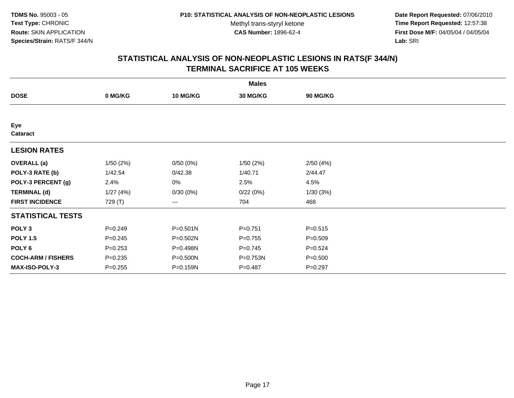**Date Report Requested:** 07/06/2010 **Time Report Requested:** 12:57:38 **First Dose M/F:** 04/05/04 / 04/05/04<br>Lab: SRI **Lab:** SRI

|                           |             |                 | <b>Males</b>    |             |  |
|---------------------------|-------------|-----------------|-----------------|-------------|--|
| <b>DOSE</b>               | 0 MG/KG     | <b>10 MG/KG</b> | <b>30 MG/KG</b> | 90 MG/KG    |  |
|                           |             |                 |                 |             |  |
| Eye<br><b>Cataract</b>    |             |                 |                 |             |  |
| <b>LESION RATES</b>       |             |                 |                 |             |  |
| <b>OVERALL</b> (a)        | 1/50(2%)    | 0/50(0%)        | 1/50(2%)        | 2/50(4%)    |  |
| POLY-3 RATE (b)           | 1/42.54     | 0/42.38         | 1/40.71         | 2/44.47     |  |
| POLY-3 PERCENT (g)        | 2.4%        | 0%              | 2.5%            | 4.5%        |  |
| <b>TERMINAL (d)</b>       | 1/27(4%)    | 0/30(0%)        | 0/22(0%)        | 1/30(3%)    |  |
| <b>FIRST INCIDENCE</b>    | 729 (T)     | ---             | 704             | 468         |  |
| <b>STATISTICAL TESTS</b>  |             |                 |                 |             |  |
| POLY <sub>3</sub>         | $P = 0.249$ | $P = 0.501N$    | $P=0.751$       | $P = 0.515$ |  |
| <b>POLY 1.5</b>           | $P = 0.245$ | P=0.502N        | $P=0.755$       | $P = 0.509$ |  |
| POLY <sub>6</sub>         | $P = 0.253$ | P=0.498N        | $P=0.745$       | $P = 0.524$ |  |
| <b>COCH-ARM / FISHERS</b> | $P = 0.235$ | P=0.500N        | P=0.753N        | $P = 0.500$ |  |
| MAX-ISO-POLY-3            | $P = 0.255$ | P=0.159N        | $P = 0.487$     | $P = 0.297$ |  |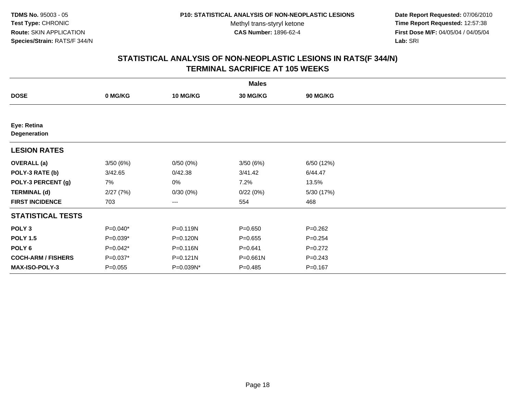**Date Report Requested:** 07/06/2010 **Time Report Requested:** 12:57:38 **First Dose M/F:** 04/05/04 / 04/05/04<br>Lab: SRI **Lab:** SRI

|                             |             |                 | <b>Males</b> |             |  |
|-----------------------------|-------------|-----------------|--------------|-------------|--|
| <b>DOSE</b>                 | 0 MG/KG     | <b>10 MG/KG</b> | 30 MG/KG     | 90 MG/KG    |  |
|                             |             |                 |              |             |  |
| Eye: Retina<br>Degeneration |             |                 |              |             |  |
| <b>LESION RATES</b>         |             |                 |              |             |  |
| <b>OVERALL</b> (a)          | 3/50(6%)    | 0/50(0%)        | 3/50(6%)     | 6/50 (12%)  |  |
| POLY-3 RATE (b)             | 3/42.65     | 0/42.38         | 3/41.42      | 6/44.47     |  |
| POLY-3 PERCENT (g)          | 7%          | 0%              | 7.2%         | 13.5%       |  |
| <b>TERMINAL (d)</b>         | 2/27(7%)    | 0/30(0%)        | 0/22(0%)     | 5/30 (17%)  |  |
| <b>FIRST INCIDENCE</b>      | 703         | ---             | 554          | 468         |  |
| <b>STATISTICAL TESTS</b>    |             |                 |              |             |  |
| POLY <sub>3</sub>           | $P=0.040*$  | P=0.119N        | $P = 0.650$  | $P=0.262$   |  |
| <b>POLY 1.5</b>             | $P=0.039*$  | P=0.120N        | $P = 0.655$  | $P = 0.254$ |  |
| POLY <sub>6</sub>           | $P=0.042*$  | P=0.116N        | $P = 0.641$  | $P=0.272$   |  |
| <b>COCH-ARM / FISHERS</b>   | $P=0.037*$  | $P = 0.121N$    | P=0.661N     | $P = 0.243$ |  |
| <b>MAX-ISO-POLY-3</b>       | $P = 0.055$ | P=0.039N*       | $P = 0.485$  | $P = 0.167$ |  |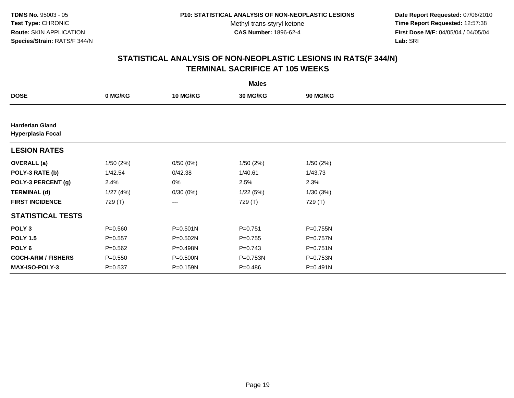**Date Report Requested:** 07/06/2010 **Time Report Requested:** 12:57:38 **First Dose M/F:** 04/05/04 / 04/05/04<br>Lab: SRI **Lab:** SRI

|                                                    |             |                 | <b>Males</b> |              |  |
|----------------------------------------------------|-------------|-----------------|--------------|--------------|--|
| <b>DOSE</b>                                        | 0 MG/KG     | <b>10 MG/KG</b> | 30 MG/KG     | 90 MG/KG     |  |
|                                                    |             |                 |              |              |  |
| <b>Harderian Gland</b><br><b>Hyperplasia Focal</b> |             |                 |              |              |  |
| <b>LESION RATES</b>                                |             |                 |              |              |  |
| <b>OVERALL</b> (a)                                 | 1/50(2%)    | 0/50(0%)        | 1/50(2%)     | 1/50(2%)     |  |
| POLY-3 RATE (b)                                    | 1/42.54     | 0/42.38         | 1/40.61      | 1/43.73      |  |
| POLY-3 PERCENT (g)                                 | 2.4%        | 0%              | 2.5%         | 2.3%         |  |
| <b>TERMINAL (d)</b>                                | 1/27(4%)    | 0/30(0%)        | 1/22(5%)     | 1/30(3%)     |  |
| <b>FIRST INCIDENCE</b>                             | 729 (T)     | ---             | 729 (T)      | 729 (T)      |  |
| <b>STATISTICAL TESTS</b>                           |             |                 |              |              |  |
| POLY <sub>3</sub>                                  | $P = 0.560$ | $P = 0.501N$    | $P = 0.751$  | P=0.755N     |  |
| <b>POLY 1.5</b>                                    | $P = 0.557$ | P=0.502N        | $P=0.755$    | P=0.757N     |  |
| POLY 6                                             | $P = 0.562$ | P=0.498N        | $P=0.743$    | $P = 0.751N$ |  |
| <b>COCH-ARM / FISHERS</b>                          | $P = 0.550$ | P=0.500N        | P=0.753N     | P=0.753N     |  |
| MAX-ISO-POLY-3                                     | $P = 0.537$ | P=0.159N        | $P = 0.486$  | P=0.491N     |  |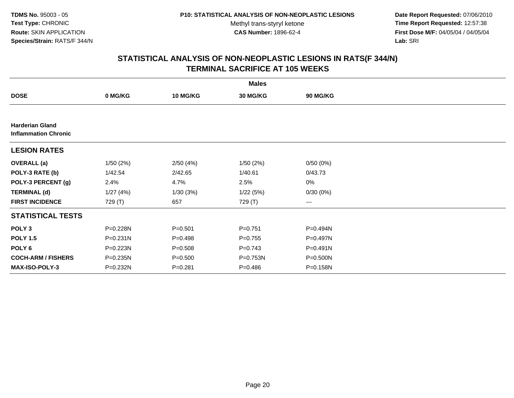**Date Report Requested:** 07/06/2010 **Time Report Requested:** 12:57:38 **First Dose M/F:** 04/05/04 / 04/05/04<br>Lab: SRI **Lab:** SRI

|                                                       |              |                 | <b>Males</b> |                 |  |
|-------------------------------------------------------|--------------|-----------------|--------------|-----------------|--|
| <b>DOSE</b>                                           | 0 MG/KG      | <b>10 MG/KG</b> | 30 MG/KG     | <b>90 MG/KG</b> |  |
|                                                       |              |                 |              |                 |  |
| <b>Harderian Gland</b><br><b>Inflammation Chronic</b> |              |                 |              |                 |  |
| <b>LESION RATES</b>                                   |              |                 |              |                 |  |
| <b>OVERALL</b> (a)                                    | 1/50(2%)     | 2/50(4%)        | 1/50(2%)     | 0/50(0%)        |  |
| POLY-3 RATE (b)                                       | 1/42.54      | 2/42.65         | 1/40.61      | 0/43.73         |  |
| POLY-3 PERCENT (g)                                    | 2.4%         | 4.7%            | 2.5%         | $0\%$           |  |
| <b>TERMINAL (d)</b>                                   | 1/27(4%)     | 1/30(3%)        | 1/22(5%)     | 0/30(0%)        |  |
| <b>FIRST INCIDENCE</b>                                | 729 (T)      | 657             | 729 (T)      | $\cdots$        |  |
| <b>STATISTICAL TESTS</b>                              |              |                 |              |                 |  |
| POLY <sub>3</sub>                                     | P=0.228N     | $P = 0.501$     | $P = 0.751$  | P=0.494N        |  |
| <b>POLY 1.5</b>                                       | $P = 0.231N$ | $P = 0.498$     | $P=0.755$    | $P = 0.497N$    |  |
| POLY 6                                                | P=0.223N     | $P = 0.508$     | $P = 0.743$  | P=0.491N        |  |
| <b>COCH-ARM / FISHERS</b>                             | P=0.235N     | $P = 0.500$     | $P = 0.753N$ | $P = 0.500N$    |  |
| <b>MAX-ISO-POLY-3</b>                                 | P=0.232N     | $P = 0.281$     | $P = 0.486$  | P=0.158N        |  |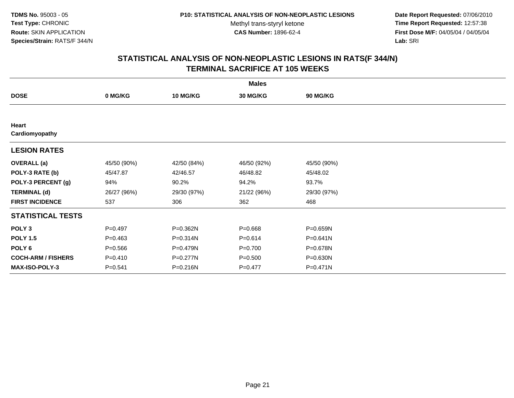**Date Report Requested:** 07/06/2010 **Time Report Requested:** 12:57:38 **First Dose M/F:** 04/05/04 / 04/05/04<br>Lab: SRI **Lab:** SRI

| <b>Males</b>              |             |                 |             |                 |  |  |  |
|---------------------------|-------------|-----------------|-------------|-----------------|--|--|--|
| <b>DOSE</b>               | 0 MG/KG     | <b>10 MG/KG</b> | 30 MG/KG    | <b>90 MG/KG</b> |  |  |  |
|                           |             |                 |             |                 |  |  |  |
| Heart                     |             |                 |             |                 |  |  |  |
| Cardiomyopathy            |             |                 |             |                 |  |  |  |
| <b>LESION RATES</b>       |             |                 |             |                 |  |  |  |
| <b>OVERALL</b> (a)        | 45/50 (90%) | 42/50 (84%)     | 46/50 (92%) | 45/50 (90%)     |  |  |  |
| POLY-3 RATE (b)           | 45/47.87    | 42/46.57        | 46/48.82    | 45/48.02        |  |  |  |
| POLY-3 PERCENT (g)        | 94%         | 90.2%           | 94.2%       | 93.7%           |  |  |  |
| <b>TERMINAL (d)</b>       | 26/27 (96%) | 29/30 (97%)     | 21/22 (96%) | 29/30 (97%)     |  |  |  |
| <b>FIRST INCIDENCE</b>    | 537         | 306             | 362         | 468             |  |  |  |
| <b>STATISTICAL TESTS</b>  |             |                 |             |                 |  |  |  |
| POLY <sub>3</sub>         | $P=0.497$   | P=0.362N        | $P = 0.668$ | P=0.659N        |  |  |  |
| <b>POLY 1.5</b>           | $P = 0.463$ | P=0.314N        | $P = 0.614$ | P=0.641N        |  |  |  |
| POLY <sub>6</sub>         | $P = 0.566$ | P=0.479N        | $P = 0.700$ | P=0.678N        |  |  |  |
| <b>COCH-ARM / FISHERS</b> | $P = 0.410$ | P=0.277N        | $P = 0.500$ | P=0.630N        |  |  |  |
| <b>MAX-ISO-POLY-3</b>     | $P = 0.541$ | P=0.216N        | $P = 0.477$ | P=0.471N        |  |  |  |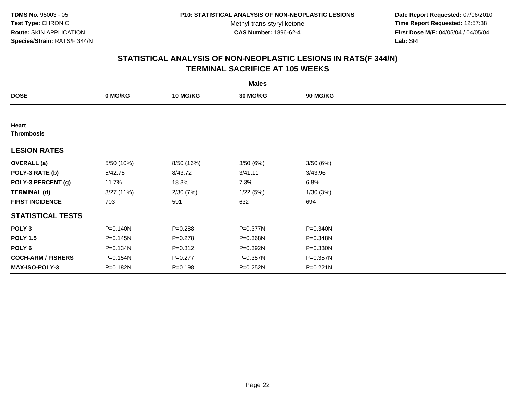**Date Report Requested:** 07/06/2010 **Time Report Requested:** 12:57:38 **First Dose M/F:** 04/05/04 / 04/05/04<br>Lab: SRI **Lab:** SRI

|                           |              |                 | <b>Males</b> |              |  |
|---------------------------|--------------|-----------------|--------------|--------------|--|
| <b>DOSE</b>               | 0 MG/KG      | <b>10 MG/KG</b> | 30 MG/KG     | 90 MG/KG     |  |
|                           |              |                 |              |              |  |
| Heart                     |              |                 |              |              |  |
| <b>Thrombosis</b>         |              |                 |              |              |  |
| <b>LESION RATES</b>       |              |                 |              |              |  |
| <b>OVERALL</b> (a)        | 5/50 (10%)   | 8/50 (16%)      | 3/50(6%)     | 3/50(6%)     |  |
| POLY-3 RATE (b)           | 5/42.75      | 8/43.72         | 3/41.11      | 3/43.96      |  |
| POLY-3 PERCENT (g)        | 11.7%        | 18.3%           | 7.3%         | 6.8%         |  |
| <b>TERMINAL (d)</b>       | 3/27(11%)    | 2/30(7%)        | 1/22(5%)     | 1/30(3%)     |  |
| <b>FIRST INCIDENCE</b>    | 703          | 591             | 632          | 694          |  |
| <b>STATISTICAL TESTS</b>  |              |                 |              |              |  |
| POLY <sub>3</sub>         | $P = 0.140N$ | $P = 0.288$     | P=0.377N     | $P = 0.340N$ |  |
| <b>POLY 1.5</b>           | $P = 0.145N$ | $P = 0.278$     | P=0.368N     | P=0.348N     |  |
| POLY <sub>6</sub>         | P=0.134N     | $P = 0.312$     | P=0.392N     | P=0.330N     |  |
| <b>COCH-ARM / FISHERS</b> | P=0.154N     | $P=0.277$       | P=0.357N     | P=0.357N     |  |
| MAX-ISO-POLY-3            | P=0.182N     | $P = 0.198$     | P=0.252N     | P=0.221N     |  |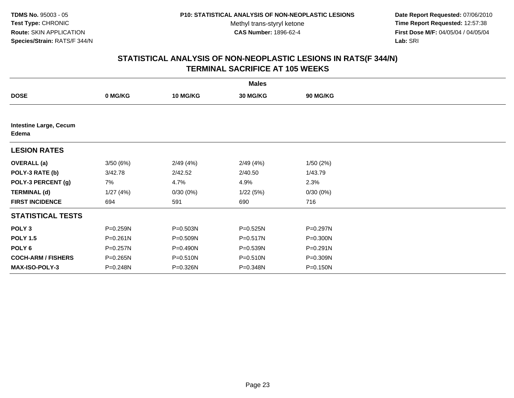**Date Report Requested:** 07/06/2010 **Time Report Requested:** 12:57:38 **First Dose M/F:** 04/05/04 / 04/05/04<br>Lab: SRI **Lab:** SRI

|                                        |              |                 | <b>Males</b>    |                 |  |
|----------------------------------------|--------------|-----------------|-----------------|-----------------|--|
| <b>DOSE</b>                            | 0 MG/KG      | <b>10 MG/KG</b> | <b>30 MG/KG</b> | <b>90 MG/KG</b> |  |
|                                        |              |                 |                 |                 |  |
| <b>Intestine Large, Cecum</b><br>Edema |              |                 |                 |                 |  |
| <b>LESION RATES</b>                    |              |                 |                 |                 |  |
| <b>OVERALL</b> (a)                     | 3/50(6%)     | 2/49(4%)        | 2/49(4%)        | 1/50(2%)        |  |
| POLY-3 RATE (b)                        | 3/42.78      | 2/42.52         | 2/40.50         | 1/43.79         |  |
| POLY-3 PERCENT (g)                     | 7%           | 4.7%            | 4.9%            | 2.3%            |  |
| <b>TERMINAL (d)</b>                    | 1/27(4%)     | 0/30(0%)        | 1/22(5%)        | 0/30(0%)        |  |
| <b>FIRST INCIDENCE</b>                 | 694          | 591             | 690             | 716             |  |
| <b>STATISTICAL TESTS</b>               |              |                 |                 |                 |  |
| POLY <sub>3</sub>                      | P=0.259N     | P=0.503N        | P=0.525N        | P=0.297N        |  |
| <b>POLY 1.5</b>                        | $P = 0.261N$ | P=0.509N        | P=0.517N        | P=0.300N        |  |
| POLY <sub>6</sub>                      | P=0.257N     | P=0.490N        | P=0.539N        | P=0.291N        |  |
| <b>COCH-ARM / FISHERS</b>              | P=0.265N     | $P = 0.510N$    | P=0.510N        | P=0.309N        |  |
| MAX-ISO-POLY-3                         | P=0.248N     | P=0.326N        | P=0.348N        | P=0.150N        |  |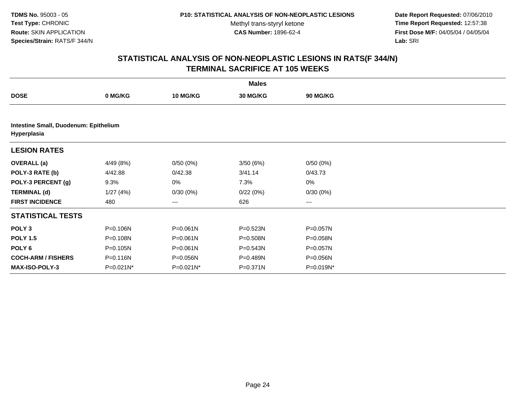**Date Report Requested:** 07/06/2010 **Time Report Requested:** 12:57:38 **First Dose M/F:** 04/05/04 / 04/05/04<br>Lab: SRI **Lab:** SRI

|                                                      |              |                 | <b>Males</b> |                 |  |  |  |  |
|------------------------------------------------------|--------------|-----------------|--------------|-----------------|--|--|--|--|
| <b>DOSE</b>                                          | 0 MG/KG      | <b>10 MG/KG</b> | 30 MG/KG     | <b>90 MG/KG</b> |  |  |  |  |
|                                                      |              |                 |              |                 |  |  |  |  |
| Intestine Small, Duodenum: Epithelium<br>Hyperplasia |              |                 |              |                 |  |  |  |  |
| <b>LESION RATES</b>                                  |              |                 |              |                 |  |  |  |  |
| <b>OVERALL</b> (a)                                   | 4/49 (8%)    | 0/50(0%)        | 3/50(6%)     | 0/50(0%)        |  |  |  |  |
| POLY-3 RATE (b)                                      | 4/42.88      | 0/42.38         | 3/41.14      | 0/43.73         |  |  |  |  |
| POLY-3 PERCENT (g)                                   | 9.3%         | 0%              | 7.3%         | 0%              |  |  |  |  |
| <b>TERMINAL (d)</b>                                  | 1/27(4%)     | 0/30(0%)        | 0/22(0%)     | 0/30(0%)        |  |  |  |  |
| <b>FIRST INCIDENCE</b>                               | 480          | $---$           | 626          | $\cdots$        |  |  |  |  |
| <b>STATISTICAL TESTS</b>                             |              |                 |              |                 |  |  |  |  |
| POLY <sub>3</sub>                                    | P=0.106N     | $P = 0.061N$    | P=0.523N     | P=0.057N        |  |  |  |  |
| <b>POLY 1.5</b>                                      | P=0.108N     | $P = 0.061N$    | P=0.508N     | $P = 0.058N$    |  |  |  |  |
| POLY <sub>6</sub>                                    | P=0.105N     | $P = 0.061N$    | P=0.543N     | P=0.057N        |  |  |  |  |
| <b>COCH-ARM / FISHERS</b>                            | P=0.116N     | P=0.056N        | P=0.489N     | $P = 0.056N$    |  |  |  |  |
| <b>MAX-ISO-POLY-3</b>                                | $P=0.021N^*$ | $P = 0.021N^*$  | P=0.371N     | P=0.019N*       |  |  |  |  |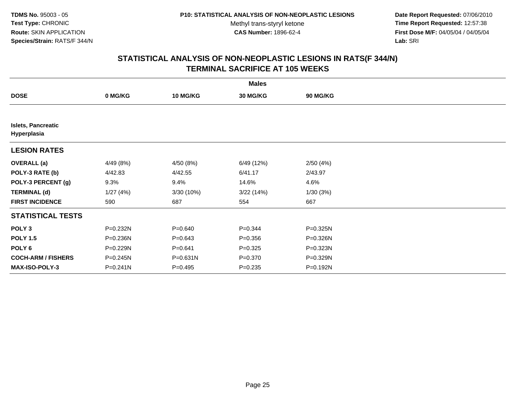**Date Report Requested:** 07/06/2010 **Time Report Requested:** 12:57:38 **First Dose M/F:** 04/05/04 / 04/05/04<br>Lab: SRI **Lab:** SRI

|                                          |              |             | <b>Males</b>    |                 |  |
|------------------------------------------|--------------|-------------|-----------------|-----------------|--|
| <b>DOSE</b>                              | 0 MG/KG      | 10 MG/KG    | <b>30 MG/KG</b> | <b>90 MG/KG</b> |  |
|                                          |              |             |                 |                 |  |
| <b>Islets, Pancreatic</b><br>Hyperplasia |              |             |                 |                 |  |
| <b>LESION RATES</b>                      |              |             |                 |                 |  |
| <b>OVERALL</b> (a)                       | 4/49 (8%)    | 4/50 (8%)   | 6/49 (12%)      | 2/50(4%)        |  |
| POLY-3 RATE (b)                          | 4/42.83      | 4/42.55     | 6/41.17         | 2/43.97         |  |
| POLY-3 PERCENT (g)                       | 9.3%         | 9.4%        | 14.6%           | 4.6%            |  |
| <b>TERMINAL (d)</b>                      | 1/27(4%)     | 3/30(10%)   | 3/22(14%)       | 1/30(3%)        |  |
| <b>FIRST INCIDENCE</b>                   | 590          | 687         | 554             | 667             |  |
| <b>STATISTICAL TESTS</b>                 |              |             |                 |                 |  |
| POLY <sub>3</sub>                        | P=0.232N     | $P = 0.640$ | $P = 0.344$     | P=0.325N        |  |
| <b>POLY 1.5</b>                          | P=0.236N     | $P = 0.643$ | $P = 0.356$     | $P = 0.326N$    |  |
| POLY <sub>6</sub>                        | P=0.229N     | $P = 0.641$ | $P = 0.325$     | P=0.323N        |  |
| <b>COCH-ARM / FISHERS</b>                | P=0.245N     | P=0.631N    | $P = 0.370$     | P=0.329N        |  |
| <b>MAX-ISO-POLY-3</b>                    | $P = 0.241N$ | P=0.495     | $P = 0.235$     | P=0.192N        |  |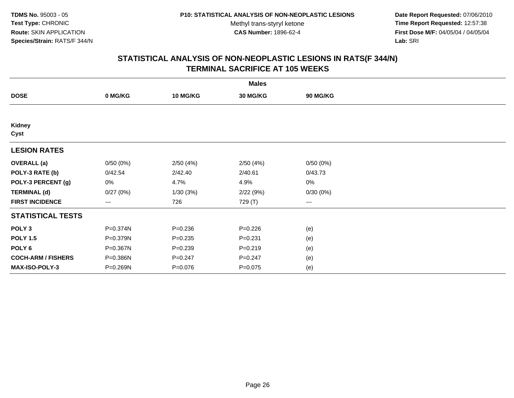**Date Report Requested:** 07/06/2010 **Time Report Requested:** 12:57:38 **First Dose M/F:** 04/05/04 / 04/05/04<br>Lab: SRI **Lab:** SRI

|                           | <b>Males</b> |                 |             |                        |  |  |  |  |
|---------------------------|--------------|-----------------|-------------|------------------------|--|--|--|--|
| <b>DOSE</b>               | 0 MG/KG      | <b>10 MG/KG</b> | 30 MG/KG    | <b>90 MG/KG</b>        |  |  |  |  |
|                           |              |                 |             |                        |  |  |  |  |
| Kidney<br>Cyst            |              |                 |             |                        |  |  |  |  |
| <b>LESION RATES</b>       |              |                 |             |                        |  |  |  |  |
| <b>OVERALL</b> (a)        | 0/50(0%)     | 2/50(4%)        | 2/50(4%)    | 0/50(0%)               |  |  |  |  |
| POLY-3 RATE (b)           | 0/42.54      | 2/42.40         | 2/40.61     | 0/43.73                |  |  |  |  |
| POLY-3 PERCENT (g)        | 0%           | 4.7%            | 4.9%        | $0\%$                  |  |  |  |  |
| <b>TERMINAL (d)</b>       | 0/27(0%)     | 1/30(3%)        | 2/22(9%)    | 0/30(0%)               |  |  |  |  |
| <b>FIRST INCIDENCE</b>    | $---$        | 726             | 729 (T)     | $\qquad \qquad \cdots$ |  |  |  |  |
| <b>STATISTICAL TESTS</b>  |              |                 |             |                        |  |  |  |  |
| POLY <sub>3</sub>         | P=0.374N     | $P = 0.236$     | $P = 0.226$ | (e)                    |  |  |  |  |
| <b>POLY 1.5</b>           | P=0.379N     | $P = 0.235$     | $P = 0.231$ | (e)                    |  |  |  |  |
| POLY <sub>6</sub>         | P=0.367N     | $P = 0.239$     | $P = 0.219$ | (e)                    |  |  |  |  |
| <b>COCH-ARM / FISHERS</b> | P=0.386N     | $P = 0.247$     | $P = 0.247$ | (e)                    |  |  |  |  |
| <b>MAX-ISO-POLY-3</b>     | P=0.269N     | $P = 0.076$     | $P = 0.075$ | (e)                    |  |  |  |  |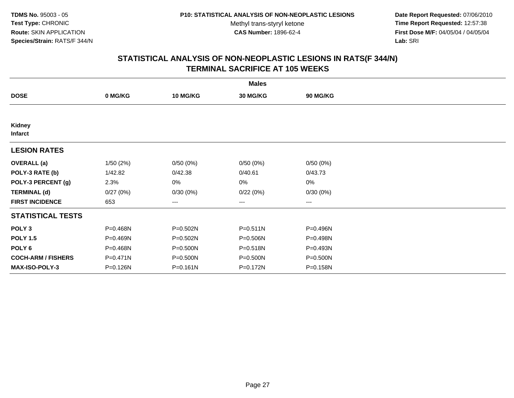**Date Report Requested:** 07/06/2010 **Time Report Requested:** 12:57:38 **First Dose M/F:** 04/05/04 / 04/05/04<br>Lab: SRI **Lab:** SRI

|                           |              |                 | <b>Males</b> |          |  |
|---------------------------|--------------|-----------------|--------------|----------|--|
| <b>DOSE</b>               | 0 MG/KG      | <b>10 MG/KG</b> | 30 MG/KG     | 90 MG/KG |  |
|                           |              |                 |              |          |  |
| Kidney<br><b>Infarct</b>  |              |                 |              |          |  |
| <b>LESION RATES</b>       |              |                 |              |          |  |
| <b>OVERALL</b> (a)        | 1/50(2%)     | 0/50(0%)        | 0/50(0%)     | 0/50(0%) |  |
| POLY-3 RATE (b)           | 1/42.82      | 0/42.38         | 0/40.61      | 0/43.73  |  |
| POLY-3 PERCENT (g)        | 2.3%         | 0%              | 0%           | 0%       |  |
| <b>TERMINAL (d)</b>       | 0/27(0%)     | 0/30(0%)        | 0/22(0%)     | 0/30(0%) |  |
| <b>FIRST INCIDENCE</b>    | 653          | ---             | $---$        | $---$    |  |
| <b>STATISTICAL TESTS</b>  |              |                 |              |          |  |
| POLY <sub>3</sub>         | P=0.468N     | P=0.502N        | P=0.511N     | P=0.496N |  |
| <b>POLY 1.5</b>           | P=0.469N     | P=0.502N        | P=0.506N     | P=0.498N |  |
| POLY <sub>6</sub>         | P=0.468N     | P=0.500N        | P=0.518N     | P=0.493N |  |
| <b>COCH-ARM / FISHERS</b> | $P = 0.471N$ | P=0.500N        | P=0.500N     | P=0.500N |  |
| <b>MAX-ISO-POLY-3</b>     | P=0.126N     | P=0.161N        | P=0.172N     | P=0.158N |  |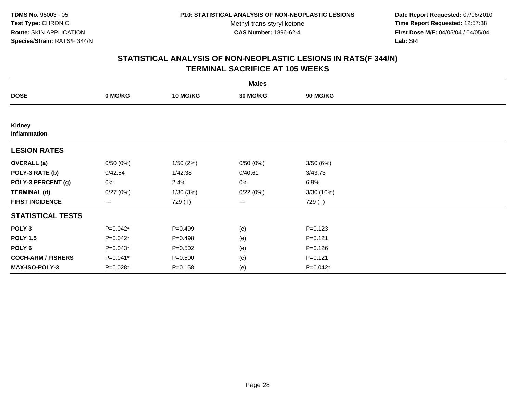**Date Report Requested:** 07/06/2010 **Time Report Requested:** 12:57:38 **First Dose M/F:** 04/05/04 / 04/05/04<br>Lab: SRI **Lab:** SRI

| <b>Males</b>              |                      |                 |                 |             |  |  |
|---------------------------|----------------------|-----------------|-----------------|-------------|--|--|
| <b>DOSE</b>               | 0 MG/KG              | <b>10 MG/KG</b> | <b>30 MG/KG</b> | 90 MG/KG    |  |  |
|                           |                      |                 |                 |             |  |  |
| Kidney<br>Inflammation    |                      |                 |                 |             |  |  |
| <b>LESION RATES</b>       |                      |                 |                 |             |  |  |
| <b>OVERALL</b> (a)        | 0/50(0%)             | 1/50(2%)        | 0/50(0%)        | 3/50(6%)    |  |  |
| POLY-3 RATE (b)           | 0/42.54              | 1/42.38         | 0/40.61         | 3/43.73     |  |  |
| POLY-3 PERCENT (g)        | 0%                   | 2.4%            | 0%              | 6.9%        |  |  |
| <b>TERMINAL (d)</b>       | 0/27(0%)             | 1/30(3%)        | 0/22(0%)        | 3/30 (10%)  |  |  |
| <b>FIRST INCIDENCE</b>    | $\scriptstyle\cdots$ | 729 (T)         | $\cdots$        | 729 (T)     |  |  |
| <b>STATISTICAL TESTS</b>  |                      |                 |                 |             |  |  |
| POLY <sub>3</sub>         | $P=0.042*$           | $P=0.499$       | (e)             | $P = 0.123$ |  |  |
| <b>POLY 1.5</b>           | $P=0.042*$           | $P=0.498$       | (e)             | $P = 0.121$ |  |  |
| POLY <sub>6</sub>         | P=0.043*             | $P = 0.502$     | (e)             | $P = 0.126$ |  |  |
| <b>COCH-ARM / FISHERS</b> | P=0.041*             | $P = 0.500$     | (e)             | $P = 0.121$ |  |  |
| MAX-ISO-POLY-3            | $P=0.028*$           | $P = 0.158$     | (e)             | $P=0.042*$  |  |  |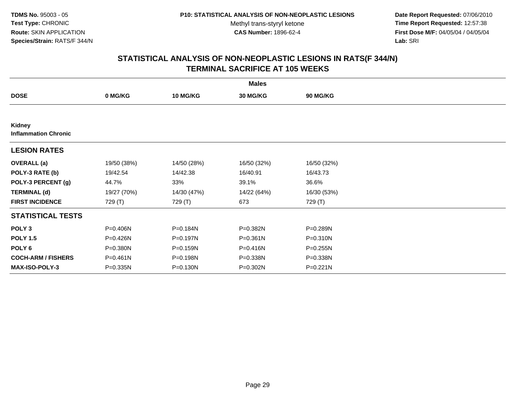**Date Report Requested:** 07/06/2010 **Time Report Requested:** 12:57:38 **First Dose M/F:** 04/05/04 / 04/05/04<br>Lab: SRI **Lab:** SRI

| <b>Males</b>                          |              |                 |              |                 |  |  |
|---------------------------------------|--------------|-----------------|--------------|-----------------|--|--|
| <b>DOSE</b>                           | 0 MG/KG      | <b>10 MG/KG</b> | 30 MG/KG     | <b>90 MG/KG</b> |  |  |
|                                       |              |                 |              |                 |  |  |
| Kidney<br><b>Inflammation Chronic</b> |              |                 |              |                 |  |  |
| <b>LESION RATES</b>                   |              |                 |              |                 |  |  |
| <b>OVERALL</b> (a)                    | 19/50 (38%)  | 14/50 (28%)     | 16/50 (32%)  | 16/50 (32%)     |  |  |
| POLY-3 RATE (b)                       | 19/42.54     | 14/42.38        | 16/40.91     | 16/43.73        |  |  |
| POLY-3 PERCENT (g)                    | 44.7%        | 33%             | 39.1%        | 36.6%           |  |  |
| <b>TERMINAL (d)</b>                   | 19/27 (70%)  | 14/30 (47%)     | 14/22 (64%)  | 16/30 (53%)     |  |  |
| <b>FIRST INCIDENCE</b>                | 729 (T)      | 729 (T)         | 673          | 729 (T)         |  |  |
| <b>STATISTICAL TESTS</b>              |              |                 |              |                 |  |  |
| POLY <sub>3</sub>                     | P=0.406N     | P=0.184N        | P=0.382N     | P=0.289N        |  |  |
| <b>POLY 1.5</b>                       | P=0.426N     | P=0.197N        | $P = 0.361N$ | $P = 0.310N$    |  |  |
| POLY <sub>6</sub>                     | $P = 0.380N$ | P=0.159N        | P=0.416N     | $P = 0.255N$    |  |  |
| <b>COCH-ARM / FISHERS</b>             | $P = 0.461N$ | P=0.198N        | P=0.338N     | P=0.338N        |  |  |
| <b>MAX-ISO-POLY-3</b>                 | $P = 0.335N$ | P=0.130N        | P=0.302N     | $P = 0.221N$    |  |  |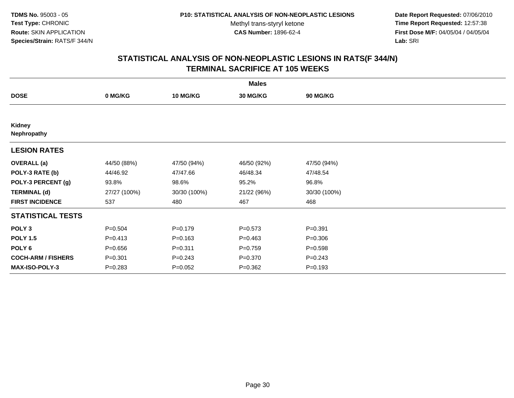**Date Report Requested:** 07/06/2010 **Time Report Requested:** 12:57:38 **First Dose M/F:** 04/05/04 / 04/05/04<br>Lab: SRI **Lab:** SRI

| <b>Males</b>              |              |                 |             |                 |  |  |
|---------------------------|--------------|-----------------|-------------|-----------------|--|--|
| <b>DOSE</b>               | 0 MG/KG      | <b>10 MG/KG</b> | 30 MG/KG    | <b>90 MG/KG</b> |  |  |
|                           |              |                 |             |                 |  |  |
| Kidney<br>Nephropathy     |              |                 |             |                 |  |  |
| <b>LESION RATES</b>       |              |                 |             |                 |  |  |
| <b>OVERALL</b> (a)        | 44/50 (88%)  | 47/50 (94%)     | 46/50 (92%) | 47/50 (94%)     |  |  |
| POLY-3 RATE (b)           | 44/46.92     | 47/47.66        | 46/48.34    | 47/48.54        |  |  |
| POLY-3 PERCENT (g)        | 93.8%        | 98.6%           | 95.2%       | 96.8%           |  |  |
| <b>TERMINAL (d)</b>       | 27/27 (100%) | 30/30 (100%)    | 21/22 (96%) | 30/30 (100%)    |  |  |
| <b>FIRST INCIDENCE</b>    | 537          | 480             | 467         | 468             |  |  |
| <b>STATISTICAL TESTS</b>  |              |                 |             |                 |  |  |
| POLY <sub>3</sub>         | $P = 0.504$  | $P=0.179$       | $P = 0.573$ | $P = 0.391$     |  |  |
| <b>POLY 1.5</b>           | $P = 0.413$  | $P = 0.163$     | $P=0.463$   | $P = 0.306$     |  |  |
| POLY <sub>6</sub>         | $P = 0.656$  | $P = 0.311$     | $P = 0.759$ | $P = 0.598$     |  |  |
| <b>COCH-ARM / FISHERS</b> | $P = 0.301$  | $P = 0.243$     | $P = 0.370$ | $P = 0.243$     |  |  |
| <b>MAX-ISO-POLY-3</b>     | $P = 0.283$  | $P=0.052$       | $P = 0.362$ | $P = 0.193$     |  |  |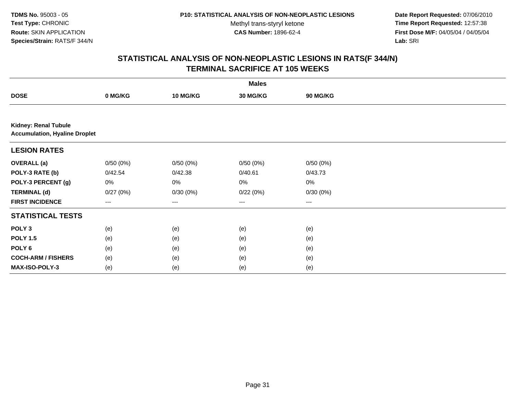Methyl trans-styryl ketone<br>CAS Number: 1896-62-4

 **Date Report Requested:** 07/06/2010 **Time Report Requested:** 12:57:38 **First Dose M/F:** 04/05/04 / 04/05/04<br>Lab: SRI **Lab:** SRI

| <b>Males</b>                                                        |                   |          |          |          |  |  |  |  |
|---------------------------------------------------------------------|-------------------|----------|----------|----------|--|--|--|--|
| <b>DOSE</b>                                                         | 0 MG/KG           | 10 MG/KG | 30 MG/KG | 90 MG/KG |  |  |  |  |
|                                                                     |                   |          |          |          |  |  |  |  |
| <b>Kidney: Renal Tubule</b><br><b>Accumulation, Hyaline Droplet</b> |                   |          |          |          |  |  |  |  |
| <b>LESION RATES</b>                                                 |                   |          |          |          |  |  |  |  |
| <b>OVERALL (a)</b>                                                  | 0/50(0%)          | 0/50(0%) | 0/50(0%) | 0/50(0%) |  |  |  |  |
| POLY-3 RATE (b)                                                     | 0/42.54           | 0/42.38  | 0/40.61  | 0/43.73  |  |  |  |  |
| POLY-3 PERCENT (g)                                                  | 0%                | 0%       | 0%       | 0%       |  |  |  |  |
| <b>TERMINAL (d)</b>                                                 | 0/27(0%)          | 0/30(0%) | 0/22(0%) | 0/30(0%) |  |  |  |  |
| <b>FIRST INCIDENCE</b>                                              | $\qquad \qquad -$ | $\cdots$ | $\cdots$ | ---      |  |  |  |  |
| <b>STATISTICAL TESTS</b>                                            |                   |          |          |          |  |  |  |  |
| POLY <sub>3</sub>                                                   | (e)               | (e)      | (e)      | (e)      |  |  |  |  |
| <b>POLY 1.5</b>                                                     | (e)               | (e)      | (e)      | (e)      |  |  |  |  |
| POLY <sub>6</sub>                                                   | (e)               | (e)      | (e)      | (e)      |  |  |  |  |
| <b>COCH-ARM / FISHERS</b>                                           | (e)               | (e)      | (e)      | (e)      |  |  |  |  |
| <b>MAX-ISO-POLY-3</b>                                               | (e)               | (e)      | (e)      | (e)      |  |  |  |  |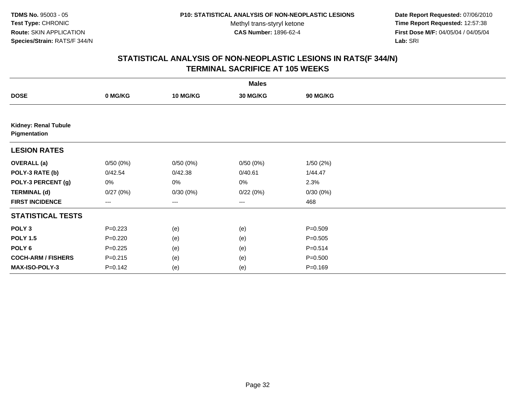**Date Report Requested:** 07/06/2010 **Time Report Requested:** 12:57:38 **First Dose M/F:** 04/05/04 / 04/05/04<br>Lab: SRI **Lab:** SRI

| <b>Males</b>                                |             |                        |                   |                 |  |  |
|---------------------------------------------|-------------|------------------------|-------------------|-----------------|--|--|
| <b>DOSE</b>                                 | 0 MG/KG     | 10 MG/KG               | 30 MG/KG          | <b>90 MG/KG</b> |  |  |
|                                             |             |                        |                   |                 |  |  |
| <b>Kidney: Renal Tubule</b><br>Pigmentation |             |                        |                   |                 |  |  |
| <b>LESION RATES</b>                         |             |                        |                   |                 |  |  |
| <b>OVERALL</b> (a)                          | 0/50(0%)    | 0/50(0%)               | 0/50(0%)          | 1/50(2%)        |  |  |
| POLY-3 RATE (b)                             | 0/42.54     | 0/42.38                | 0/40.61           | 1/44.47         |  |  |
| POLY-3 PERCENT (g)                          | 0%          | 0%                     | 0%                | 2.3%            |  |  |
| <b>TERMINAL (d)</b>                         | 0/27(0%)    | 0/30(0%)               | 0/22(0%)          | 0/30(0%)        |  |  |
| <b>FIRST INCIDENCE</b>                      | ---         | $\qquad \qquad \cdots$ | $\qquad \qquad -$ | 468             |  |  |
| <b>STATISTICAL TESTS</b>                    |             |                        |                   |                 |  |  |
| POLY <sub>3</sub>                           | $P = 0.223$ | (e)                    | (e)               | $P = 0.509$     |  |  |
| <b>POLY 1.5</b>                             | $P = 0.220$ | (e)                    | (e)               | $P = 0.505$     |  |  |
| POLY 6                                      | $P=0.225$   | (e)                    | (e)               | $P = 0.514$     |  |  |
| <b>COCH-ARM / FISHERS</b>                   | $P = 0.215$ | (e)                    | (e)               | $P = 0.500$     |  |  |
| MAX-ISO-POLY-3                              | $P = 0.142$ | (e)                    | (e)               | $P = 0.169$     |  |  |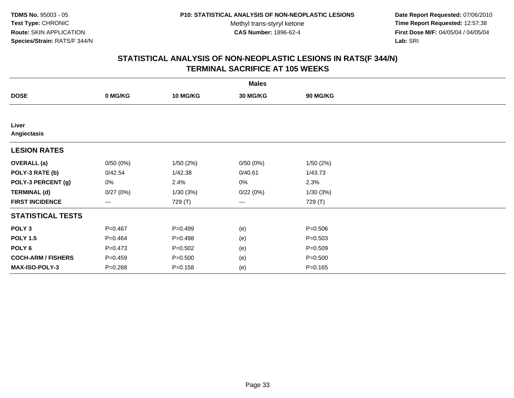**Date Report Requested:** 07/06/2010 **Time Report Requested:** 12:57:38 **First Dose M/F:** 04/05/04 / 04/05/04<br>Lab: SRI **Lab:** SRI

|                           |                        |                 | <b>Males</b> |             |  |
|---------------------------|------------------------|-----------------|--------------|-------------|--|
| <b>DOSE</b>               | 0 MG/KG                | <b>10 MG/KG</b> | 30 MG/KG     | 90 MG/KG    |  |
|                           |                        |                 |              |             |  |
| Liver<br>Angiectasis      |                        |                 |              |             |  |
| <b>LESION RATES</b>       |                        |                 |              |             |  |
| <b>OVERALL</b> (a)        | 0/50(0%)               | 1/50(2%)        | 0/50(0%)     | 1/50(2%)    |  |
| POLY-3 RATE (b)           | 0/42.54                | 1/42.38         | 0/40.61      | 1/43.73     |  |
| POLY-3 PERCENT (g)        | 0%                     | 2.4%            | 0%           | 2.3%        |  |
| <b>TERMINAL (d)</b>       | 0/27(0%)               | 1/30(3%)        | 0/22(0%)     | 1/30(3%)    |  |
| <b>FIRST INCIDENCE</b>    | $\qquad \qquad \cdots$ | 729 (T)         | ---          | 729 (T)     |  |
| <b>STATISTICAL TESTS</b>  |                        |                 |              |             |  |
| POLY <sub>3</sub>         | $P = 0.467$            | $P=0.499$       | (e)          | $P = 0.506$ |  |
| <b>POLY 1.5</b>           | $P=0.464$              | $P = 0.498$     | (e)          | $P = 0.503$ |  |
| POLY <sub>6</sub>         | $P = 0.473$            | $P = 0.502$     | (e)          | $P = 0.509$ |  |
| <b>COCH-ARM / FISHERS</b> | $P = 0.459$            | $P = 0.500$     | (e)          | $P = 0.500$ |  |
| <b>MAX-ISO-POLY-3</b>     | $P = 0.268$            | $P = 0.158$     | (e)          | $P = 0.165$ |  |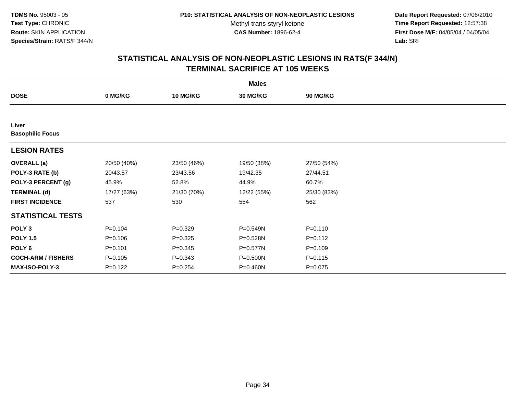**Date Report Requested:** 07/06/2010 **Time Report Requested:** 12:57:38 **First Dose M/F:** 04/05/04 / 04/05/04<br>Lab: SRI **Lab:** SRI

| <b>Males</b>                     |             |                 |             |             |  |  |
|----------------------------------|-------------|-----------------|-------------|-------------|--|--|
| <b>DOSE</b>                      | 0 MG/KG     | <b>10 MG/KG</b> | 30 MG/KG    | 90 MG/KG    |  |  |
|                                  |             |                 |             |             |  |  |
| Liver<br><b>Basophilic Focus</b> |             |                 |             |             |  |  |
| <b>LESION RATES</b>              |             |                 |             |             |  |  |
| <b>OVERALL</b> (a)               | 20/50 (40%) | 23/50 (46%)     | 19/50 (38%) | 27/50 (54%) |  |  |
| POLY-3 RATE (b)                  | 20/43.57    | 23/43.56        | 19/42.35    | 27/44.51    |  |  |
| POLY-3 PERCENT (g)               | 45.9%       | 52.8%           | 44.9%       | 60.7%       |  |  |
| <b>TERMINAL (d)</b>              | 17/27 (63%) | 21/30 (70%)     | 12/22 (55%) | 25/30 (83%) |  |  |
| <b>FIRST INCIDENCE</b>           | 537         | 530             | 554         | 562         |  |  |
| <b>STATISTICAL TESTS</b>         |             |                 |             |             |  |  |
| POLY <sub>3</sub>                | $P = 0.104$ | $P=0.329$       | P=0.549N    | $P = 0.110$ |  |  |
| <b>POLY 1.5</b>                  | $P = 0.106$ | $P = 0.325$     | P=0.528N    | $P = 0.112$ |  |  |
| POLY <sub>6</sub>                | $P = 0.101$ | $P = 0.345$     | P=0.577N    | $P = 0.109$ |  |  |
| <b>COCH-ARM / FISHERS</b>        | $P = 0.105$ | $P = 0.343$     | P=0.500N    | $P = 0.115$ |  |  |
| <b>MAX-ISO-POLY-3</b>            | $P=0.122$   | $P = 0.254$     | P=0.460N    | $P = 0.075$ |  |  |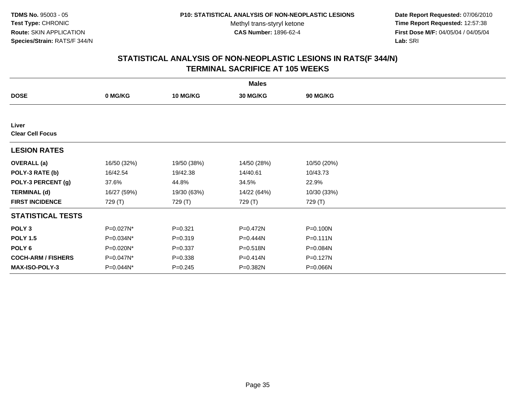**Date Report Requested:** 07/06/2010 **Time Report Requested:** 12:57:38 **First Dose M/F:** 04/05/04 / 04/05/04<br>Lab: SRI **Lab:** SRI

| <b>Males</b>                     |             |                 |             |              |  |  |
|----------------------------------|-------------|-----------------|-------------|--------------|--|--|
| <b>DOSE</b>                      | 0 MG/KG     | <b>10 MG/KG</b> | 30 MG/KG    | 90 MG/KG     |  |  |
|                                  |             |                 |             |              |  |  |
| Liver<br><b>Clear Cell Focus</b> |             |                 |             |              |  |  |
| <b>LESION RATES</b>              |             |                 |             |              |  |  |
| <b>OVERALL</b> (a)               | 16/50 (32%) | 19/50 (38%)     | 14/50 (28%) | 10/50 (20%)  |  |  |
| POLY-3 RATE (b)                  | 16/42.54    | 19/42.38        | 14/40.61    | 10/43.73     |  |  |
| POLY-3 PERCENT (g)               | 37.6%       | 44.8%           | 34.5%       | 22.9%        |  |  |
| <b>TERMINAL (d)</b>              | 16/27 (59%) | 19/30 (63%)     | 14/22 (64%) | 10/30 (33%)  |  |  |
| <b>FIRST INCIDENCE</b>           | 729 (T)     | 729 (T)         | 729 (T)     | 729 (T)      |  |  |
| <b>STATISTICAL TESTS</b>         |             |                 |             |              |  |  |
| POLY <sub>3</sub>                | P=0.027N*   | $P = 0.321$     | P=0.472N    | P=0.100N     |  |  |
| <b>POLY 1.5</b>                  | P=0.034N*   | $P = 0.319$     | P=0.444N    | $P = 0.111N$ |  |  |
| POLY <sub>6</sub>                | P=0.020N*   | $P = 0.337$     | P=0.518N    | P=0.084N     |  |  |
| <b>COCH-ARM / FISHERS</b>        | P=0.047N*   | $P = 0.338$     | P=0.414N    | P=0.127N     |  |  |
| <b>MAX-ISO-POLY-3</b>            | P=0.044N*   | $P = 0.245$     | P=0.382N    | P=0.066N     |  |  |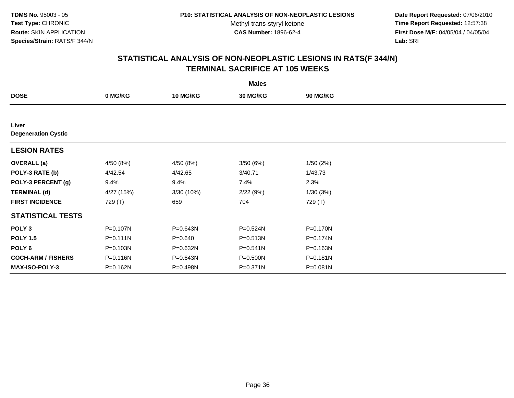**Date Report Requested:** 07/06/2010 **Time Report Requested:** 12:57:38 **First Dose M/F:** 04/05/04 / 04/05/04<br>Lab: SRI **Lab:** SRI

|                                     |              |                 | <b>Males</b> |                 |  |
|-------------------------------------|--------------|-----------------|--------------|-----------------|--|
| <b>DOSE</b>                         | 0 MG/KG      | <b>10 MG/KG</b> | 30 MG/KG     | <b>90 MG/KG</b> |  |
|                                     |              |                 |              |                 |  |
| Liver<br><b>Degeneration Cystic</b> |              |                 |              |                 |  |
| <b>LESION RATES</b>                 |              |                 |              |                 |  |
| <b>OVERALL</b> (a)                  | 4/50 (8%)    | 4/50 (8%)       | 3/50(6%)     | 1/50(2%)        |  |
| POLY-3 RATE (b)                     | 4/42.54      | 4/42.65         | 3/40.71      | 1/43.73         |  |
| POLY-3 PERCENT (g)                  | 9.4%         | 9.4%            | 7.4%         | 2.3%            |  |
| <b>TERMINAL (d)</b>                 | 4/27 (15%)   | 3/30 (10%)      | 2/22(9%)     | 1/30(3%)        |  |
| <b>FIRST INCIDENCE</b>              | 729 (T)      | 659             | 704          | 729 (T)         |  |
| <b>STATISTICAL TESTS</b>            |              |                 |              |                 |  |
| POLY <sub>3</sub>                   | P=0.107N     | P=0.643N        | P=0.524N     | P=0.170N        |  |
| <b>POLY 1.5</b>                     | $P = 0.111N$ | $P = 0.640$     | $P = 0.513N$ | P=0.174N        |  |
| POLY <sub>6</sub>                   | P=0.103N     | $P = 0.632N$    | $P = 0.541N$ | P=0.163N        |  |
| <b>COCH-ARM / FISHERS</b>           | P=0.116N     | P=0.643N        | P=0.500N     | P=0.181N        |  |
| <b>MAX-ISO-POLY-3</b>               | P=0.162N     | P=0.498N        | P=0.371N     | P=0.081N        |  |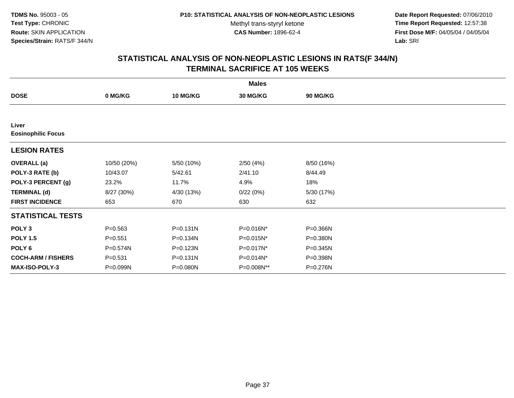**Date Report Requested:** 07/06/2010 **Time Report Requested:** 12:57:38 **First Dose M/F:** 04/05/04 / 04/05/04<br>Lab: SRI **Lab:** SRI

|                           |             |                 | <b>Males</b>    |                 |  |
|---------------------------|-------------|-----------------|-----------------|-----------------|--|
| <b>DOSE</b>               | 0 MG/KG     | <b>10 MG/KG</b> | <b>30 MG/KG</b> | <b>90 MG/KG</b> |  |
|                           |             |                 |                 |                 |  |
| Liver                     |             |                 |                 |                 |  |
| <b>Eosinophilic Focus</b> |             |                 |                 |                 |  |
| <b>LESION RATES</b>       |             |                 |                 |                 |  |
| <b>OVERALL</b> (a)        | 10/50 (20%) | 5/50 (10%)      | 2/50(4%)        | 8/50 (16%)      |  |
| POLY-3 RATE (b)           | 10/43.07    | 5/42.61         | 2/41.10         | 8/44.49         |  |
| POLY-3 PERCENT (g)        | 23.2%       | 11.7%           | 4.9%            | 18%             |  |
| <b>TERMINAL (d)</b>       | 8/27 (30%)  | 4/30 (13%)      | 0/22(0%)        | 5/30 (17%)      |  |
| <b>FIRST INCIDENCE</b>    | 653         | 670             | 630             | 632             |  |
| <b>STATISTICAL TESTS</b>  |             |                 |                 |                 |  |
| POLY <sub>3</sub>         | $P = 0.563$ | P=0.131N        | P=0.016N*       | P=0.366N        |  |
| <b>POLY 1.5</b>           | $P = 0.551$ | P=0.134N        | P=0.015N*       | P=0.380N        |  |
| POLY <sub>6</sub>         | P=0.574N    | P=0.123N        | P=0.017N*       | $P = 0.345N$    |  |
| <b>COCH-ARM / FISHERS</b> | $P = 0.531$ | P=0.131N        | P=0.014N*       | P=0.398N        |  |
| <b>MAX-ISO-POLY-3</b>     | P=0.099N    | P=0.080N        | P=0.008N**      | P=0.276N        |  |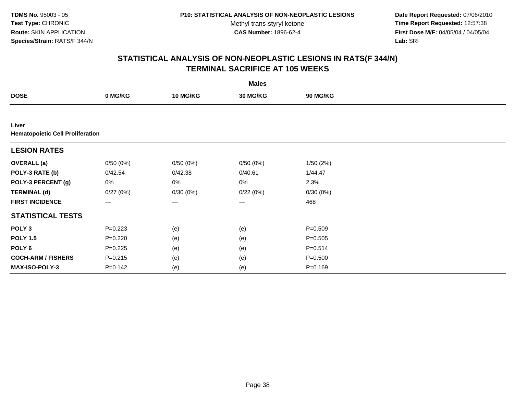**TDMS No.** 95003 - 05**Test Type:** CHRONIC**Route:** SKIN APPLICATION**Species/Strain:** RATS/F 344/N

Methyl trans-styryl ketone<br>CAS Number: 1896-62-4

 **Date Report Requested:** 07/06/2010 **Time Report Requested:** 12:57:38 **First Dose M/F:** 04/05/04 / 04/05/04<br>Lab: SRI **Lab:** SRI

|                                                  |                   |          | <b>Males</b> |             |  |
|--------------------------------------------------|-------------------|----------|--------------|-------------|--|
| <b>DOSE</b>                                      | 0 MG/KG           | 10 MG/KG | 30 MG/KG     | 90 MG/KG    |  |
|                                                  |                   |          |              |             |  |
| Liver<br><b>Hematopoietic Cell Proliferation</b> |                   |          |              |             |  |
| <b>LESION RATES</b>                              |                   |          |              |             |  |
| <b>OVERALL</b> (a)                               | 0/50(0%)          | 0/50(0%) | 0/50(0%)     | 1/50(2%)    |  |
| POLY-3 RATE (b)                                  | 0/42.54           | 0/42.38  | 0/40.61      | 1/44.47     |  |
| POLY-3 PERCENT (g)                               | 0%                | 0%       | 0%           | 2.3%        |  |
| <b>TERMINAL (d)</b>                              | 0/27(0%)          | 0/30(0%) | 0/22(0%)     | 0/30(0%)    |  |
| <b>FIRST INCIDENCE</b>                           | $\qquad \qquad -$ | ---      | $---$        | 468         |  |
| <b>STATISTICAL TESTS</b>                         |                   |          |              |             |  |
| POLY <sub>3</sub>                                | $P=0.223$         | (e)      | (e)          | $P = 0.509$ |  |
| <b>POLY 1.5</b>                                  | $P = 0.220$       | (e)      | (e)          | $P = 0.505$ |  |
| POLY <sub>6</sub>                                | $P=0.225$         | (e)      | (e)          | $P = 0.514$ |  |
| <b>COCH-ARM / FISHERS</b>                        | $P = 0.215$       | (e)      | (e)          | $P = 0.500$ |  |
| <b>MAX-ISO-POLY-3</b>                            | $P = 0.142$       | (e)      | (e)          | $P = 0.169$ |  |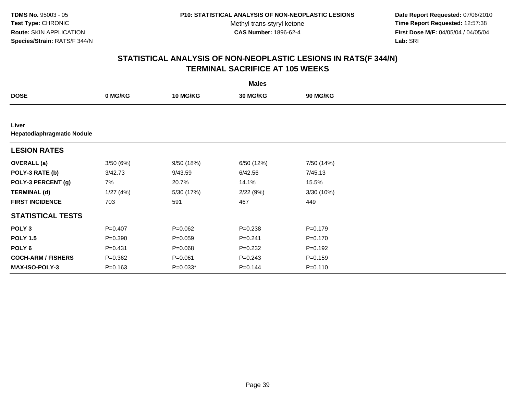**TDMS No.** 95003 - 05**Test Type:** CHRONIC**Route:** SKIN APPLICATION**Species/Strain:** RATS/F 344/N

Methyl trans-styryl ketone<br>CAS Number: 1896-62-4

 **Date Report Requested:** 07/06/2010 **Time Report Requested:** 12:57:38 **First Dose M/F:** 04/05/04 / 04/05/04<br>Lab: SRI **Lab:** SRI

|                                     |             |                 | <b>Males</b>    |                 |  |
|-------------------------------------|-------------|-----------------|-----------------|-----------------|--|
| <b>DOSE</b>                         | 0 MG/KG     | <b>10 MG/KG</b> | <b>30 MG/KG</b> | <b>90 MG/KG</b> |  |
|                                     |             |                 |                 |                 |  |
| Liver<br>Hepatodiaphragmatic Nodule |             |                 |                 |                 |  |
| <b>LESION RATES</b>                 |             |                 |                 |                 |  |
| <b>OVERALL</b> (a)                  | 3/50(6%)    | 9/50 (18%)      | 6/50 (12%)      | 7/50 (14%)      |  |
| POLY-3 RATE (b)                     | 3/42.73     | 9/43.59         | 6/42.56         | 7/45.13         |  |
| POLY-3 PERCENT (g)                  | 7%          | 20.7%           | 14.1%           | 15.5%           |  |
| <b>TERMINAL (d)</b>                 | 1/27(4%)    | 5/30 (17%)      | 2/22(9%)        | 3/30(10%)       |  |
| <b>FIRST INCIDENCE</b>              | 703         | 591             | 467             | 449             |  |
| <b>STATISTICAL TESTS</b>            |             |                 |                 |                 |  |
| POLY <sub>3</sub>                   | $P = 0.407$ | $P=0.062$       | $P = 0.238$     | $P = 0.179$     |  |
| <b>POLY 1.5</b>                     | $P = 0.390$ | $P=0.059$       | $P = 0.241$     | $P = 0.170$     |  |
| POLY <sub>6</sub>                   | $P = 0.431$ | $P = 0.068$     | $P = 0.232$     | $P=0.192$       |  |
| <b>COCH-ARM / FISHERS</b>           | $P = 0.362$ | $P = 0.061$     | $P = 0.243$     | $P = 0.159$     |  |
| <b>MAX-ISO-POLY-3</b>               | $P = 0.163$ | $P=0.033*$      | $P = 0.144$     | $P = 0.110$     |  |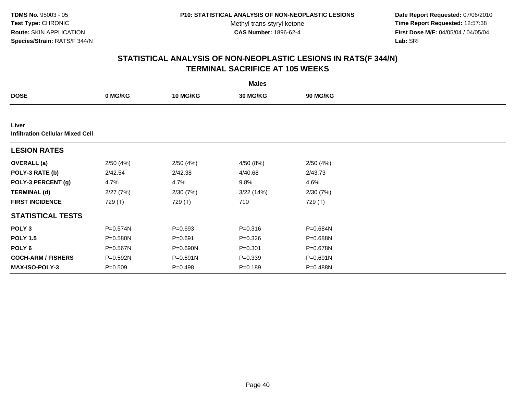**Date Report Requested:** 07/06/2010 **Time Report Requested:** 12:57:38 **First Dose M/F:** 04/05/04 / 04/05/04<br>Lab: SRI **Lab:** SRI

|                                                  |             |                 | <b>Males</b> |              |  |
|--------------------------------------------------|-------------|-----------------|--------------|--------------|--|
| <b>DOSE</b>                                      | 0 MG/KG     | <b>10 MG/KG</b> | 30 MG/KG     | 90 MG/KG     |  |
|                                                  |             |                 |              |              |  |
| Liver<br><b>Infiltration Cellular Mixed Cell</b> |             |                 |              |              |  |
| <b>LESION RATES</b>                              |             |                 |              |              |  |
| <b>OVERALL</b> (a)                               | 2/50(4%)    | 2/50(4%)        | 4/50 (8%)    | 2/50(4%)     |  |
| POLY-3 RATE (b)                                  | 2/42.54     | 2/42.38         | 4/40.68      | 2/43.73      |  |
| POLY-3 PERCENT (g)                               | 4.7%        | 4.7%            | 9.8%         | 4.6%         |  |
| <b>TERMINAL (d)</b>                              | 2/27(7%)    | 2/30(7%)        | 3/22 (14%)   | 2/30(7%)     |  |
| <b>FIRST INCIDENCE</b>                           | 729 (T)     | 729 (T)         | 710          | 729 (T)      |  |
| <b>STATISTICAL TESTS</b>                         |             |                 |              |              |  |
| POLY <sub>3</sub>                                | P=0.574N    | $P = 0.693$     | $P = 0.316$  | P=0.684N     |  |
| <b>POLY 1.5</b>                                  | P=0.580N    | $P = 0.691$     | $P = 0.326$  | P=0.688N     |  |
| POLY 6                                           | P=0.567N    | P=0.690N        | $P = 0.301$  | P=0.678N     |  |
| <b>COCH-ARM / FISHERS</b>                        | P=0.592N    | $P = 0.691N$    | $P = 0.339$  | $P = 0.691N$ |  |
| <b>MAX-ISO-POLY-3</b>                            | $P = 0.509$ | $P = 0.498$     | $P = 0.189$  | P=0.488N     |  |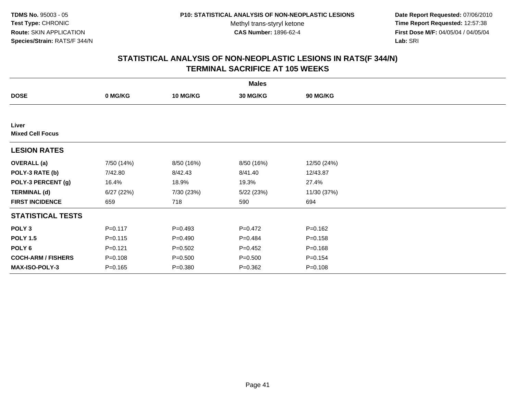**Date Report Requested:** 07/06/2010 **Time Report Requested:** 12:57:38 **First Dose M/F:** 04/05/04 / 04/05/04<br>Lab: SRI **Lab:** SRI

|                                  |             |                 | <b>Males</b>    |             |  |
|----------------------------------|-------------|-----------------|-----------------|-------------|--|
| <b>DOSE</b>                      | 0 MG/KG     | <b>10 MG/KG</b> | <b>30 MG/KG</b> | 90 MG/KG    |  |
|                                  |             |                 |                 |             |  |
| Liver<br><b>Mixed Cell Focus</b> |             |                 |                 |             |  |
| <b>LESION RATES</b>              |             |                 |                 |             |  |
| <b>OVERALL</b> (a)               | 7/50 (14%)  | 8/50 (16%)      | 8/50 (16%)      | 12/50 (24%) |  |
| POLY-3 RATE (b)                  | 7/42.80     | 8/42.43         | 8/41.40         | 12/43.87    |  |
| POLY-3 PERCENT (g)               | 16.4%       | 18.9%           | 19.3%           | 27.4%       |  |
| <b>TERMINAL (d)</b>              | 6/27(22%)   | 7/30 (23%)      | 5/22 (23%)      | 11/30 (37%) |  |
| <b>FIRST INCIDENCE</b>           | 659         | 718             | 590             | 694         |  |
| <b>STATISTICAL TESTS</b>         |             |                 |                 |             |  |
| POLY <sub>3</sub>                | $P = 0.117$ | $P=0.493$       | $P=0.472$       | $P = 0.162$ |  |
| <b>POLY 1.5</b>                  | $P = 0.115$ | $P=0.490$       | $P=0.484$       | $P = 0.158$ |  |
| POLY 6                           | $P=0.121$   | $P = 0.502$     | $P=0.452$       | $P = 0.168$ |  |
| <b>COCH-ARM / FISHERS</b>        | $P = 0.108$ | $P = 0.500$     | $P = 0.500$     | $P = 0.154$ |  |
| <b>MAX-ISO-POLY-3</b>            | $P = 0.165$ | $P = 0.380$     | $P = 0.362$     | $P = 0.108$ |  |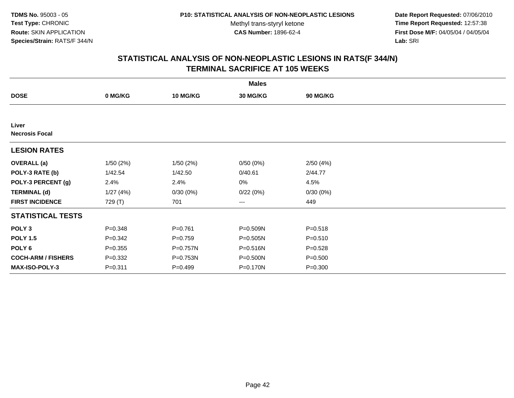**Date Report Requested:** 07/06/2010 **Time Report Requested:** 12:57:38 **First Dose M/F:** 04/05/04 / 04/05/04<br>Lab: SRI **Lab:** SRI

|                                |             |                 | <b>Males</b>    |             |  |
|--------------------------------|-------------|-----------------|-----------------|-------------|--|
| <b>DOSE</b>                    | 0 MG/KG     | <b>10 MG/KG</b> | <b>30 MG/KG</b> | 90 MG/KG    |  |
|                                |             |                 |                 |             |  |
| Liver<br><b>Necrosis Focal</b> |             |                 |                 |             |  |
| <b>LESION RATES</b>            |             |                 |                 |             |  |
| <b>OVERALL</b> (a)             | 1/50(2%)    | 1/50(2%)        | 0/50(0%)        | 2/50(4%)    |  |
| POLY-3 RATE (b)                | 1/42.54     | 1/42.50         | 0/40.61         | 2/44.77     |  |
| POLY-3 PERCENT (g)             | 2.4%        | 2.4%            | 0%              | 4.5%        |  |
| <b>TERMINAL (d)</b>            | 1/27(4%)    | 0/30(0%)        | 0/22(0%)        | 0/30(0%)    |  |
| <b>FIRST INCIDENCE</b>         | 729 (T)     | 701             | ---             | 449         |  |
| <b>STATISTICAL TESTS</b>       |             |                 |                 |             |  |
| POLY <sub>3</sub>              | $P = 0.348$ | $P=0.761$       | P=0.509N        | $P = 0.518$ |  |
| <b>POLY 1.5</b>                | $P = 0.342$ | $P=0.759$       | $P = 0.505N$    | $P = 0.510$ |  |
| POLY <sub>6</sub>              | $P = 0.355$ | P=0.757N        | P=0.516N        | $P = 0.528$ |  |
| <b>COCH-ARM / FISHERS</b>      | $P = 0.332$ | P=0.753N        | P=0.500N        | $P = 0.500$ |  |
| MAX-ISO-POLY-3                 | $P = 0.311$ | $P=0.499$       | P=0.170N        | $P = 0.300$ |  |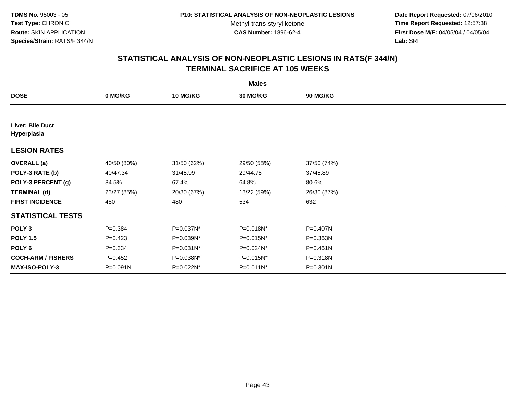**Date Report Requested:** 07/06/2010 **Time Report Requested:** 12:57:38 **First Dose M/F:** 04/05/04 / 04/05/04<br>Lab: SRI **Lab:** SRI

| <b>Males</b>                           |             |                 |                 |                 |  |  |  |
|----------------------------------------|-------------|-----------------|-----------------|-----------------|--|--|--|
| <b>DOSE</b>                            | 0 MG/KG     | <b>10 MG/KG</b> | <b>30 MG/KG</b> | <b>90 MG/KG</b> |  |  |  |
|                                        |             |                 |                 |                 |  |  |  |
| <b>Liver: Bile Duct</b><br>Hyperplasia |             |                 |                 |                 |  |  |  |
| <b>LESION RATES</b>                    |             |                 |                 |                 |  |  |  |
| <b>OVERALL</b> (a)                     | 40/50 (80%) | 31/50 (62%)     | 29/50 (58%)     | 37/50 (74%)     |  |  |  |
| POLY-3 RATE (b)                        | 40/47.34    | 31/45.99        | 29/44.78        | 37/45.89        |  |  |  |
| POLY-3 PERCENT (g)                     | 84.5%       | 67.4%           | 64.8%           | 80.6%           |  |  |  |
| <b>TERMINAL (d)</b>                    | 23/27 (85%) | 20/30 (67%)     | 13/22 (59%)     | 26/30 (87%)     |  |  |  |
| <b>FIRST INCIDENCE</b>                 | 480         | 480             | 534             | 632             |  |  |  |
| <b>STATISTICAL TESTS</b>               |             |                 |                 |                 |  |  |  |
| POLY <sub>3</sub>                      | $P = 0.384$ | P=0.037N*       | P=0.018N*       | P=0.407N        |  |  |  |
| <b>POLY 1.5</b>                        | $P = 0.423$ | P=0.039N*       | P=0.015N*       | P=0.363N        |  |  |  |
| POLY <sub>6</sub>                      | $P = 0.334$ | P=0.031N*       | P=0.024N*       | $P = 0.461N$    |  |  |  |
| <b>COCH-ARM / FISHERS</b>              | $P=0.452$   | P=0.038N*       | P=0.015N*       | P=0.318N        |  |  |  |
| <b>MAX-ISO-POLY-3</b>                  | P=0.091N    | P=0.022N*       | P=0.011N*       | $P = 0.301N$    |  |  |  |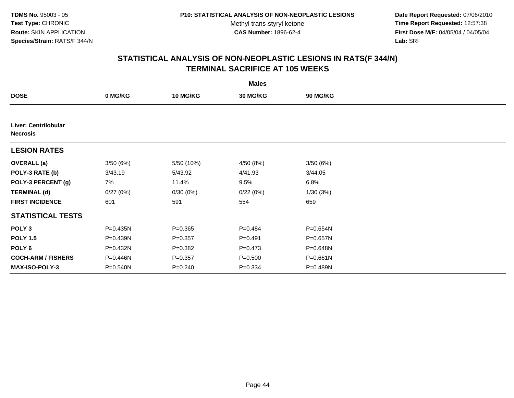**Date Report Requested:** 07/06/2010 **Time Report Requested:** 12:57:38 **First Dose M/F:** 04/05/04 / 04/05/04<br>Lab: SRI **Lab:** SRI

|                                         |              |                 | <b>Males</b>    |              |  |
|-----------------------------------------|--------------|-----------------|-----------------|--------------|--|
| <b>DOSE</b>                             | 0 MG/KG      | <b>10 MG/KG</b> | <b>30 MG/KG</b> | 90 MG/KG     |  |
|                                         |              |                 |                 |              |  |
| Liver: Centrilobular<br><b>Necrosis</b> |              |                 |                 |              |  |
| <b>LESION RATES</b>                     |              |                 |                 |              |  |
| <b>OVERALL</b> (a)                      | 3/50(6%)     | 5/50 (10%)      | 4/50 (8%)       | 3/50(6%)     |  |
| POLY-3 RATE (b)                         | 3/43.19      | 5/43.92         | 4/41.93         | 3/44.05      |  |
| POLY-3 PERCENT (g)                      | 7%           | 11.4%           | 9.5%            | 6.8%         |  |
| <b>TERMINAL (d)</b>                     | 0/27(0%)     | 0/30(0%)        | 0/22(0%)        | 1/30(3%)     |  |
| <b>FIRST INCIDENCE</b>                  | 601          | 591             | 554             | 659          |  |
| <b>STATISTICAL TESTS</b>                |              |                 |                 |              |  |
| POLY <sub>3</sub>                       | P=0.435N     | $P = 0.365$     | $P=0.484$       | P=0.654N     |  |
| <b>POLY 1.5</b>                         | $P = 0.439N$ | $P = 0.357$     | $P = 0.491$     | $P = 0.657N$ |  |
| POLY <sub>6</sub>                       | P=0.432N     | $P = 0.382$     | $P = 0.473$     | P=0.648N     |  |
| <b>COCH-ARM / FISHERS</b>               | P=0.446N     | $P = 0.357$     | $P = 0.500$     | P=0.661N     |  |
| <b>MAX-ISO-POLY-3</b>                   | P=0.540N     | $P = 0.240$     | $P = 0.334$     | P=0.489N     |  |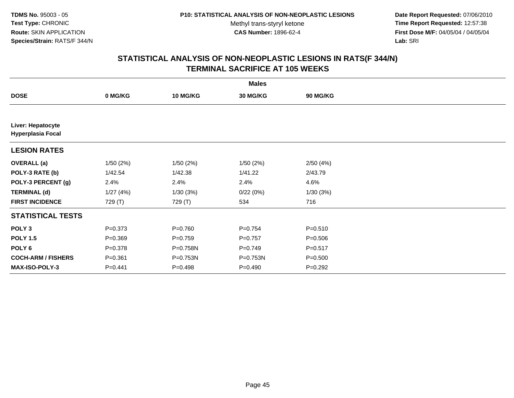**Date Report Requested:** 07/06/2010 **Time Report Requested:** 12:57:38 **First Dose M/F:** 04/05/04 / 04/05/04<br>Lab: SRI **Lab:** SRI

|                                               |             |                 | <b>Males</b>    |             |  |
|-----------------------------------------------|-------------|-----------------|-----------------|-------------|--|
| <b>DOSE</b>                                   | 0 MG/KG     | <b>10 MG/KG</b> | <b>30 MG/KG</b> | 90 MG/KG    |  |
|                                               |             |                 |                 |             |  |
| Liver: Hepatocyte<br><b>Hyperplasia Focal</b> |             |                 |                 |             |  |
| <b>LESION RATES</b>                           |             |                 |                 |             |  |
| <b>OVERALL</b> (a)                            | 1/50(2%)    | 1/50(2%)        | 1/50(2%)        | 2/50(4%)    |  |
| POLY-3 RATE (b)                               | 1/42.54     | 1/42.38         | 1/41.22         | 2/43.79     |  |
| POLY-3 PERCENT (g)                            | 2.4%        | 2.4%            | 2.4%            | 4.6%        |  |
| <b>TERMINAL (d)</b>                           | 1/27(4%)    | 1/30(3%)        | 0/22(0%)        | 1/30(3%)    |  |
| <b>FIRST INCIDENCE</b>                        | 729 (T)     | 729 (T)         | 534             | 716         |  |
| <b>STATISTICAL TESTS</b>                      |             |                 |                 |             |  |
| POLY <sub>3</sub>                             | $P = 0.373$ | $P = 0.760$     | $P = 0.754$     | $P = 0.510$ |  |
| <b>POLY 1.5</b>                               | $P = 0.369$ | $P=0.759$       | $P=0.757$       | $P = 0.506$ |  |
| POLY <sub>6</sub>                             | $P = 0.378$ | P=0.758N        | $P=0.749$       | $P = 0.517$ |  |
| <b>COCH-ARM / FISHERS</b>                     | $P = 0.361$ | P=0.753N        | P=0.753N        | $P = 0.500$ |  |
| <b>MAX-ISO-POLY-3</b>                         | $P = 0.441$ | $P = 0.498$     | $P = 0.490$     | $P=0.292$   |  |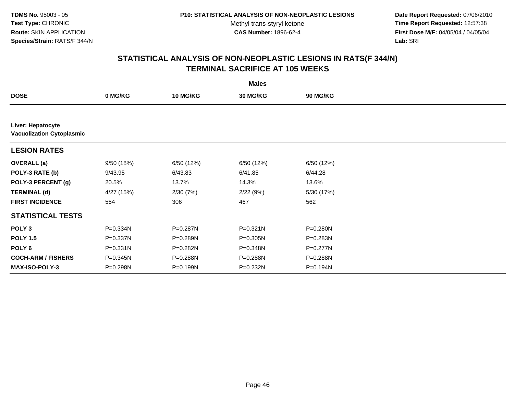**Date Report Requested:** 07/06/2010 **Time Report Requested:** 12:57:38 **First Dose M/F:** 04/05/04 / 04/05/04<br>Lab: SRI **Lab:** SRI

|                                                       |              |                 | <b>Males</b> |                 |  |
|-------------------------------------------------------|--------------|-----------------|--------------|-----------------|--|
| <b>DOSE</b>                                           | 0 MG/KG      | <b>10 MG/KG</b> | 30 MG/KG     | <b>90 MG/KG</b> |  |
|                                                       |              |                 |              |                 |  |
| Liver: Hepatocyte<br><b>Vacuolization Cytoplasmic</b> |              |                 |              |                 |  |
| <b>LESION RATES</b>                                   |              |                 |              |                 |  |
| <b>OVERALL</b> (a)                                    | 9/50 (18%)   | 6/50 (12%)      | 6/50 (12%)   | 6/50 (12%)      |  |
| POLY-3 RATE (b)                                       | 9/43.95      | 6/43.83         | 6/41.85      | 6/44.28         |  |
| POLY-3 PERCENT (g)                                    | 20.5%        | 13.7%           | 14.3%        | 13.6%           |  |
| <b>TERMINAL (d)</b>                                   | 4/27 (15%)   | 2/30(7%)        | 2/22(9%)     | 5/30 (17%)      |  |
| <b>FIRST INCIDENCE</b>                                | 554          | 306             | 467          | 562             |  |
| <b>STATISTICAL TESTS</b>                              |              |                 |              |                 |  |
| POLY <sub>3</sub>                                     | P=0.334N     | P=0.287N        | $P = 0.321N$ | P=0.280N        |  |
| <b>POLY 1.5</b>                                       | P=0.337N     | P=0.289N        | $P = 0.305N$ | P=0.283N        |  |
| POLY 6                                                | $P = 0.331N$ | P=0.282N        | P=0.348N     | P=0.277N        |  |
| <b>COCH-ARM / FISHERS</b>                             | P=0.345N     | P=0.288N        | P=0.288N     | P=0.288N        |  |
| MAX-ISO-POLY-3                                        | P=0.298N     | P=0.199N        | P=0.232N     | P=0.194N        |  |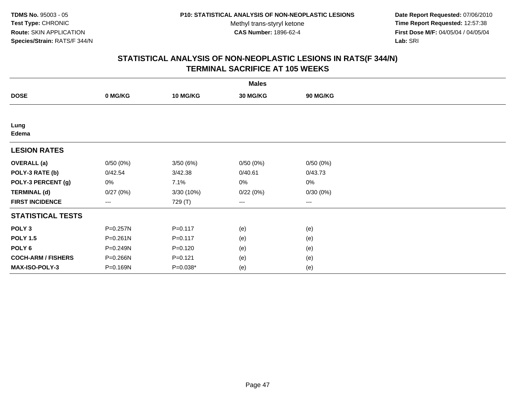**Date Report Requested:** 07/06/2010 **Time Report Requested:** 12:57:38 **First Dose M/F:** 04/05/04 / 04/05/04<br>Lab: SRI **Lab:** SRI

|                           |                   |             | <b>Males</b>    |                        |  |
|---------------------------|-------------------|-------------|-----------------|------------------------|--|
| <b>DOSE</b>               | 0 MG/KG           | 10 MG/KG    | <b>30 MG/KG</b> | 90 MG/KG               |  |
|                           |                   |             |                 |                        |  |
| Lung<br>Edema             |                   |             |                 |                        |  |
| <b>LESION RATES</b>       |                   |             |                 |                        |  |
| <b>OVERALL</b> (a)        | 0/50(0%)          | 3/50(6%)    | 0/50(0%)        | 0/50(0%)               |  |
| POLY-3 RATE (b)           | 0/42.54           | 3/42.38     | 0/40.61         | 0/43.73                |  |
| POLY-3 PERCENT (g)        | 0%                | 7.1%        | 0%              | 0%                     |  |
| <b>TERMINAL (d)</b>       | 0/27(0%)          | 3/30 (10%)  | 0/22(0%)        | 0/30(0%)               |  |
| <b>FIRST INCIDENCE</b>    | $\qquad \qquad -$ | 729 (T)     | ---             | $\qquad \qquad \cdots$ |  |
| <b>STATISTICAL TESTS</b>  |                   |             |                 |                        |  |
| POLY <sub>3</sub>         | $P = 0.257N$      | $P = 0.117$ | (e)             | (e)                    |  |
| <b>POLY 1.5</b>           | $P = 0.261N$      | $P = 0.117$ | (e)             | (e)                    |  |
| POLY <sub>6</sub>         | P=0.249N          | $P = 0.120$ | (e)             | (e)                    |  |
| <b>COCH-ARM / FISHERS</b> | P=0.266N          | $P = 0.121$ | (e)             | (e)                    |  |
| MAX-ISO-POLY-3            | P=0.169N          | P=0.038*    | (e)             | (e)                    |  |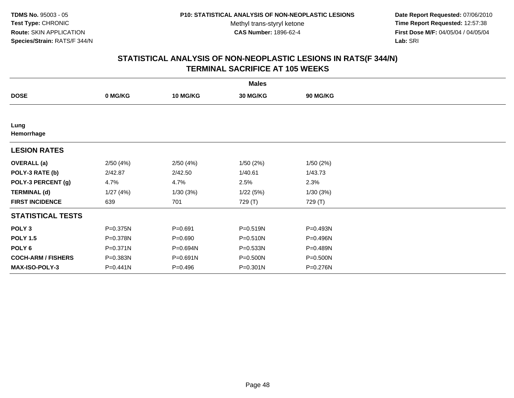**Date Report Requested:** 07/06/2010 **Time Report Requested:** 12:57:38 **First Dose M/F:** 04/05/04 / 04/05/04<br>Lab: SRI **Lab:** SRI

|                           |          |                 | <b>Males</b>    |          |  |
|---------------------------|----------|-----------------|-----------------|----------|--|
| <b>DOSE</b>               | 0 MG/KG  | <b>10 MG/KG</b> | <b>30 MG/KG</b> | 90 MG/KG |  |
|                           |          |                 |                 |          |  |
| Lung<br>Hemorrhage        |          |                 |                 |          |  |
| <b>LESION RATES</b>       |          |                 |                 |          |  |
| <b>OVERALL</b> (a)        | 2/50(4%) | 2/50(4%)        | 1/50(2%)        | 1/50(2%) |  |
| POLY-3 RATE (b)           | 2/42.87  | 2/42.50         | 1/40.61         | 1/43.73  |  |
| POLY-3 PERCENT (g)        | 4.7%     | 4.7%            | 2.5%            | 2.3%     |  |
| <b>TERMINAL (d)</b>       | 1/27(4%) | 1/30(3%)        | 1/22(5%)        | 1/30(3%) |  |
| <b>FIRST INCIDENCE</b>    | 639      | 701             | 729 (T)         | 729 (T)  |  |
| <b>STATISTICAL TESTS</b>  |          |                 |                 |          |  |
| POLY <sub>3</sub>         | P=0.375N | $P = 0.691$     | $P = 0.519N$    | P=0.493N |  |
| <b>POLY 1.5</b>           | P=0.378N | $P = 0.690$     | $P = 0.510N$    | P=0.496N |  |
| POLY 6                    | P=0.371N | P=0.694N        | $P = 0.533N$    | P=0.489N |  |
| <b>COCH-ARM / FISHERS</b> | P=0.383N | P=0.691N        | P=0.500N        | P=0.500N |  |
| MAX-ISO-POLY-3            | P=0.441N | $P=0.496$       | P=0.301N        | P=0.276N |  |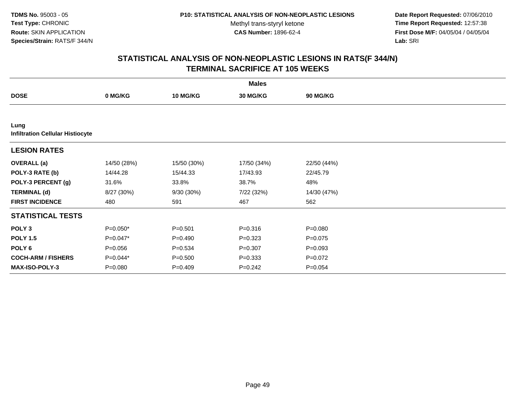**Date Report Requested:** 07/06/2010 **Time Report Requested:** 12:57:38 **First Dose M/F:** 04/05/04 / 04/05/04<br>Lab: SRI **Lab:** SRI

|                                                 |             |                 | <b>Males</b>    |                 |  |
|-------------------------------------------------|-------------|-----------------|-----------------|-----------------|--|
| <b>DOSE</b>                                     | 0 MG/KG     | <b>10 MG/KG</b> | <b>30 MG/KG</b> | <b>90 MG/KG</b> |  |
|                                                 |             |                 |                 |                 |  |
| Lung<br><b>Infiltration Cellular Histiocyte</b> |             |                 |                 |                 |  |
| <b>LESION RATES</b>                             |             |                 |                 |                 |  |
| <b>OVERALL</b> (a)                              | 14/50 (28%) | 15/50 (30%)     | 17/50 (34%)     | 22/50 (44%)     |  |
| POLY-3 RATE (b)                                 | 14/44.28    | 15/44.33        | 17/43.93        | 22/45.79        |  |
| POLY-3 PERCENT (g)                              | 31.6%       | 33.8%           | 38.7%           | 48%             |  |
| <b>TERMINAL (d)</b>                             | 8/27 (30%)  | 9/30 (30%)      | 7/22 (32%)      | 14/30 (47%)     |  |
| <b>FIRST INCIDENCE</b>                          | 480         | 591             | 467             | 562             |  |
| <b>STATISTICAL TESTS</b>                        |             |                 |                 |                 |  |
| POLY <sub>3</sub>                               | $P=0.050*$  | $P = 0.501$     | $P = 0.316$     | $P = 0.080$     |  |
| <b>POLY 1.5</b>                                 | $P=0.047*$  | $P=0.490$       | $P=0.323$       | $P = 0.075$     |  |
| POLY <sub>6</sub>                               | $P = 0.056$ | $P = 0.534$     | $P = 0.307$     | $P = 0.093$     |  |
| <b>COCH-ARM / FISHERS</b>                       | P=0.044*    | $P = 0.500$     | $P=0.333$       | $P=0.072$       |  |
| <b>MAX-ISO-POLY-3</b>                           | $P = 0.080$ | $P=0.409$       | $P = 0.242$     | $P = 0.054$     |  |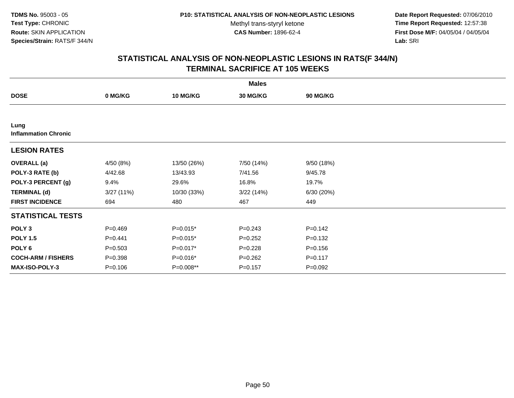**Date Report Requested:** 07/06/2010 **Time Report Requested:** 12:57:38 **First Dose M/F:** 04/05/04 / 04/05/04<br>Lab: SRI **Lab:** SRI

|                                     |             |                 | <b>Males</b>    |             |  |
|-------------------------------------|-------------|-----------------|-----------------|-------------|--|
| <b>DOSE</b>                         | 0 MG/KG     | <b>10 MG/KG</b> | <b>30 MG/KG</b> | 90 MG/KG    |  |
|                                     |             |                 |                 |             |  |
| Lung<br><b>Inflammation Chronic</b> |             |                 |                 |             |  |
| <b>LESION RATES</b>                 |             |                 |                 |             |  |
| <b>OVERALL</b> (a)                  | 4/50 (8%)   | 13/50 (26%)     | 7/50 (14%)      | 9/50 (18%)  |  |
| POLY-3 RATE (b)                     | 4/42.68     | 13/43.93        | 7/41.56         | 9/45.78     |  |
| POLY-3 PERCENT (g)                  | 9.4%        | 29.6%           | 16.8%           | 19.7%       |  |
| <b>TERMINAL (d)</b>                 | 3/27(11%)   | 10/30 (33%)     | 3/22(14%)       | 6/30 (20%)  |  |
| <b>FIRST INCIDENCE</b>              | 694         | 480             | 467             | 449         |  |
| <b>STATISTICAL TESTS</b>            |             |                 |                 |             |  |
| POLY <sub>3</sub>                   | $P = 0.469$ | $P=0.015*$      | $P = 0.243$     | $P = 0.142$ |  |
| <b>POLY 1.5</b>                     | $P = 0.441$ | $P=0.015*$      | $P = 0.252$     | $P = 0.132$ |  |
| POLY 6                              | $P = 0.503$ | P=0.017*        | $P=0.228$       | $P = 0.156$ |  |
| <b>COCH-ARM / FISHERS</b>           | $P = 0.398$ | P=0.016*        | $P = 0.262$     | $P = 0.117$ |  |
| <b>MAX-ISO-POLY-3</b>               | $P = 0.106$ | P=0.008**       | $P = 0.157$     | $P = 0.092$ |  |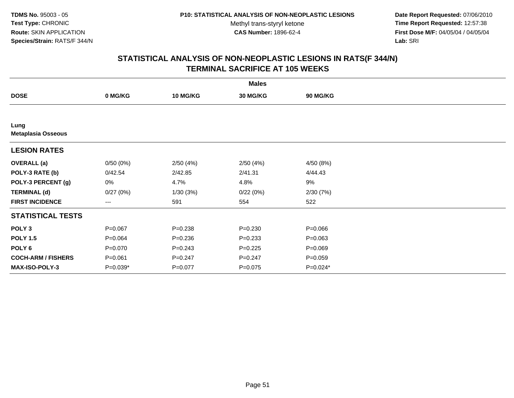**Date Report Requested:** 07/06/2010 **Time Report Requested:** 12:57:38 **First Dose M/F:** 04/05/04 / 04/05/04<br>Lab: SRI **Lab:** SRI

|                                   |                        |                 | <b>Males</b>    |                 |  |
|-----------------------------------|------------------------|-----------------|-----------------|-----------------|--|
| <b>DOSE</b>                       | 0 MG/KG                | <b>10 MG/KG</b> | <b>30 MG/KG</b> | <b>90 MG/KG</b> |  |
|                                   |                        |                 |                 |                 |  |
| Lung<br><b>Metaplasia Osseous</b> |                        |                 |                 |                 |  |
| <b>LESION RATES</b>               |                        |                 |                 |                 |  |
| <b>OVERALL</b> (a)                | 0/50(0%)               | 2/50(4%)        | 2/50(4%)        | 4/50 (8%)       |  |
| POLY-3 RATE (b)                   | 0/42.54                | 2/42.85         | 2/41.31         | 4/44.43         |  |
| POLY-3 PERCENT (g)                | 0%                     | 4.7%            | 4.8%            | 9%              |  |
| <b>TERMINAL (d)</b>               | 0/27(0%)               | 1/30(3%)        | 0/22(0%)        | 2/30(7%)        |  |
| <b>FIRST INCIDENCE</b>            | $\qquad \qquad \cdots$ | 591             | 554             | 522             |  |
| <b>STATISTICAL TESTS</b>          |                        |                 |                 |                 |  |
| POLY <sub>3</sub>                 | $P = 0.067$            | $P = 0.238$     | $P = 0.230$     | $P = 0.066$     |  |
| <b>POLY 1.5</b>                   | $P = 0.064$            | $P = 0.236$     | $P=0.233$       | $P = 0.063$     |  |
| POLY <sub>6</sub>                 | $P = 0.070$            | $P = 0.243$     | $P=0.225$       | $P = 0.069$     |  |
| <b>COCH-ARM / FISHERS</b>         | $P = 0.061$            | $P = 0.247$     | $P = 0.247$     | $P=0.059$       |  |
| <b>MAX-ISO-POLY-3</b>             | $P=0.039*$             | $P = 0.077$     | $P = 0.075$     | $P=0.024*$      |  |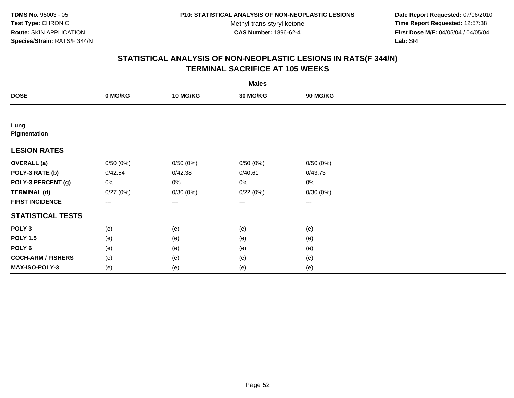**Date Report Requested:** 07/06/2010 **Time Report Requested:** 12:57:38 **First Dose M/F:** 04/05/04 / 04/05/04<br>Lab: SRI **Lab:** SRI

|                           |                        |          | <b>Males</b>    |                   |  |
|---------------------------|------------------------|----------|-----------------|-------------------|--|
| <b>DOSE</b>               | 0 MG/KG                | 10 MG/KG | <b>30 MG/KG</b> | 90 MG/KG          |  |
|                           |                        |          |                 |                   |  |
| Lung<br>Pigmentation      |                        |          |                 |                   |  |
| <b>LESION RATES</b>       |                        |          |                 |                   |  |
| <b>OVERALL (a)</b>        | 0/50(0%)               | 0/50(0%) | 0/50(0%)        | 0/50(0%)          |  |
| POLY-3 RATE (b)           | 0/42.54                | 0/42.38  | 0/40.61         | 0/43.73           |  |
| POLY-3 PERCENT (g)        | 0%                     | 0%       | 0%              | 0%                |  |
| <b>TERMINAL (d)</b>       | 0/27(0%)               | 0/30(0%) | 0/22(0%)        | 0/30(0%)          |  |
| <b>FIRST INCIDENCE</b>    | $\qquad \qquad \cdots$ | $---$    | ---             | $\qquad \qquad -$ |  |
| <b>STATISTICAL TESTS</b>  |                        |          |                 |                   |  |
| POLY <sub>3</sub>         | (e)                    | (e)      | (e)             | (e)               |  |
| <b>POLY 1.5</b>           | (e)                    | (e)      | (e)             | (e)               |  |
| POLY <sub>6</sub>         | (e)                    | (e)      | (e)             | (e)               |  |
| <b>COCH-ARM / FISHERS</b> | (e)                    | (e)      | (e)             | (e)               |  |
| MAX-ISO-POLY-3            | (e)                    | (e)      | (e)             | (e)               |  |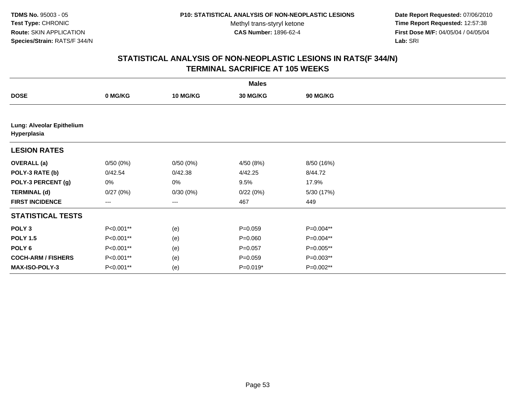**Date Report Requested:** 07/06/2010 **Time Report Requested:** 12:57:38 **First Dose M/F:** 04/05/04 / 04/05/04<br>Lab: SRI **Lab:** SRI

|                                          |           |                 | <b>Males</b> |                 |  |
|------------------------------------------|-----------|-----------------|--------------|-----------------|--|
| <b>DOSE</b>                              | 0 MG/KG   | <b>10 MG/KG</b> | 30 MG/KG     | <b>90 MG/KG</b> |  |
|                                          |           |                 |              |                 |  |
| Lung: Alveolar Epithelium<br>Hyperplasia |           |                 |              |                 |  |
| <b>LESION RATES</b>                      |           |                 |              |                 |  |
| <b>OVERALL</b> (a)                       | 0/50(0%)  | 0/50(0%)        | 4/50 (8%)    | 8/50 (16%)      |  |
| POLY-3 RATE (b)                          | 0/42.54   | 0/42.38         | 4/42.25      | 8/44.72         |  |
| POLY-3 PERCENT (g)                       | 0%        | 0%              | 9.5%         | 17.9%           |  |
| <b>TERMINAL (d)</b>                      | 0/27(0%)  | 0/30(0%)        | 0/22(0%)     | 5/30 (17%)      |  |
| <b>FIRST INCIDENCE</b>                   | $\cdots$  | ---             | 467          | 449             |  |
| <b>STATISTICAL TESTS</b>                 |           |                 |              |                 |  |
| POLY <sub>3</sub>                        | P<0.001** | (e)             | $P = 0.059$  | P=0.004**       |  |
| <b>POLY 1.5</b>                          | P<0.001** | (e)             | $P = 0.060$  | P=0.004**       |  |
| POLY 6                                   | P<0.001** | (e)             | $P = 0.057$  | P=0.005**       |  |
| <b>COCH-ARM / FISHERS</b>                | P<0.001** | (e)             | $P = 0.059$  | P=0.003**       |  |
| MAX-ISO-POLY-3                           | P<0.001** | (e)             | $P=0.019*$   | P=0.002**       |  |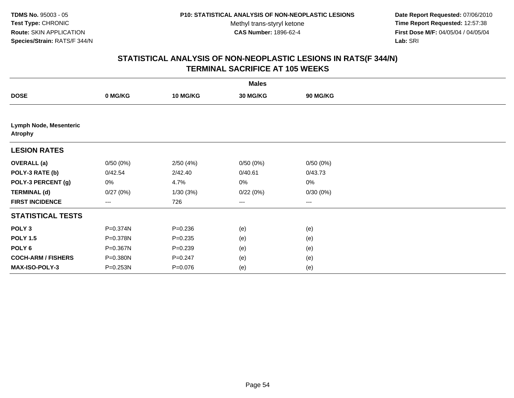**Date Report Requested:** 07/06/2010 **Time Report Requested:** 12:57:38 **First Dose M/F:** 04/05/04 / 04/05/04<br>Lab: SRI **Lab:** SRI

|                                                 |          |                 | <b>Males</b>    |          |  |
|-------------------------------------------------|----------|-----------------|-----------------|----------|--|
| <b>DOSE</b>                                     | 0 MG/KG  | <b>10 MG/KG</b> | <b>30 MG/KG</b> | 90 MG/KG |  |
|                                                 |          |                 |                 |          |  |
| <b>Lymph Node, Mesenteric</b><br><b>Atrophy</b> |          |                 |                 |          |  |
| <b>LESION RATES</b>                             |          |                 |                 |          |  |
| <b>OVERALL</b> (a)                              | 0/50(0%) | 2/50(4%)        | 0/50(0%)        | 0/50(0%) |  |
| POLY-3 RATE (b)                                 | 0/42.54  | 2/42.40         | 0/40.61         | 0/43.73  |  |
| POLY-3 PERCENT (g)                              | 0%       | 4.7%            | 0%              | 0%       |  |
| <b>TERMINAL (d)</b>                             | 0/27(0%) | 1/30(3%)        | 0/22(0%)        | 0/30(0%) |  |
| <b>FIRST INCIDENCE</b>                          | $\cdots$ | 726             | $\cdots$        | $\cdots$ |  |
| <b>STATISTICAL TESTS</b>                        |          |                 |                 |          |  |
| POLY <sub>3</sub>                               | P=0.374N | $P = 0.236$     | (e)             | (e)      |  |
| <b>POLY 1.5</b>                                 | P=0.378N | $P = 0.235$     | (e)             | (e)      |  |
| POLY <sub>6</sub>                               | P=0.367N | $P = 0.239$     | (e)             | (e)      |  |
| <b>COCH-ARM / FISHERS</b>                       | P=0.380N | $P = 0.247$     | (e)             | (e)      |  |
| MAX-ISO-POLY-3                                  | P=0.253N | $P = 0.076$     | (e)             | (e)      |  |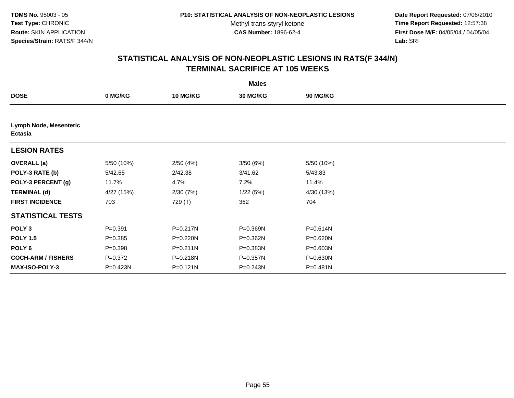**Date Report Requested:** 07/06/2010 **Time Report Requested:** 12:57:38 **First Dose M/F:** 04/05/04 / 04/05/04<br>Lab: SRI **Lab:** SRI

|                                          |             |                 | <b>Males</b>    |                 |  |
|------------------------------------------|-------------|-----------------|-----------------|-----------------|--|
| <b>DOSE</b>                              | 0 MG/KG     | <b>10 MG/KG</b> | <b>30 MG/KG</b> | <b>90 MG/KG</b> |  |
|                                          |             |                 |                 |                 |  |
| Lymph Node, Mesenteric<br><b>Ectasia</b> |             |                 |                 |                 |  |
| <b>LESION RATES</b>                      |             |                 |                 |                 |  |
| <b>OVERALL</b> (a)                       | 5/50 (10%)  | 2/50(4%)        | 3/50(6%)        | 5/50 (10%)      |  |
| POLY-3 RATE (b)                          | 5/42.65     | 2/42.38         | 3/41.62         | 5/43.83         |  |
| POLY-3 PERCENT (g)                       | 11.7%       | 4.7%            | 7.2%            | 11.4%           |  |
| <b>TERMINAL (d)</b>                      | 4/27 (15%)  | 2/30(7%)        | 1/22(5%)        | 4/30 (13%)      |  |
| <b>FIRST INCIDENCE</b>                   | 703         | 729 (T)         | 362             | 704             |  |
| <b>STATISTICAL TESTS</b>                 |             |                 |                 |                 |  |
| POLY <sub>3</sub>                        | $P = 0.391$ | P=0.217N        | P=0.369N        | P=0.614N        |  |
| <b>POLY 1.5</b>                          | $P = 0.385$ | P=0.220N        | P=0.362N        | P=0.620N        |  |
| POLY <sub>6</sub>                        | $P = 0.398$ | $P = 0.211N$    | P=0.383N        | P=0.603N        |  |
| <b>COCH-ARM / FISHERS</b>                | $P = 0.372$ | P=0.218N        | P=0.357N        | P=0.630N        |  |
| <b>MAX-ISO-POLY-3</b>                    | P=0.423N    | $P = 0.121N$    | P=0.243N        | P=0.481N        |  |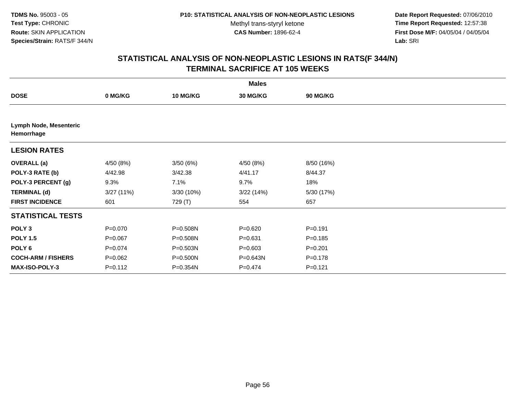**Date Report Requested:** 07/06/2010 **Time Report Requested:** 12:57:38 **First Dose M/F:** 04/05/04 / 04/05/04<br>Lab: SRI **Lab:** SRI

|                                      |             |                 | <b>Males</b> |                 |  |
|--------------------------------------|-------------|-----------------|--------------|-----------------|--|
| <b>DOSE</b>                          | 0 MG/KG     | <b>10 MG/KG</b> | 30 MG/KG     | <b>90 MG/KG</b> |  |
|                                      |             |                 |              |                 |  |
| Lymph Node, Mesenteric<br>Hemorrhage |             |                 |              |                 |  |
| <b>LESION RATES</b>                  |             |                 |              |                 |  |
| <b>OVERALL (a)</b>                   | 4/50 (8%)   | 3/50(6%)        | 4/50 (8%)    | 8/50 (16%)      |  |
| POLY-3 RATE (b)                      | 4/42.98     | 3/42.38         | 4/41.17      | 8/44.37         |  |
| POLY-3 PERCENT (g)                   | 9.3%        | 7.1%            | 9.7%         | 18%             |  |
| <b>TERMINAL (d)</b>                  | 3/27(11%)   | 3/30 (10%)      | 3/22(14%)    | 5/30 (17%)      |  |
| <b>FIRST INCIDENCE</b>               | 601         | 729 (T)         | 554          | 657             |  |
| <b>STATISTICAL TESTS</b>             |             |                 |              |                 |  |
| POLY <sub>3</sub>                    | $P = 0.070$ | P=0.508N        | $P = 0.620$  | $P = 0.191$     |  |
| <b>POLY 1.5</b>                      | $P = 0.067$ | P=0.508N        | $P = 0.631$  | $P = 0.185$     |  |
| POLY 6                               | $P = 0.074$ | $P = 0.503N$    | $P = 0.603$  | $P = 0.201$     |  |
| <b>COCH-ARM / FISHERS</b>            | $P = 0.062$ | P=0.500N        | P=0.643N     | $P = 0.178$     |  |
| MAX-ISO-POLY-3                       | $P = 0.112$ | P=0.354N        | $P = 0.474$  | $P = 0.121$     |  |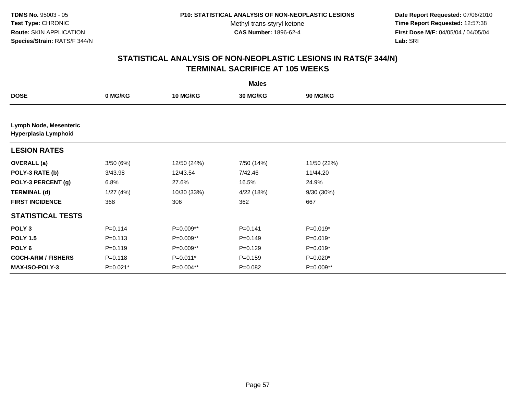**Date Report Requested:** 07/06/2010 **Time Report Requested:** 12:57:38 **First Dose M/F:** 04/05/04 / 04/05/04<br>Lab: SRI **Lab:** SRI

|                                                |             |                 | <b>Males</b> |                 |  |
|------------------------------------------------|-------------|-----------------|--------------|-----------------|--|
| <b>DOSE</b>                                    | 0 MG/KG     | <b>10 MG/KG</b> | 30 MG/KG     | <b>90 MG/KG</b> |  |
|                                                |             |                 |              |                 |  |
| Lymph Node, Mesenteric<br>Hyperplasia Lymphoid |             |                 |              |                 |  |
| <b>LESION RATES</b>                            |             |                 |              |                 |  |
| <b>OVERALL</b> (a)                             | 3/50(6%)    | 12/50 (24%)     | 7/50 (14%)   | 11/50 (22%)     |  |
| POLY-3 RATE (b)                                | 3/43.98     | 12/43.54        | 7/42.46      | 11/44.20        |  |
| POLY-3 PERCENT (g)                             | 6.8%        | 27.6%           | 16.5%        | 24.9%           |  |
| <b>TERMINAL (d)</b>                            | 1/27(4%)    | 10/30 (33%)     | 4/22 (18%)   | 9/30 (30%)      |  |
| <b>FIRST INCIDENCE</b>                         | 368         | 306             | 362          | 667             |  |
| <b>STATISTICAL TESTS</b>                       |             |                 |              |                 |  |
| POLY <sub>3</sub>                              | $P = 0.114$ | P=0.009**       | $P=0.141$    | P=0.019*        |  |
| <b>POLY 1.5</b>                                | $P = 0.113$ | P=0.009**       | $P = 0.149$  | $P=0.019*$      |  |
| POLY 6                                         | $P = 0.119$ | P=0.009**       | $P=0.129$    | P=0.019*        |  |
| <b>COCH-ARM / FISHERS</b>                      | $P = 0.118$ | $P=0.011*$      | $P = 0.159$  | P=0.020*        |  |
| MAX-ISO-POLY-3                                 | P=0.021*    | P=0.004**       | $P = 0.082$  | P=0.009**       |  |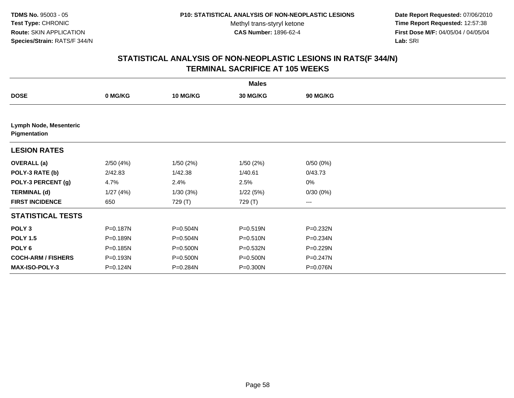**Date Report Requested:** 07/06/2010 **Time Report Requested:** 12:57:38 **First Dose M/F:** 04/05/04 / 04/05/04<br>Lab: SRI **Lab:** SRI

|                                        |          |                 | <b>Males</b> |              |  |
|----------------------------------------|----------|-----------------|--------------|--------------|--|
| <b>DOSE</b>                            | 0 MG/KG  | <b>10 MG/KG</b> | 30 MG/KG     | 90 MG/KG     |  |
|                                        |          |                 |              |              |  |
| Lymph Node, Mesenteric<br>Pigmentation |          |                 |              |              |  |
| <b>LESION RATES</b>                    |          |                 |              |              |  |
| <b>OVERALL</b> (a)                     | 2/50(4%) | 1/50(2%)        | 1/50(2%)     | 0/50(0%)     |  |
| POLY-3 RATE (b)                        | 2/42.83  | 1/42.38         | 1/40.61      | 0/43.73      |  |
| POLY-3 PERCENT (g)                     | 4.7%     | 2.4%            | 2.5%         | 0%           |  |
| <b>TERMINAL (d)</b>                    | 1/27(4%) | 1/30(3%)        | 1/22(5%)     | 0/30(0%)     |  |
| <b>FIRST INCIDENCE</b>                 | 650      | 729 (T)         | 729 (T)      | ---          |  |
| <b>STATISTICAL TESTS</b>               |          |                 |              |              |  |
| POLY <sub>3</sub>                      | P=0.187N | P=0.504N        | P=0.519N     | P=0.232N     |  |
| <b>POLY 1.5</b>                        | P=0.189N | P=0.504N        | P=0.510N     | P=0.234N     |  |
| POLY 6                                 | P=0.185N | P=0.500N        | P=0.532N     | P=0.229N     |  |
| <b>COCH-ARM / FISHERS</b>              | P=0.193N | P=0.500N        | P=0.500N     | $P = 0.247N$ |  |
| MAX-ISO-POLY-3                         | P=0.124N | P=0.284N        | P=0.300N     | P=0.076N     |  |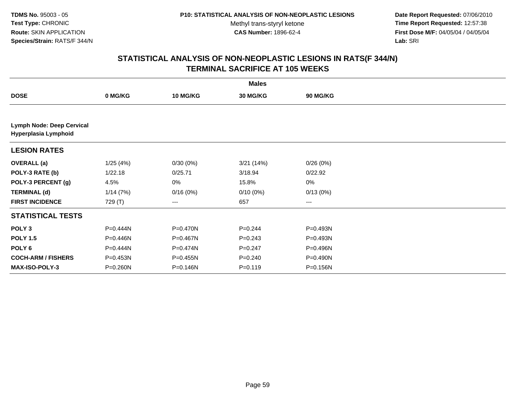**Date Report Requested:** 07/06/2010 **Time Report Requested:** 12:57:38 **First Dose M/F:** 04/05/04 / 04/05/04<br>Lab: SRI **Lab:** SRI

|                                                   |          |                 | <b>Males</b> |                 |  |
|---------------------------------------------------|----------|-----------------|--------------|-----------------|--|
| <b>DOSE</b>                                       | 0 MG/KG  | <b>10 MG/KG</b> | 30 MG/KG     | <b>90 MG/KG</b> |  |
|                                                   |          |                 |              |                 |  |
| Lymph Node: Deep Cervical<br>Hyperplasia Lymphoid |          |                 |              |                 |  |
| <b>LESION RATES</b>                               |          |                 |              |                 |  |
| <b>OVERALL</b> (a)                                | 1/25(4%) | 0/30(0%)        | 3/21(14%)    | 0/26(0%)        |  |
| POLY-3 RATE (b)                                   | 1/22.18  | 0/25.71         | 3/18.94      | 0/22.92         |  |
| POLY-3 PERCENT (g)                                | 4.5%     | 0%              | 15.8%        | 0%              |  |
| <b>TERMINAL (d)</b>                               | 1/14(7%) | 0/16(0%)        | $0/10(0\%)$  | 0/13(0%)        |  |
| <b>FIRST INCIDENCE</b>                            | 729 (T)  | ---             | 657          | ---             |  |
| <b>STATISTICAL TESTS</b>                          |          |                 |              |                 |  |
| POLY <sub>3</sub>                                 | P=0.444N | P=0.470N        | $P = 0.244$  | P=0.493N        |  |
| <b>POLY 1.5</b>                                   | P=0.446N | P=0.467N        | $P = 0.243$  | P=0.493N        |  |
| POLY 6                                            | P=0.444N | P=0.474N        | $P = 0.247$  | P=0.496N        |  |
| <b>COCH-ARM / FISHERS</b>                         | P=0.453N | P=0.455N        | $P = 0.240$  | P=0.490N        |  |
| <b>MAX-ISO-POLY-3</b>                             | P=0.260N | P=0.146N        | $P = 0.119$  | P=0.156N        |  |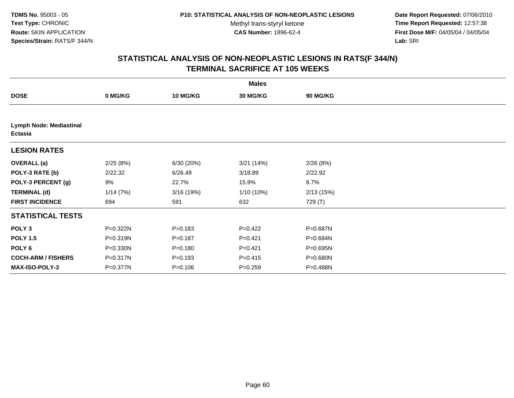**Date Report Requested:** 07/06/2010 **Time Report Requested:** 12:57:38 **First Dose M/F:** 04/05/04 / 04/05/04<br>Lab: SRI **Lab:** SRI

|                                    |          |                 | <b>Males</b>    |           |  |
|------------------------------------|----------|-----------------|-----------------|-----------|--|
| <b>DOSE</b>                        | 0 MG/KG  | <b>10 MG/KG</b> | <b>30 MG/KG</b> | 90 MG/KG  |  |
|                                    |          |                 |                 |           |  |
| Lymph Node: Mediastinal<br>Ectasia |          |                 |                 |           |  |
| <b>LESION RATES</b>                |          |                 |                 |           |  |
| <b>OVERALL</b> (a)                 | 2/25(8%) | 6/30(20%)       | 3/21(14%)       | 2/26(8%)  |  |
| POLY-3 RATE (b)                    | 2/22.32  | 6/26.49         | 3/18.89         | 2/22.92   |  |
| POLY-3 PERCENT (g)                 | 9%       | 22.7%           | 15.9%           | 8.7%      |  |
| <b>TERMINAL (d)</b>                | 1/14(7%) | 3/16 (19%)      | 1/10 (10%)      | 2/13(15%) |  |
| <b>FIRST INCIDENCE</b>             | 694      | 591             | 632             | 729 (T)   |  |
| <b>STATISTICAL TESTS</b>           |          |                 |                 |           |  |
| POLY <sub>3</sub>                  | P=0.322N | $P = 0.183$     | $P=0.422$       | P=0.687N  |  |
| <b>POLY 1.5</b>                    | P=0.319N | $P = 0.187$     | $P=0.421$       | P=0.684N  |  |
| POLY 6                             | P=0.330N | $P = 0.180$     | $P=0.421$       | P=0.695N  |  |
| <b>COCH-ARM / FISHERS</b>          | P=0.317N | $P = 0.193$     | $P = 0.415$     | P=0.680N  |  |
| <b>MAX-ISO-POLY-3</b>              | P=0.377N | $P = 0.106$     | $P = 0.259$     | P=0.488N  |  |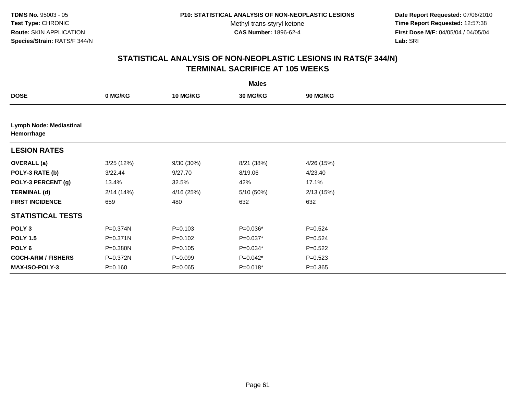**Date Report Requested:** 07/06/2010 **Time Report Requested:** 12:57:38 **First Dose M/F:** 04/05/04 / 04/05/04<br>Lab: SRI **Lab:** SRI

|                                              |              |                 | <b>Males</b> |                 |  |
|----------------------------------------------|--------------|-----------------|--------------|-----------------|--|
| <b>DOSE</b>                                  | 0 MG/KG      | <b>10 MG/KG</b> | 30 MG/KG     | <b>90 MG/KG</b> |  |
|                                              |              |                 |              |                 |  |
| <b>Lymph Node: Mediastinal</b><br>Hemorrhage |              |                 |              |                 |  |
| <b>LESION RATES</b>                          |              |                 |              |                 |  |
| <b>OVERALL</b> (a)                           | 3/25(12%)    | 9/30 (30%)      | 8/21 (38%)   | 4/26 (15%)      |  |
| POLY-3 RATE (b)                              | 3/22.44      | 9/27.70         | 8/19.06      | 4/23.40         |  |
| POLY-3 PERCENT (g)                           | 13.4%        | 32.5%           | 42%          | 17.1%           |  |
| <b>TERMINAL (d)</b>                          | 2/14(14%)    | 4/16 (25%)      | 5/10 (50%)   | 2/13(15%)       |  |
| <b>FIRST INCIDENCE</b>                       | 659          | 480             | 632          | 632             |  |
| <b>STATISTICAL TESTS</b>                     |              |                 |              |                 |  |
| POLY <sub>3</sub>                            | P=0.374N     | $P = 0.103$     | P=0.036*     | $P = 0.524$     |  |
| <b>POLY 1.5</b>                              | $P = 0.371N$ | $P=0.102$       | P=0.037*     | $P = 0.524$     |  |
| POLY 6                                       | P=0.380N     | $P=0.105$       | $P=0.034*$   | $P=0.522$       |  |
| <b>COCH-ARM / FISHERS</b>                    | P=0.372N     | $P = 0.099$     | $P=0.042*$   | $P = 0.523$     |  |
| <b>MAX-ISO-POLY-3</b>                        | $P = 0.160$  | $P = 0.065$     | $P=0.018*$   | $P = 0.365$     |  |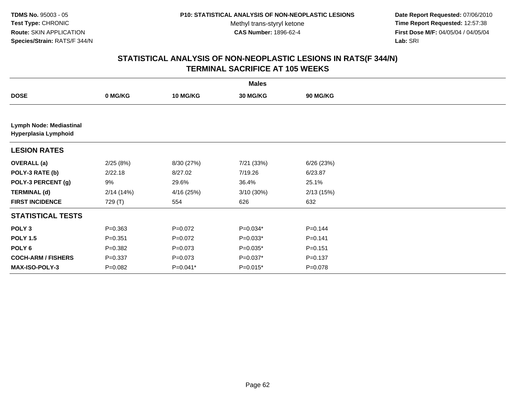**Date Report Requested:** 07/06/2010 **Time Report Requested:** 12:57:38 **First Dose M/F:** 04/05/04 / 04/05/04<br>Lab: SRI **Lab:** SRI

|                                                 |             |                 | <b>Males</b> |                 |  |
|-------------------------------------------------|-------------|-----------------|--------------|-----------------|--|
| <b>DOSE</b>                                     | 0 MG/KG     | <b>10 MG/KG</b> | 30 MG/KG     | <b>90 MG/KG</b> |  |
|                                                 |             |                 |              |                 |  |
| Lymph Node: Mediastinal<br>Hyperplasia Lymphoid |             |                 |              |                 |  |
| <b>LESION RATES</b>                             |             |                 |              |                 |  |
| <b>OVERALL (a)</b>                              | 2/25(8%)    | 8/30 (27%)      | 7/21 (33%)   | 6/26(23%)       |  |
| POLY-3 RATE (b)                                 | 2/22.18     | 8/27.02         | 7/19.26      | 6/23.87         |  |
| POLY-3 PERCENT (g)                              | 9%          | 29.6%           | 36.4%        | 25.1%           |  |
| <b>TERMINAL (d)</b>                             | 2/14(14%)   | 4/16 (25%)      | $3/10(30\%)$ | 2/13(15%)       |  |
| <b>FIRST INCIDENCE</b>                          | 729 (T)     | 554             | 626          | 632             |  |
| <b>STATISTICAL TESTS</b>                        |             |                 |              |                 |  |
| POLY <sub>3</sub>                               | $P = 0.363$ | $P=0.072$       | P=0.034*     | $P = 0.144$     |  |
| <b>POLY 1.5</b>                                 | $P = 0.351$ | $P=0.072$       | $P=0.033*$   | $P=0.141$       |  |
| POLY 6                                          | $P = 0.382$ | $P = 0.073$     | $P=0.035*$   | $P = 0.151$     |  |
| <b>COCH-ARM / FISHERS</b>                       | $P = 0.337$ | $P = 0.073$     | $P=0.037*$   | $P = 0.137$     |  |
| MAX-ISO-POLY-3                                  | $P = 0.082$ | $P=0.041*$      | $P=0.015*$   | P=0.078         |  |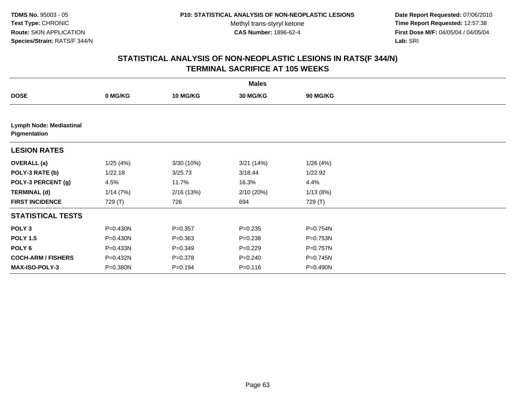**Date Report Requested:** 07/06/2010 **Time Report Requested:** 12:57:38 **First Dose M/F:** 04/05/04 / 04/05/04<br>Lab: SRI **Lab:** SRI

|                                                |              |                 | <b>Males</b> |                 |  |
|------------------------------------------------|--------------|-----------------|--------------|-----------------|--|
| <b>DOSE</b>                                    | 0 MG/KG      | <b>10 MG/KG</b> | 30 MG/KG     | <b>90 MG/KG</b> |  |
|                                                |              |                 |              |                 |  |
| <b>Lymph Node: Mediastinal</b><br>Pigmentation |              |                 |              |                 |  |
| <b>LESION RATES</b>                            |              |                 |              |                 |  |
| <b>OVERALL</b> (a)                             | 1/25(4%)     | 3/30 (10%)      | 3/21(14%)    | 1/26(4%)        |  |
| POLY-3 RATE (b)                                | 1/22.18      | 3/25.73         | 3/18.44      | 1/22.92         |  |
| POLY-3 PERCENT (g)                             | 4.5%         | 11.7%           | 16.3%        | 4.4%            |  |
| <b>TERMINAL (d)</b>                            | 1/14(7%)     | 2/16(13%)       | 2/10(20%)    | 1/13(8%)        |  |
| <b>FIRST INCIDENCE</b>                         | 729 (T)      | 726             | 694          | 729 (T)         |  |
| <b>STATISTICAL TESTS</b>                       |              |                 |              |                 |  |
| POLY <sub>3</sub>                              | $P = 0.430N$ | $P = 0.357$     | $P = 0.235$  | P=0.754N        |  |
| <b>POLY 1.5</b>                                | $P = 0.430N$ | $P = 0.363$     | $P = 0.238$  | P=0.753N        |  |
| POLY 6                                         | P=0.433N     | $P=0.349$       | $P=0.229$    | P=0.757N        |  |
| <b>COCH-ARM / FISHERS</b>                      | P=0.432N     | $P = 0.378$     | $P = 0.240$  | $P = 0.745N$    |  |
| <b>MAX-ISO-POLY-3</b>                          | P=0.380N     | $P = 0.194$     | $P = 0.116$  | P=0.490N        |  |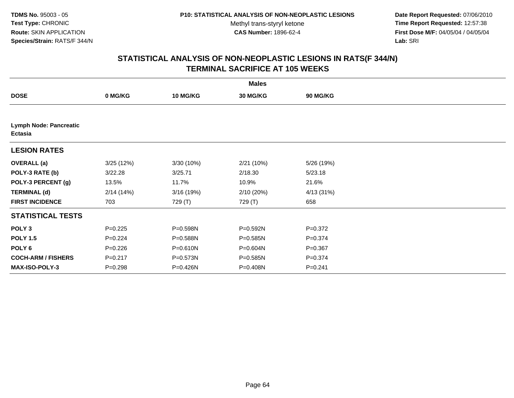**Date Report Requested:** 07/06/2010 **Time Report Requested:** 12:57:38 **First Dose M/F:** 04/05/04 / 04/05/04<br>Lab: SRI **Lab:** SRI

|                                                 |             |                 | <b>Males</b>    |             |  |
|-------------------------------------------------|-------------|-----------------|-----------------|-------------|--|
| <b>DOSE</b>                                     | 0 MG/KG     | <b>10 MG/KG</b> | <b>30 MG/KG</b> | 90 MG/KG    |  |
|                                                 |             |                 |                 |             |  |
| <b>Lymph Node: Pancreatic</b><br><b>Ectasia</b> |             |                 |                 |             |  |
| <b>LESION RATES</b>                             |             |                 |                 |             |  |
| <b>OVERALL</b> (a)                              | 3/25(12%)   | 3/30 (10%)      | 2/21 (10%)      | 5/26 (19%)  |  |
| POLY-3 RATE (b)                                 | 3/22.28     | 3/25.71         | 2/18.30         | 5/23.18     |  |
| POLY-3 PERCENT (g)                              | 13.5%       | 11.7%           | 10.9%           | 21.6%       |  |
| <b>TERMINAL (d)</b>                             | 2/14(14%)   | 3/16 (19%)      | 2/10 (20%)      | 4/13 (31%)  |  |
| <b>FIRST INCIDENCE</b>                          | 703         | 729 (T)         | 729 (T)         | 658         |  |
| <b>STATISTICAL TESTS</b>                        |             |                 |                 |             |  |
| POLY <sub>3</sub>                               | $P=0.225$   | P=0.598N        | P=0.592N        | $P = 0.372$ |  |
| <b>POLY 1.5</b>                                 | $P=0.224$   | P=0.588N        | P=0.585N        | $P = 0.374$ |  |
| POLY 6                                          | $P=0.226$   | P=0.610N        | P=0.604N        | $P = 0.367$ |  |
| <b>COCH-ARM / FISHERS</b>                       | $P = 0.217$ | P=0.573N        | $P = 0.585N$    | $P = 0.374$ |  |
| <b>MAX-ISO-POLY-3</b>                           | $P = 0.298$ | P=0.426N        | P=0.408N        | $P = 0.241$ |  |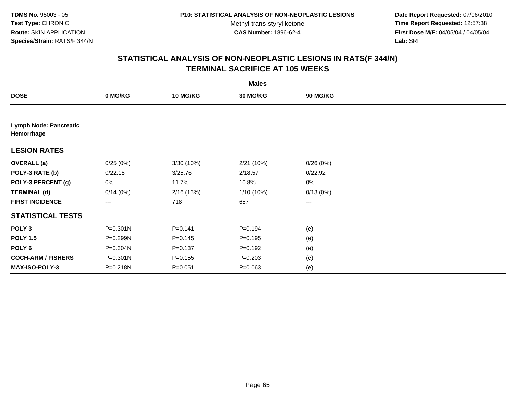**Date Report Requested:** 07/06/2010 **Time Report Requested:** 12:57:38 **First Dose M/F:** 04/05/04 / 04/05/04<br>Lab: SRI **Lab:** SRI

|                                             |              |                 | <b>Males</b> |          |  |
|---------------------------------------------|--------------|-----------------|--------------|----------|--|
| <b>DOSE</b>                                 | 0 MG/KG      | <b>10 MG/KG</b> | 30 MG/KG     | 90 MG/KG |  |
|                                             |              |                 |              |          |  |
| <b>Lymph Node: Pancreatic</b><br>Hemorrhage |              |                 |              |          |  |
| <b>LESION RATES</b>                         |              |                 |              |          |  |
| <b>OVERALL</b> (a)                          | 0/25(0%)     | 3/30 (10%)      | 2/21 (10%)   | 0/26(0%) |  |
| POLY-3 RATE (b)                             | 0/22.18      | 3/25.76         | 2/18.57      | 0/22.92  |  |
| POLY-3 PERCENT (g)                          | 0%           | 11.7%           | 10.8%        | 0%       |  |
| <b>TERMINAL (d)</b>                         | 0/14(0%)     | 2/16(13%)       | 1/10 (10%)   | 0/13(0%) |  |
| <b>FIRST INCIDENCE</b>                      | ---          | 718             | 657          | $\cdots$ |  |
| <b>STATISTICAL TESTS</b>                    |              |                 |              |          |  |
| POLY <sub>3</sub>                           | $P = 0.301N$ | $P = 0.141$     | $P = 0.194$  | (e)      |  |
| <b>POLY 1.5</b>                             | P=0.299N     | $P = 0.145$     | $P = 0.195$  | (e)      |  |
| POLY 6                                      | P=0.304N     | $P = 0.137$     | $P = 0.192$  | (e)      |  |
| <b>COCH-ARM / FISHERS</b>                   | P=0.301N     | $P = 0.155$     | $P = 0.203$  | (e)      |  |
| <b>MAX-ISO-POLY-3</b>                       | P=0.218N     | $P = 0.051$     | $P = 0.063$  | (e)      |  |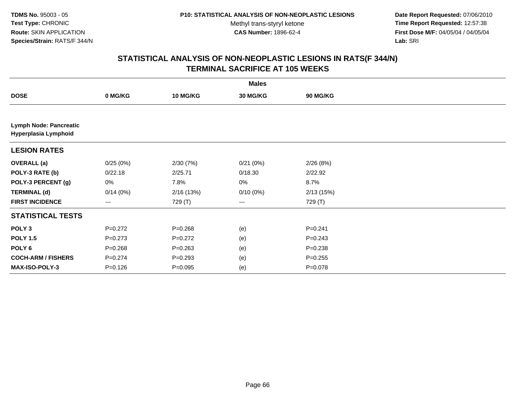**Date Report Requested:** 07/06/2010 **Time Report Requested:** 12:57:38 **First Dose M/F:** 04/05/04 / 04/05/04<br>Lab: SRI **Lab:** SRI

|                                                       |             |                 | <b>Males</b> |                 |  |
|-------------------------------------------------------|-------------|-----------------|--------------|-----------------|--|
| <b>DOSE</b>                                           | 0 MG/KG     | <b>10 MG/KG</b> | 30 MG/KG     | <b>90 MG/KG</b> |  |
|                                                       |             |                 |              |                 |  |
| <b>Lymph Node: Pancreatic</b><br>Hyperplasia Lymphoid |             |                 |              |                 |  |
| <b>LESION RATES</b>                                   |             |                 |              |                 |  |
| <b>OVERALL</b> (a)                                    | 0/25(0%)    | 2/30(7%)        | 0/21(0%)     | 2/26(8%)        |  |
| POLY-3 RATE (b)                                       | 0/22.18     | 2/25.71         | 0/18.30      | 2/22.92         |  |
| POLY-3 PERCENT (g)                                    | 0%          | 7.8%            | 0%           | 8.7%            |  |
| <b>TERMINAL (d)</b>                                   | 0/14(0%)    | 2/16(13%)       | $0/10(0\%)$  | 2/13(15%)       |  |
| <b>FIRST INCIDENCE</b>                                | ---         | 729 (T)         | ---          | 729 (T)         |  |
| <b>STATISTICAL TESTS</b>                              |             |                 |              |                 |  |
| POLY <sub>3</sub>                                     | $P=0.272$   | $P = 0.268$     | (e)          | $P = 0.241$     |  |
| <b>POLY 1.5</b>                                       | $P = 0.273$ | $P=0.272$       | (e)          | $P = 0.243$     |  |
| POLY 6                                                | $P = 0.268$ | $P = 0.263$     | (e)          | $P = 0.238$     |  |
| <b>COCH-ARM / FISHERS</b>                             | $P = 0.274$ | $P = 0.293$     | (e)          | $P = 0.255$     |  |
| MAX-ISO-POLY-3                                        | $P = 0.126$ | $P=0.095$       | (e)          | $P = 0.078$     |  |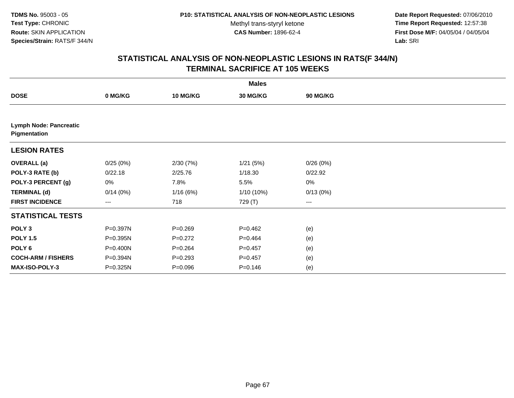**Date Report Requested:** 07/06/2010 **Time Report Requested:** 12:57:38 **First Dose M/F:** 04/05/04 / 04/05/04<br>Lab: SRI **Lab:** SRI

|                                               |          |                 | <b>Males</b> |          |  |
|-----------------------------------------------|----------|-----------------|--------------|----------|--|
| <b>DOSE</b>                                   | 0 MG/KG  | <b>10 MG/KG</b> | 30 MG/KG     | 90 MG/KG |  |
|                                               |          |                 |              |          |  |
| <b>Lymph Node: Pancreatic</b><br>Pigmentation |          |                 |              |          |  |
| <b>LESION RATES</b>                           |          |                 |              |          |  |
| <b>OVERALL</b> (a)                            | 0/25(0%) | 2/30(7%)        | 1/21(5%)     | 0/26(0%) |  |
| POLY-3 RATE (b)                               | 0/22.18  | 2/25.76         | 1/18.30      | 0/22.92  |  |
| POLY-3 PERCENT (g)                            | 0%       | 7.8%            | 5.5%         | 0%       |  |
| <b>TERMINAL (d)</b>                           | 0/14(0%) | 1/16(6%)        | 1/10 (10%)   | 0/13(0%) |  |
| <b>FIRST INCIDENCE</b>                        | ---      | 718             | 729 (T)      | $--$     |  |
| <b>STATISTICAL TESTS</b>                      |          |                 |              |          |  |
| POLY <sub>3</sub>                             | P=0.397N | $P = 0.269$     | $P=0.462$    | (e)      |  |
| <b>POLY 1.5</b>                               | P=0.395N | $P=0.272$       | $P=0.464$    | (e)      |  |
| POLY 6                                        | P=0.400N | $P = 0.264$     | $P = 0.457$  | (e)      |  |
| <b>COCH-ARM / FISHERS</b>                     | P=0.394N | $P = 0.293$     | $P=0.457$    | (e)      |  |
| MAX-ISO-POLY-3                                | P=0.325N | $P = 0.096$     | $P = 0.146$  | (e)      |  |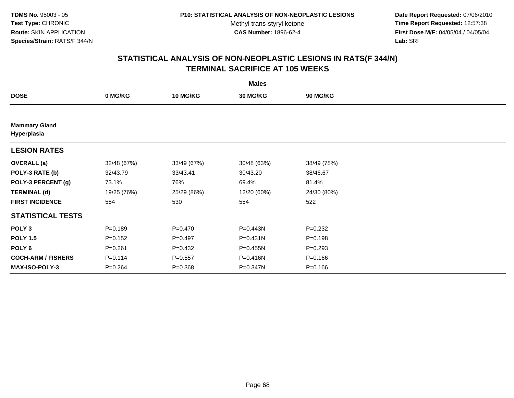**Date Report Requested:** 07/06/2010 **Time Report Requested:** 12:57:38 **First Dose M/F:** 04/05/04 / 04/05/04<br>Lab: SRI **Lab:** SRI

|                                     |             |                 | <b>Males</b>    |             |  |
|-------------------------------------|-------------|-----------------|-----------------|-------------|--|
| <b>DOSE</b>                         | 0 MG/KG     | <b>10 MG/KG</b> | <b>30 MG/KG</b> | 90 MG/KG    |  |
|                                     |             |                 |                 |             |  |
| <b>Mammary Gland</b><br>Hyperplasia |             |                 |                 |             |  |
| <b>LESION RATES</b>                 |             |                 |                 |             |  |
| <b>OVERALL</b> (a)                  | 32/48 (67%) | 33/49 (67%)     | 30/48 (63%)     | 38/49 (78%) |  |
| POLY-3 RATE (b)                     | 32/43.79    | 33/43.41        | 30/43.20        | 38/46.67    |  |
| POLY-3 PERCENT (g)                  | 73.1%       | 76%             | 69.4%           | 81.4%       |  |
| <b>TERMINAL (d)</b>                 | 19/25 (76%) | 25/29 (86%)     | 12/20 (60%)     | 24/30 (80%) |  |
| <b>FIRST INCIDENCE</b>              | 554         | 530             | 554             | 522         |  |
| <b>STATISTICAL TESTS</b>            |             |                 |                 |             |  |
| POLY <sub>3</sub>                   | $P = 0.189$ | $P=0.470$       | P=0.443N        | $P=0.232$   |  |
| <b>POLY 1.5</b>                     | $P = 0.152$ | $P=0.497$       | $P = 0.431N$    | $P = 0.198$ |  |
| POLY <sub>6</sub>                   | $P = 0.261$ | $P=0.432$       | P=0.455N        | $P = 0.293$ |  |
| <b>COCH-ARM / FISHERS</b>           | $P = 0.114$ | $P = 0.557$     | P=0.416N        | $P = 0.166$ |  |
| <b>MAX-ISO-POLY-3</b>               | $P = 0.264$ | $P = 0.368$     | P=0.347N        | $P = 0.166$ |  |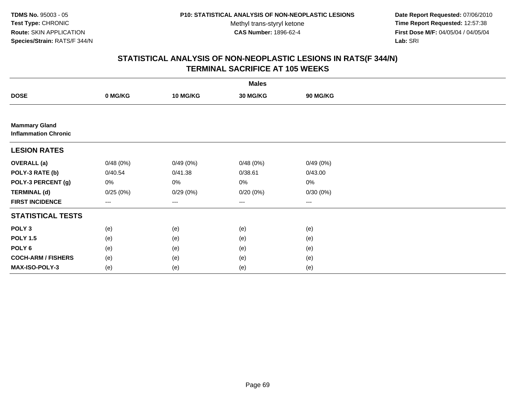**Date Report Requested:** 07/06/2010 **Time Report Requested:** 12:57:38 **First Dose M/F:** 04/05/04 / 04/05/04<br>Lab: SRI **Lab:** SRI

|                                                     |          |                 | <b>Males</b>           |          |  |
|-----------------------------------------------------|----------|-----------------|------------------------|----------|--|
| <b>DOSE</b>                                         | 0 MG/KG  | <b>10 MG/KG</b> | 30 MG/KG               | 90 MG/KG |  |
|                                                     |          |                 |                        |          |  |
| <b>Mammary Gland</b><br><b>Inflammation Chronic</b> |          |                 |                        |          |  |
| <b>LESION RATES</b>                                 |          |                 |                        |          |  |
| <b>OVERALL</b> (a)                                  | 0/48(0%) | 0/49(0%)        | 0/48(0%)               | 0/49(0%) |  |
| POLY-3 RATE (b)                                     | 0/40.54  | 0/41.38         | 0/38.61                | 0/43.00  |  |
| POLY-3 PERCENT (g)                                  | 0%       | 0%              | 0%                     | 0%       |  |
| <b>TERMINAL (d)</b>                                 | 0/25(0%) | 0/29(0%)        | 0/20(0%)               | 0/30(0%) |  |
| <b>FIRST INCIDENCE</b>                              | ---      | $---$           | $\qquad \qquad \cdots$ | $\cdots$ |  |
| <b>STATISTICAL TESTS</b>                            |          |                 |                        |          |  |
| POLY <sub>3</sub>                                   | (e)      | (e)             | (e)                    | (e)      |  |
| <b>POLY 1.5</b>                                     | (e)      | (e)             | (e)                    | (e)      |  |
| POLY <sub>6</sub>                                   | (e)      | (e)             | (e)                    | (e)      |  |
| <b>COCH-ARM / FISHERS</b>                           | (e)      | (e)             | (e)                    | (e)      |  |
| MAX-ISO-POLY-3                                      | (e)      | (e)             | (e)                    | (e)      |  |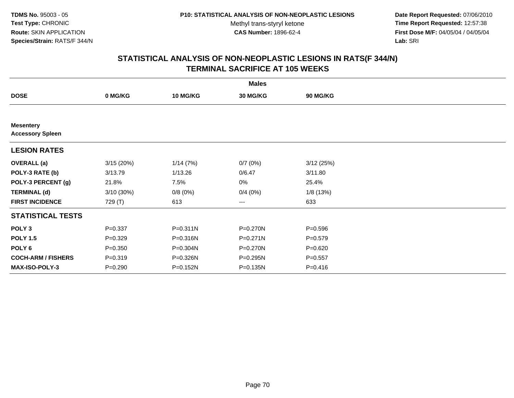**Date Report Requested:** 07/06/2010 **Time Report Requested:** 12:57:38 **First Dose M/F:** 04/05/04 / 04/05/04<br>Lab: SRI **Lab:** SRI

|                                             |              |                 | <b>Males</b> |             |  |
|---------------------------------------------|--------------|-----------------|--------------|-------------|--|
| <b>DOSE</b>                                 | 0 MG/KG      | <b>10 MG/KG</b> | 30 MG/KG     | 90 MG/KG    |  |
|                                             |              |                 |              |             |  |
| <b>Mesentery</b><br><b>Accessory Spleen</b> |              |                 |              |             |  |
| <b>LESION RATES</b>                         |              |                 |              |             |  |
| <b>OVERALL</b> (a)                          | 3/15(20%)    | 1/14(7%)        | 0/7(0%)      | 3/12(25%)   |  |
| POLY-3 RATE (b)                             | 3/13.79      | 1/13.26         | 0/6.47       | 3/11.80     |  |
| POLY-3 PERCENT (g)                          | 21.8%        | 7.5%            | 0%           | 25.4%       |  |
| <b>TERMINAL (d)</b>                         | $3/10(30\%)$ | 0/8(0%)         | 0/4(0%)      | 1/8 (13%)   |  |
| <b>FIRST INCIDENCE</b>                      | 729 (T)      | 613             | ---          | 633         |  |
| <b>STATISTICAL TESTS</b>                    |              |                 |              |             |  |
| POLY <sub>3</sub>                           | $P = 0.337$  | P=0.311N        | P=0.270N     | $P = 0.596$ |  |
| <b>POLY 1.5</b>                             | $P=0.329$    | P=0.316N        | P=0.271N     | $P = 0.579$ |  |
| POLY <sub>6</sub>                           | $P = 0.350$  | P=0.304N        | P=0.270N     | $P = 0.620$ |  |
| <b>COCH-ARM / FISHERS</b>                   | $P = 0.319$  | P=0.326N        | P=0.295N     | $P = 0.557$ |  |
| <b>MAX-ISO-POLY-3</b>                       | $P = 0.290$  | P=0.152N        | P=0.135N     | $P = 0.416$ |  |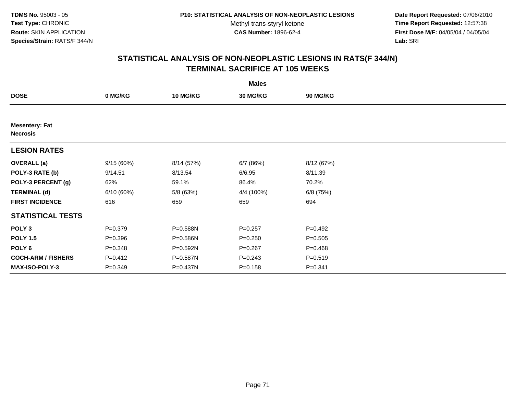**Date Report Requested:** 07/06/2010 **Time Report Requested:** 12:57:38 **First Dose M/F:** 04/05/04 / 04/05/04<br>Lab: SRI **Lab:** SRI

|                                          |             |                 | <b>Males</b>    |             |  |
|------------------------------------------|-------------|-----------------|-----------------|-------------|--|
| <b>DOSE</b>                              | 0 MG/KG     | <b>10 MG/KG</b> | <b>30 MG/KG</b> | 90 MG/KG    |  |
|                                          |             |                 |                 |             |  |
| <b>Mesentery: Fat</b><br><b>Necrosis</b> |             |                 |                 |             |  |
| <b>LESION RATES</b>                      |             |                 |                 |             |  |
| <b>OVERALL</b> (a)                       | 9/15(60%)   | 8/14 (57%)      | 6/7 (86%)       | 8/12 (67%)  |  |
| POLY-3 RATE (b)                          | 9/14.51     | 8/13.54         | 6/6.95          | 8/11.39     |  |
| POLY-3 PERCENT (g)                       | 62%         | 59.1%           | 86.4%           | 70.2%       |  |
| <b>TERMINAL (d)</b>                      | 6/10(60%)   | 5/8 (63%)       | 4/4 (100%)      | 6/8 (75%)   |  |
| <b>FIRST INCIDENCE</b>                   | 616         | 659             | 659             | 694         |  |
| <b>STATISTICAL TESTS</b>                 |             |                 |                 |             |  |
| POLY <sub>3</sub>                        | $P = 0.379$ | P=0.588N        | $P = 0.257$     | $P = 0.492$ |  |
| <b>POLY 1.5</b>                          | $P = 0.396$ | P=0.586N        | $P = 0.250$     | $P = 0.505$ |  |
| POLY <sub>6</sub>                        | $P = 0.348$ | P=0.592N        | $P = 0.267$     | $P = 0.468$ |  |
| <b>COCH-ARM / FISHERS</b>                | $P = 0.412$ | P=0.587N        | $P = 0.243$     | $P = 0.519$ |  |
| <b>MAX-ISO-POLY-3</b>                    | $P = 0.349$ | P=0.437N        | $P = 0.158$     | $P = 0.341$ |  |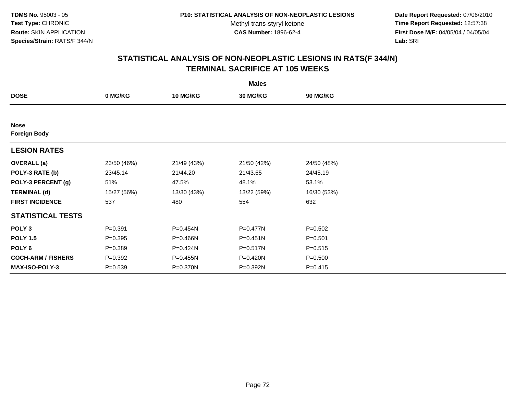**Date Report Requested:** 07/06/2010 **Time Report Requested:** 12:57:38 **First Dose M/F:** 04/05/04 / 04/05/04<br>Lab: SRI **Lab:** SRI

| <b>Males</b>                       |             |                 |              |             |  |  |
|------------------------------------|-------------|-----------------|--------------|-------------|--|--|
| <b>DOSE</b>                        | 0 MG/KG     | <b>10 MG/KG</b> | 30 MG/KG     | 90 MG/KG    |  |  |
|                                    |             |                 |              |             |  |  |
| <b>Nose</b><br><b>Foreign Body</b> |             |                 |              |             |  |  |
| <b>LESION RATES</b>                |             |                 |              |             |  |  |
| <b>OVERALL</b> (a)                 | 23/50 (46%) | 21/49 (43%)     | 21/50 (42%)  | 24/50 (48%) |  |  |
| POLY-3 RATE (b)                    | 23/45.14    | 21/44.20        | 21/43.65     | 24/45.19    |  |  |
| POLY-3 PERCENT (g)                 | 51%         | 47.5%           | 48.1%        | 53.1%       |  |  |
| <b>TERMINAL (d)</b>                | 15/27 (56%) | 13/30 (43%)     | 13/22 (59%)  | 16/30 (53%) |  |  |
| <b>FIRST INCIDENCE</b>             | 537         | 480             | 554          | 632         |  |  |
| <b>STATISTICAL TESTS</b>           |             |                 |              |             |  |  |
| POLY <sub>3</sub>                  | $P = 0.391$ | P=0.454N        | P=0.477N     | $P = 0.502$ |  |  |
| <b>POLY 1.5</b>                    | $P = 0.395$ | P=0.466N        | $P = 0.451N$ | $P = 0.501$ |  |  |
| POLY 6                             | $P = 0.389$ | P=0.424N        | P=0.517N     | $P = 0.515$ |  |  |
| <b>COCH-ARM / FISHERS</b>          | $P = 0.392$ | P=0.455N        | P=0.420N     | $P = 0.500$ |  |  |
| <b>MAX-ISO-POLY-3</b>              | $P = 0.539$ | P=0.370N        | P=0.392N     | $P = 0.415$ |  |  |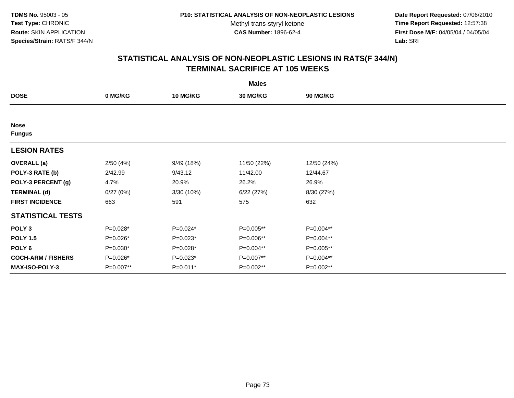**Date Report Requested:** 07/06/2010 **Time Report Requested:** 12:57:38 **First Dose M/F:** 04/05/04 / 04/05/04<br>Lab: SRI **Lab:** SRI

| <b>Males</b>                 |            |                 |             |             |  |  |  |
|------------------------------|------------|-----------------|-------------|-------------|--|--|--|
| <b>DOSE</b>                  | 0 MG/KG    | <b>10 MG/KG</b> | 30 MG/KG    | 90 MG/KG    |  |  |  |
|                              |            |                 |             |             |  |  |  |
| <b>Nose</b><br><b>Fungus</b> |            |                 |             |             |  |  |  |
| <b>LESION RATES</b>          |            |                 |             |             |  |  |  |
| <b>OVERALL</b> (a)           | 2/50(4%)   | 9/49 (18%)      | 11/50 (22%) | 12/50 (24%) |  |  |  |
| POLY-3 RATE (b)              | 2/42.99    | 9/43.12         | 11/42.00    | 12/44.67    |  |  |  |
| POLY-3 PERCENT (g)           | 4.7%       | 20.9%           | 26.2%       | 26.9%       |  |  |  |
| <b>TERMINAL (d)</b>          | 0/27(0%)   | 3/30 (10%)      | 6/22(27%)   | 8/30 (27%)  |  |  |  |
| <b>FIRST INCIDENCE</b>       | 663        | 591             | 575         | 632         |  |  |  |
| <b>STATISTICAL TESTS</b>     |            |                 |             |             |  |  |  |
| POLY <sub>3</sub>            | P=0.028*   | P=0.024*        | P=0.005**   | P=0.004**   |  |  |  |
| <b>POLY 1.5</b>              | P=0.026*   | $P=0.023*$      | P=0.006**   | P=0.004**   |  |  |  |
| POLY <sub>6</sub>            | $P=0.030*$ | P=0.028*        | P=0.004**   | P=0.005**   |  |  |  |
| <b>COCH-ARM / FISHERS</b>    | P=0.026*   | $P=0.023*$      | P=0.007**   | P=0.004**   |  |  |  |
| <b>MAX-ISO-POLY-3</b>        | P=0.007**  | P=0.011*        | P=0.002**   | P=0.002**   |  |  |  |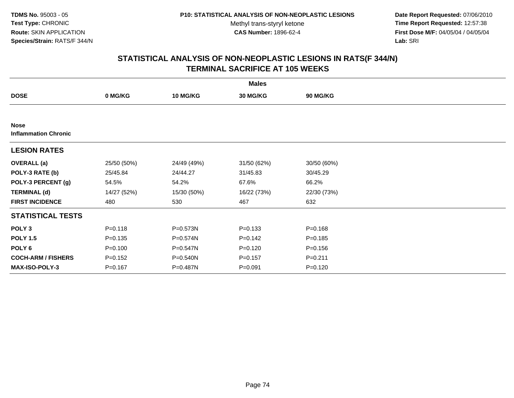**Date Report Requested:** 07/06/2010 **Time Report Requested:** 12:57:38 **First Dose M/F:** 04/05/04 / 04/05/04<br>Lab: SRI **Lab:** SRI

| <b>Males</b>                               |             |                 |             |                 |  |  |  |
|--------------------------------------------|-------------|-----------------|-------------|-----------------|--|--|--|
| <b>DOSE</b>                                | 0 MG/KG     | <b>10 MG/KG</b> | 30 MG/KG    | <b>90 MG/KG</b> |  |  |  |
|                                            |             |                 |             |                 |  |  |  |
| <b>Nose</b><br><b>Inflammation Chronic</b> |             |                 |             |                 |  |  |  |
| <b>LESION RATES</b>                        |             |                 |             |                 |  |  |  |
| <b>OVERALL</b> (a)                         | 25/50 (50%) | 24/49 (49%)     | 31/50 (62%) | 30/50 (60%)     |  |  |  |
| POLY-3 RATE (b)                            | 25/45.84    | 24/44.27        | 31/45.83    | 30/45.29        |  |  |  |
| POLY-3 PERCENT (g)                         | 54.5%       | 54.2%           | 67.6%       | 66.2%           |  |  |  |
| <b>TERMINAL (d)</b>                        | 14/27 (52%) | 15/30 (50%)     | 16/22 (73%) | 22/30 (73%)     |  |  |  |
| <b>FIRST INCIDENCE</b>                     | 480         | 530             | 467         | 632             |  |  |  |
| <b>STATISTICAL TESTS</b>                   |             |                 |             |                 |  |  |  |
| POLY <sub>3</sub>                          | $P = 0.118$ | P=0.573N        | $P = 0.133$ | $P = 0.168$     |  |  |  |
| <b>POLY 1.5</b>                            | $P = 0.135$ | $P = 0.574N$    | $P = 0.142$ | $P = 0.185$     |  |  |  |
| POLY <sub>6</sub>                          | $P = 0.100$ | P=0.547N        | $P = 0.120$ | $P = 0.156$     |  |  |  |
| <b>COCH-ARM / FISHERS</b>                  | $P = 0.152$ | P=0.540N        | $P = 0.157$ | $P = 0.211$     |  |  |  |
| <b>MAX-ISO-POLY-3</b>                      | $P = 0.167$ | P=0.487N        | $P = 0.091$ | $P = 0.120$     |  |  |  |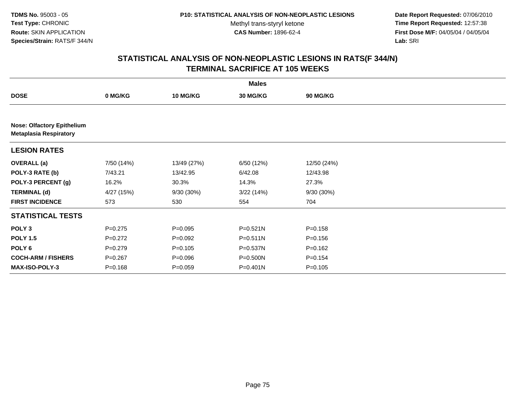**Date Report Requested:** 07/06/2010 **Time Report Requested:** 12:57:38 **First Dose M/F:** 04/05/04 / 04/05/04<br>Lab: SRI **Lab:** SRI

|                                                                    |             |                 | <b>Males</b> |                 |  |  |  |  |
|--------------------------------------------------------------------|-------------|-----------------|--------------|-----------------|--|--|--|--|
| <b>DOSE</b>                                                        | 0 MG/KG     | <b>10 MG/KG</b> | 30 MG/KG     | <b>90 MG/KG</b> |  |  |  |  |
|                                                                    |             |                 |              |                 |  |  |  |  |
| <b>Nose: Olfactory Epithelium</b><br><b>Metaplasia Respiratory</b> |             |                 |              |                 |  |  |  |  |
| <b>LESION RATES</b>                                                |             |                 |              |                 |  |  |  |  |
| <b>OVERALL</b> (a)                                                 | 7/50 (14%)  | 13/49 (27%)     | 6/50 (12%)   | 12/50 (24%)     |  |  |  |  |
| POLY-3 RATE (b)                                                    | 7/43.21     | 13/42.95        | 6/42.08      | 12/43.98        |  |  |  |  |
| POLY-3 PERCENT (g)                                                 | 16.2%       | 30.3%           | 14.3%        | 27.3%           |  |  |  |  |
| <b>TERMINAL (d)</b>                                                | 4/27 (15%)  | 9/30 (30%)      | 3/22(14%)    | 9/30 (30%)      |  |  |  |  |
| <b>FIRST INCIDENCE</b>                                             | 573         | 530             | 554          | 704             |  |  |  |  |
| <b>STATISTICAL TESTS</b>                                           |             |                 |              |                 |  |  |  |  |
| POLY <sub>3</sub>                                                  | $P=0.275$   | $P = 0.095$     | $P = 0.521N$ | $P = 0.158$     |  |  |  |  |
| <b>POLY 1.5</b>                                                    | $P=0.272$   | $P=0.092$       | $P = 0.511N$ | $P = 0.156$     |  |  |  |  |
| POLY <sub>6</sub>                                                  | $P = 0.279$ | $P = 0.105$     | P=0.537N     | $P = 0.162$     |  |  |  |  |
| <b>COCH-ARM / FISHERS</b>                                          | $P = 0.267$ | $P = 0.096$     | P=0.500N     | $P = 0.154$     |  |  |  |  |
| <b>MAX-ISO-POLY-3</b>                                              | $P = 0.168$ | $P = 0.059$     | $P = 0.401N$ | $P = 0.105$     |  |  |  |  |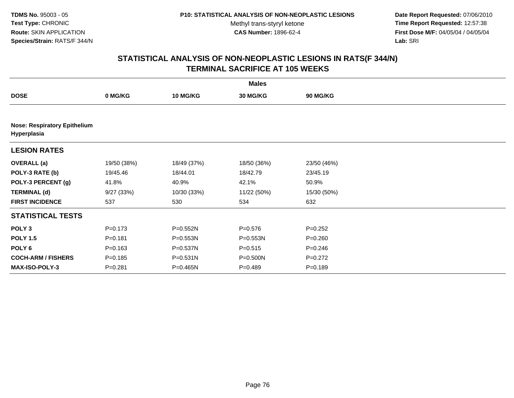**Date Report Requested:** 07/06/2010 **Time Report Requested:** 12:57:38 **First Dose M/F:** 04/05/04 / 04/05/04<br>Lab: SRI **Lab:** SRI

|                           | <b>Males</b>                        |                 |                 |                 |  |  |  |  |
|---------------------------|-------------------------------------|-----------------|-----------------|-----------------|--|--|--|--|
| <b>DOSE</b>               | 0 MG/KG                             | <b>10 MG/KG</b> | <b>30 MG/KG</b> | <b>90 MG/KG</b> |  |  |  |  |
|                           |                                     |                 |                 |                 |  |  |  |  |
| Hyperplasia               | <b>Nose: Respiratory Epithelium</b> |                 |                 |                 |  |  |  |  |
| <b>LESION RATES</b>       |                                     |                 |                 |                 |  |  |  |  |
| <b>OVERALL</b> (a)        | 19/50 (38%)                         | 18/49 (37%)     | 18/50 (36%)     | 23/50 (46%)     |  |  |  |  |
| POLY-3 RATE (b)           | 19/45.46                            | 18/44.01        | 18/42.79        | 23/45.19        |  |  |  |  |
| POLY-3 PERCENT (g)        | 41.8%                               | 40.9%           | 42.1%           | 50.9%           |  |  |  |  |
| <b>TERMINAL (d)</b>       | 9/27(33%)                           | 10/30 (33%)     | 11/22 (50%)     | 15/30 (50%)     |  |  |  |  |
| <b>FIRST INCIDENCE</b>    | 537                                 | 530             | 534             | 632             |  |  |  |  |
| <b>STATISTICAL TESTS</b>  |                                     |                 |                 |                 |  |  |  |  |
| POLY <sub>3</sub>         | $P = 0.173$                         | P=0.552N        | $P = 0.576$     | $P=0.252$       |  |  |  |  |
| <b>POLY 1.5</b>           | $P = 0.181$                         | $P = 0.553N$    | $P = 0.553N$    | $P = 0.260$     |  |  |  |  |
| POLY 6                    | $P = 0.163$                         | P=0.537N        | $P = 0.515$     | $P = 0.246$     |  |  |  |  |
| <b>COCH-ARM / FISHERS</b> | $P = 0.185$                         | P=0.531N        | $P = 0.500N$    | $P=0.272$       |  |  |  |  |
| <b>MAX-ISO-POLY-3</b>     | $P = 0.281$                         | P=0.465N        | $P = 0.489$     | $P = 0.189$     |  |  |  |  |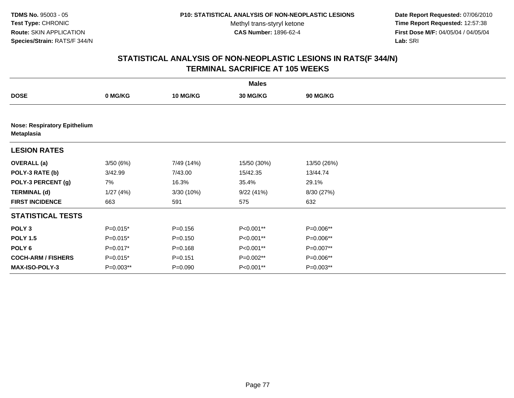**Date Report Requested:** 07/06/2010 **Time Report Requested:** 12:57:38 **First Dose M/F:** 04/05/04 / 04/05/04<br>Lab: SRI **Lab:** SRI

|                           | <b>Males</b>                        |                 |             |                 |  |  |  |  |  |
|---------------------------|-------------------------------------|-----------------|-------------|-----------------|--|--|--|--|--|
| <b>DOSE</b>               | 0 MG/KG                             | <b>10 MG/KG</b> | 30 MG/KG    | <b>90 MG/KG</b> |  |  |  |  |  |
|                           |                                     |                 |             |                 |  |  |  |  |  |
| <b>Metaplasia</b>         | <b>Nose: Respiratory Epithelium</b> |                 |             |                 |  |  |  |  |  |
| <b>LESION RATES</b>       |                                     |                 |             |                 |  |  |  |  |  |
| <b>OVERALL</b> (a)        | 3/50(6%)                            | 7/49 (14%)      | 15/50 (30%) | 13/50 (26%)     |  |  |  |  |  |
| POLY-3 RATE (b)           | 3/42.99                             | 7/43.00         | 15/42.35    | 13/44.74        |  |  |  |  |  |
| POLY-3 PERCENT (g)        | 7%                                  | 16.3%           | 35.4%       | 29.1%           |  |  |  |  |  |
| <b>TERMINAL (d)</b>       | 1/27(4%)                            | 3/30 (10%)      | 9/22(41%)   | 8/30 (27%)      |  |  |  |  |  |
| <b>FIRST INCIDENCE</b>    | 663                                 | 591             | 575         | 632             |  |  |  |  |  |
| <b>STATISTICAL TESTS</b>  |                                     |                 |             |                 |  |  |  |  |  |
| POLY <sub>3</sub>         | $P=0.015*$                          | $P = 0.156$     | P<0.001**   | P=0.006**       |  |  |  |  |  |
| <b>POLY 1.5</b>           | $P=0.015*$                          | $P = 0.150$     | P<0.001**   | P=0.006**       |  |  |  |  |  |
| POLY 6                    | $P=0.017*$                          | $P = 0.168$     | P<0.001**   | P=0.007**       |  |  |  |  |  |
| <b>COCH-ARM / FISHERS</b> | $P=0.015*$                          | $P = 0.151$     | P=0.002**   | P=0.006**       |  |  |  |  |  |
| MAX-ISO-POLY-3            | P=0.003**                           | $P = 0.090$     | P<0.001**   | P=0.003**       |  |  |  |  |  |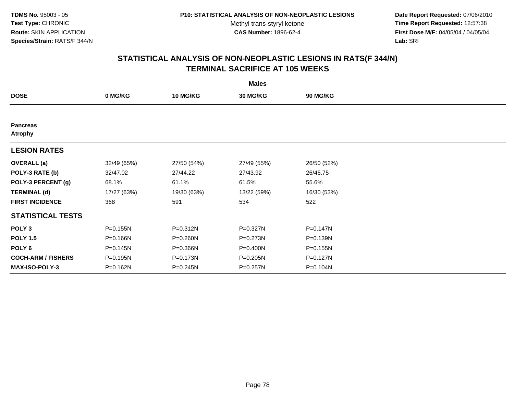**Date Report Requested:** 07/06/2010 **Time Report Requested:** 12:57:38 **First Dose M/F:** 04/05/04 / 04/05/04<br>Lab: SRI **Lab:** SRI

| <b>Males</b>                      |             |                 |                 |                 |  |  |  |
|-----------------------------------|-------------|-----------------|-----------------|-----------------|--|--|--|
| <b>DOSE</b>                       | 0 MG/KG     | <b>10 MG/KG</b> | <b>30 MG/KG</b> | <b>90 MG/KG</b> |  |  |  |
|                                   |             |                 |                 |                 |  |  |  |
| <b>Pancreas</b><br><b>Atrophy</b> |             |                 |                 |                 |  |  |  |
| <b>LESION RATES</b>               |             |                 |                 |                 |  |  |  |
| <b>OVERALL</b> (a)                | 32/49 (65%) | 27/50 (54%)     | 27/49 (55%)     | 26/50 (52%)     |  |  |  |
| POLY-3 RATE (b)                   | 32/47.02    | 27/44.22        | 27/43.92        | 26/46.75        |  |  |  |
| POLY-3 PERCENT (g)                | 68.1%       | 61.1%           | 61.5%           | 55.6%           |  |  |  |
| <b>TERMINAL (d)</b>               | 17/27 (63%) | 19/30 (63%)     | 13/22 (59%)     | 16/30 (53%)     |  |  |  |
| <b>FIRST INCIDENCE</b>            | 368         | 591             | 534             | 522             |  |  |  |
| <b>STATISTICAL TESTS</b>          |             |                 |                 |                 |  |  |  |
| POLY <sub>3</sub>                 | P=0.155N    | P=0.312N        | P=0.327N        | $P = 0.147N$    |  |  |  |
| <b>POLY 1.5</b>                   | P=0.166N    | P=0.260N        | P=0.273N        | P=0.139N        |  |  |  |
| POLY <sub>6</sub>                 | P=0.145N    | P=0.366N        | P=0.400N        | P=0.155N        |  |  |  |
| <b>COCH-ARM / FISHERS</b>         | P=0.195N    | P=0.173N        | P=0.205N        | P=0.127N        |  |  |  |
| <b>MAX-ISO-POLY-3</b>             | P=0.162N    | P=0.245N        | P=0.257N        | P=0.104N        |  |  |  |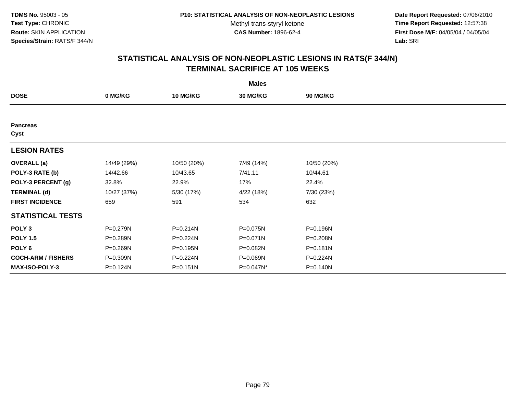**Date Report Requested:** 07/06/2010 **Time Report Requested:** 12:57:38 **First Dose M/F:** 04/05/04 / 04/05/04<br>Lab: SRI **Lab:** SRI

|                           |              |                 | <b>Males</b> |                 |  |
|---------------------------|--------------|-----------------|--------------|-----------------|--|
| <b>DOSE</b>               | 0 MG/KG      | <b>10 MG/KG</b> | 30 MG/KG     | <b>90 MG/KG</b> |  |
|                           |              |                 |              |                 |  |
| <b>Pancreas</b><br>Cyst   |              |                 |              |                 |  |
| <b>LESION RATES</b>       |              |                 |              |                 |  |
| <b>OVERALL</b> (a)        | 14/49 (29%)  | 10/50 (20%)     | 7/49 (14%)   | 10/50 (20%)     |  |
| POLY-3 RATE (b)           | 14/42.66     | 10/43.65        | 7/41.11      | 10/44.61        |  |
| POLY-3 PERCENT (g)        | 32.8%        | 22.9%           | 17%          | 22.4%           |  |
| <b>TERMINAL (d)</b>       | 10/27 (37%)  | 5/30 (17%)      | 4/22 (18%)   | 7/30 (23%)      |  |
| <b>FIRST INCIDENCE</b>    | 659          | 591             | 534          | 632             |  |
| <b>STATISTICAL TESTS</b>  |              |                 |              |                 |  |
| POLY <sub>3</sub>         | $P = 0.279N$ | $P = 0.214N$    | P=0.075N     | P=0.196N        |  |
| <b>POLY 1.5</b>           | P=0.289N     | P=0.224N        | $P = 0.071N$ | P=0.208N        |  |
| POLY <sub>6</sub>         | P=0.269N     | P=0.195N        | P=0.082N     | P=0.181N        |  |
| <b>COCH-ARM / FISHERS</b> | P=0.309N     | P=0.224N        | P=0.069N     | P=0.224N        |  |
| <b>MAX-ISO-POLY-3</b>     | P=0.124N     | $P = 0.151N$    | P=0.047N*    | P=0.140N        |  |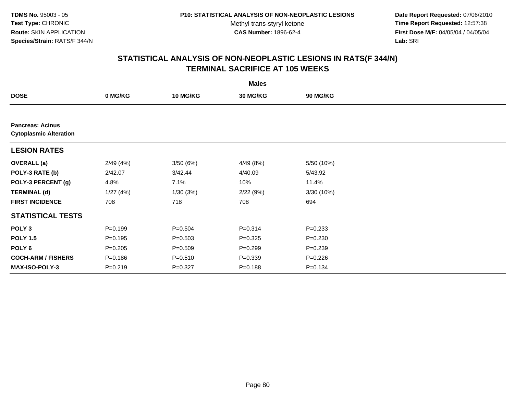**Date Report Requested:** 07/06/2010 **Time Report Requested:** 12:57:38 **First Dose M/F:** 04/05/04 / 04/05/04<br>Lab: SRI **Lab:** SRI

|                                                          |             |                 | <b>Males</b> |                 |  |
|----------------------------------------------------------|-------------|-----------------|--------------|-----------------|--|
| <b>DOSE</b>                                              | 0 MG/KG     | <b>10 MG/KG</b> | 30 MG/KG     | <b>90 MG/KG</b> |  |
|                                                          |             |                 |              |                 |  |
| <b>Pancreas: Acinus</b><br><b>Cytoplasmic Alteration</b> |             |                 |              |                 |  |
| <b>LESION RATES</b>                                      |             |                 |              |                 |  |
| <b>OVERALL</b> (a)                                       | 2/49(4%)    | 3/50(6%)        | 4/49(8%)     | 5/50 (10%)      |  |
| POLY-3 RATE (b)                                          | 2/42.07     | 3/42.44         | 4/40.09      | 5/43.92         |  |
| POLY-3 PERCENT (g)                                       | 4.8%        | 7.1%            | 10%          | 11.4%           |  |
| <b>TERMINAL (d)</b>                                      | 1/27(4%)    | 1/30(3%)        | 2/22(9%)     | 3/30(10%)       |  |
| <b>FIRST INCIDENCE</b>                                   | 708         | 718             | 708          | 694             |  |
| <b>STATISTICAL TESTS</b>                                 |             |                 |              |                 |  |
| POLY <sub>3</sub>                                        | $P = 0.199$ | $P = 0.504$     | $P = 0.314$  | $P = 0.233$     |  |
| <b>POLY 1.5</b>                                          | $P = 0.195$ | $P = 0.503$     | $P=0.325$    | $P = 0.230$     |  |
| POLY 6                                                   | $P = 0.205$ | $P = 0.509$     | $P = 0.299$  | $P = 0.239$     |  |
| <b>COCH-ARM / FISHERS</b>                                | $P = 0.186$ | $P = 0.510$     | $P = 0.339$  | $P = 0.226$     |  |
| <b>MAX-ISO-POLY-3</b>                                    | $P = 0.219$ | $P=0.327$       | $P = 0.188$  | $P = 0.134$     |  |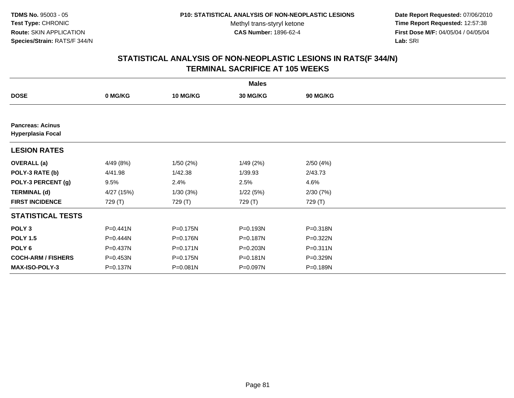**Date Report Requested:** 07/06/2010 **Time Report Requested:** 12:57:38 **First Dose M/F:** 04/05/04 / 04/05/04<br>Lab: SRI **Lab:** SRI

|                                                     |            |                 | <b>Males</b> |              |  |
|-----------------------------------------------------|------------|-----------------|--------------|--------------|--|
| <b>DOSE</b>                                         | 0 MG/KG    | <b>10 MG/KG</b> | 30 MG/KG     | 90 MG/KG     |  |
|                                                     |            |                 |              |              |  |
| <b>Pancreas: Acinus</b><br><b>Hyperplasia Focal</b> |            |                 |              |              |  |
| <b>LESION RATES</b>                                 |            |                 |              |              |  |
| <b>OVERALL</b> (a)                                  | 4/49 (8%)  | 1/50(2%)        | 1/49(2%)     | 2/50(4%)     |  |
| POLY-3 RATE (b)                                     | 4/41.98    | 1/42.38         | 1/39.93      | 2/43.73      |  |
| POLY-3 PERCENT (g)                                  | 9.5%       | 2.4%            | 2.5%         | 4.6%         |  |
| <b>TERMINAL (d)</b>                                 | 4/27 (15%) | 1/30(3%)        | 1/22(5%)     | 2/30(7%)     |  |
| <b>FIRST INCIDENCE</b>                              | 729 (T)    | 729 (T)         | 729 (T)      | 729 (T)      |  |
| <b>STATISTICAL TESTS</b>                            |            |                 |              |              |  |
| POLY <sub>3</sub>                                   | P=0.441N   | P=0.175N        | P=0.193N     | P=0.318N     |  |
| <b>POLY 1.5</b>                                     | P=0.444N   | P=0.176N        | P=0.187N     | P=0.322N     |  |
| POLY 6                                              | P=0.437N   | $P = 0.171N$    | P=0.203N     | $P = 0.311N$ |  |
| <b>COCH-ARM / FISHERS</b>                           | P=0.453N   | P=0.175N        | P=0.181N     | P=0.329N     |  |
| <b>MAX-ISO-POLY-3</b>                               | P=0.137N   | P=0.081N        | P=0.097N     | P=0.189N     |  |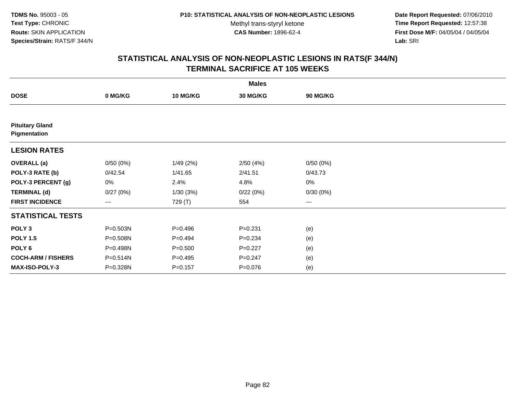**Date Report Requested:** 07/06/2010 **Time Report Requested:** 12:57:38 **First Dose M/F:** 04/05/04 / 04/05/04<br>Lab: SRI **Lab:** SRI

|                                        |                        |                 | <b>Males</b> |                        |  |
|----------------------------------------|------------------------|-----------------|--------------|------------------------|--|
| <b>DOSE</b>                            | 0 MG/KG                | <b>10 MG/KG</b> | 30 MG/KG     | 90 MG/KG               |  |
|                                        |                        |                 |              |                        |  |
| <b>Pituitary Gland</b><br>Pigmentation |                        |                 |              |                        |  |
| <b>LESION RATES</b>                    |                        |                 |              |                        |  |
| <b>OVERALL</b> (a)                     | 0/50(0%)               | 1/49(2%)        | 2/50(4%)     | 0/50(0%)               |  |
| POLY-3 RATE (b)                        | 0/42.54                | 1/41.65         | 2/41.51      | 0/43.73                |  |
| POLY-3 PERCENT (g)                     | 0%                     | 2.4%            | 4.8%         | 0%                     |  |
| <b>TERMINAL (d)</b>                    | 0/27(0%)               | 1/30(3%)        | 0/22(0%)     | 0/30(0%)               |  |
| <b>FIRST INCIDENCE</b>                 | $\qquad \qquad \cdots$ | 729 (T)         | 554          | $\qquad \qquad \cdots$ |  |
| <b>STATISTICAL TESTS</b>               |                        |                 |              |                        |  |
| POLY <sub>3</sub>                      | P=0.503N               | $P=0.496$       | $P = 0.231$  | (e)                    |  |
| <b>POLY 1.5</b>                        | P=0.508N               | $P=0.494$       | $P = 0.234$  | (e)                    |  |
| POLY <sub>6</sub>                      | P=0.498N               | $P = 0.500$     | $P=0.227$    | (e)                    |  |
| <b>COCH-ARM / FISHERS</b>              | P=0.514N               | $P=0.495$       | $P = 0.247$  | (e)                    |  |
| MAX-ISO-POLY-3                         | P=0.328N               | $P = 0.157$     | P=0.076      | (e)                    |  |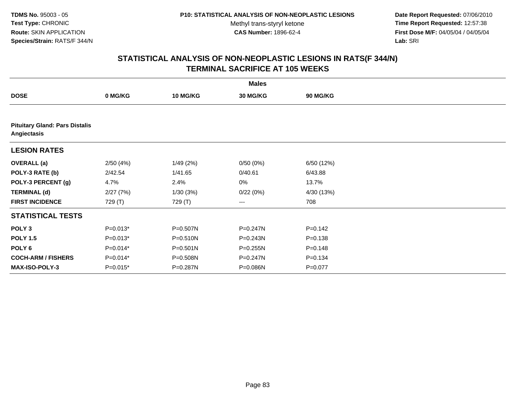**Date Report Requested:** 07/06/2010 **Time Report Requested:** 12:57:38 **First Dose M/F:** 04/05/04 / 04/05/04<br>Lab: SRI **Lab:** SRI

|                           | <b>Males</b>                          |                 |              |             |  |  |  |  |  |
|---------------------------|---------------------------------------|-----------------|--------------|-------------|--|--|--|--|--|
| <b>DOSE</b>               | 0 MG/KG                               | <b>10 MG/KG</b> | 30 MG/KG     | 90 MG/KG    |  |  |  |  |  |
|                           |                                       |                 |              |             |  |  |  |  |  |
| Angiectasis               | <b>Pituitary Gland: Pars Distalis</b> |                 |              |             |  |  |  |  |  |
| <b>LESION RATES</b>       |                                       |                 |              |             |  |  |  |  |  |
| <b>OVERALL</b> (a)        | 2/50(4%)                              | 1/49(2%)        | 0/50(0%)     | 6/50 (12%)  |  |  |  |  |  |
| POLY-3 RATE (b)           | 2/42.54                               | 1/41.65         | 0/40.61      | 6/43.88     |  |  |  |  |  |
| POLY-3 PERCENT (g)        | 4.7%                                  | 2.4%            | 0%           | 13.7%       |  |  |  |  |  |
| <b>TERMINAL (d)</b>       | 2/27(7%)                              | 1/30(3%)        | 0/22(0%)     | 4/30 (13%)  |  |  |  |  |  |
| <b>FIRST INCIDENCE</b>    | 729 (T)                               | 729 (T)         | ---          | 708         |  |  |  |  |  |
| <b>STATISTICAL TESTS</b>  |                                       |                 |              |             |  |  |  |  |  |
| POLY <sub>3</sub>         | $P=0.013*$                            | P=0.507N        | $P = 0.247N$ | $P=0.142$   |  |  |  |  |  |
| <b>POLY 1.5</b>           | $P=0.013*$                            | P=0.510N        | $P = 0.243N$ | $P = 0.138$ |  |  |  |  |  |
| POLY 6                    | $P=0.014*$                            | $P = 0.501N$    | P=0.255N     | $P = 0.148$ |  |  |  |  |  |
| <b>COCH-ARM / FISHERS</b> | $P=0.014*$                            | P=0.508N        | P=0.247N     | $P = 0.134$ |  |  |  |  |  |
| <b>MAX-ISO-POLY-3</b>     | $P=0.015*$                            | P=0.287N        | P=0.086N     | $P=0.077$   |  |  |  |  |  |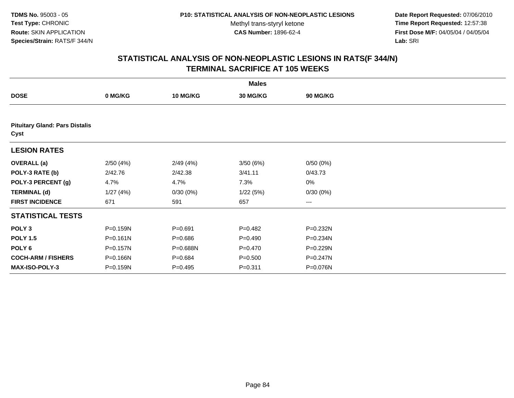**Date Report Requested:** 07/06/2010 **Time Report Requested:** 12:57:38 **First Dose M/F:** 04/05/04 / 04/05/04<br>Lab: SRI **Lab:** SRI

|                                               |              |                 | <b>Males</b>    |                 |  |  |  |  |
|-----------------------------------------------|--------------|-----------------|-----------------|-----------------|--|--|--|--|
| <b>DOSE</b>                                   | 0 MG/KG      | <b>10 MG/KG</b> | <b>30 MG/KG</b> | <b>90 MG/KG</b> |  |  |  |  |
|                                               |              |                 |                 |                 |  |  |  |  |
| <b>Pituitary Gland: Pars Distalis</b><br>Cyst |              |                 |                 |                 |  |  |  |  |
| <b>LESION RATES</b>                           |              |                 |                 |                 |  |  |  |  |
| <b>OVERALL</b> (a)                            | 2/50(4%)     | 2/49(4%)        | 3/50(6%)        | 0/50(0%)        |  |  |  |  |
| POLY-3 RATE (b)                               | 2/42.76      | 2/42.38         | 3/41.11         | 0/43.73         |  |  |  |  |
| POLY-3 PERCENT (g)                            | 4.7%         | 4.7%            | 7.3%            | 0%              |  |  |  |  |
| <b>TERMINAL (d)</b>                           | 1/27(4%)     | 0/30(0%)        | 1/22(5%)        | 0/30(0%)        |  |  |  |  |
| <b>FIRST INCIDENCE</b>                        | 671          | 591             | 657             | $--$            |  |  |  |  |
| <b>STATISTICAL TESTS</b>                      |              |                 |                 |                 |  |  |  |  |
| POLY <sub>3</sub>                             | P=0.159N     | $P = 0.691$     | $P=0.482$       | P=0.232N        |  |  |  |  |
| <b>POLY 1.5</b>                               | $P = 0.161N$ | $P = 0.686$     | $P=0.490$       | P=0.234N        |  |  |  |  |
| POLY <sub>6</sub>                             | P=0.157N     | P=0.688N        | $P = 0.470$     | P=0.229N        |  |  |  |  |
| <b>COCH-ARM / FISHERS</b>                     | P=0.166N     | $P = 0.684$     | $P = 0.500$     | P=0.247N        |  |  |  |  |
| MAX-ISO-POLY-3                                | P=0.159N     | $P = 0.495$     | $P = 0.311$     | P=0.076N        |  |  |  |  |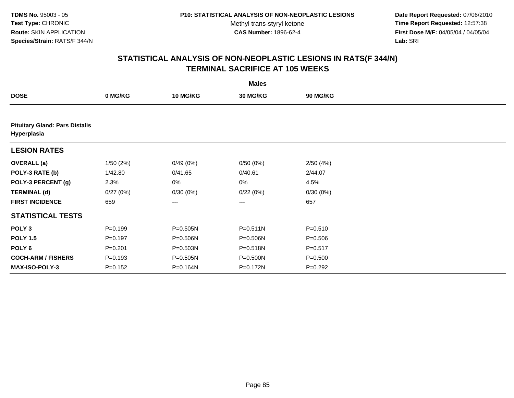**Date Report Requested:** 07/06/2010 **Time Report Requested:** 12:57:38 **First Dose M/F:** 04/05/04 / 04/05/04<br>Lab: SRI **Lab:** SRI

| <b>Males</b>                                         |             |                 |                   |                 |  |  |  |
|------------------------------------------------------|-------------|-----------------|-------------------|-----------------|--|--|--|
| <b>DOSE</b>                                          | 0 MG/KG     | <b>10 MG/KG</b> | 30 MG/KG          | <b>90 MG/KG</b> |  |  |  |
|                                                      |             |                 |                   |                 |  |  |  |
| <b>Pituitary Gland: Pars Distalis</b><br>Hyperplasia |             |                 |                   |                 |  |  |  |
| <b>LESION RATES</b>                                  |             |                 |                   |                 |  |  |  |
| <b>OVERALL</b> (a)                                   | 1/50(2%)    | 0/49(0%)        | 0/50(0%)          | 2/50(4%)        |  |  |  |
| POLY-3 RATE (b)                                      | 1/42.80     | 0/41.65         | 0/40.61           | 2/44.07         |  |  |  |
| POLY-3 PERCENT (g)                                   | 2.3%        | 0%              | 0%                | 4.5%            |  |  |  |
| <b>TERMINAL (d)</b>                                  | 0/27(0%)    | 0/30(0%)        | 0/22(0%)          | 0/30(0%)        |  |  |  |
| <b>FIRST INCIDENCE</b>                               | 659         | ---             | $\qquad \qquad -$ | 657             |  |  |  |
| <b>STATISTICAL TESTS</b>                             |             |                 |                   |                 |  |  |  |
| POLY <sub>3</sub>                                    | $P = 0.199$ | P=0.505N        | $P = 0.511N$      | $P = 0.510$     |  |  |  |
| <b>POLY 1.5</b>                                      | $P = 0.197$ | P=0.506N        | P=0.506N          | $P = 0.506$     |  |  |  |
| POLY <sub>6</sub>                                    | $P = 0.201$ | P=0.503N        | P=0.518N          | $P = 0.517$     |  |  |  |
| <b>COCH-ARM / FISHERS</b>                            | $P = 0.193$ | P=0.505N        | P=0.500N          | $P = 0.500$     |  |  |  |
| MAX-ISO-POLY-3                                       | $P = 0.152$ | P=0.164N        | P=0.172N          | $P=0.292$       |  |  |  |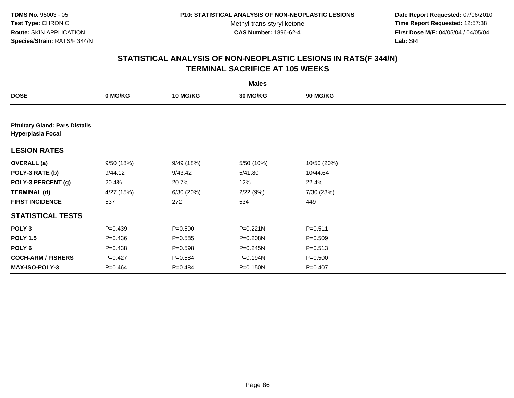**Date Report Requested:** 07/06/2010 **Time Report Requested:** 12:57:38 **First Dose M/F:** 04/05/04 / 04/05/04<br>Lab: SRI **Lab:** SRI

|                                                                   |             |                 | <b>Males</b> |                 |  |
|-------------------------------------------------------------------|-------------|-----------------|--------------|-----------------|--|
| <b>DOSE</b>                                                       | 0 MG/KG     | <b>10 MG/KG</b> | 30 MG/KG     | <b>90 MG/KG</b> |  |
|                                                                   |             |                 |              |                 |  |
| <b>Pituitary Gland: Pars Distalis</b><br><b>Hyperplasia Focal</b> |             |                 |              |                 |  |
| <b>LESION RATES</b>                                               |             |                 |              |                 |  |
| <b>OVERALL</b> (a)                                                | 9/50 (18%)  | 9/49 (18%)      | 5/50 (10%)   | 10/50 (20%)     |  |
| POLY-3 RATE (b)                                                   | 9/44.12     | 9/43.42         | 5/41.80      | 10/44.64        |  |
| POLY-3 PERCENT (g)                                                | 20.4%       | 20.7%           | 12%          | 22.4%           |  |
| <b>TERMINAL (d)</b>                                               | 4/27 (15%)  | 6/30 (20%)      | 2/22(9%)     | 7/30 (23%)      |  |
| <b>FIRST INCIDENCE</b>                                            | 537         | 272             | 534          | 449             |  |
| <b>STATISTICAL TESTS</b>                                          |             |                 |              |                 |  |
| POLY <sub>3</sub>                                                 | $P=0.439$   | $P = 0.590$     | $P = 0.221N$ | $P = 0.511$     |  |
| <b>POLY 1.5</b>                                                   | $P = 0.436$ | $P = 0.585$     | P=0.208N     | $P = 0.509$     |  |
| POLY 6                                                            | $P = 0.438$ | $P = 0.598$     | P=0.245N     | $P = 0.513$     |  |
| <b>COCH-ARM / FISHERS</b>                                         | $P=0.427$   | $P = 0.584$     | P=0.194N     | $P = 0.500$     |  |
| <b>MAX-ISO-POLY-3</b>                                             | $P=0.464$   | $P=0.484$       | P=0.150N     | $P = 0.407$     |  |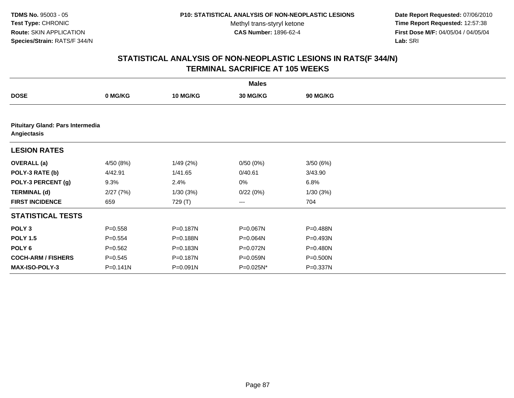**Date Report Requested:** 07/06/2010 **Time Report Requested:** 12:57:38 **First Dose M/F:** 04/05/04 / 04/05/04<br>Lab: SRI **Lab:** SRI

|                           |                                  |                 | <b>Males</b> |                 |  |  |  |  |  |
|---------------------------|----------------------------------|-----------------|--------------|-----------------|--|--|--|--|--|
| <b>DOSE</b>               | 0 MG/KG                          | <b>10 MG/KG</b> | 30 MG/KG     | <b>90 MG/KG</b> |  |  |  |  |  |
|                           |                                  |                 |              |                 |  |  |  |  |  |
| Angiectasis               | Pituitary Gland: Pars Intermedia |                 |              |                 |  |  |  |  |  |
| <b>LESION RATES</b>       |                                  |                 |              |                 |  |  |  |  |  |
| <b>OVERALL</b> (a)        | 4/50 (8%)                        | 1/49(2%)        | 0/50(0%)     | 3/50(6%)        |  |  |  |  |  |
| POLY-3 RATE (b)           | 4/42.91                          | 1/41.65         | 0/40.61      | 3/43.90         |  |  |  |  |  |
| POLY-3 PERCENT (g)        | 9.3%                             | 2.4%            | 0%           | 6.8%            |  |  |  |  |  |
| <b>TERMINAL (d)</b>       | 2/27(7%)                         | 1/30(3%)        | 0/22(0%)     | 1/30(3%)        |  |  |  |  |  |
| <b>FIRST INCIDENCE</b>    | 659                              | 729 (T)         | $\cdots$     | 704             |  |  |  |  |  |
| <b>STATISTICAL TESTS</b>  |                                  |                 |              |                 |  |  |  |  |  |
| POLY <sub>3</sub>         | $P = 0.558$                      | P=0.187N        | P=0.067N     | P=0.488N        |  |  |  |  |  |
| <b>POLY 1.5</b>           | $P = 0.554$                      | P=0.188N        | P=0.064N     | P=0.493N        |  |  |  |  |  |
| POLY <sub>6</sub>         | $P=0.562$                        | P=0.183N        | P=0.072N     | P=0.480N        |  |  |  |  |  |
| <b>COCH-ARM / FISHERS</b> | $P = 0.545$                      | P=0.187N        | P=0.059N     | P=0.500N        |  |  |  |  |  |
| <b>MAX-ISO-POLY-3</b>     | $P = 0.141N$                     | P=0.091N        | P=0.025N*    | P=0.337N        |  |  |  |  |  |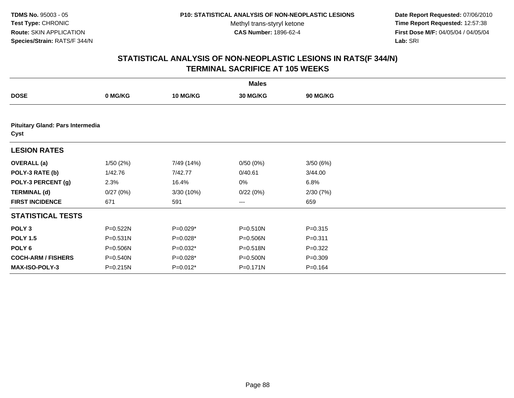**Date Report Requested:** 07/06/2010 **Time Report Requested:** 12:57:38 **First Dose M/F:** 04/05/04 / 04/05/04<br>Lab: SRI **Lab:** SRI

|                                          | <b>Males</b> |                 |                   |             |  |  |  |  |
|------------------------------------------|--------------|-----------------|-------------------|-------------|--|--|--|--|
| <b>DOSE</b>                              | 0 MG/KG      | <b>10 MG/KG</b> | 30 MG/KG          | 90 MG/KG    |  |  |  |  |
|                                          |              |                 |                   |             |  |  |  |  |
| Pituitary Gland: Pars Intermedia<br>Cyst |              |                 |                   |             |  |  |  |  |
| <b>LESION RATES</b>                      |              |                 |                   |             |  |  |  |  |
| <b>OVERALL</b> (a)                       | 1/50(2%)     | 7/49 (14%)      | 0/50(0%)          | 3/50(6%)    |  |  |  |  |
| POLY-3 RATE (b)                          | 1/42.76      | 7/42.77         | 0/40.61           | 3/44.00     |  |  |  |  |
| POLY-3 PERCENT (g)                       | 2.3%         | 16.4%           | 0%                | 6.8%        |  |  |  |  |
| <b>TERMINAL (d)</b>                      | 0/27(0%)     | 3/30 (10%)      | 0/22(0%)          | 2/30(7%)    |  |  |  |  |
| <b>FIRST INCIDENCE</b>                   | 671          | 591             | $\qquad \qquad -$ | 659         |  |  |  |  |
| <b>STATISTICAL TESTS</b>                 |              |                 |                   |             |  |  |  |  |
| POLY <sub>3</sub>                        | P=0.522N     | $P=0.029*$      | P=0.510N          | $P = 0.315$ |  |  |  |  |
| <b>POLY 1.5</b>                          | P=0.531N     | $P=0.028*$      | P=0.506N          | $P = 0.311$ |  |  |  |  |
| POLY 6                                   | P=0.506N     | P=0.032*        | P=0.518N          | $P=0.322$   |  |  |  |  |
| <b>COCH-ARM / FISHERS</b>                | P=0.540N     | $P=0.028*$      | P=0.500N          | $P = 0.309$ |  |  |  |  |
| <b>MAX-ISO-POLY-3</b>                    | P=0.215N     | $P=0.012*$      | P=0.171N          | $P = 0.164$ |  |  |  |  |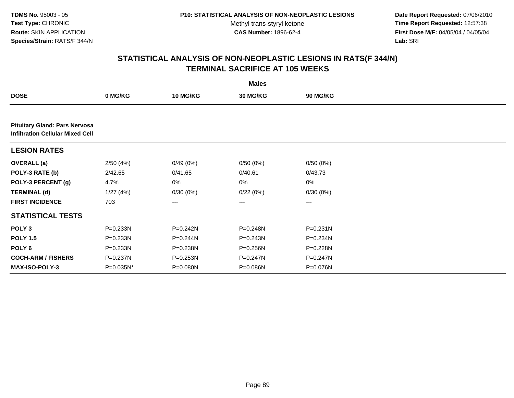**Date Report Requested:** 07/06/2010 **Time Report Requested:** 12:57:38 **First Dose M/F:** 04/05/04 / 04/05/04<br>Lab: SRI **Lab:** SRI

|                                                                                 |              |              | <b>Males</b> |                 |  |
|---------------------------------------------------------------------------------|--------------|--------------|--------------|-----------------|--|
| <b>DOSE</b>                                                                     | 0 MG/KG      | 10 MG/KG     | 30 MG/KG     | <b>90 MG/KG</b> |  |
|                                                                                 |              |              |              |                 |  |
| <b>Pituitary Gland: Pars Nervosa</b><br><b>Infiltration Cellular Mixed Cell</b> |              |              |              |                 |  |
| <b>LESION RATES</b>                                                             |              |              |              |                 |  |
| <b>OVERALL (a)</b>                                                              | 2/50(4%)     | 0/49(0%)     | 0/50(0%)     | 0/50(0%)        |  |
| POLY-3 RATE (b)                                                                 | 2/42.65      | 0/41.65      | 0/40.61      | 0/43.73         |  |
| POLY-3 PERCENT (g)                                                              | 4.7%         | 0%           | 0%           | 0%              |  |
| <b>TERMINAL (d)</b>                                                             | 1/27(4%)     | 0/30(0%)     | 0/22(0%)     | 0/30(0%)        |  |
| <b>FIRST INCIDENCE</b>                                                          | 703          | $--$         | ---          | ---             |  |
| <b>STATISTICAL TESTS</b>                                                        |              |              |              |                 |  |
| POLY <sub>3</sub>                                                               | P=0.233N     | $P = 0.242N$ | P=0.248N     | $P = 0.231N$    |  |
| <b>POLY 1.5</b>                                                                 | P=0.233N     | P=0.244N     | P=0.243N     | P=0.234N        |  |
| POLY 6                                                                          | $P = 0.233N$ | P=0.238N     | $P = 0.256N$ | P=0.228N        |  |
| <b>COCH-ARM / FISHERS</b>                                                       | P=0.237N     | P=0.253N     | P=0.247N     | P=0.247N        |  |
| <b>MAX-ISO-POLY-3</b>                                                           | P=0.035N*    | P=0.080N     | P=0.086N     | P=0.076N        |  |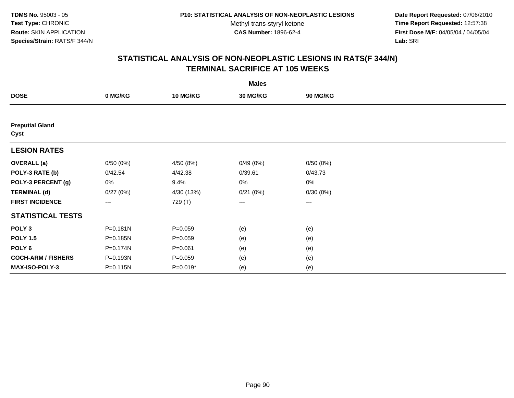**Date Report Requested:** 07/06/2010 **Time Report Requested:** 12:57:38 **First Dose M/F:** 04/05/04 / 04/05/04<br>Lab: SRI **Lab:** SRI

|                                |              |                 | <b>Males</b> |                   |  |
|--------------------------------|--------------|-----------------|--------------|-------------------|--|
| <b>DOSE</b>                    | 0 MG/KG      | <b>10 MG/KG</b> | 30 MG/KG     | 90 MG/KG          |  |
|                                |              |                 |              |                   |  |
| <b>Preputial Gland</b><br>Cyst |              |                 |              |                   |  |
| <b>LESION RATES</b>            |              |                 |              |                   |  |
| <b>OVERALL</b> (a)             | 0/50(0%)     | 4/50 (8%)       | 0/49(0%)     | 0/50(0%)          |  |
| POLY-3 RATE (b)                | 0/42.54      | 4/42.38         | 0/39.61      | 0/43.73           |  |
| POLY-3 PERCENT (g)             | 0%           | 9.4%            | 0%           | 0%                |  |
| <b>TERMINAL (d)</b>            | 0/27(0%)     | 4/30 (13%)      | 0/21(0%)     | 0/30(0%)          |  |
| <b>FIRST INCIDENCE</b>         | $---$        | 729 (T)         | ---          | $\qquad \qquad -$ |  |
| <b>STATISTICAL TESTS</b>       |              |                 |              |                   |  |
| POLY <sub>3</sub>              | P=0.181N     | $P = 0.059$     | (e)          | (e)               |  |
| <b>POLY 1.5</b>                | $P = 0.185N$ | $P = 0.059$     | (e)          | (e)               |  |
| POLY <sub>6</sub>              | P=0.174N     | $P = 0.061$     | (e)          | (e)               |  |
| <b>COCH-ARM / FISHERS</b>      | P=0.193N     | $P = 0.059$     | (e)          | (e)               |  |
| <b>MAX-ISO-POLY-3</b>          | P=0.115N     | $P=0.019*$      | (e)          | (e)               |  |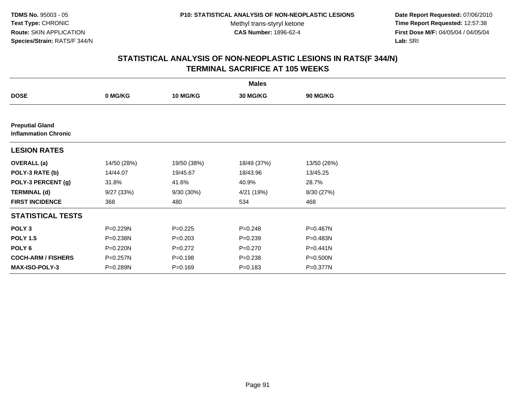**Date Report Requested:** 07/06/2010 **Time Report Requested:** 12:57:38 **First Dose M/F:** 04/05/04 / 04/05/04<br>Lab: SRI **Lab:** SRI

|                                                       | <b>Males</b> |                 |             |                 |  |  |  |  |
|-------------------------------------------------------|--------------|-----------------|-------------|-----------------|--|--|--|--|
| <b>DOSE</b>                                           | 0 MG/KG      | <b>10 MG/KG</b> | 30 MG/KG    | <b>90 MG/KG</b> |  |  |  |  |
|                                                       |              |                 |             |                 |  |  |  |  |
| <b>Preputial Gland</b><br><b>Inflammation Chronic</b> |              |                 |             |                 |  |  |  |  |
| <b>LESION RATES</b>                                   |              |                 |             |                 |  |  |  |  |
| <b>OVERALL</b> (a)                                    | 14/50 (28%)  | 19/50 (38%)     | 18/49 (37%) | 13/50 (26%)     |  |  |  |  |
| POLY-3 RATE (b)                                       | 14/44.07     | 19/45.67        | 18/43.96    | 13/45.25        |  |  |  |  |
| POLY-3 PERCENT (g)                                    | 31.8%        | 41.6%           | 40.9%       | 28.7%           |  |  |  |  |
| <b>TERMINAL (d)</b>                                   | 9/27 (33%)   | 9/30 (30%)      | 4/21 (19%)  | 8/30 (27%)      |  |  |  |  |
| <b>FIRST INCIDENCE</b>                                | 368          | 480             | 534         | 468             |  |  |  |  |
| <b>STATISTICAL TESTS</b>                              |              |                 |             |                 |  |  |  |  |
| POLY <sub>3</sub>                                     | P=0.229N     | $P=0.225$       | $P = 0.248$ | P=0.467N        |  |  |  |  |
| <b>POLY 1.5</b>                                       | P=0.238N     | $P = 0.203$     | $P = 0.239$ | P=0.483N        |  |  |  |  |
| POLY <sub>6</sub>                                     | P=0.220N     | $P=0.272$       | $P = 0.270$ | P=0.441N        |  |  |  |  |
| <b>COCH-ARM / FISHERS</b>                             | P=0.257N     | $P = 0.198$     | $P = 0.238$ | P=0.500N        |  |  |  |  |
| <b>MAX-ISO-POLY-3</b>                                 | P=0.289N     | $P = 0.169$     | $P = 0.183$ | P=0.377N        |  |  |  |  |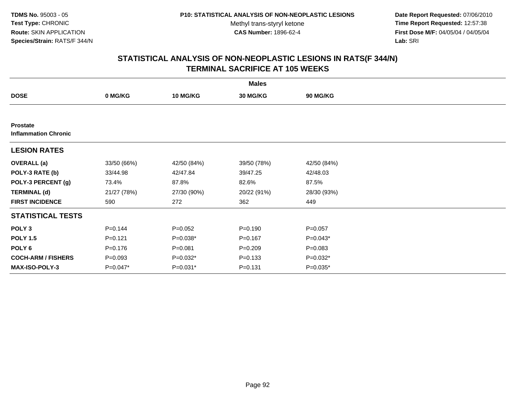**Date Report Requested:** 07/06/2010 **Time Report Requested:** 12:57:38 **First Dose M/F:** 04/05/04 / 04/05/04<br>Lab: SRI **Lab:** SRI

| <b>Males</b>                                   |             |                 |             |                 |  |  |  |
|------------------------------------------------|-------------|-----------------|-------------|-----------------|--|--|--|
| <b>DOSE</b>                                    | 0 MG/KG     | <b>10 MG/KG</b> | 30 MG/KG    | <b>90 MG/KG</b> |  |  |  |
|                                                |             |                 |             |                 |  |  |  |
| <b>Prostate</b><br><b>Inflammation Chronic</b> |             |                 |             |                 |  |  |  |
| <b>LESION RATES</b>                            |             |                 |             |                 |  |  |  |
| <b>OVERALL</b> (a)                             | 33/50 (66%) | 42/50 (84%)     | 39/50 (78%) | 42/50 (84%)     |  |  |  |
| POLY-3 RATE (b)                                | 33/44.98    | 42/47.84        | 39/47.25    | 42/48.03        |  |  |  |
| POLY-3 PERCENT (g)                             | 73.4%       | 87.8%           | 82.6%       | 87.5%           |  |  |  |
| <b>TERMINAL (d)</b>                            | 21/27 (78%) | 27/30 (90%)     | 20/22 (91%) | 28/30 (93%)     |  |  |  |
| <b>FIRST INCIDENCE</b>                         | 590         | 272             | 362         | 449             |  |  |  |
| <b>STATISTICAL TESTS</b>                       |             |                 |             |                 |  |  |  |
| POLY <sub>3</sub>                              | $P=0.144$   | $P=0.052$       | $P = 0.190$ | $P=0.057$       |  |  |  |
| <b>POLY 1.5</b>                                | $P = 0.121$ | $P=0.038*$      | $P = 0.167$ | $P=0.043*$      |  |  |  |
| POLY <sub>6</sub>                              | $P = 0.176$ | $P = 0.081$     | $P = 0.209$ | $P = 0.083$     |  |  |  |
| <b>COCH-ARM / FISHERS</b>                      | $P = 0.093$ | $P=0.032*$      | $P = 0.133$ | P=0.032*        |  |  |  |
| <b>MAX-ISO-POLY-3</b>                          | $P=0.047*$  | P=0.031*        | $P = 0.131$ | $P=0.035*$      |  |  |  |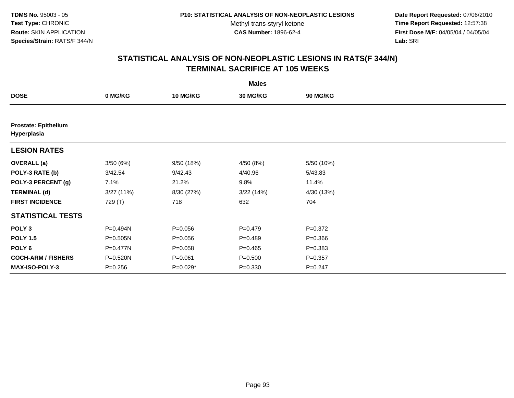**Date Report Requested:** 07/06/2010 **Time Report Requested:** 12:57:38 **First Dose M/F:** 04/05/04 / 04/05/04<br>Lab: SRI **Lab:** SRI

|                                            |             |                 | <b>Males</b> |             |  |
|--------------------------------------------|-------------|-----------------|--------------|-------------|--|
| <b>DOSE</b>                                | 0 MG/KG     | <b>10 MG/KG</b> | 30 MG/KG     | 90 MG/KG    |  |
|                                            |             |                 |              |             |  |
| <b>Prostate: Epithelium</b><br>Hyperplasia |             |                 |              |             |  |
| <b>LESION RATES</b>                        |             |                 |              |             |  |
| <b>OVERALL</b> (a)                         | 3/50(6%)    | 9/50 (18%)      | 4/50 (8%)    | 5/50 (10%)  |  |
| POLY-3 RATE (b)                            | 3/42.54     | 9/42.43         | 4/40.96      | 5/43.83     |  |
| POLY-3 PERCENT (g)                         | 7.1%        | 21.2%           | 9.8%         | 11.4%       |  |
| <b>TERMINAL (d)</b>                        | 3/27 (11%)  | 8/30 (27%)      | 3/22(14%)    | 4/30 (13%)  |  |
| <b>FIRST INCIDENCE</b>                     | 729 (T)     | 718             | 632          | 704         |  |
| <b>STATISTICAL TESTS</b>                   |             |                 |              |             |  |
| POLY <sub>3</sub>                          | P=0.494N    | $P = 0.056$     | $P=0.479$    | $P = 0.372$ |  |
| <b>POLY 1.5</b>                            | P=0.505N    | $P = 0.056$     | $P=0.489$    | $P = 0.366$ |  |
| POLY 6                                     | P=0.477N    | $P = 0.058$     | $P=0.465$    | $P = 0.383$ |  |
| <b>COCH-ARM / FISHERS</b>                  | P=0.520N    | $P = 0.061$     | $P = 0.500$  | $P = 0.357$ |  |
| <b>MAX-ISO-POLY-3</b>                      | $P = 0.256$ | $P=0.029*$      | $P = 0.330$  | $P = 0.247$ |  |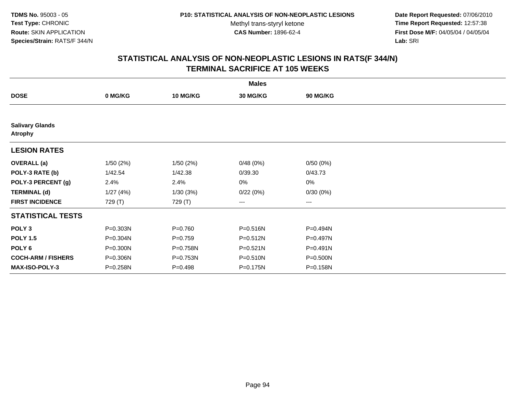**Date Report Requested:** 07/06/2010 **Time Report Requested:** 12:57:38 **First Dose M/F:** 04/05/04 / 04/05/04<br>Lab: SRI **Lab:** SRI

|                                          |          |                 | <b>Males</b>    |              |  |
|------------------------------------------|----------|-----------------|-----------------|--------------|--|
| <b>DOSE</b>                              | 0 MG/KG  | <b>10 MG/KG</b> | <b>30 MG/KG</b> | 90 MG/KG     |  |
|                                          |          |                 |                 |              |  |
| <b>Salivary Glands</b><br><b>Atrophy</b> |          |                 |                 |              |  |
| <b>LESION RATES</b>                      |          |                 |                 |              |  |
| <b>OVERALL</b> (a)                       | 1/50(2%) | 1/50(2%)        | 0/48(0%)        | 0/50(0%)     |  |
| POLY-3 RATE (b)                          | 1/42.54  | 1/42.38         | 0/39.30         | 0/43.73      |  |
| POLY-3 PERCENT (g)                       | 2.4%     | 2.4%            | 0%              | 0%           |  |
| <b>TERMINAL (d)</b>                      | 1/27(4%) | 1/30(3%)        | 0/22(0%)        | 0/30(0%)     |  |
| <b>FIRST INCIDENCE</b>                   | 729 (T)  | 729 (T)         | $\cdots$        | $\cdots$     |  |
| <b>STATISTICAL TESTS</b>                 |          |                 |                 |              |  |
| POLY <sub>3</sub>                        | P=0.303N | $P = 0.760$     | P=0.516N        | P=0.494N     |  |
| <b>POLY 1.5</b>                          | P=0.304N | $P=0.759$       | P=0.512N        | P=0.497N     |  |
| POLY 6                                   | P=0.300N | P=0.758N        | $P = 0.521N$    | $P = 0.491N$ |  |
| <b>COCH-ARM / FISHERS</b>                | P=0.306N | P=0.753N        | P=0.510N        | P=0.500N     |  |
| <b>MAX-ISO-POLY-3</b>                    | P=0.258N | $P = 0.498$     | P=0.175N        | P=0.158N     |  |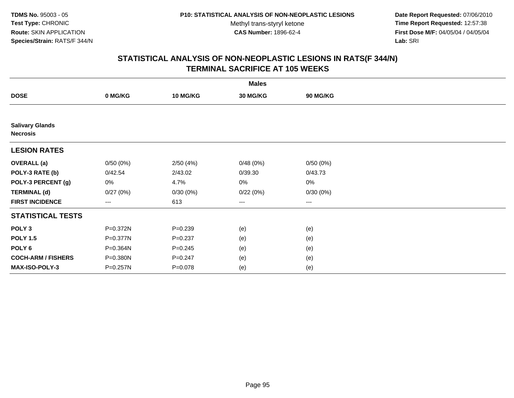**Date Report Requested:** 07/06/2010 **Time Report Requested:** 12:57:38 **First Dose M/F:** 04/05/04 / 04/05/04<br>Lab: SRI **Lab:** SRI

| <b>Males</b>                              |                        |             |                 |                   |  |  |  |  |
|-------------------------------------------|------------------------|-------------|-----------------|-------------------|--|--|--|--|
| <b>DOSE</b>                               | 0 MG/KG                | 10 MG/KG    | <b>30 MG/KG</b> | <b>90 MG/KG</b>   |  |  |  |  |
|                                           |                        |             |                 |                   |  |  |  |  |
| <b>Salivary Glands</b><br><b>Necrosis</b> |                        |             |                 |                   |  |  |  |  |
| <b>LESION RATES</b>                       |                        |             |                 |                   |  |  |  |  |
| <b>OVERALL</b> (a)                        | 0/50(0%)               | 2/50(4%)    | 0/48(0%)        | 0/50(0%)          |  |  |  |  |
| POLY-3 RATE (b)                           | 0/42.54                | 2/43.02     | 0/39.30         | 0/43.73           |  |  |  |  |
| POLY-3 PERCENT (g)                        | 0%                     | 4.7%        | 0%              | $0\%$             |  |  |  |  |
| <b>TERMINAL (d)</b>                       | 0/27(0%)               | 0/30(0%)    | 0/22(0%)        | 0/30(0%)          |  |  |  |  |
| <b>FIRST INCIDENCE</b>                    | $\qquad \qquad \cdots$ | 613         | ---             | $\qquad \qquad -$ |  |  |  |  |
| <b>STATISTICAL TESTS</b>                  |                        |             |                 |                   |  |  |  |  |
| POLY <sub>3</sub>                         | P=0.372N               | $P = 0.239$ | (e)             | (e)               |  |  |  |  |
| <b>POLY 1.5</b>                           | P=0.377N               | $P = 0.237$ | (e)             | (e)               |  |  |  |  |
| POLY <sub>6</sub>                         | P=0.364N               | $P = 0.245$ | (e)             | (e)               |  |  |  |  |
| <b>COCH-ARM / FISHERS</b>                 | P=0.380N               | $P = 0.247$ | (e)             | (e)               |  |  |  |  |
| <b>MAX-ISO-POLY-3</b>                     | P=0.257N               | $P = 0.078$ | (e)             | (e)               |  |  |  |  |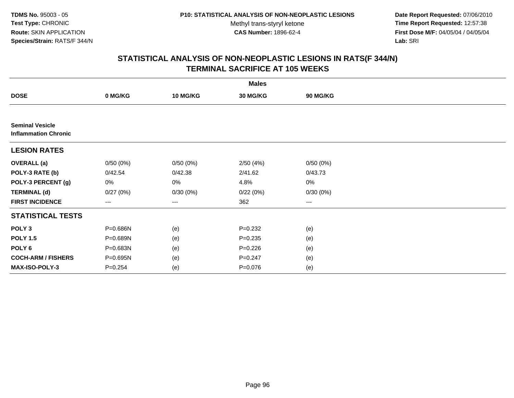**Date Report Requested:** 07/06/2010 **Time Report Requested:** 12:57:38 **First Dose M/F:** 04/05/04 / 04/05/04<br>Lab: SRI **Lab:** SRI

|                                                       |             |                 | <b>Males</b> |          |  |
|-------------------------------------------------------|-------------|-----------------|--------------|----------|--|
| <b>DOSE</b>                                           | 0 MG/KG     | <b>10 MG/KG</b> | 30 MG/KG     | 90 MG/KG |  |
|                                                       |             |                 |              |          |  |
| <b>Seminal Vesicle</b><br><b>Inflammation Chronic</b> |             |                 |              |          |  |
| <b>LESION RATES</b>                                   |             |                 |              |          |  |
| <b>OVERALL</b> (a)                                    | 0/50(0%)    | 0/50(0%)        | 2/50(4%)     | 0/50(0%) |  |
| POLY-3 RATE (b)                                       | 0/42.54     | 0/42.38         | 2/41.62      | 0/43.73  |  |
| POLY-3 PERCENT (g)                                    | 0%          | 0%              | 4.8%         | 0%       |  |
| <b>TERMINAL (d)</b>                                   | 0/27(0%)    | 0/30(0%)        | 0/22(0%)     | 0/30(0%) |  |
| <b>FIRST INCIDENCE</b>                                | ---         | ---             | 362          | ---      |  |
| <b>STATISTICAL TESTS</b>                              |             |                 |              |          |  |
| POLY <sub>3</sub>                                     | P=0.686N    | (e)             | $P = 0.232$  | (e)      |  |
| <b>POLY 1.5</b>                                       | P=0.689N    | (e)             | $P = 0.235$  | (e)      |  |
| POLY <sub>6</sub>                                     | P=0.683N    | (e)             | $P=0.226$    | (e)      |  |
| <b>COCH-ARM / FISHERS</b>                             | P=0.695N    | (e)             | $P = 0.247$  | (e)      |  |
| MAX-ISO-POLY-3                                        | $P = 0.254$ | (e)             | $P = 0.076$  | (e)      |  |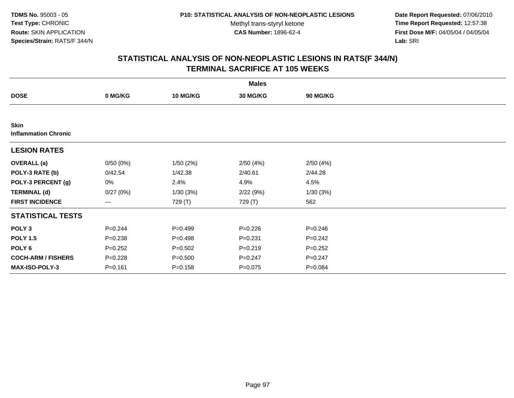**Date Report Requested:** 07/06/2010 **Time Report Requested:** 12:57:38 **First Dose M/F:** 04/05/04 / 04/05/04<br>Lab: SRI **Lab:** SRI

|                                     | <b>Males</b> |                 |             |                 |  |  |  |  |
|-------------------------------------|--------------|-----------------|-------------|-----------------|--|--|--|--|
| <b>DOSE</b>                         | 0 MG/KG      | <b>10 MG/KG</b> | 30 MG/KG    | <b>90 MG/KG</b> |  |  |  |  |
|                                     |              |                 |             |                 |  |  |  |  |
| Skin<br><b>Inflammation Chronic</b> |              |                 |             |                 |  |  |  |  |
| <b>LESION RATES</b>                 |              |                 |             |                 |  |  |  |  |
| <b>OVERALL</b> (a)                  | 0/50(0%)     | 1/50(2%)        | 2/50(4%)    | 2/50(4%)        |  |  |  |  |
| POLY-3 RATE (b)                     | 0/42.54      | 1/42.38         | 2/40.61     | 2/44.28         |  |  |  |  |
| POLY-3 PERCENT (g)                  | 0%           | 2.4%            | 4.9%        | 4.5%            |  |  |  |  |
| <b>TERMINAL (d)</b>                 | 0/27(0%)     | 1/30(3%)        | 2/22(9%)    | 1/30(3%)        |  |  |  |  |
| <b>FIRST INCIDENCE</b>              | ---          | 729 (T)         | 729 (T)     | 562             |  |  |  |  |
| <b>STATISTICAL TESTS</b>            |              |                 |             |                 |  |  |  |  |
| POLY <sub>3</sub>                   | $P = 0.244$  | $P=0.499$       | $P = 0.226$ | $P = 0.246$     |  |  |  |  |
| <b>POLY 1.5</b>                     | $P = 0.238$  | $P = 0.498$     | $P = 0.231$ | $P=0.242$       |  |  |  |  |
| POLY 6                              | $P = 0.252$  | $P = 0.502$     | $P = 0.219$ | $P = 0.252$     |  |  |  |  |
| <b>COCH-ARM / FISHERS</b>           | $P = 0.228$  | $P = 0.500$     | $P = 0.247$ | $P = 0.247$     |  |  |  |  |
| <b>MAX-ISO-POLY-3</b>               | $P = 0.161$  | $P = 0.158$     | $P = 0.075$ | $P = 0.084$     |  |  |  |  |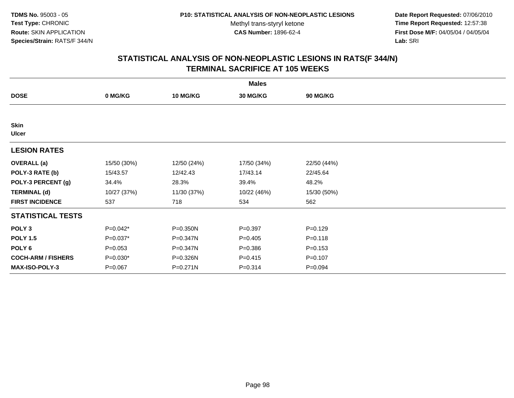**Date Report Requested:** 07/06/2010 **Time Report Requested:** 12:57:38 **First Dose M/F:** 04/05/04 / 04/05/04<br>Lab: SRI **Lab:** SRI

|                             | <b>Males</b> |                 |                 |             |  |  |  |  |
|-----------------------------|--------------|-----------------|-----------------|-------------|--|--|--|--|
| <b>DOSE</b>                 | 0 MG/KG      | <b>10 MG/KG</b> | <b>30 MG/KG</b> | 90 MG/KG    |  |  |  |  |
|                             |              |                 |                 |             |  |  |  |  |
| <b>Skin</b><br><b>Ulcer</b> |              |                 |                 |             |  |  |  |  |
| <b>LESION RATES</b>         |              |                 |                 |             |  |  |  |  |
| <b>OVERALL</b> (a)          | 15/50 (30%)  | 12/50 (24%)     | 17/50 (34%)     | 22/50 (44%) |  |  |  |  |
| POLY-3 RATE (b)             | 15/43.57     | 12/42.43        | 17/43.14        | 22/45.64    |  |  |  |  |
| POLY-3 PERCENT (g)          | 34.4%        | 28.3%           | 39.4%           | 48.2%       |  |  |  |  |
| <b>TERMINAL (d)</b>         | 10/27 (37%)  | 11/30 (37%)     | 10/22 (46%)     | 15/30 (50%) |  |  |  |  |
| <b>FIRST INCIDENCE</b>      | 537          | 718             | 534             | 562         |  |  |  |  |
| <b>STATISTICAL TESTS</b>    |              |                 |                 |             |  |  |  |  |
| POLY <sub>3</sub>           | P=0.042*     | P=0.350N        | $P = 0.397$     | $P = 0.129$ |  |  |  |  |
| <b>POLY 1.5</b>             | P=0.037*     | P=0.347N        | $P = 0.405$     | $P = 0.118$ |  |  |  |  |
| POLY 6                      | $P = 0.053$  | P=0.347N        | $P = 0.386$     | $P = 0.153$ |  |  |  |  |
| <b>COCH-ARM / FISHERS</b>   | $P=0.030*$   | P=0.326N        | $P = 0.415$     | $P = 0.107$ |  |  |  |  |
| <b>MAX-ISO-POLY-3</b>       | $P = 0.067$  | P=0.271N        | $P = 0.314$     | $P = 0.094$ |  |  |  |  |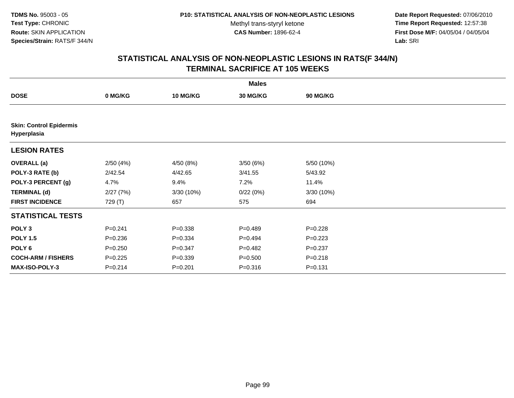**Date Report Requested:** 07/06/2010 **Time Report Requested:** 12:57:38 **First Dose M/F:** 04/05/04 / 04/05/04<br>Lab: SRI **Lab:** SRI

|                                               | <b>Males</b> |                 |                 |             |  |  |  |  |
|-----------------------------------------------|--------------|-----------------|-----------------|-------------|--|--|--|--|
| <b>DOSE</b>                                   | 0 MG/KG      | <b>10 MG/KG</b> | <b>30 MG/KG</b> | 90 MG/KG    |  |  |  |  |
|                                               |              |                 |                 |             |  |  |  |  |
| <b>Skin: Control Epidermis</b><br>Hyperplasia |              |                 |                 |             |  |  |  |  |
| <b>LESION RATES</b>                           |              |                 |                 |             |  |  |  |  |
| <b>OVERALL</b> (a)                            | 2/50(4%)     | 4/50 (8%)       | 3/50(6%)        | 5/50 (10%)  |  |  |  |  |
| POLY-3 RATE (b)                               | 2/42.54      | 4/42.65         | 3/41.55         | 5/43.92     |  |  |  |  |
| POLY-3 PERCENT (g)                            | 4.7%         | 9.4%            | 7.2%            | 11.4%       |  |  |  |  |
| <b>TERMINAL (d)</b>                           | 2/27(7%)     | 3/30 (10%)      | 0/22(0%)        | 3/30 (10%)  |  |  |  |  |
| <b>FIRST INCIDENCE</b>                        | 729 (T)      | 657             | 575             | 694         |  |  |  |  |
| <b>STATISTICAL TESTS</b>                      |              |                 |                 |             |  |  |  |  |
| POLY <sub>3</sub>                             | $P = 0.241$  | $P = 0.338$     | $P=0.489$       | $P=0.228$   |  |  |  |  |
| <b>POLY 1.5</b>                               | $P = 0.236$  | $P = 0.334$     | $P=0.494$       | $P=0.223$   |  |  |  |  |
| POLY <sub>6</sub>                             | $P = 0.250$  | $P = 0.347$     | $P=0.482$       | $P=0.237$   |  |  |  |  |
| <b>COCH-ARM / FISHERS</b>                     | $P = 0.225$  | $P = 0.339$     | $P = 0.500$     | $P = 0.218$ |  |  |  |  |
| <b>MAX-ISO-POLY-3</b>                         | $P = 0.214$  | $P = 0.201$     | $P = 0.316$     | $P = 0.131$ |  |  |  |  |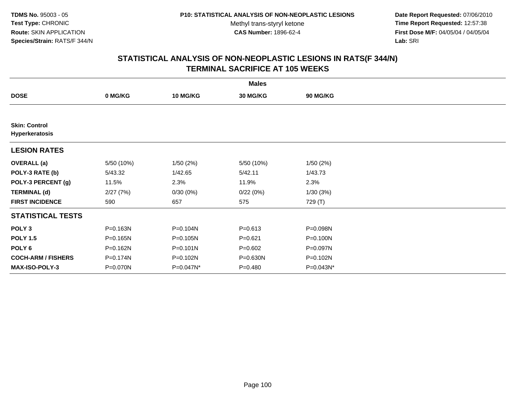**Date Report Requested:** 07/06/2010 **Time Report Requested:** 12:57:38 **First Dose M/F:** 04/05/04 / 04/05/04<br>Lab: SRI **Lab:** SRI

|                                        | <b>Males</b> |                 |                 |              |  |  |  |  |
|----------------------------------------|--------------|-----------------|-----------------|--------------|--|--|--|--|
| <b>DOSE</b>                            | 0 MG/KG      | <b>10 MG/KG</b> | <b>30 MG/KG</b> | 90 MG/KG     |  |  |  |  |
|                                        |              |                 |                 |              |  |  |  |  |
| <b>Skin: Control</b><br>Hyperkeratosis |              |                 |                 |              |  |  |  |  |
| <b>LESION RATES</b>                    |              |                 |                 |              |  |  |  |  |
| <b>OVERALL</b> (a)                     | 5/50 (10%)   | 1/50(2%)        | 5/50 (10%)      | 1/50(2%)     |  |  |  |  |
| POLY-3 RATE (b)                        | 5/43.32      | 1/42.65         | 5/42.11         | 1/43.73      |  |  |  |  |
| POLY-3 PERCENT (g)                     | 11.5%        | 2.3%            | 11.9%           | 2.3%         |  |  |  |  |
| <b>TERMINAL (d)</b>                    | 2/27(7%)     | 0/30(0%)        | 0/22(0%)        | 1/30(3%)     |  |  |  |  |
| <b>FIRST INCIDENCE</b>                 | 590          | 657             | 575             | 729 (T)      |  |  |  |  |
| <b>STATISTICAL TESTS</b>               |              |                 |                 |              |  |  |  |  |
| POLY <sub>3</sub>                      | P=0.163N     | P=0.104N        | $P = 0.613$     | P=0.098N     |  |  |  |  |
| <b>POLY 1.5</b>                        | $P = 0.165N$ | P=0.105N        | $P = 0.621$     | $P = 0.100N$ |  |  |  |  |
| POLY <sub>6</sub>                      | P=0.162N     | $P = 0.101N$    | $P = 0.602$     | P=0.097N     |  |  |  |  |
| <b>COCH-ARM / FISHERS</b>              | P=0.174N     | P=0.102N        | P=0.630N        | P=0.102N     |  |  |  |  |
| <b>MAX-ISO-POLY-3</b>                  | P=0.070N     | P=0.047N*       | $P = 0.480$     | P=0.043N*    |  |  |  |  |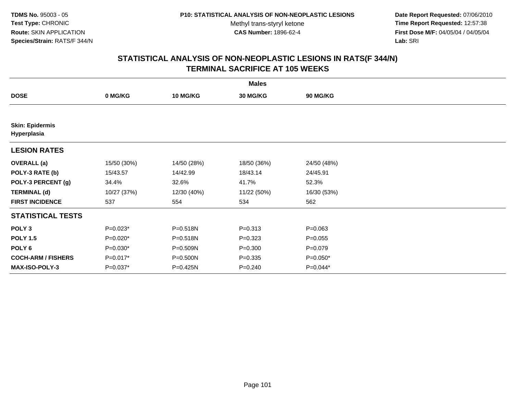**Date Report Requested:** 07/06/2010 **Time Report Requested:** 12:57:38 **First Dose M/F:** 04/05/04 / 04/05/04<br>Lab: SRI **Lab:** SRI

|                                       | <b>Males</b> |                 |             |             |  |  |  |  |
|---------------------------------------|--------------|-----------------|-------------|-------------|--|--|--|--|
| <b>DOSE</b>                           | 0 MG/KG      | <b>10 MG/KG</b> | 30 MG/KG    | 90 MG/KG    |  |  |  |  |
|                                       |              |                 |             |             |  |  |  |  |
| <b>Skin: Epidermis</b><br>Hyperplasia |              |                 |             |             |  |  |  |  |
| <b>LESION RATES</b>                   |              |                 |             |             |  |  |  |  |
| <b>OVERALL</b> (a)                    | 15/50 (30%)  | 14/50 (28%)     | 18/50 (36%) | 24/50 (48%) |  |  |  |  |
| POLY-3 RATE (b)                       | 15/43.57     | 14/42.99        | 18/43.14    | 24/45.91    |  |  |  |  |
| POLY-3 PERCENT (g)                    | 34.4%        | 32.6%           | 41.7%       | 52.3%       |  |  |  |  |
| <b>TERMINAL (d)</b>                   | 10/27 (37%)  | 12/30 (40%)     | 11/22 (50%) | 16/30 (53%) |  |  |  |  |
| <b>FIRST INCIDENCE</b>                | 537          | 554             | 534         | 562         |  |  |  |  |
| <b>STATISTICAL TESTS</b>              |              |                 |             |             |  |  |  |  |
| POLY <sub>3</sub>                     | $P=0.023*$   | P=0.518N        | $P = 0.313$ | $P = 0.063$ |  |  |  |  |
| <b>POLY 1.5</b>                       | $P=0.020*$   | P=0.518N        | $P = 0.323$ | $P = 0.055$ |  |  |  |  |
| POLY <sub>6</sub>                     | $P=0.030*$   | P=0.509N        | $P = 0.300$ | $P = 0.079$ |  |  |  |  |
| <b>COCH-ARM / FISHERS</b>             | P=0.017*     | P=0.500N        | $P = 0.335$ | $P=0.050*$  |  |  |  |  |
| <b>MAX-ISO-POLY-3</b>                 | P=0.037*     | P=0.425N        | $P = 0.240$ | P=0.044*    |  |  |  |  |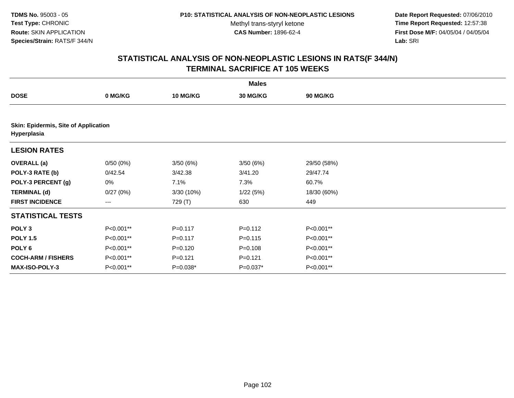**Date Report Requested:** 07/06/2010 **Time Report Requested:** 12:57:38 **First Dose M/F:** 04/05/04 / 04/05/04<br>Lab: SRI **Lab:** SRI

|                                                     | <b>Males</b> |                 |             |                 |  |  |  |  |
|-----------------------------------------------------|--------------|-----------------|-------------|-----------------|--|--|--|--|
| <b>DOSE</b>                                         | 0 MG/KG      | <b>10 MG/KG</b> | 30 MG/KG    | <b>90 MG/KG</b> |  |  |  |  |
|                                                     |              |                 |             |                 |  |  |  |  |
| Skin: Epidermis, Site of Application<br>Hyperplasia |              |                 |             |                 |  |  |  |  |
| <b>LESION RATES</b>                                 |              |                 |             |                 |  |  |  |  |
| <b>OVERALL</b> (a)                                  | 0/50(0%)     | 3/50(6%)        | 3/50(6%)    | 29/50 (58%)     |  |  |  |  |
| POLY-3 RATE (b)                                     | 0/42.54      | 3/42.38         | 3/41.20     | 29/47.74        |  |  |  |  |
| POLY-3 PERCENT (g)                                  | 0%           | 7.1%            | 7.3%        | 60.7%           |  |  |  |  |
| <b>TERMINAL (d)</b>                                 | 0/27(0%)     | 3/30 (10%)      | 1/22(5%)    | 18/30 (60%)     |  |  |  |  |
| <b>FIRST INCIDENCE</b>                              | $---$        | 729 (T)         | 630         | 449             |  |  |  |  |
| <b>STATISTICAL TESTS</b>                            |              |                 |             |                 |  |  |  |  |
| POLY <sub>3</sub>                                   | P<0.001**    | $P = 0.117$     | $P = 0.112$ | P<0.001**       |  |  |  |  |
| <b>POLY 1.5</b>                                     | P<0.001**    | $P = 0.117$     | $P = 0.115$ | P<0.001**       |  |  |  |  |
| POLY 6                                              | P<0.001**    | $P = 0.120$     | $P = 0.108$ | P<0.001**       |  |  |  |  |
| <b>COCH-ARM / FISHERS</b>                           | P<0.001**    | $P=0.121$       | $P = 0.121$ | P<0.001**       |  |  |  |  |
| <b>MAX-ISO-POLY-3</b>                               | P<0.001**    | $P=0.038*$      | $P=0.037*$  | P<0.001**       |  |  |  |  |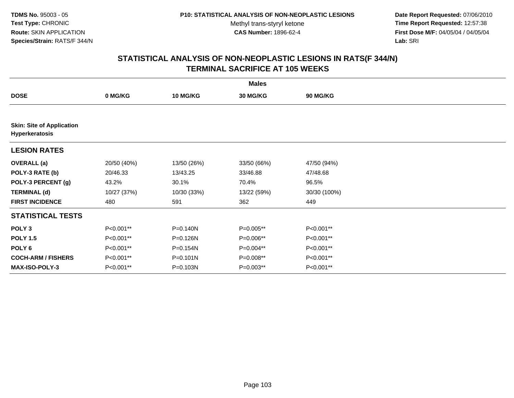**Date Report Requested:** 07/06/2010 **Time Report Requested:** 12:57:38 **First Dose M/F:** 04/05/04 / 04/05/04<br>Lab: SRI **Lab:** SRI

| <b>Males</b>                                       |             |              |                 |                 |  |  |  |
|----------------------------------------------------|-------------|--------------|-----------------|-----------------|--|--|--|
| <b>DOSE</b>                                        | 0 MG/KG     | 10 MG/KG     | <b>30 MG/KG</b> | <b>90 MG/KG</b> |  |  |  |
|                                                    |             |              |                 |                 |  |  |  |
| <b>Skin: Site of Application</b><br>Hyperkeratosis |             |              |                 |                 |  |  |  |
| <b>LESION RATES</b>                                |             |              |                 |                 |  |  |  |
| <b>OVERALL</b> (a)                                 | 20/50 (40%) | 13/50 (26%)  | 33/50 (66%)     | 47/50 (94%)     |  |  |  |
| POLY-3 RATE (b)                                    | 20/46.33    | 13/43.25     | 33/46.88        | 47/48.68        |  |  |  |
| POLY-3 PERCENT (g)                                 | 43.2%       | 30.1%        | 70.4%           | 96.5%           |  |  |  |
| <b>TERMINAL (d)</b>                                | 10/27 (37%) | 10/30 (33%)  | 13/22 (59%)     | 30/30 (100%)    |  |  |  |
| <b>FIRST INCIDENCE</b>                             | 480         | 591          | 362             | 449             |  |  |  |
| <b>STATISTICAL TESTS</b>                           |             |              |                 |                 |  |  |  |
| POLY <sub>3</sub>                                  | P<0.001**   | P=0.140N     | P=0.005**       | P<0.001**       |  |  |  |
| <b>POLY 1.5</b>                                    | P<0.001**   | P=0.126N     | P=0.006**       | P<0.001**       |  |  |  |
| POLY <sub>6</sub>                                  | P<0.001**   | P=0.154N     | P=0.004**       | P<0.001**       |  |  |  |
| <b>COCH-ARM / FISHERS</b>                          | P<0.001**   | $P = 0.101N$ | P=0.008**       | P<0.001**       |  |  |  |
| <b>MAX-ISO-POLY-3</b>                              | P<0.001**   | P=0.103N     | $P=0.003**$     | P<0.001**       |  |  |  |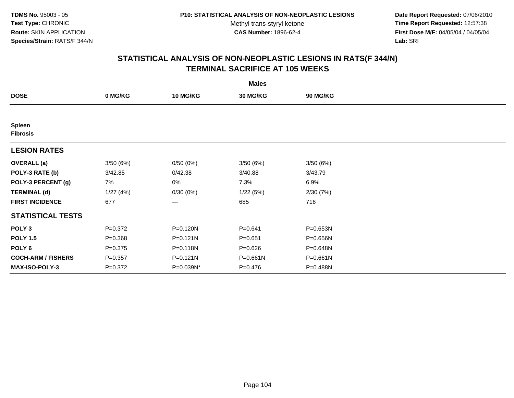**Date Report Requested:** 07/06/2010 **Time Report Requested:** 12:57:38 **First Dose M/F:** 04/05/04 / 04/05/04<br>Lab: SRI **Lab:** SRI

|                                  | <b>Males</b> |              |             |          |  |  |  |  |
|----------------------------------|--------------|--------------|-------------|----------|--|--|--|--|
| <b>DOSE</b>                      | 0 MG/KG      | 10 MG/KG     | 30 MG/KG    | 90 MG/KG |  |  |  |  |
|                                  |              |              |             |          |  |  |  |  |
| <b>Spleen</b><br><b>Fibrosis</b> |              |              |             |          |  |  |  |  |
| <b>LESION RATES</b>              |              |              |             |          |  |  |  |  |
| <b>OVERALL</b> (a)               | 3/50(6%)     | 0/50(0%)     | 3/50(6%)    | 3/50(6%) |  |  |  |  |
| POLY-3 RATE (b)                  | 3/42.85      | 0/42.38      | 3/40.88     | 3/43.79  |  |  |  |  |
| POLY-3 PERCENT (g)               | 7%           | 0%           | 7.3%        | 6.9%     |  |  |  |  |
| <b>TERMINAL (d)</b>              | 1/27(4%)     | 0/30(0%)     | 1/22(5%)    | 2/30(7%) |  |  |  |  |
| <b>FIRST INCIDENCE</b>           | 677          | $---$        | 685         | 716      |  |  |  |  |
| <b>STATISTICAL TESTS</b>         |              |              |             |          |  |  |  |  |
| POLY <sub>3</sub>                | $P = 0.372$  | P=0.120N     | $P = 0.641$ | P=0.653N |  |  |  |  |
| <b>POLY 1.5</b>                  | $P = 0.368$  | $P = 0.121N$ | $P = 0.651$ | P=0.656N |  |  |  |  |
| POLY <sub>6</sub>                | $P = 0.375$  | P=0.118N     | $P = 0.626$ | P=0.648N |  |  |  |  |
| <b>COCH-ARM / FISHERS</b>        | $P = 0.357$  | P=0.121N     | P=0.661N    | P=0.661N |  |  |  |  |
| <b>MAX-ISO-POLY-3</b>            | $P = 0.372$  | P=0.039N*    | $P = 0.476$ | P=0.488N |  |  |  |  |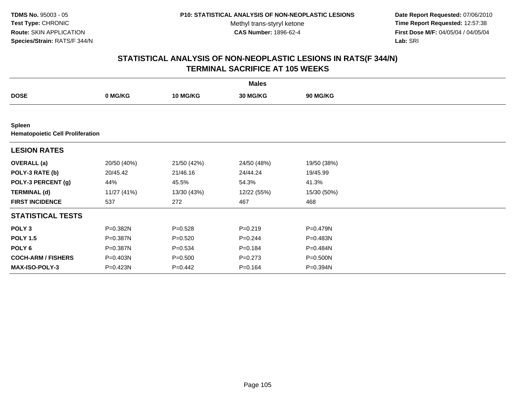**Date Report Requested:** 07/06/2010 **Time Report Requested:** 12:57:38 **First Dose M/F:** 04/05/04 / 04/05/04<br>Lab: SRI **Lab:** SRI

|                                                          | <b>Males</b> |                 |                 |                 |  |  |  |  |
|----------------------------------------------------------|--------------|-----------------|-----------------|-----------------|--|--|--|--|
| <b>DOSE</b>                                              | 0 MG/KG      | <b>10 MG/KG</b> | <b>30 MG/KG</b> | <b>90 MG/KG</b> |  |  |  |  |
|                                                          |              |                 |                 |                 |  |  |  |  |
| <b>Spleen</b><br><b>Hematopoietic Cell Proliferation</b> |              |                 |                 |                 |  |  |  |  |
| <b>LESION RATES</b>                                      |              |                 |                 |                 |  |  |  |  |
| <b>OVERALL</b> (a)                                       | 20/50 (40%)  | 21/50 (42%)     | 24/50 (48%)     | 19/50 (38%)     |  |  |  |  |
| POLY-3 RATE (b)                                          | 20/45.42     | 21/46.16        | 24/44.24        | 19/45.99        |  |  |  |  |
| POLY-3 PERCENT (g)                                       | 44%          | 45.5%           | 54.3%           | 41.3%           |  |  |  |  |
| <b>TERMINAL (d)</b>                                      | 11/27 (41%)  | 13/30 (43%)     | 12/22 (55%)     | 15/30 (50%)     |  |  |  |  |
| <b>FIRST INCIDENCE</b>                                   | 537          | 272             | 467             | 468             |  |  |  |  |
| <b>STATISTICAL TESTS</b>                                 |              |                 |                 |                 |  |  |  |  |
| POLY <sub>3</sub>                                        | P=0.382N     | $P = 0.528$     | $P = 0.219$     | P=0.479N        |  |  |  |  |
| <b>POLY 1.5</b>                                          | P=0.387N     | $P = 0.520$     | $P = 0.244$     | P=0.483N        |  |  |  |  |
| POLY <sub>6</sub>                                        | P=0.387N     | $P = 0.534$     | $P = 0.184$     | P=0.484N        |  |  |  |  |
| <b>COCH-ARM / FISHERS</b>                                | P=0.403N     | $P = 0.500$     | $P = 0.273$     | P=0.500N        |  |  |  |  |
| <b>MAX-ISO-POLY-3</b>                                    | P=0.423N     | $P=0.442$       | $P = 0.164$     | P=0.394N        |  |  |  |  |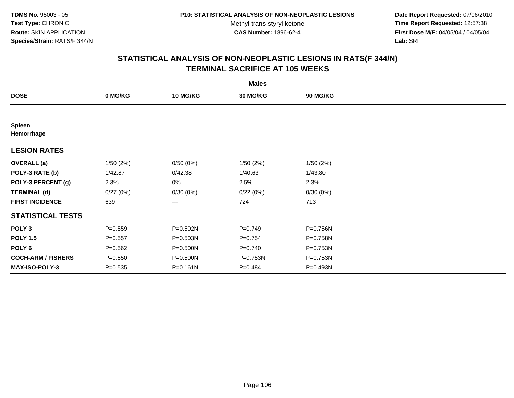**Date Report Requested:** 07/06/2010 **Time Report Requested:** 12:57:38 **First Dose M/F:** 04/05/04 / 04/05/04<br>Lab: SRI **Lab:** SRI

|                             |             |                 | <b>Males</b>    |          |  |
|-----------------------------|-------------|-----------------|-----------------|----------|--|
| <b>DOSE</b>                 | 0 MG/KG     | <b>10 MG/KG</b> | <b>30 MG/KG</b> | 90 MG/KG |  |
|                             |             |                 |                 |          |  |
| <b>Spleen</b><br>Hemorrhage |             |                 |                 |          |  |
| <b>LESION RATES</b>         |             |                 |                 |          |  |
| <b>OVERALL</b> (a)          | 1/50(2%)    | 0/50(0%)        | 1/50(2%)        | 1/50(2%) |  |
| POLY-3 RATE (b)             | 1/42.87     | 0/42.38         | 1/40.63         | 1/43.80  |  |
| POLY-3 PERCENT (g)          | 2.3%        | 0%              | 2.5%            | 2.3%     |  |
| <b>TERMINAL (d)</b>         | 0/27(0%)    | 0/30(0%)        | 0/22(0%)        | 0/30(0%) |  |
| <b>FIRST INCIDENCE</b>      | 639         | ---             | 724             | 713      |  |
| <b>STATISTICAL TESTS</b>    |             |                 |                 |          |  |
| POLY <sub>3</sub>           | $P = 0.559$ | P=0.502N        | $P = 0.749$     | P=0.756N |  |
| <b>POLY 1.5</b>             | $P = 0.557$ | $P = 0.503N$    | $P = 0.754$     | P=0.758N |  |
| POLY <sub>6</sub>           | $P = 0.562$ | P=0.500N        | $P = 0.740$     | P=0.753N |  |
| <b>COCH-ARM / FISHERS</b>   | $P = 0.550$ | P=0.500N        | P=0.753N        | P=0.753N |  |
| MAX-ISO-POLY-3              | $P = 0.535$ | $P = 0.161N$    | $P=0.484$       | P=0.493N |  |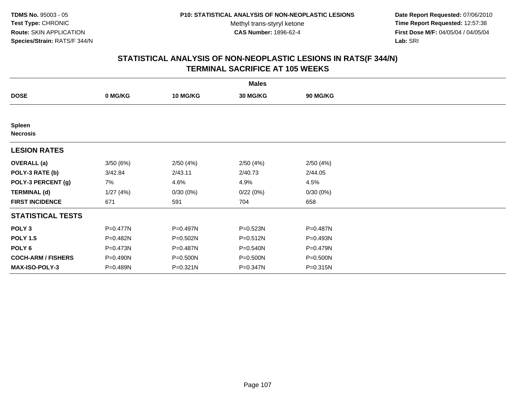**Date Report Requested:** 07/06/2010 **Time Report Requested:** 12:57:38 **First Dose M/F:** 04/05/04 / 04/05/04<br>Lab: SRI **Lab:** SRI

|                                  | <b>Males</b> |                 |                 |                 |  |  |  |  |
|----------------------------------|--------------|-----------------|-----------------|-----------------|--|--|--|--|
| <b>DOSE</b>                      | 0 MG/KG      | <b>10 MG/KG</b> | <b>30 MG/KG</b> | <b>90 MG/KG</b> |  |  |  |  |
|                                  |              |                 |                 |                 |  |  |  |  |
| <b>Spleen</b><br><b>Necrosis</b> |              |                 |                 |                 |  |  |  |  |
| <b>LESION RATES</b>              |              |                 |                 |                 |  |  |  |  |
| <b>OVERALL</b> (a)               | 3/50(6%)     | 2/50(4%)        | 2/50(4%)        | 2/50(4%)        |  |  |  |  |
| POLY-3 RATE (b)                  | 3/42.84      | 2/43.11         | 2/40.73         | 2/44.05         |  |  |  |  |
| POLY-3 PERCENT (g)               | 7%           | 4.6%            | 4.9%            | 4.5%            |  |  |  |  |
| <b>TERMINAL (d)</b>              | 1/27(4%)     | 0/30(0%)        | 0/22(0%)        | 0/30(0%)        |  |  |  |  |
| <b>FIRST INCIDENCE</b>           | 671          | 591             | 704             | 658             |  |  |  |  |
| <b>STATISTICAL TESTS</b>         |              |                 |                 |                 |  |  |  |  |
| POLY <sub>3</sub>                | P=0.477N     | P=0.497N        | $P = 0.523N$    | P=0.487N        |  |  |  |  |
| <b>POLY 1.5</b>                  | P=0.482N     | $P = 0.502N$    | $P = 0.512N$    | P=0.493N        |  |  |  |  |
| POLY <sub>6</sub>                | P=0.473N     | P=0.487N        | P=0.540N        | P=0.479N        |  |  |  |  |
| <b>COCH-ARM / FISHERS</b>        | P=0.490N     | P=0.500N        | P=0.500N        | P=0.500N        |  |  |  |  |
| MAX-ISO-POLY-3                   | P=0.489N     | P=0.321N        | P=0.347N        | P=0.315N        |  |  |  |  |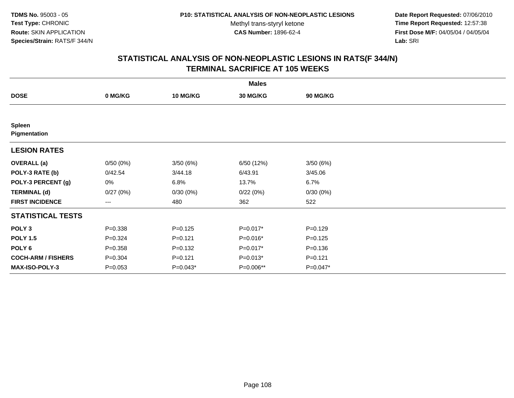**Date Report Requested:** 07/06/2010 **Time Report Requested:** 12:57:38 **First Dose M/F:** 04/05/04 / 04/05/04<br>Lab: SRI **Lab:** SRI

|                               |             |                 | <b>Males</b> |             |  |
|-------------------------------|-------------|-----------------|--------------|-------------|--|
| <b>DOSE</b>                   | 0 MG/KG     | <b>10 MG/KG</b> | 30 MG/KG     | 90 MG/KG    |  |
|                               |             |                 |              |             |  |
| <b>Spleen</b><br>Pigmentation |             |                 |              |             |  |
| <b>LESION RATES</b>           |             |                 |              |             |  |
| <b>OVERALL</b> (a)            | 0/50(0%)    | 3/50(6%)        | 6/50 (12%)   | 3/50(6%)    |  |
| POLY-3 RATE (b)               | 0/42.54     | 3/44.18         | 6/43.91      | 3/45.06     |  |
| POLY-3 PERCENT (g)            | 0%          | 6.8%            | 13.7%        | 6.7%        |  |
| <b>TERMINAL (d)</b>           | 0/27(0%)    | 0/30(0%)        | 0/22(0%)     | 0/30(0%)    |  |
| <b>FIRST INCIDENCE</b>        | $--$        | 480             | 362          | 522         |  |
| <b>STATISTICAL TESTS</b>      |             |                 |              |             |  |
| POLY <sub>3</sub>             | $P = 0.338$ | $P=0.125$       | P=0.017*     | $P=0.129$   |  |
| <b>POLY 1.5</b>               | $P = 0.324$ | $P=0.121$       | P=0.016*     | $P = 0.125$ |  |
| POLY <sub>6</sub>             | $P = 0.358$ | $P = 0.132$     | P=0.017*     | $P = 0.136$ |  |
| <b>COCH-ARM / FISHERS</b>     | $P = 0.304$ | $P=0.121$       | $P=0.013*$   | $P=0.121$   |  |
| MAX-ISO-POLY-3                | $P = 0.053$ | $P=0.043*$      | P=0.006**    | P=0.047*    |  |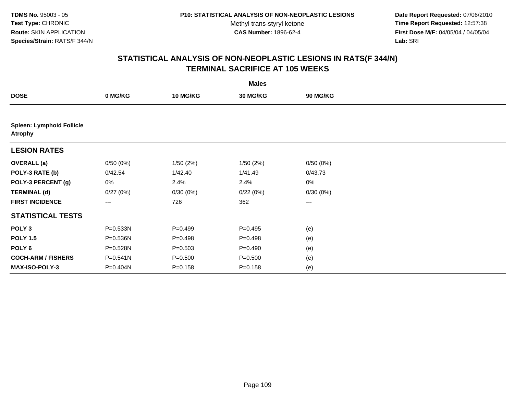**Date Report Requested:** 07/06/2010 **Time Report Requested:** 12:57:38 **First Dose M/F:** 04/05/04 / 04/05/04<br>Lab: SRI **Lab:** SRI

|                                                    |              |                 | <b>Males</b>    |          |  |
|----------------------------------------------------|--------------|-----------------|-----------------|----------|--|
| <b>DOSE</b>                                        | 0 MG/KG      | <b>10 MG/KG</b> | <b>30 MG/KG</b> | 90 MG/KG |  |
|                                                    |              |                 |                 |          |  |
| <b>Spleen: Lymphoid Follicle</b><br><b>Atrophy</b> |              |                 |                 |          |  |
| <b>LESION RATES</b>                                |              |                 |                 |          |  |
| <b>OVERALL</b> (a)                                 | 0/50(0%)     | 1/50(2%)        | 1/50(2%)        | 0/50(0%) |  |
| POLY-3 RATE (b)                                    | 0/42.54      | 1/42.40         | 1/41.49         | 0/43.73  |  |
| POLY-3 PERCENT (g)                                 | 0%           | 2.4%            | 2.4%            | 0%       |  |
| <b>TERMINAL (d)</b>                                | 0/27(0%)     | 0/30(0%)        | 0/22(0%)        | 0/30(0%) |  |
| <b>FIRST INCIDENCE</b>                             | $\cdots$     | 726             | 362             | $\cdots$ |  |
| <b>STATISTICAL TESTS</b>                           |              |                 |                 |          |  |
| POLY <sub>3</sub>                                  | P=0.533N     | $P=0.499$       | $P = 0.495$     | (e)      |  |
| <b>POLY 1.5</b>                                    | P=0.536N     | $P=0.498$       | $P=0.498$       | (e)      |  |
| POLY 6                                             | P=0.528N     | $P = 0.503$     | $P = 0.490$     | (e)      |  |
| <b>COCH-ARM / FISHERS</b>                          | $P = 0.541N$ | $P = 0.500$     | $P = 0.500$     | (e)      |  |
| MAX-ISO-POLY-3                                     | P=0.404N     | $P = 0.158$     | $P = 0.158$     | (e)      |  |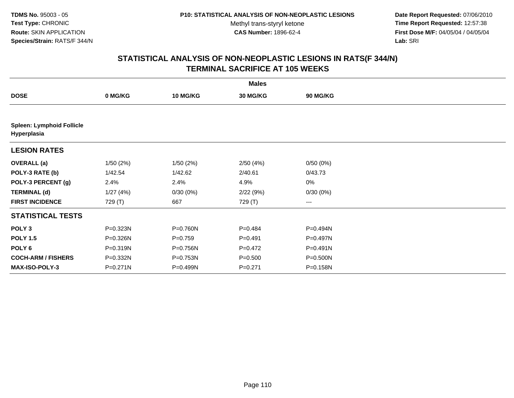**Date Report Requested:** 07/06/2010 **Time Report Requested:** 12:57:38 **First Dose M/F:** 04/05/04 / 04/05/04<br>Lab: SRI **Lab:** SRI

|                                                 |          |                 | <b>Males</b> |                 |  |
|-------------------------------------------------|----------|-----------------|--------------|-----------------|--|
| <b>DOSE</b>                                     | 0 MG/KG  | <b>10 MG/KG</b> | 30 MG/KG     | <b>90 MG/KG</b> |  |
|                                                 |          |                 |              |                 |  |
| <b>Spleen: Lymphoid Follicle</b><br>Hyperplasia |          |                 |              |                 |  |
| <b>LESION RATES</b>                             |          |                 |              |                 |  |
| <b>OVERALL</b> (a)                              | 1/50(2%) | 1/50(2%)        | 2/50(4%)     | 0/50(0%)        |  |
| POLY-3 RATE (b)                                 | 1/42.54  | 1/42.62         | 2/40.61      | 0/43.73         |  |
| POLY-3 PERCENT (g)                              | 2.4%     | 2.4%            | 4.9%         | $0\%$           |  |
| <b>TERMINAL (d)</b>                             | 1/27(4%) | 0/30(0%)        | 2/22(9%)     | 0/30(0%)        |  |
| <b>FIRST INCIDENCE</b>                          | 729 (T)  | 667             | 729 (T)      | ---             |  |
| <b>STATISTICAL TESTS</b>                        |          |                 |              |                 |  |
| POLY <sub>3</sub>                               | P=0.323N | P=0.760N        | $P=0.484$    | P=0.494N        |  |
| <b>POLY 1.5</b>                                 | P=0.326N | $P=0.759$       | $P = 0.491$  | P=0.497N        |  |
| POLY 6                                          | P=0.319N | P=0.756N        | $P=0.472$    | P=0.491N        |  |
| <b>COCH-ARM / FISHERS</b>                       | P=0.332N | P=0.753N        | $P = 0.500$  | P=0.500N        |  |
| MAX-ISO-POLY-3                                  | P=0.271N | P=0.499N        | $P=0.271$    | P=0.158N        |  |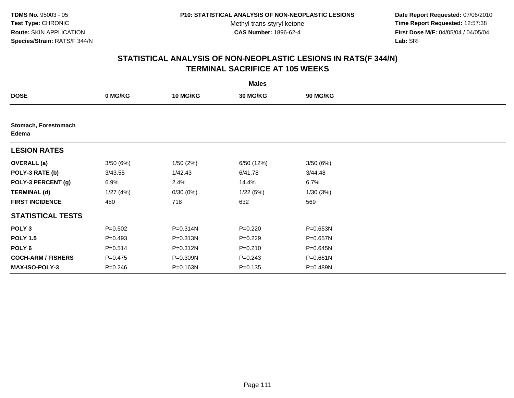**Date Report Requested:** 07/06/2010 **Time Report Requested:** 12:57:38 **First Dose M/F:** 04/05/04 / 04/05/04<br>Lab: SRI **Lab:** SRI

|                               |             |                 | <b>Males</b>    |                 |  |
|-------------------------------|-------------|-----------------|-----------------|-----------------|--|
| <b>DOSE</b>                   | 0 MG/KG     | <b>10 MG/KG</b> | <b>30 MG/KG</b> | <b>90 MG/KG</b> |  |
|                               |             |                 |                 |                 |  |
| Stomach, Forestomach<br>Edema |             |                 |                 |                 |  |
| <b>LESION RATES</b>           |             |                 |                 |                 |  |
| <b>OVERALL</b> (a)            | 3/50(6%)    | 1/50(2%)        | 6/50 (12%)      | 3/50 (6%)       |  |
| POLY-3 RATE (b)               | 3/43.55     | 1/42.43         | 6/41.78         | 3/44.48         |  |
| POLY-3 PERCENT (g)            | 6.9%        | 2.4%            | 14.4%           | 6.7%            |  |
| <b>TERMINAL (d)</b>           | 1/27(4%)    | 0/30(0%)        | 1/22(5%)        | 1/30(3%)        |  |
| <b>FIRST INCIDENCE</b>        | 480         | 718             | 632             | 569             |  |
| <b>STATISTICAL TESTS</b>      |             |                 |                 |                 |  |
| POLY <sub>3</sub>             | $P = 0.502$ | P=0.314N        | $P=0.220$       | P=0.653N        |  |
| <b>POLY 1.5</b>               | $P=0.493$   | P=0.313N        | $P=0.229$       | $P = 0.657N$    |  |
| POLY <sub>6</sub>             | $P = 0.514$ | P=0.312N        | $P = 0.210$     | $P = 0.645N$    |  |
| <b>COCH-ARM / FISHERS</b>     | $P = 0.475$ | P=0.309N        | $P = 0.243$     | $P = 0.661N$    |  |
| <b>MAX-ISO-POLY-3</b>         | $P = 0.246$ | P=0.163N        | $P = 0.135$     | P=0.489N        |  |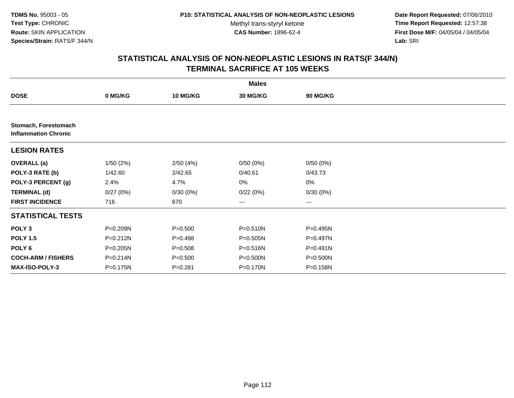**Date Report Requested:** 07/06/2010 **Time Report Requested:** 12:57:38 **First Dose M/F:** 04/05/04 / 04/05/04<br>Lab: SRI **Lab:** SRI

|                                                     |              |                 | <b>Males</b> |                 |  |
|-----------------------------------------------------|--------------|-----------------|--------------|-----------------|--|
| <b>DOSE</b>                                         | 0 MG/KG      | <b>10 MG/KG</b> | 30 MG/KG     | <b>90 MG/KG</b> |  |
|                                                     |              |                 |              |                 |  |
| Stomach, Forestomach<br><b>Inflammation Chronic</b> |              |                 |              |                 |  |
| <b>LESION RATES</b>                                 |              |                 |              |                 |  |
| <b>OVERALL</b> (a)                                  | 1/50(2%)     | 2/50(4%)        | 0/50(0%)     | 0/50(0%)        |  |
| POLY-3 RATE (b)                                     | 1/42.60      | 2/42.65         | 0/40.61      | 0/43.73         |  |
| POLY-3 PERCENT (g)                                  | 2.4%         | 4.7%            | 0%           | $0\%$           |  |
| <b>TERMINAL (d)</b>                                 | 0/27(0%)     | 0/30(0%)        | 0/22(0%)     | 0/30(0%)        |  |
| <b>FIRST INCIDENCE</b>                              | 716          | 670             | $\cdots$     | $\cdots$        |  |
| <b>STATISTICAL TESTS</b>                            |              |                 |              |                 |  |
| POLY <sub>3</sub>                                   | P=0.209N     | $P = 0.500$     | $P = 0.510N$ | $P = 0.495N$    |  |
| <b>POLY 1.5</b>                                     | $P = 0.212N$ | $P=0.498$       | P=0.505N     | $P=0.497N$      |  |
| POLY <sub>6</sub>                                   | P=0.205N     | $P = 0.508$     | $P = 0.516N$ | $P = 0.491N$    |  |
| <b>COCH-ARM / FISHERS</b>                           | P=0.214N     | $P = 0.500$     | P=0.500N     | $P = 0.500N$    |  |
| <b>MAX-ISO-POLY-3</b>                               | P=0.175N     | $P = 0.281$     | P=0.170N     | P=0.158N        |  |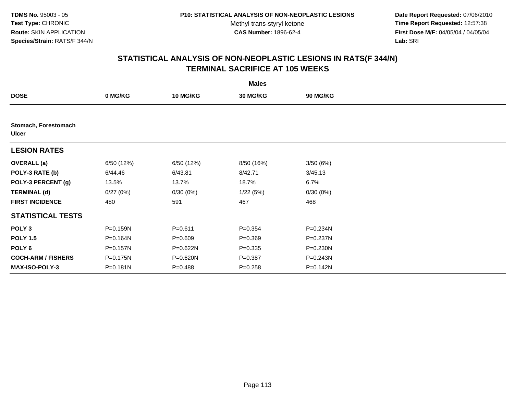**Date Report Requested:** 07/06/2010 **Time Report Requested:** 12:57:38 **First Dose M/F:** 04/05/04 / 04/05/04<br>Lab: SRI **Lab:** SRI

|                                      |              |                 | <b>Males</b>    |                 |  |
|--------------------------------------|--------------|-----------------|-----------------|-----------------|--|
| <b>DOSE</b>                          | 0 MG/KG      | <b>10 MG/KG</b> | <b>30 MG/KG</b> | <b>90 MG/KG</b> |  |
|                                      |              |                 |                 |                 |  |
| Stomach, Forestomach<br><b>Ulcer</b> |              |                 |                 |                 |  |
| <b>LESION RATES</b>                  |              |                 |                 |                 |  |
| <b>OVERALL</b> (a)                   | 6/50 (12%)   | 6/50 (12%)      | 8/50 (16%)      | 3/50(6%)        |  |
| POLY-3 RATE (b)                      | 6/44.46      | 6/43.81         | 8/42.71         | 3/45.13         |  |
| POLY-3 PERCENT (g)                   | 13.5%        | 13.7%           | 18.7%           | 6.7%            |  |
| <b>TERMINAL (d)</b>                  | 0/27(0%)     | 0/30(0%)        | 1/22(5%)        | 0/30(0%)        |  |
| <b>FIRST INCIDENCE</b>               | 480          | 591             | 467             | 468             |  |
| <b>STATISTICAL TESTS</b>             |              |                 |                 |                 |  |
| POLY <sub>3</sub>                    | P=0.159N     | $P = 0.611$     | $P = 0.354$     | P=0.234N        |  |
| <b>POLY 1.5</b>                      | P=0.164N     | $P = 0.609$     | $P = 0.369$     | P=0.237N        |  |
| POLY <sub>6</sub>                    | $P = 0.157N$ | P=0.622N        | $P = 0.335$     | $P = 0.230N$    |  |
| <b>COCH-ARM / FISHERS</b>            | P=0.175N     | $P = 0.620N$    | $P = 0.387$     | $P = 0.243N$    |  |
| <b>MAX-ISO-POLY-3</b>                | $P = 0.181N$ | $P = 0.488$     | $P = 0.258$     | P=0.142N        |  |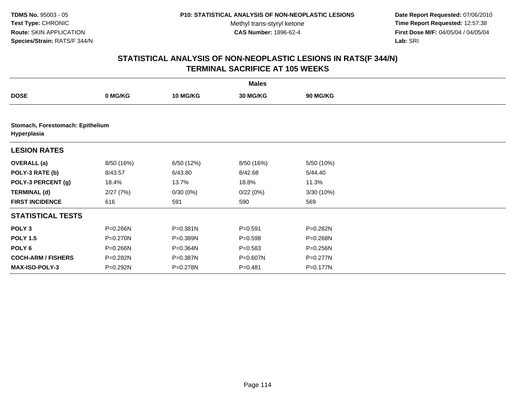**Date Report Requested:** 07/06/2010 **Time Report Requested:** 12:57:38 **First Dose M/F:** 04/05/04 / 04/05/04<br>Lab: SRI **Lab:** SRI

|                                                 |            |                 | <b>Males</b>    |                 |  |
|-------------------------------------------------|------------|-----------------|-----------------|-----------------|--|
| <b>DOSE</b>                                     | 0 MG/KG    | <b>10 MG/KG</b> | <b>30 MG/KG</b> | <b>90 MG/KG</b> |  |
|                                                 |            |                 |                 |                 |  |
| Stomach, Forestomach: Epithelium<br>Hyperplasia |            |                 |                 |                 |  |
| <b>LESION RATES</b>                             |            |                 |                 |                 |  |
| <b>OVERALL</b> (a)                              | 8/50 (16%) | 6/50 (12%)      | 8/50 (16%)      | 5/50 (10%)      |  |
| POLY-3 RATE (b)                                 | 8/43.57    | 6/43.80         | 8/42.68         | 5/44.40         |  |
| POLY-3 PERCENT (g)                              | 18.4%      | 13.7%           | 18.8%           | 11.3%           |  |
| <b>TERMINAL (d)</b>                             | 2/27(7%)   | 0/30(0%)        | 0/22(0%)        | 3/30 (10%)      |  |
| <b>FIRST INCIDENCE</b>                          | 616        | 591             | 590             | 569             |  |
| <b>STATISTICAL TESTS</b>                        |            |                 |                 |                 |  |
| POLY <sub>3</sub>                               | P=0.266N   | $P = 0.381N$    | $P = 0.591$     | P=0.262N        |  |
| <b>POLY 1.5</b>                                 | P=0.270N   | $P = 0.389N$    | $P = 0.598$     | P=0.268N        |  |
| POLY 6                                          | P=0.266N   | P=0.364N        | $P = 0.583$     | P=0.256N        |  |
| <b>COCH-ARM / FISHERS</b>                       | P=0.282N   | P=0.387N        | P=0.607N        | $P=0.277N$      |  |
| <b>MAX-ISO-POLY-3</b>                           | P=0.292N   | $P = 0.278N$    | $P = 0.481$     | P=0.177N        |  |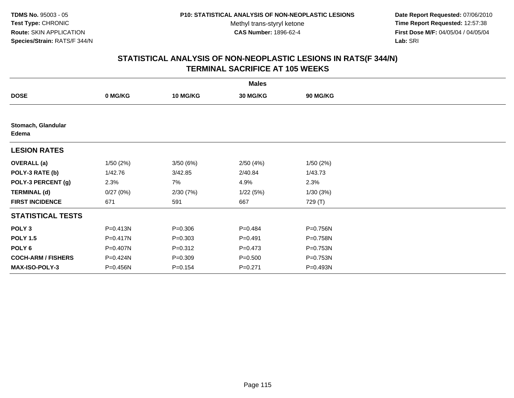**Date Report Requested:** 07/06/2010 **Time Report Requested:** 12:57:38 **First Dose M/F:** 04/05/04 / 04/05/04<br>Lab: SRI **Lab:** SRI

|                             |              |                 | <b>Males</b>    |                 |  |
|-----------------------------|--------------|-----------------|-----------------|-----------------|--|
| <b>DOSE</b>                 | 0 MG/KG      | <b>10 MG/KG</b> | <b>30 MG/KG</b> | <b>90 MG/KG</b> |  |
|                             |              |                 |                 |                 |  |
| Stomach, Glandular<br>Edema |              |                 |                 |                 |  |
| <b>LESION RATES</b>         |              |                 |                 |                 |  |
| <b>OVERALL</b> (a)          | 1/50(2%)     | 3/50(6%)        | 2/50(4%)        | 1/50(2%)        |  |
| POLY-3 RATE (b)             | 1/42.76      | 3/42.85         | 2/40.84         | 1/43.73         |  |
| POLY-3 PERCENT (g)          | 2.3%         | 7%              | 4.9%            | 2.3%            |  |
| <b>TERMINAL (d)</b>         | 0/27(0%)     | 2/30(7%)        | 1/22(5%)        | 1/30(3%)        |  |
| <b>FIRST INCIDENCE</b>      | 671          | 591             | 667             | 729 (T)         |  |
| <b>STATISTICAL TESTS</b>    |              |                 |                 |                 |  |
| POLY <sub>3</sub>           | $P = 0.413N$ | $P = 0.306$     | $P = 0.484$     | P=0.756N        |  |
| <b>POLY 1.5</b>             | P=0.417N     | $P = 0.303$     | $P = 0.491$     | P=0.758N        |  |
| POLY <sub>6</sub>           | P=0.407N     | $P = 0.312$     | $P = 0.473$     | P=0.753N        |  |
| <b>COCH-ARM / FISHERS</b>   | P=0.424N     | $P = 0.309$     | $P = 0.500$     | P=0.753N        |  |
| MAX-ISO-POLY-3              | P=0.456N     | $P = 0.154$     | $P = 0.271$     | P=0.493N        |  |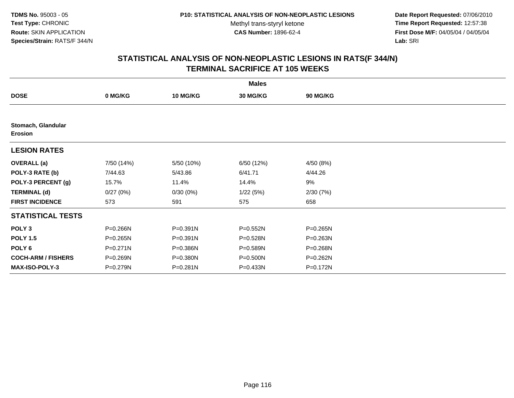**Date Report Requested:** 07/06/2010 **Time Report Requested:** 12:57:38 **First Dose M/F:** 04/05/04 / 04/05/04<br>Lab: SRI **Lab:** SRI

|                                      |              |                 | <b>Males</b>    |                 |  |
|--------------------------------------|--------------|-----------------|-----------------|-----------------|--|
| <b>DOSE</b>                          | 0 MG/KG      | <b>10 MG/KG</b> | <b>30 MG/KG</b> | <b>90 MG/KG</b> |  |
|                                      |              |                 |                 |                 |  |
| Stomach, Glandular<br><b>Erosion</b> |              |                 |                 |                 |  |
| <b>LESION RATES</b>                  |              |                 |                 |                 |  |
| <b>OVERALL</b> (a)                   | 7/50 (14%)   | 5/50 (10%)      | 6/50 (12%)      | 4/50 (8%)       |  |
| POLY-3 RATE (b)                      | 7/44.63      | 5/43.86         | 6/41.71         | 4/44.26         |  |
| POLY-3 PERCENT (g)                   | 15.7%        | 11.4%           | 14.4%           | 9%              |  |
| <b>TERMINAL (d)</b>                  | 0/27(0%)     | 0/30(0%)        | 1/22(5%)        | 2/30(7%)        |  |
| <b>FIRST INCIDENCE</b>               | 573          | 591             | 575             | 658             |  |
| <b>STATISTICAL TESTS</b>             |              |                 |                 |                 |  |
| POLY <sub>3</sub>                    | P=0.266N     | $P = 0.391N$    | P=0.552N        | P=0.265N        |  |
| <b>POLY 1.5</b>                      | $P = 0.265N$ | $P = 0.391N$    | P=0.528N        | $P = 0.263N$    |  |
| POLY <sub>6</sub>                    | $P = 0.271N$ | P=0.386N        | P=0.589N        | P=0.268N        |  |
| <b>COCH-ARM / FISHERS</b>            | P=0.269N     | P=0.380N        | P=0.500N        | P=0.262N        |  |
| <b>MAX-ISO-POLY-3</b>                | P=0.279N     | $P = 0.281N$    | P=0.433N        | P=0.172N        |  |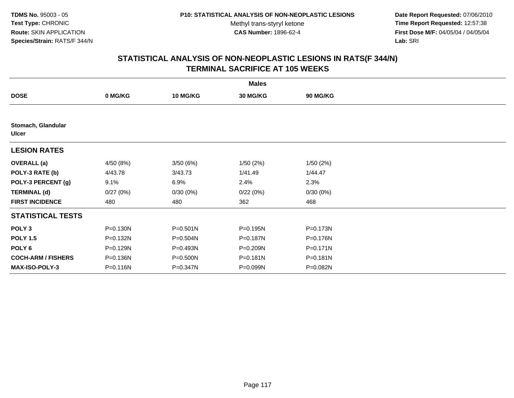**Date Report Requested:** 07/06/2010 **Time Report Requested:** 12:57:38 **First Dose M/F:** 04/05/04 / 04/05/04<br>Lab: SRI **Lab:** SRI

|                                    |              |                 | <b>Males</b>    |                 |  |
|------------------------------------|--------------|-----------------|-----------------|-----------------|--|
| <b>DOSE</b>                        | 0 MG/KG      | <b>10 MG/KG</b> | <b>30 MG/KG</b> | <b>90 MG/KG</b> |  |
|                                    |              |                 |                 |                 |  |
| Stomach, Glandular<br><b>Ulcer</b> |              |                 |                 |                 |  |
| <b>LESION RATES</b>                |              |                 |                 |                 |  |
| <b>OVERALL</b> (a)                 | 4/50 (8%)    | 3/50(6%)        | 1/50(2%)        | 1/50(2%)        |  |
| POLY-3 RATE (b)                    | 4/43.78      | 3/43.73         | 1/41.49         | 1/44.47         |  |
| POLY-3 PERCENT (g)                 | 9.1%         | 6.9%            | 2.4%            | 2.3%            |  |
| <b>TERMINAL (d)</b>                | 0/27(0%)     | 0/30(0%)        | 0/22(0%)        | 0/30(0%)        |  |
| <b>FIRST INCIDENCE</b>             | 480          | 480             | 362             | 468             |  |
| <b>STATISTICAL TESTS</b>           |              |                 |                 |                 |  |
| POLY <sub>3</sub>                  | $P = 0.130N$ | $P = 0.501N$    | P=0.195N        | P=0.173N        |  |
| <b>POLY 1.5</b>                    | $P = 0.132N$ | P=0.504N        | P=0.187N        | P=0.176N        |  |
| POLY <sub>6</sub>                  | P=0.129N     | P=0.493N        | P=0.209N        | $P = 0.171N$    |  |
| <b>COCH-ARM / FISHERS</b>          | P=0.136N     | P=0.500N        | P=0.181N        | P=0.181N        |  |
| <b>MAX-ISO-POLY-3</b>              | P=0.116N     | P=0.347N        | P=0.099N        | P=0.082N        |  |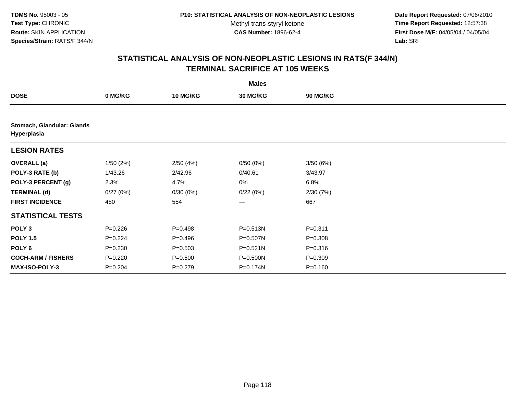**Date Report Requested:** 07/06/2010 **Time Report Requested:** 12:57:38 **First Dose M/F:** 04/05/04 / 04/05/04<br>Lab: SRI **Lab:** SRI

|                                           |             |                 | <b>Males</b>    |             |  |
|-------------------------------------------|-------------|-----------------|-----------------|-------------|--|
| <b>DOSE</b>                               | 0 MG/KG     | <b>10 MG/KG</b> | <b>30 MG/KG</b> | 90 MG/KG    |  |
|                                           |             |                 |                 |             |  |
| Stomach, Glandular: Glands<br>Hyperplasia |             |                 |                 |             |  |
| <b>LESION RATES</b>                       |             |                 |                 |             |  |
| <b>OVERALL</b> (a)                        | 1/50(2%)    | 2/50(4%)        | 0/50(0%)        | 3/50(6%)    |  |
| POLY-3 RATE (b)                           | 1/43.26     | 2/42.96         | 0/40.61         | 3/43.97     |  |
| POLY-3 PERCENT (g)                        | 2.3%        | 4.7%            | 0%              | 6.8%        |  |
| <b>TERMINAL (d)</b>                       | 0/27(0%)    | 0/30(0%)        | 0/22(0%)        | 2/30(7%)    |  |
| <b>FIRST INCIDENCE</b>                    | 480         | 554             | $\cdots$        | 667         |  |
| <b>STATISTICAL TESTS</b>                  |             |                 |                 |             |  |
| POLY <sub>3</sub>                         | $P = 0.226$ | $P=0.498$       | $P = 0.513N$    | $P = 0.311$ |  |
| <b>POLY 1.5</b>                           | $P=0.224$   | $P = 0.496$     | $P = 0.507N$    | $P = 0.308$ |  |
| POLY 6                                    | $P = 0.230$ | $P = 0.503$     | $P = 0.521N$    | $P = 0.316$ |  |
| <b>COCH-ARM / FISHERS</b>                 | $P = 0.220$ | $P = 0.500$     | P=0.500N        | $P = 0.309$ |  |
| <b>MAX-ISO-POLY-3</b>                     | $P = 0.204$ | $P=0.279$       | P=0.174N        | $P = 0.160$ |  |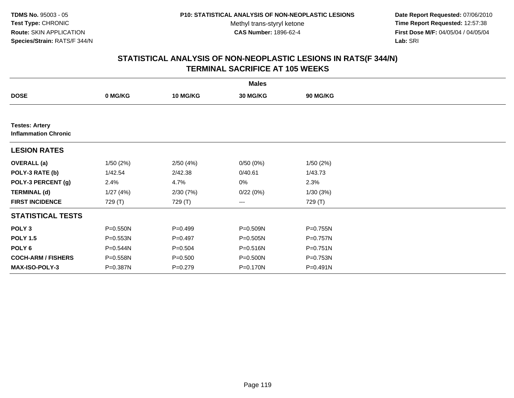**Date Report Requested:** 07/06/2010 **Time Report Requested:** 12:57:38 **First Dose M/F:** 04/05/04 / 04/05/04<br>Lab: SRI **Lab:** SRI

|                                                      |          |                 | <b>Males</b> |          |  |
|------------------------------------------------------|----------|-----------------|--------------|----------|--|
| <b>DOSE</b>                                          | 0 MG/KG  | <b>10 MG/KG</b> | 30 MG/KG     | 90 MG/KG |  |
|                                                      |          |                 |              |          |  |
| <b>Testes: Artery</b><br><b>Inflammation Chronic</b> |          |                 |              |          |  |
| <b>LESION RATES</b>                                  |          |                 |              |          |  |
| <b>OVERALL</b> (a)                                   | 1/50(2%) | 2/50(4%)        | 0/50(0%)     | 1/50(2%) |  |
| POLY-3 RATE (b)                                      | 1/42.54  | 2/42.38         | 0/40.61      | 1/43.73  |  |
| POLY-3 PERCENT (g)                                   | 2.4%     | 4.7%            | 0%           | 2.3%     |  |
| <b>TERMINAL (d)</b>                                  | 1/27(4%) | 2/30(7%)        | 0/22(0%)     | 1/30(3%) |  |
| <b>FIRST INCIDENCE</b>                               | 729 (T)  | 729 (T)         | $\cdots$     | 729 (T)  |  |
| <b>STATISTICAL TESTS</b>                             |          |                 |              |          |  |
| POLY <sub>3</sub>                                    | P=0.550N | $P=0.499$       | P=0.509N     | P=0.755N |  |
| <b>POLY 1.5</b>                                      | P=0.553N | $P=0.497$       | P=0.505N     | P=0.757N |  |
| POLY <sub>6</sub>                                    | P=0.544N | $P = 0.504$     | $P = 0.516N$ | P=0.751N |  |
| <b>COCH-ARM / FISHERS</b>                            | P=0.558N | $P = 0.500$     | P=0.500N     | P=0.753N |  |
| <b>MAX-ISO-POLY-3</b>                                | P=0.387N | $P=0.279$       | P=0.170N     | P=0.491N |  |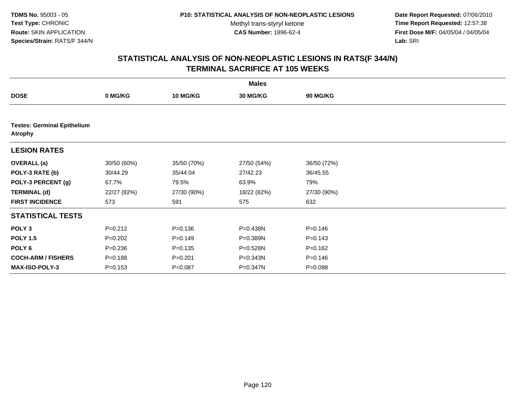**Date Report Requested:** 07/06/2010 **Time Report Requested:** 12:57:38 **First Dose M/F:** 04/05/04 / 04/05/04<br>Lab: SRI **Lab:** SRI

| <b>Males</b>                                         |             |                 |                 |                 |  |  |  |
|------------------------------------------------------|-------------|-----------------|-----------------|-----------------|--|--|--|
| <b>DOSE</b>                                          | 0 MG/KG     | <b>10 MG/KG</b> | <b>30 MG/KG</b> | <b>90 MG/KG</b> |  |  |  |
|                                                      |             |                 |                 |                 |  |  |  |
| <b>Testes: Germinal Epithelium</b><br><b>Atrophy</b> |             |                 |                 |                 |  |  |  |
| <b>LESION RATES</b>                                  |             |                 |                 |                 |  |  |  |
| <b>OVERALL</b> (a)                                   | 30/50 (60%) | 35/50 (70%)     | 27/50 (54%)     | 36/50 (72%)     |  |  |  |
| POLY-3 RATE (b)                                      | 30/44.29    | 35/44.04        | 27/42.23        | 36/45.55        |  |  |  |
| POLY-3 PERCENT (g)                                   | 67.7%       | 79.5%           | 63.9%           | 79%             |  |  |  |
| <b>TERMINAL (d)</b>                                  | 22/27 (82%) | 27/30 (90%)     | 18/22 (82%)     | 27/30 (90%)     |  |  |  |
| <b>FIRST INCIDENCE</b>                               | 573         | 591             | 575             | 632             |  |  |  |
| <b>STATISTICAL TESTS</b>                             |             |                 |                 |                 |  |  |  |
| POLY <sub>3</sub>                                    | $P=0.212$   | $P = 0.136$     | P=0.438N        | $P = 0.146$     |  |  |  |
| <b>POLY 1.5</b>                                      | $P=0.202$   | $P=0.149$       | P=0.389N        | $P = 0.143$     |  |  |  |
| POLY <sub>6</sub>                                    | $P = 0.236$ | $P = 0.135$     | P=0.528N        | $P = 0.162$     |  |  |  |
| <b>COCH-ARM / FISHERS</b>                            | $P = 0.188$ | $P = 0.201$     | P=0.343N        | $P = 0.146$     |  |  |  |
| <b>MAX-ISO-POLY-3</b>                                | $P = 0.153$ | $P = 0.087$     | P=0.347N        | $P = 0.098$     |  |  |  |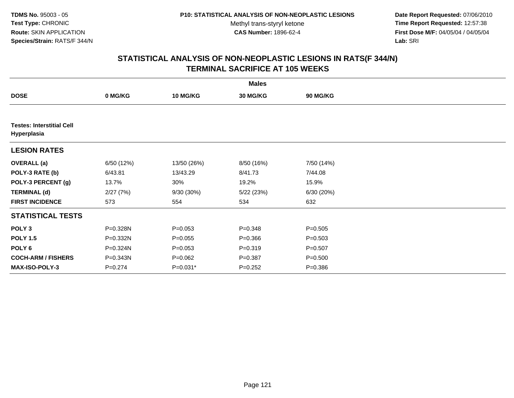**Date Report Requested:** 07/06/2010 **Time Report Requested:** 12:57:38 **First Dose M/F:** 04/05/04 / 04/05/04<br>Lab: SRI **Lab:** SRI

|                                                 | <b>Males</b> |                 |             |                 |  |  |  |  |
|-------------------------------------------------|--------------|-----------------|-------------|-----------------|--|--|--|--|
| <b>DOSE</b>                                     | 0 MG/KG      | <b>10 MG/KG</b> | 30 MG/KG    | <b>90 MG/KG</b> |  |  |  |  |
|                                                 |              |                 |             |                 |  |  |  |  |
| <b>Testes: Interstitial Cell</b><br>Hyperplasia |              |                 |             |                 |  |  |  |  |
| <b>LESION RATES</b>                             |              |                 |             |                 |  |  |  |  |
| <b>OVERALL</b> (a)                              | 6/50 (12%)   | 13/50 (26%)     | 8/50 (16%)  | 7/50 (14%)      |  |  |  |  |
| POLY-3 RATE (b)                                 | 6/43.81      | 13/43.29        | 8/41.73     | 7/44.08         |  |  |  |  |
| POLY-3 PERCENT (g)                              | 13.7%        | 30%             | 19.2%       | 15.9%           |  |  |  |  |
| <b>TERMINAL (d)</b>                             | 2/27(7%)     | 9/30 (30%)      | 5/22(23%)   | 6/30(20%)       |  |  |  |  |
| <b>FIRST INCIDENCE</b>                          | 573          | 554             | 534         | 632             |  |  |  |  |
| <b>STATISTICAL TESTS</b>                        |              |                 |             |                 |  |  |  |  |
| POLY <sub>3</sub>                               | P=0.328N     | $P = 0.053$     | $P = 0.348$ | $P = 0.505$     |  |  |  |  |
| <b>POLY 1.5</b>                                 | P=0.332N     | $P = 0.055$     | $P = 0.366$ | $P = 0.503$     |  |  |  |  |
| POLY 6                                          | P=0.324N     | $P = 0.053$     | $P = 0.319$ | $P = 0.507$     |  |  |  |  |
| <b>COCH-ARM / FISHERS</b>                       | P=0.343N     | $P=0.062$       | $P = 0.387$ | $P = 0.500$     |  |  |  |  |
| <b>MAX-ISO-POLY-3</b>                           | $P = 0.274$  | $P=0.031*$      | $P = 0.252$ | $P = 0.386$     |  |  |  |  |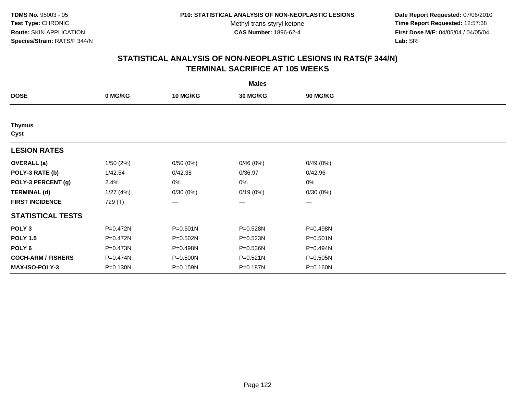**Date Report Requested:** 07/06/2010 **Time Report Requested:** 12:57:38 **First Dose M/F:** 04/05/04 / 04/05/04<br>Lab: SRI **Lab:** SRI

| <b>Males</b>              |              |                 |          |                   |  |  |  |
|---------------------------|--------------|-----------------|----------|-------------------|--|--|--|
| <b>DOSE</b>               | 0 MG/KG      | <b>10 MG/KG</b> | 30 MG/KG | <b>90 MG/KG</b>   |  |  |  |
|                           |              |                 |          |                   |  |  |  |
| <b>Thymus</b><br>Cyst     |              |                 |          |                   |  |  |  |
| <b>LESION RATES</b>       |              |                 |          |                   |  |  |  |
| <b>OVERALL</b> (a)        | 1/50 (2%)    | 0/50(0%)        | 0/46(0%) | 0/49(0%)          |  |  |  |
| POLY-3 RATE (b)           | 1/42.54      | 0/42.38         | 0/36.97  | 0/42.96           |  |  |  |
| POLY-3 PERCENT (g)        | 2.4%         | 0%              | 0%       | $0\%$             |  |  |  |
| <b>TERMINAL (d)</b>       | 1/27(4%)     | 0/30(0%)        | 0/19(0%) | 0/30(0%)          |  |  |  |
| <b>FIRST INCIDENCE</b>    | 729 (T)      | $---$           | ---      | $\qquad \qquad -$ |  |  |  |
| <b>STATISTICAL TESTS</b>  |              |                 |          |                   |  |  |  |
| POLY <sub>3</sub>         | P=0.472N     | $P = 0.501N$    | P=0.528N | P=0.498N          |  |  |  |
| <b>POLY 1.5</b>           | $P = 0.472N$ | $P = 0.502N$    | P=0.523N | $P = 0.501N$      |  |  |  |
| POLY <sub>6</sub>         | P=0.473N     | P=0.498N        | P=0.536N | P=0.494N          |  |  |  |
| <b>COCH-ARM / FISHERS</b> | P=0.474N     | P=0.500N        | P=0.521N | P=0.505N          |  |  |  |
| <b>MAX-ISO-POLY-3</b>     | $P = 0.130N$ | P=0.159N        | P=0.187N | P=0.160N          |  |  |  |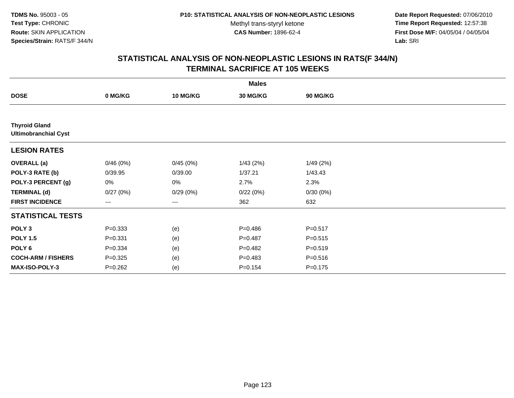**Date Report Requested:** 07/06/2010 **Time Report Requested:** 12:57:38 **First Dose M/F:** 04/05/04 / 04/05/04<br>Lab: SRI **Lab:** SRI

|                                                     | <b>Males</b> |                 |             |             |  |  |  |  |
|-----------------------------------------------------|--------------|-----------------|-------------|-------------|--|--|--|--|
| <b>DOSE</b>                                         | 0 MG/KG      | <b>10 MG/KG</b> | 30 MG/KG    | 90 MG/KG    |  |  |  |  |
|                                                     |              |                 |             |             |  |  |  |  |
| <b>Thyroid Gland</b><br><b>Ultimobranchial Cyst</b> |              |                 |             |             |  |  |  |  |
| <b>LESION RATES</b>                                 |              |                 |             |             |  |  |  |  |
| <b>OVERALL</b> (a)                                  | 0/46(0%)     | 0/45(0%)        | 1/43(2%)    | 1/49(2%)    |  |  |  |  |
| POLY-3 RATE (b)                                     | 0/39.95      | 0/39.00         | 1/37.21     | 1/43.43     |  |  |  |  |
| POLY-3 PERCENT (g)                                  | $0\%$        | 0%              | 2.7%        | 2.3%        |  |  |  |  |
| <b>TERMINAL (d)</b>                                 | 0/27(0%)     | 0/29(0%)        | 0/22(0%)    | 0/30(0%)    |  |  |  |  |
| <b>FIRST INCIDENCE</b>                              | $---$        | $---$           | 362         | 632         |  |  |  |  |
| <b>STATISTICAL TESTS</b>                            |              |                 |             |             |  |  |  |  |
| POLY <sub>3</sub>                                   | $P = 0.333$  | (e)             | $P = 0.486$ | $P = 0.517$ |  |  |  |  |
| <b>POLY 1.5</b>                                     | $P = 0.331$  | (e)             | $P=0.487$   | $P = 0.515$ |  |  |  |  |
| POLY 6                                              | $P = 0.334$  | (e)             | $P=0.482$   | $P = 0.519$ |  |  |  |  |
| <b>COCH-ARM / FISHERS</b>                           | $P = 0.325$  | (e)             | $P=0.483$   | $P = 0.516$ |  |  |  |  |
| MAX-ISO-POLY-3                                      | $P = 0.262$  | (e)             | $P = 0.154$ | $P = 0.175$ |  |  |  |  |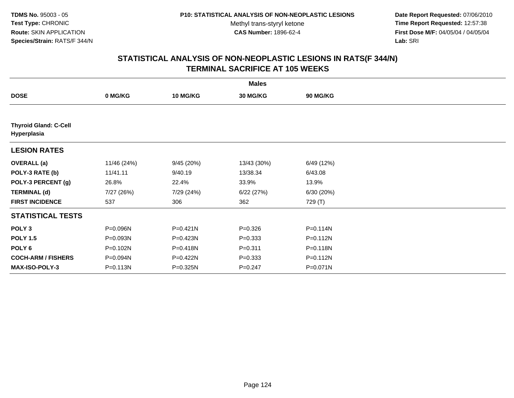**Date Report Requested:** 07/06/2010 **Time Report Requested:** 12:57:38 **First Dose M/F:** 04/05/04 / 04/05/04<br>Lab: SRI **Lab:** SRI

|                                             | <b>Males</b> |                 |                 |                 |  |  |  |  |
|---------------------------------------------|--------------|-----------------|-----------------|-----------------|--|--|--|--|
| <b>DOSE</b>                                 | 0 MG/KG      | <b>10 MG/KG</b> | <b>30 MG/KG</b> | <b>90 MG/KG</b> |  |  |  |  |
|                                             |              |                 |                 |                 |  |  |  |  |
| <b>Thyroid Gland: C-Cell</b><br>Hyperplasia |              |                 |                 |                 |  |  |  |  |
| <b>LESION RATES</b>                         |              |                 |                 |                 |  |  |  |  |
| <b>OVERALL</b> (a)                          | 11/46 (24%)  | 9/45(20%)       | 13/43 (30%)     | 6/49 (12%)      |  |  |  |  |
| POLY-3 RATE (b)                             | 11/41.11     | 9/40.19         | 13/38.34        | 6/43.08         |  |  |  |  |
| POLY-3 PERCENT (g)                          | 26.8%        | 22.4%           | 33.9%           | 13.9%           |  |  |  |  |
| <b>TERMINAL (d)</b>                         | 7/27 (26%)   | 7/29 (24%)      | 6/22(27%)       | 6/30 (20%)      |  |  |  |  |
| <b>FIRST INCIDENCE</b>                      | 537          | 306             | 362             | 729 (T)         |  |  |  |  |
| <b>STATISTICAL TESTS</b>                    |              |                 |                 |                 |  |  |  |  |
| POLY <sub>3</sub>                           | P=0.096N     | P=0.421N        | $P = 0.326$     | P=0.114N        |  |  |  |  |
| <b>POLY 1.5</b>                             | P=0.093N     | P=0.423N        | $P = 0.333$     | $P = 0.112N$    |  |  |  |  |
| POLY <sub>6</sub>                           | P=0.102N     | P=0.418N        | $P = 0.311$     | P=0.118N        |  |  |  |  |
| <b>COCH-ARM / FISHERS</b>                   | P=0.094N     | P=0.422N        | $P = 0.333$     | P=0.112N        |  |  |  |  |
| <b>MAX-ISO-POLY-3</b>                       | P=0.113N     | P=0.325N        | $P = 0.247$     | P=0.071N        |  |  |  |  |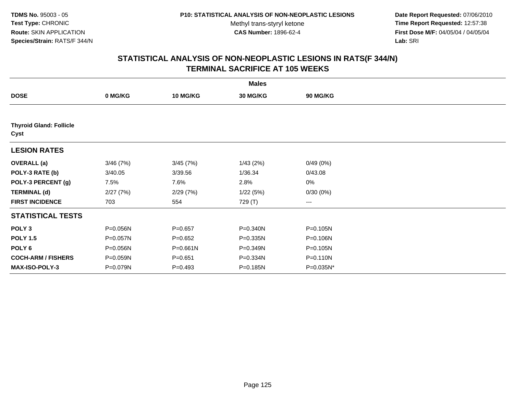**Date Report Requested:** 07/06/2010 **Time Report Requested:** 12:57:38 **First Dose M/F:** 04/05/04 / 04/05/04<br>Lab: SRI **Lab:** SRI

|                                        |          |                 | <b>Males</b>    |                        |  |
|----------------------------------------|----------|-----------------|-----------------|------------------------|--|
| <b>DOSE</b>                            | 0 MG/KG  | <b>10 MG/KG</b> | <b>30 MG/KG</b> | <b>90 MG/KG</b>        |  |
|                                        |          |                 |                 |                        |  |
| <b>Thyroid Gland: Follicle</b><br>Cyst |          |                 |                 |                        |  |
| <b>LESION RATES</b>                    |          |                 |                 |                        |  |
| <b>OVERALL</b> (a)                     | 3/46(7%) | 3/45(7%)        | 1/43(2%)        | 0/49(0%)               |  |
| POLY-3 RATE (b)                        | 3/40.05  | 3/39.56         | 1/36.34         | 0/43.08                |  |
| POLY-3 PERCENT (g)                     | 7.5%     | 7.6%            | 2.8%            | 0%                     |  |
| <b>TERMINAL (d)</b>                    | 2/27(7%) | 2/29(7%)        | 1/22(5%)        | 0/30(0%)               |  |
| <b>FIRST INCIDENCE</b>                 | 703      | 554             | 729 (T)         | $\qquad \qquad \cdots$ |  |
| <b>STATISTICAL TESTS</b>               |          |                 |                 |                        |  |
| POLY <sub>3</sub>                      | P=0.056N | $P = 0.657$     | P=0.340N        | P=0.105N               |  |
| <b>POLY 1.5</b>                        | P=0.057N | $P = 0.652$     | P=0.335N        | P=0.106N               |  |
| POLY <sub>6</sub>                      | P=0.056N | P=0.661N        | P=0.349N        | P=0.105N               |  |
| <b>COCH-ARM / FISHERS</b>              | P=0.059N | $P = 0.651$     | P=0.334N        | P=0.110N               |  |
| <b>MAX-ISO-POLY-3</b>                  | P=0.079N | $P = 0.493$     | P=0.185N        | P=0.035N*              |  |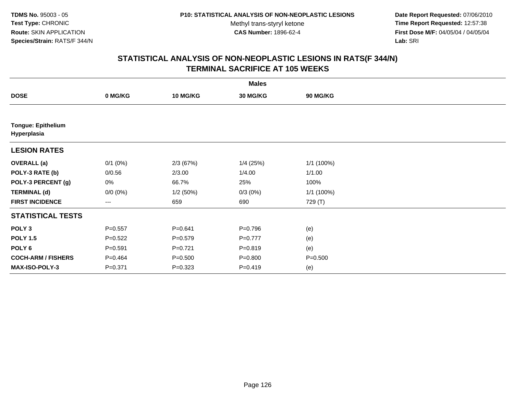**Date Report Requested:** 07/06/2010 **Time Report Requested:** 12:57:38 **First Dose M/F:** 04/05/04 / 04/05/04<br>Lab: SRI **Lab:** SRI

|                                          | <b>Males</b> |                 |             |             |  |  |  |  |
|------------------------------------------|--------------|-----------------|-------------|-------------|--|--|--|--|
| <b>DOSE</b>                              | 0 MG/KG      | <b>10 MG/KG</b> | 30 MG/KG    | 90 MG/KG    |  |  |  |  |
|                                          |              |                 |             |             |  |  |  |  |
| <b>Tongue: Epithelium</b><br>Hyperplasia |              |                 |             |             |  |  |  |  |
| <b>LESION RATES</b>                      |              |                 |             |             |  |  |  |  |
| <b>OVERALL</b> (a)                       | $0/1$ $(0%)$ | 2/3(67%)        | $1/4$ (25%) | 1/1 (100%)  |  |  |  |  |
| POLY-3 RATE (b)                          | 0/0.56       | 2/3.00          | 1/4.00      | 1/1.00      |  |  |  |  |
| POLY-3 PERCENT (g)                       | $0\%$        | 66.7%           | 25%         | 100%        |  |  |  |  |
| <b>TERMINAL (d)</b>                      | $0/0 (0\%)$  | 1/2(50%)        | $0/3(0\%)$  | 1/1 (100%)  |  |  |  |  |
| <b>FIRST INCIDENCE</b>                   | $---$        | 659             | 690         | 729 (T)     |  |  |  |  |
| <b>STATISTICAL TESTS</b>                 |              |                 |             |             |  |  |  |  |
| POLY <sub>3</sub>                        | $P = 0.557$  | $P = 0.641$     | $P = 0.796$ | (e)         |  |  |  |  |
| <b>POLY 1.5</b>                          | $P=0.522$    | $P=0.579$       | $P=0.777$   | (e)         |  |  |  |  |
| POLY 6                                   | $P = 0.591$  | $P=0.721$       | $P = 0.819$ | (e)         |  |  |  |  |
| <b>COCH-ARM / FISHERS</b>                | $P = 0.464$  | $P = 0.500$     | $P = 0.800$ | $P = 0.500$ |  |  |  |  |
| MAX-ISO-POLY-3                           | $P = 0.371$  | $P = 0.323$     | $P=0.419$   | (e)         |  |  |  |  |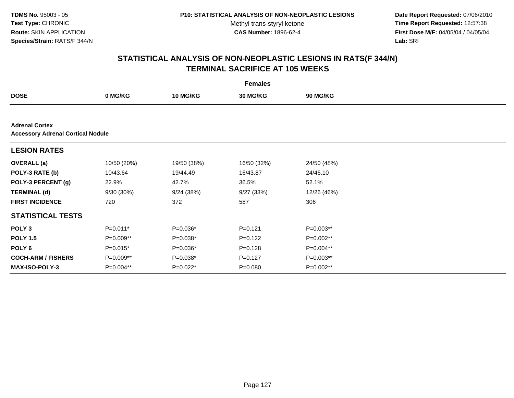**Date Report Requested:** 07/06/2010 **Time Report Requested:** 12:57:38 **First Dose M/F:** 04/05/04 / 04/05/04<br>Lab: SRI **Lab:** SRI

| <b>Females</b>                                                    |             |                 |             |             |  |  |  |
|-------------------------------------------------------------------|-------------|-----------------|-------------|-------------|--|--|--|
| <b>DOSE</b>                                                       | 0 MG/KG     | <b>10 MG/KG</b> | 30 MG/KG    | 90 MG/KG    |  |  |  |
|                                                                   |             |                 |             |             |  |  |  |
| <b>Adrenal Cortex</b><br><b>Accessory Adrenal Cortical Nodule</b> |             |                 |             |             |  |  |  |
| <b>LESION RATES</b>                                               |             |                 |             |             |  |  |  |
| <b>OVERALL</b> (a)                                                | 10/50 (20%) | 19/50 (38%)     | 16/50 (32%) | 24/50 (48%) |  |  |  |
| POLY-3 RATE (b)                                                   | 10/43.64    | 19/44.49        | 16/43.87    | 24/46.10    |  |  |  |
| POLY-3 PERCENT (g)                                                | 22.9%       | 42.7%           | 36.5%       | 52.1%       |  |  |  |
| <b>TERMINAL (d)</b>                                               | 9/30 (30%)  | 9/24(38%)       | 9/27(33%)   | 12/26 (46%) |  |  |  |
| <b>FIRST INCIDENCE</b>                                            | 720         | 372             | 587         | 306         |  |  |  |
| <b>STATISTICAL TESTS</b>                                          |             |                 |             |             |  |  |  |
| POLY <sub>3</sub>                                                 | $P=0.011*$  | P=0.036*        | $P = 0.121$ | P=0.003**   |  |  |  |
| <b>POLY 1.5</b>                                                   | P=0.009**   | P=0.038*        | $P=0.122$   | P=0.002**   |  |  |  |
| POLY <sub>6</sub>                                                 | $P=0.015*$  | P=0.036*        | $P = 0.128$ | P=0.004**   |  |  |  |
| <b>COCH-ARM / FISHERS</b>                                         | P=0.009**   | $P=0.038*$      | $P = 0.127$ | P=0.003**   |  |  |  |
| <b>MAX-ISO-POLY-3</b>                                             | P=0.004**   | P=0.022*        | $P = 0.080$ | P=0.002**   |  |  |  |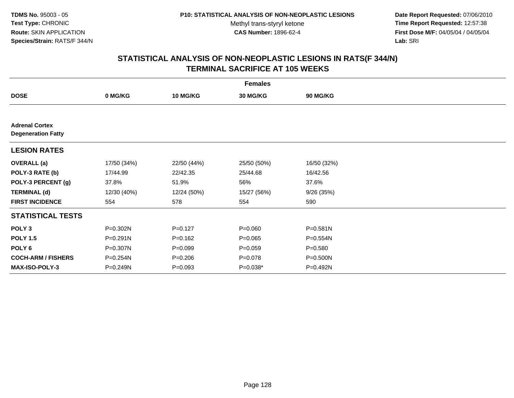**Date Report Requested:** 07/06/2010 **Time Report Requested:** 12:57:38 **First Dose M/F:** 04/05/04 / 04/05/04<br>Lab: SRI **Lab:** SRI

| <b>Females</b>                                     |              |                 |             |                 |  |  |  |
|----------------------------------------------------|--------------|-----------------|-------------|-----------------|--|--|--|
| <b>DOSE</b>                                        | 0 MG/KG      | <b>10 MG/KG</b> | 30 MG/KG    | <b>90 MG/KG</b> |  |  |  |
|                                                    |              |                 |             |                 |  |  |  |
| <b>Adrenal Cortex</b><br><b>Degeneration Fatty</b> |              |                 |             |                 |  |  |  |
| <b>LESION RATES</b>                                |              |                 |             |                 |  |  |  |
| <b>OVERALL</b> (a)                                 | 17/50 (34%)  | 22/50 (44%)     | 25/50 (50%) | 16/50 (32%)     |  |  |  |
| POLY-3 RATE (b)                                    | 17/44.99     | 22/42.35        | 25/44.68    | 16/42.56        |  |  |  |
| POLY-3 PERCENT (g)                                 | 37.8%        | 51.9%           | 56%         | 37.6%           |  |  |  |
| <b>TERMINAL (d)</b>                                | 12/30 (40%)  | 12/24 (50%)     | 15/27 (56%) | 9/26(35%)       |  |  |  |
| <b>FIRST INCIDENCE</b>                             | 554          | 578             | 554         | 590             |  |  |  |
| <b>STATISTICAL TESTS</b>                           |              |                 |             |                 |  |  |  |
| POLY <sub>3</sub>                                  | P=0.302N     | $P=0.127$       | $P = 0.060$ | $P = 0.581N$    |  |  |  |
| <b>POLY 1.5</b>                                    | $P = 0.291N$ | $P = 0.162$     | $P=0.065$   | P=0.554N        |  |  |  |
| POLY <sub>6</sub>                                  | P=0.307N     | $P=0.099$       | $P = 0.059$ | $P = 0.580$     |  |  |  |
| <b>COCH-ARM / FISHERS</b>                          | P=0.254N     | $P = 0.206$     | $P = 0.078$ | P=0.500N        |  |  |  |
| <b>MAX-ISO-POLY-3</b>                              | P=0.249N     | $P = 0.093$     | P=0.038*    | P=0.492N        |  |  |  |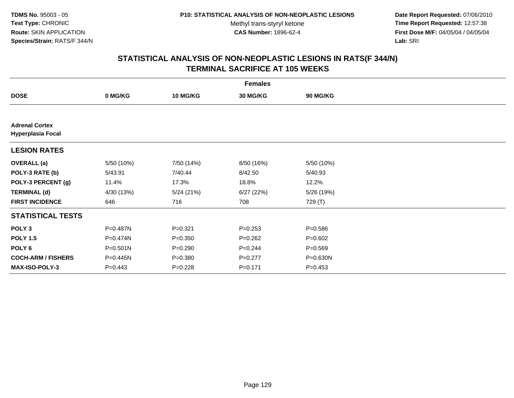**Date Report Requested:** 07/06/2010 **Time Report Requested:** 12:57:38 **First Dose M/F:** 04/05/04 / 04/05/04<br>Lab: SRI **Lab:** SRI

| <b>Females</b>                                    |             |                 |                 |             |  |  |  |
|---------------------------------------------------|-------------|-----------------|-----------------|-------------|--|--|--|
| <b>DOSE</b>                                       | 0 MG/KG     | <b>10 MG/KG</b> | <b>30 MG/KG</b> | 90 MG/KG    |  |  |  |
|                                                   |             |                 |                 |             |  |  |  |
| <b>Adrenal Cortex</b><br><b>Hyperplasia Focal</b> |             |                 |                 |             |  |  |  |
| <b>LESION RATES</b>                               |             |                 |                 |             |  |  |  |
| <b>OVERALL</b> (a)                                | 5/50 (10%)  | 7/50 (14%)      | 8/50 (16%)      | 5/50 (10%)  |  |  |  |
| POLY-3 RATE (b)                                   | 5/43.91     | 7/40.44         | 8/42.50         | 5/40.93     |  |  |  |
| POLY-3 PERCENT (g)                                | 11.4%       | 17.3%           | 18.8%           | 12.2%       |  |  |  |
| <b>TERMINAL (d)</b>                               | 4/30 (13%)  | 5/24(21%)       | 6/27(22%)       | 5/26 (19%)  |  |  |  |
| <b>FIRST INCIDENCE</b>                            | 646         | 716             | 708             | 729 (T)     |  |  |  |
| <b>STATISTICAL TESTS</b>                          |             |                 |                 |             |  |  |  |
| POLY <sub>3</sub>                                 | P=0.487N    | $P=0.321$       | $P=0.253$       | $P = 0.586$ |  |  |  |
| <b>POLY 1.5</b>                                   | P=0.474N    | $P = 0.350$     | $P=0.262$       | $P = 0.602$ |  |  |  |
| POLY 6                                            | P=0.501N    | $P = 0.290$     | $P = 0.244$     | $P = 0.569$ |  |  |  |
| <b>COCH-ARM / FISHERS</b>                         | P=0.445N    | $P = 0.380$     | $P=0.277$       | P=0.630N    |  |  |  |
| MAX-ISO-POLY-3                                    | $P = 0.443$ | $P = 0.228$     | $P = 0.171$     | $P=0.453$   |  |  |  |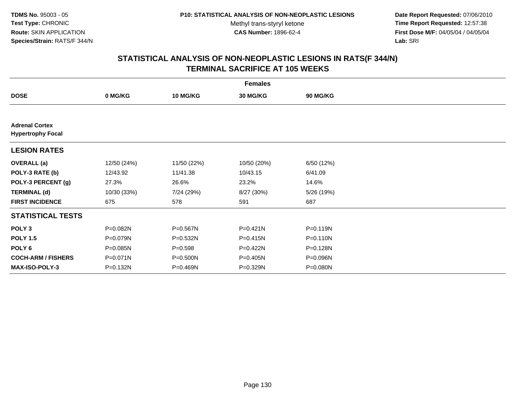**Date Report Requested:** 07/06/2010 **Time Report Requested:** 12:57:38 **First Dose M/F:** 04/05/04 / 04/05/04<br>Lab: SRI **Lab:** SRI

| <b>Females</b>                                    |             |                 |             |            |  |  |  |
|---------------------------------------------------|-------------|-----------------|-------------|------------|--|--|--|
| <b>DOSE</b>                                       | 0 MG/KG     | <b>10 MG/KG</b> | 30 MG/KG    | 90 MG/KG   |  |  |  |
|                                                   |             |                 |             |            |  |  |  |
| <b>Adrenal Cortex</b><br><b>Hypertrophy Focal</b> |             |                 |             |            |  |  |  |
| <b>LESION RATES</b>                               |             |                 |             |            |  |  |  |
| <b>OVERALL</b> (a)                                | 12/50 (24%) | 11/50 (22%)     | 10/50 (20%) | 6/50 (12%) |  |  |  |
| POLY-3 RATE (b)                                   | 12/43.92    | 11/41.38        | 10/43.15    | 6/41.09    |  |  |  |
| POLY-3 PERCENT (g)                                | 27.3%       | 26.6%           | 23.2%       | 14.6%      |  |  |  |
| <b>TERMINAL (d)</b>                               | 10/30 (33%) | 7/24 (29%)      | 8/27 (30%)  | 5/26 (19%) |  |  |  |
| <b>FIRST INCIDENCE</b>                            | 675         | 578             | 591         | 687        |  |  |  |
| <b>STATISTICAL TESTS</b>                          |             |                 |             |            |  |  |  |
| POLY <sub>3</sub>                                 | P=0.082N    | P=0.567N        | P=0.421N    | P=0.119N   |  |  |  |
| <b>POLY 1.5</b>                                   | P=0.079N    | P=0.532N        | P=0.415N    | P=0.110N   |  |  |  |
| POLY <sub>6</sub>                                 | P=0.085N    | $P = 0.598$     | P=0.422N    | P=0.128N   |  |  |  |
| <b>COCH-ARM / FISHERS</b>                         | P=0.071N    | P=0.500N        | P=0.405N    | P=0.096N   |  |  |  |
| <b>MAX-ISO-POLY-3</b>                             | P=0.132N    | P=0.469N        | P=0.329N    | P=0.080N   |  |  |  |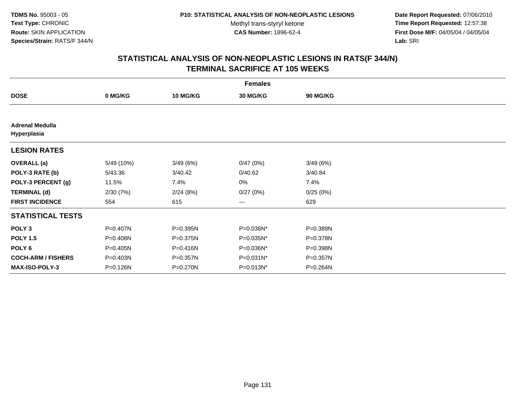**Date Report Requested:** 07/06/2010 **Time Report Requested:** 12:57:38 **First Dose M/F:** 04/05/04 / 04/05/04<br>Lab: SRI **Lab:** SRI

|                                       | <b>Females</b> |                 |                 |          |  |  |  |  |
|---------------------------------------|----------------|-----------------|-----------------|----------|--|--|--|--|
| <b>DOSE</b>                           | 0 MG/KG        | <b>10 MG/KG</b> | <b>30 MG/KG</b> | 90 MG/KG |  |  |  |  |
|                                       |                |                 |                 |          |  |  |  |  |
| <b>Adrenal Medulla</b><br>Hyperplasia |                |                 |                 |          |  |  |  |  |
| <b>LESION RATES</b>                   |                |                 |                 |          |  |  |  |  |
| <b>OVERALL</b> (a)                    | 5/49 (10%)     | 3/49(6%)        | 0/47(0%)        | 3/49(6%) |  |  |  |  |
| POLY-3 RATE (b)                       | 5/43.36        | 3/40.42         | 0/40.62         | 3/40.84  |  |  |  |  |
| POLY-3 PERCENT (g)                    | 11.5%          | 7.4%            | 0%              | 7.4%     |  |  |  |  |
| <b>TERMINAL (d)</b>                   | 2/30(7%)       | 2/24(8%)        | 0/27(0%)        | 0/25(0%) |  |  |  |  |
| <b>FIRST INCIDENCE</b>                | 554            | 615             | ---             | 629      |  |  |  |  |
| <b>STATISTICAL TESTS</b>              |                |                 |                 |          |  |  |  |  |
| POLY <sub>3</sub>                     | P=0.407N       | $P = 0.395N$    | P=0.036N*       | P=0.389N |  |  |  |  |
| <b>POLY 1.5</b>                       | P=0.408N       | $P = 0.375N$    | P=0.035N*       | P=0.378N |  |  |  |  |
| POLY <sub>6</sub>                     | $P = 0.405N$   | $P = 0.416N$    | P=0.036N*       | P=0.398N |  |  |  |  |
| <b>COCH-ARM / FISHERS</b>             | P=0.403N       | P=0.357N        | P=0.031N*       | P=0.357N |  |  |  |  |
| <b>MAX-ISO-POLY-3</b>                 | P=0.126N       | P=0.270N        | P=0.013N*       | P=0.264N |  |  |  |  |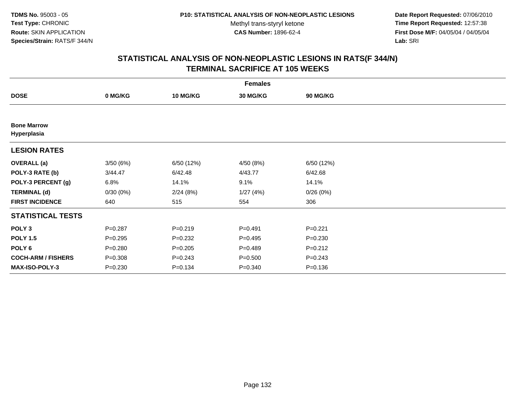**Date Report Requested:** 07/06/2010 **Time Report Requested:** 12:57:38 **First Dose M/F:** 04/05/04 / 04/05/04<br>Lab: SRI **Lab:** SRI

| <b>Females</b>                    |             |                 |                 |             |  |  |  |
|-----------------------------------|-------------|-----------------|-----------------|-------------|--|--|--|
| <b>DOSE</b>                       | 0 MG/KG     | <b>10 MG/KG</b> | <b>30 MG/KG</b> | 90 MG/KG    |  |  |  |
|                                   |             |                 |                 |             |  |  |  |
| <b>Bone Marrow</b><br>Hyperplasia |             |                 |                 |             |  |  |  |
| <b>LESION RATES</b>               |             |                 |                 |             |  |  |  |
| <b>OVERALL</b> (a)                | 3/50(6%)    | 6/50 (12%)      | 4/50 (8%)       | 6/50 (12%)  |  |  |  |
| POLY-3 RATE (b)                   | 3/44.47     | 6/42.48         | 4/43.77         | 6/42.68     |  |  |  |
| POLY-3 PERCENT (g)                | 6.8%        | 14.1%           | 9.1%            | 14.1%       |  |  |  |
| <b>TERMINAL (d)</b>               | 0/30(0%)    | 2/24(8%)        | 1/27(4%)        | 0/26(0%)    |  |  |  |
| <b>FIRST INCIDENCE</b>            | 640         | 515             | 554             | 306         |  |  |  |
| <b>STATISTICAL TESTS</b>          |             |                 |                 |             |  |  |  |
| POLY <sub>3</sub>                 | $P=0.287$   | $P = 0.219$     | $P = 0.491$     | $P=0.221$   |  |  |  |
| <b>POLY 1.5</b>                   | $P=0.295$   | $P = 0.232$     | $P=0.495$       | $P = 0.230$ |  |  |  |
| POLY <sub>6</sub>                 | $P = 0.280$ | $P = 0.205$     | $P=0.489$       | $P = 0.212$ |  |  |  |
| <b>COCH-ARM / FISHERS</b>         | $P = 0.308$ | $P = 0.243$     | $P = 0.500$     | $P = 0.243$ |  |  |  |
| <b>MAX-ISO-POLY-3</b>             | $P = 0.230$ | $P = 0.134$     | $P = 0.340$     | $P = 0.136$ |  |  |  |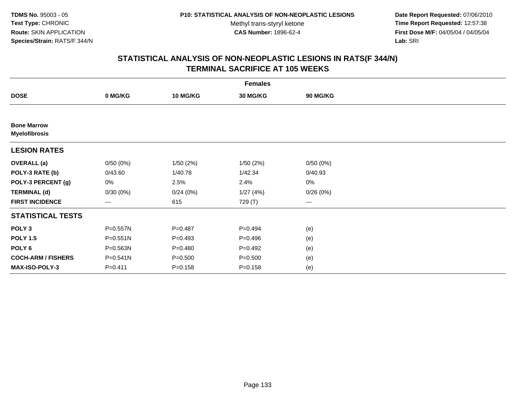**Date Report Requested:** 07/06/2010 **Time Report Requested:** 12:57:38 **First Dose M/F:** 04/05/04 / 04/05/04<br>Lab: SRI **Lab:** SRI

|                                            | <b>Females</b> |                 |                 |                        |  |  |  |  |  |
|--------------------------------------------|----------------|-----------------|-----------------|------------------------|--|--|--|--|--|
| <b>DOSE</b>                                | 0 MG/KG        | <b>10 MG/KG</b> | <b>30 MG/KG</b> | 90 MG/KG               |  |  |  |  |  |
|                                            |                |                 |                 |                        |  |  |  |  |  |
| <b>Bone Marrow</b><br><b>Myelofibrosis</b> |                |                 |                 |                        |  |  |  |  |  |
| <b>LESION RATES</b>                        |                |                 |                 |                        |  |  |  |  |  |
| <b>OVERALL</b> (a)                         | 0/50(0%)       | 1/50(2%)        | 1/50(2%)        | 0/50(0%)               |  |  |  |  |  |
| POLY-3 RATE (b)                            | 0/43.60        | 1/40.78         | 1/42.34         | 0/40.93                |  |  |  |  |  |
| POLY-3 PERCENT (g)                         | 0%             | 2.5%            | 2.4%            | 0%                     |  |  |  |  |  |
| <b>TERMINAL (d)</b>                        | 0/30(0%)       | 0/24(0%)        | 1/27(4%)        | 0/26(0%)               |  |  |  |  |  |
| <b>FIRST INCIDENCE</b>                     | $---$          | 615             | 729 (T)         | $\qquad \qquad \cdots$ |  |  |  |  |  |
| <b>STATISTICAL TESTS</b>                   |                |                 |                 |                        |  |  |  |  |  |
| POLY <sub>3</sub>                          | P=0.557N       | $P=0.487$       | $P=0.494$       | (e)                    |  |  |  |  |  |
| <b>POLY 1.5</b>                            | $P = 0.551N$   | $P=0.493$       | $P=0.496$       | (e)                    |  |  |  |  |  |
| POLY <sub>6</sub>                          | P=0.563N       | $P = 0.480$     | $P=0.492$       | (e)                    |  |  |  |  |  |
| <b>COCH-ARM / FISHERS</b>                  | P=0.541N       | $P = 0.500$     | $P = 0.500$     | (e)                    |  |  |  |  |  |
| <b>MAX-ISO-POLY-3</b>                      | $P = 0.411$    | $P = 0.158$     | $P = 0.158$     | (e)                    |  |  |  |  |  |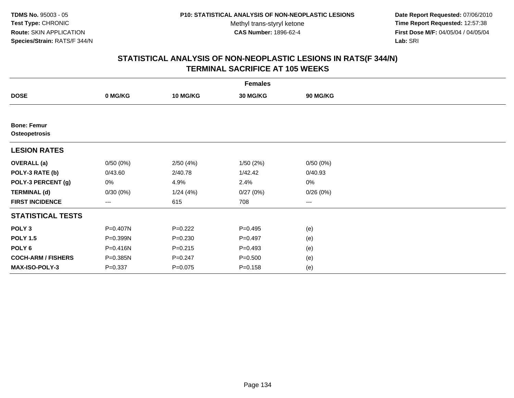**Date Report Requested:** 07/06/2010 **Time Report Requested:** 12:57:38 **First Dose M/F:** 04/05/04 / 04/05/04<br>Lab: SRI **Lab:** SRI

|                                     | <b>Females</b> |                 |                 |                   |  |  |  |  |  |
|-------------------------------------|----------------|-----------------|-----------------|-------------------|--|--|--|--|--|
| <b>DOSE</b>                         | 0 MG/KG        | <b>10 MG/KG</b> | <b>30 MG/KG</b> | 90 MG/KG          |  |  |  |  |  |
|                                     |                |                 |                 |                   |  |  |  |  |  |
| <b>Bone: Femur</b><br>Osteopetrosis |                |                 |                 |                   |  |  |  |  |  |
| <b>LESION RATES</b>                 |                |                 |                 |                   |  |  |  |  |  |
| <b>OVERALL</b> (a)                  | 0/50(0%)       | 2/50(4%)        | 1/50(2%)        | 0/50(0%)          |  |  |  |  |  |
| POLY-3 RATE (b)                     | 0/43.60        | 2/40.78         | 1/42.42         | 0/40.93           |  |  |  |  |  |
| POLY-3 PERCENT (g)                  | 0%             | 4.9%            | 2.4%            | 0%                |  |  |  |  |  |
| <b>TERMINAL (d)</b>                 | 0/30(0%)       | 1/24(4%)        | 0/27(0%)        | 0/26(0%)          |  |  |  |  |  |
| <b>FIRST INCIDENCE</b>              | $---$          | 615             | 708             | $\qquad \qquad -$ |  |  |  |  |  |
| <b>STATISTICAL TESTS</b>            |                |                 |                 |                   |  |  |  |  |  |
| POLY <sub>3</sub>                   | P=0.407N       | $P=0.222$       | $P=0.495$       | (e)               |  |  |  |  |  |
| <b>POLY 1.5</b>                     | P=0.399N       | $P = 0.230$     | $P=0.497$       | (e)               |  |  |  |  |  |
| POLY <sub>6</sub>                   | P=0.416N       | $P = 0.215$     | $P=0.493$       | (e)               |  |  |  |  |  |
| <b>COCH-ARM / FISHERS</b>           | P=0.385N       | $P = 0.247$     | $P = 0.500$     | (e)               |  |  |  |  |  |
| <b>MAX-ISO-POLY-3</b>               | $P = 0.337$    | $P = 0.075$     | $P = 0.158$     | (e)               |  |  |  |  |  |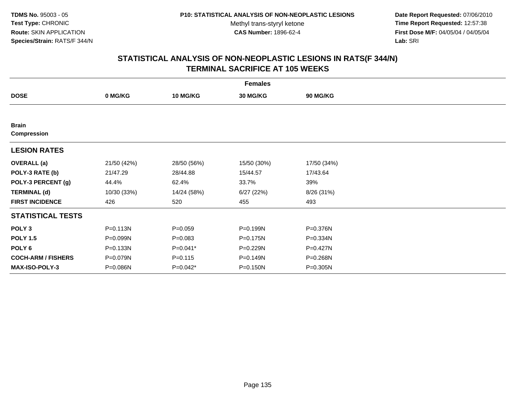**Date Report Requested:** 07/06/2010 **Time Report Requested:** 12:57:38 **First Dose M/F:** 04/05/04 / 04/05/04<br>Lab: SRI **Lab:** SRI

| <b>Females</b>                     |              |                 |                 |             |  |  |  |
|------------------------------------|--------------|-----------------|-----------------|-------------|--|--|--|
| <b>DOSE</b>                        | 0 MG/KG      | <b>10 MG/KG</b> | <b>30 MG/KG</b> | 90 MG/KG    |  |  |  |
|                                    |              |                 |                 |             |  |  |  |
| <b>Brain</b><br><b>Compression</b> |              |                 |                 |             |  |  |  |
|                                    |              |                 |                 |             |  |  |  |
| <b>LESION RATES</b>                |              |                 |                 |             |  |  |  |
| <b>OVERALL</b> (a)                 | 21/50 (42%)  | 28/50 (56%)     | 15/50 (30%)     | 17/50 (34%) |  |  |  |
| POLY-3 RATE (b)                    | 21/47.29     | 28/44.88        | 15/44.57        | 17/43.64    |  |  |  |
| POLY-3 PERCENT (g)                 | 44.4%        | 62.4%           | 33.7%           | 39%         |  |  |  |
| <b>TERMINAL (d)</b>                | 10/30 (33%)  | 14/24 (58%)     | 6/27(22%)       | 8/26 (31%)  |  |  |  |
| <b>FIRST INCIDENCE</b>             | 426          | 520             | 455             | 493         |  |  |  |
| <b>STATISTICAL TESTS</b>           |              |                 |                 |             |  |  |  |
| POLY <sub>3</sub>                  | $P = 0.113N$ | $P = 0.059$     | P=0.199N        | P=0.376N    |  |  |  |
| <b>POLY 1.5</b>                    | P=0.099N     | $P = 0.083$     | P=0.175N        | P=0.334N    |  |  |  |
| POLY <sub>6</sub>                  | P=0.133N     | P=0.041*        | P=0.229N        | P=0.427N    |  |  |  |
| <b>COCH-ARM / FISHERS</b>          | P=0.079N     | $P = 0.115$     | P=0.149N        | P=0.268N    |  |  |  |
| <b>MAX-ISO-POLY-3</b>              | P=0.086N     | $P=0.042*$      | P=0.150N        | P=0.305N    |  |  |  |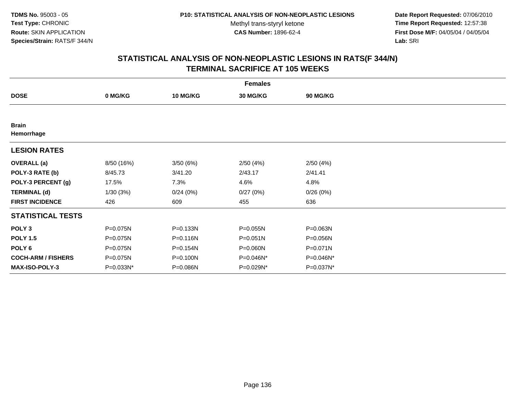**Date Report Requested:** 07/06/2010 **Time Report Requested:** 12:57:38 **First Dose M/F:** 04/05/04 / 04/05/04<br>Lab: SRI **Lab:** SRI

| <b>Females</b>             |            |                 |                 |           |  |  |  |
|----------------------------|------------|-----------------|-----------------|-----------|--|--|--|
| <b>DOSE</b>                | 0 MG/KG    | <b>10 MG/KG</b> | <b>30 MG/KG</b> | 90 MG/KG  |  |  |  |
|                            |            |                 |                 |           |  |  |  |
| <b>Brain</b><br>Hemorrhage |            |                 |                 |           |  |  |  |
| <b>LESION RATES</b>        |            |                 |                 |           |  |  |  |
| <b>OVERALL</b> (a)         | 8/50 (16%) | 3/50(6%)        | 2/50(4%)        | 2/50(4%)  |  |  |  |
| POLY-3 RATE (b)            | 8/45.73    | 3/41.20         | 2/43.17         | 2/41.41   |  |  |  |
| POLY-3 PERCENT (g)         | 17.5%      | 7.3%            | 4.6%            | 4.8%      |  |  |  |
| <b>TERMINAL (d)</b>        | 1/30(3%)   | 0/24(0%)        | 0/27(0%)        | 0/26(0%)  |  |  |  |
| <b>FIRST INCIDENCE</b>     | 426        | 609             | 455             | 636       |  |  |  |
| <b>STATISTICAL TESTS</b>   |            |                 |                 |           |  |  |  |
| POLY <sub>3</sub>          | P=0.075N   | P=0.133N        | $P = 0.055N$    | P=0.063N  |  |  |  |
| <b>POLY 1.5</b>            | P=0.075N   | $P = 0.116N$    | $P = 0.051N$    | P=0.056N  |  |  |  |
| POLY <sub>6</sub>          | P=0.075N   | $P = 0.154N$    | P=0.060N        | P=0.071N  |  |  |  |
| <b>COCH-ARM / FISHERS</b>  | P=0.075N   | P=0.100N        | P=0.046N*       | P=0.046N* |  |  |  |
| <b>MAX-ISO-POLY-3</b>      | P=0.033N*  | P=0.086N        | P=0.029N*       | P=0.037N* |  |  |  |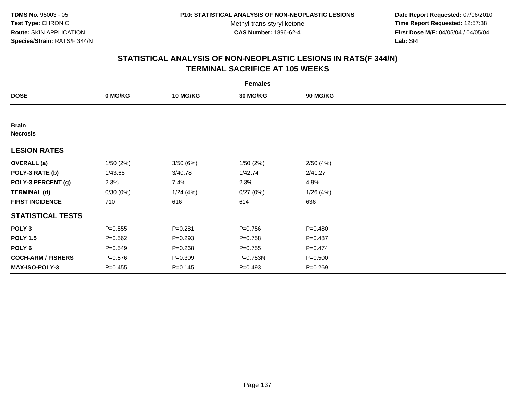**Date Report Requested:** 07/06/2010 **Time Report Requested:** 12:57:38 **First Dose M/F:** 04/05/04 / 04/05/04<br>Lab: SRI **Lab:** SRI

|                                 | <b>Females</b> |                 |                 |                 |  |  |  |  |  |
|---------------------------------|----------------|-----------------|-----------------|-----------------|--|--|--|--|--|
| <b>DOSE</b>                     | 0 MG/KG        | <b>10 MG/KG</b> | <b>30 MG/KG</b> | <b>90 MG/KG</b> |  |  |  |  |  |
|                                 |                |                 |                 |                 |  |  |  |  |  |
| <b>Brain</b><br><b>Necrosis</b> |                |                 |                 |                 |  |  |  |  |  |
| <b>LESION RATES</b>             |                |                 |                 |                 |  |  |  |  |  |
| <b>OVERALL</b> (a)              | 1/50(2%)       | 3/50(6%)        | 1/50(2%)        | 2/50(4%)        |  |  |  |  |  |
| POLY-3 RATE (b)                 | 1/43.68        | 3/40.78         | 1/42.74         | 2/41.27         |  |  |  |  |  |
| POLY-3 PERCENT (g)              | 2.3%           | 7.4%            | 2.3%            | 4.9%            |  |  |  |  |  |
| <b>TERMINAL (d)</b>             | 0/30(0%)       | 1/24(4%)        | 0/27(0%)        | 1/26(4%)        |  |  |  |  |  |
| <b>FIRST INCIDENCE</b>          | 710            | 616             | 614             | 636             |  |  |  |  |  |
| <b>STATISTICAL TESTS</b>        |                |                 |                 |                 |  |  |  |  |  |
| POLY <sub>3</sub>               | $P = 0.555$    | $P = 0.281$     | $P = 0.756$     | $P = 0.480$     |  |  |  |  |  |
| <b>POLY 1.5</b>                 | $P = 0.562$    | $P = 0.293$     | $P = 0.758$     | $P=0.487$       |  |  |  |  |  |
| POLY <sub>6</sub>               | $P = 0.549$    | $P = 0.268$     | $P = 0.755$     | $P=0.474$       |  |  |  |  |  |
| <b>COCH-ARM / FISHERS</b>       | $P = 0.576$    | $P = 0.309$     | P=0.753N        | $P = 0.500$     |  |  |  |  |  |
| <b>MAX-ISO-POLY-3</b>           | $P=0.455$      | $P = 0.145$     | $P=0.493$       | $P = 0.269$     |  |  |  |  |  |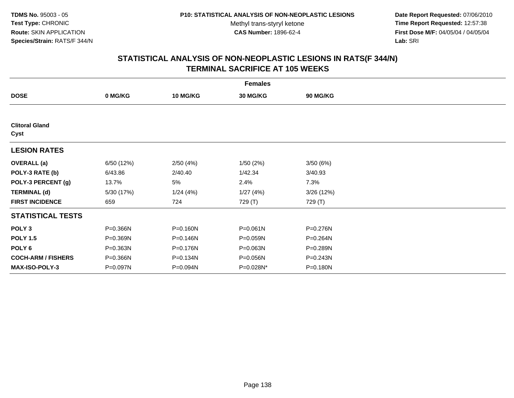**Date Report Requested:** 07/06/2010 **Time Report Requested:** 12:57:38 **First Dose M/F:** 04/05/04 / 04/05/04<br>Lab: SRI **Lab:** SRI

|                               | <b>Females</b> |                 |                 |                 |  |  |  |  |
|-------------------------------|----------------|-----------------|-----------------|-----------------|--|--|--|--|
| <b>DOSE</b>                   | 0 MG/KG        | <b>10 MG/KG</b> | <b>30 MG/KG</b> | <b>90 MG/KG</b> |  |  |  |  |
|                               |                |                 |                 |                 |  |  |  |  |
| <b>Clitoral Gland</b><br>Cyst |                |                 |                 |                 |  |  |  |  |
| <b>LESION RATES</b>           |                |                 |                 |                 |  |  |  |  |
| <b>OVERALL</b> (a)            | 6/50 (12%)     | 2/50(4%)        | 1/50(2%)        | 3/50(6%)        |  |  |  |  |
| POLY-3 RATE (b)               | 6/43.86        | 2/40.40         | 1/42.34         | 3/40.93         |  |  |  |  |
| POLY-3 PERCENT (g)            | 13.7%          | 5%              | 2.4%            | 7.3%            |  |  |  |  |
| <b>TERMINAL (d)</b>           | 5/30 (17%)     | 1/24(4%)        | 1/27(4%)        | 3/26 (12%)      |  |  |  |  |
| <b>FIRST INCIDENCE</b>        | 659            | 724             | 729 (T)         | 729 (T)         |  |  |  |  |
| <b>STATISTICAL TESTS</b>      |                |                 |                 |                 |  |  |  |  |
| POLY <sub>3</sub>             | P=0.366N       | $P = 0.160N$    | $P = 0.061N$    | P=0.276N        |  |  |  |  |
| <b>POLY 1.5</b>               | P=0.369N       | P=0.146N        | P=0.059N        | P=0.264N        |  |  |  |  |
| POLY 6                        | P=0.363N       | P=0.176N        | P=0.063N        | P=0.289N        |  |  |  |  |
| <b>COCH-ARM / FISHERS</b>     | P=0.366N       | P=0.134N        | P=0.056N        | P=0.243N        |  |  |  |  |
| MAX-ISO-POLY-3                | P=0.097N       | P=0.094N        | P=0.028N*       | P=0.180N        |  |  |  |  |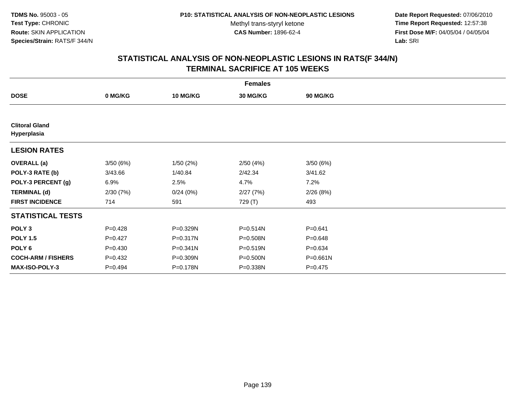**Date Report Requested:** 07/06/2010 **Time Report Requested:** 12:57:38 **First Dose M/F:** 04/05/04 / 04/05/04<br>Lab: SRI **Lab:** SRI

| <b>Females</b>                       |             |                 |                 |             |  |  |  |  |
|--------------------------------------|-------------|-----------------|-----------------|-------------|--|--|--|--|
| <b>DOSE</b>                          | 0 MG/KG     | <b>10 MG/KG</b> | <b>30 MG/KG</b> | 90 MG/KG    |  |  |  |  |
|                                      |             |                 |                 |             |  |  |  |  |
| <b>Clitoral Gland</b><br>Hyperplasia |             |                 |                 |             |  |  |  |  |
| <b>LESION RATES</b>                  |             |                 |                 |             |  |  |  |  |
| <b>OVERALL</b> (a)                   | 3/50(6%)    | 1/50(2%)        | 2/50(4%)        | 3/50(6%)    |  |  |  |  |
| POLY-3 RATE (b)                      | 3/43.66     | 1/40.84         | 2/42.34         | 3/41.62     |  |  |  |  |
| POLY-3 PERCENT (g)                   | 6.9%        | 2.5%            | 4.7%            | 7.2%        |  |  |  |  |
| <b>TERMINAL (d)</b>                  | 2/30(7%)    | 0/24(0%)        | 2/27(7%)        | 2/26(8%)    |  |  |  |  |
| <b>FIRST INCIDENCE</b>               | 714         | 591             | 729 (T)         | 493         |  |  |  |  |
| <b>STATISTICAL TESTS</b>             |             |                 |                 |             |  |  |  |  |
| POLY <sub>3</sub>                    | $P=0.428$   | P=0.329N        | $P = 0.514N$    | $P = 0.641$ |  |  |  |  |
| <b>POLY 1.5</b>                      | $P=0.427$   | P=0.317N        | P=0.508N        | $P = 0.648$ |  |  |  |  |
| POLY <sub>6</sub>                    | $P = 0.430$ | P=0.341N        | P=0.519N        | $P = 0.634$ |  |  |  |  |
| <b>COCH-ARM / FISHERS</b>            | $P=0.432$   | P=0.309N        | P=0.500N        | P=0.661N    |  |  |  |  |
| <b>MAX-ISO-POLY-3</b>                | $P=0.494$   | P=0.178N        | P=0.338N        | $P = 0.475$ |  |  |  |  |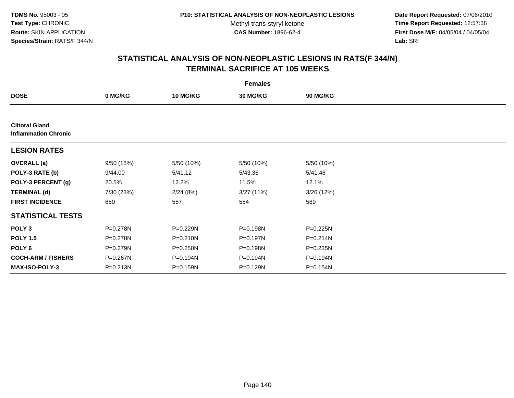**Date Report Requested:** 07/06/2010 **Time Report Requested:** 12:57:38 **First Dose M/F:** 04/05/04 / 04/05/04<br>Lab: SRI **Lab:** SRI

| <b>Females</b>                                       |              |                 |                 |                 |  |  |  |
|------------------------------------------------------|--------------|-----------------|-----------------|-----------------|--|--|--|
| <b>DOSE</b>                                          | 0 MG/KG      | <b>10 MG/KG</b> | <b>30 MG/KG</b> | <b>90 MG/KG</b> |  |  |  |
|                                                      |              |                 |                 |                 |  |  |  |
| <b>Clitoral Gland</b><br><b>Inflammation Chronic</b> |              |                 |                 |                 |  |  |  |
| <b>LESION RATES</b>                                  |              |                 |                 |                 |  |  |  |
| <b>OVERALL</b> (a)                                   | 9/50 (18%)   | 5/50 (10%)      | 5/50 (10%)      | 5/50 (10%)      |  |  |  |
| POLY-3 RATE (b)                                      | 9/44.00      | 5/41.12         | 5/43.36         | 5/41.46         |  |  |  |
| POLY-3 PERCENT (g)                                   | 20.5%        | 12.2%           | 11.5%           | 12.1%           |  |  |  |
| <b>TERMINAL (d)</b>                                  | 7/30 (23%)   | 2/24(8%)        | 3/27(11%)       | 3/26 (12%)      |  |  |  |
| <b>FIRST INCIDENCE</b>                               | 650          | 557             | 554             | 589             |  |  |  |
| <b>STATISTICAL TESTS</b>                             |              |                 |                 |                 |  |  |  |
| POLY <sub>3</sub>                                    | P=0.278N     | P=0.229N        | P=0.198N        | P=0.225N        |  |  |  |
| <b>POLY 1.5</b>                                      | P=0.278N     | $P = 0.210N$    | P=0.197N        | $P = 0.214N$    |  |  |  |
| POLY 6                                               | P=0.279N     | $P = 0.250N$    | P=0.198N        | $P = 0.235N$    |  |  |  |
| <b>COCH-ARM / FISHERS</b>                            | P=0.267N     | P=0.194N        | P=0.194N        | P=0.194N        |  |  |  |
| <b>MAX-ISO-POLY-3</b>                                | $P = 0.213N$ | P=0.159N        | P=0.129N        | P=0.154N        |  |  |  |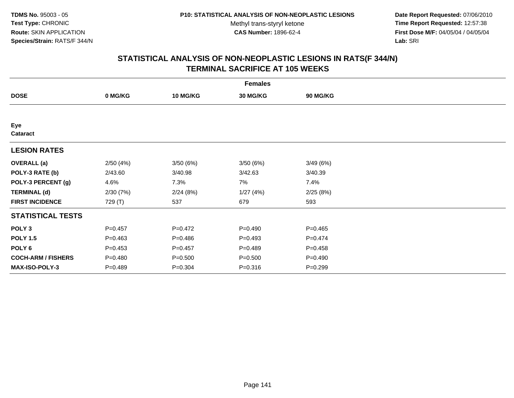**Date Report Requested:** 07/06/2010 **Time Report Requested:** 12:57:38 **First Dose M/F:** 04/05/04 / 04/05/04<br>Lab: SRI **Lab:** SRI

| <b>Females</b>            |             |                 |                 |             |  |  |  |  |
|---------------------------|-------------|-----------------|-----------------|-------------|--|--|--|--|
| <b>DOSE</b>               | 0 MG/KG     | <b>10 MG/KG</b> | <b>30 MG/KG</b> | 90 MG/KG    |  |  |  |  |
|                           |             |                 |                 |             |  |  |  |  |
| Eye<br>Cataract           |             |                 |                 |             |  |  |  |  |
| <b>LESION RATES</b>       |             |                 |                 |             |  |  |  |  |
| <b>OVERALL</b> (a)        | 2/50(4%)    | 3/50(6%)        | 3/50 (6%)       | 3/49(6%)    |  |  |  |  |
| POLY-3 RATE (b)           | 2/43.60     | 3/40.98         | 3/42.63         | 3/40.39     |  |  |  |  |
| POLY-3 PERCENT (g)        | 4.6%        | 7.3%            | 7%              | 7.4%        |  |  |  |  |
| <b>TERMINAL (d)</b>       | 2/30(7%)    | 2/24(8%)        | 1/27(4%)        | 2/25(8%)    |  |  |  |  |
| <b>FIRST INCIDENCE</b>    | 729 (T)     | 537             | 679             | 593         |  |  |  |  |
| <b>STATISTICAL TESTS</b>  |             |                 |                 |             |  |  |  |  |
| POLY <sub>3</sub>         | $P = 0.457$ | $P=0.472$       | $P = 0.490$     | $P=0.465$   |  |  |  |  |
| <b>POLY 1.5</b>           | $P = 0.463$ | $P=0.486$       | $P=0.493$       | $P=0.474$   |  |  |  |  |
| POLY 6                    | $P = 0.453$ | $P=0.457$       | $P=0.489$       | $P = 0.458$ |  |  |  |  |
| <b>COCH-ARM / FISHERS</b> | $P = 0.480$ | $P = 0.500$     | $P = 0.500$     | $P=0.490$   |  |  |  |  |
| MAX-ISO-POLY-3            | $P = 0.489$ | $P = 0.304$     | $P = 0.316$     | $P=0.299$   |  |  |  |  |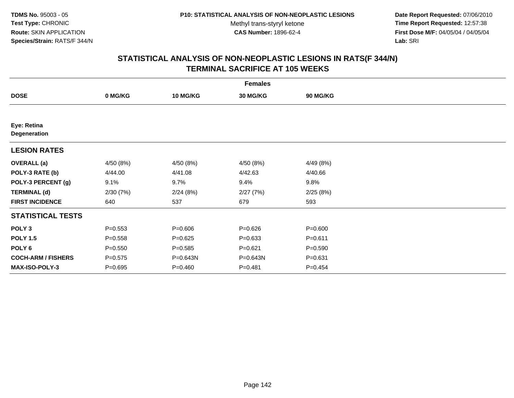**Date Report Requested:** 07/06/2010 **Time Report Requested:** 12:57:38 **First Dose M/F:** 04/05/04 / 04/05/04<br>Lab: SRI **Lab:** SRI

|                             | <b>Females</b> |                 |             |             |  |  |  |  |
|-----------------------------|----------------|-----------------|-------------|-------------|--|--|--|--|
| <b>DOSE</b>                 | 0 MG/KG        | <b>10 MG/KG</b> | 30 MG/KG    | 90 MG/KG    |  |  |  |  |
|                             |                |                 |             |             |  |  |  |  |
| Eye: Retina<br>Degeneration |                |                 |             |             |  |  |  |  |
| <b>LESION RATES</b>         |                |                 |             |             |  |  |  |  |
| <b>OVERALL</b> (a)          | 4/50 (8%)      | 4/50 (8%)       | 4/50 (8%)   | 4/49 (8%)   |  |  |  |  |
| POLY-3 RATE (b)             | 4/44.00        | 4/41.08         | 4/42.63     | 4/40.66     |  |  |  |  |
| POLY-3 PERCENT (g)          | 9.1%           | 9.7%            | 9.4%        | 9.8%        |  |  |  |  |
| <b>TERMINAL (d)</b>         | 2/30(7%)       | 2/24(8%)        | 2/27(7%)    | 2/25(8%)    |  |  |  |  |
| <b>FIRST INCIDENCE</b>      | 640            | 537             | 679         | 593         |  |  |  |  |
| <b>STATISTICAL TESTS</b>    |                |                 |             |             |  |  |  |  |
| POLY <sub>3</sub>           | $P = 0.553$    | $P = 0.606$     | $P = 0.626$ | $P = 0.600$ |  |  |  |  |
| <b>POLY 1.5</b>             | $P = 0.558$    | $P=0.625$       | $P = 0.633$ | $P = 0.611$ |  |  |  |  |
| POLY <sub>6</sub>           | $P = 0.550$    | $P = 0.585$     | $P = 0.621$ | $P = 0.590$ |  |  |  |  |
| <b>COCH-ARM / FISHERS</b>   | $P = 0.575$    | P=0.643N        | P=0.643N    | $P = 0.631$ |  |  |  |  |
| <b>MAX-ISO-POLY-3</b>       | $P = 0.695$    | $P = 0.460$     | $P = 0.481$ | $P = 0.454$ |  |  |  |  |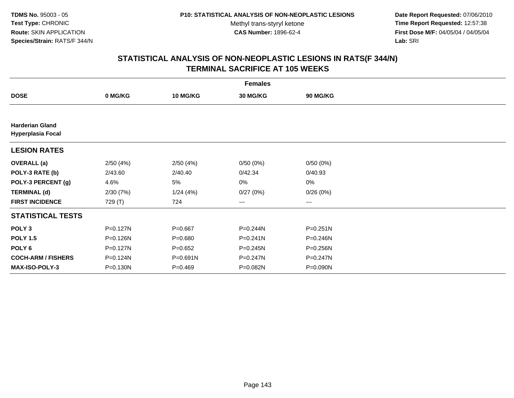**Date Report Requested:** 07/06/2010 **Time Report Requested:** 12:57:38 **First Dose M/F:** 04/05/04 / 04/05/04<br>Lab: SRI **Lab:** SRI

|                                                    | <b>Females</b> |                 |              |              |  |  |  |  |  |
|----------------------------------------------------|----------------|-----------------|--------------|--------------|--|--|--|--|--|
| <b>DOSE</b>                                        | 0 MG/KG        | <b>10 MG/KG</b> | 30 MG/KG     | 90 MG/KG     |  |  |  |  |  |
|                                                    |                |                 |              |              |  |  |  |  |  |
| <b>Harderian Gland</b><br><b>Hyperplasia Focal</b> |                |                 |              |              |  |  |  |  |  |
| <b>LESION RATES</b>                                |                |                 |              |              |  |  |  |  |  |
| <b>OVERALL</b> (a)                                 | 2/50(4%)       | 2/50(4%)        | 0/50(0%)     | 0/50(0%)     |  |  |  |  |  |
| POLY-3 RATE (b)                                    | 2/43.60        | 2/40.40         | 0/42.34      | 0/40.93      |  |  |  |  |  |
| POLY-3 PERCENT (g)                                 | 4.6%           | 5%              | 0%           | 0%           |  |  |  |  |  |
| <b>TERMINAL (d)</b>                                | 2/30(7%)       | 1/24(4%)        | 0/27(0%)     | 0/26(0%)     |  |  |  |  |  |
| <b>FIRST INCIDENCE</b>                             | 729 (T)        | 724             | ---          | $---$        |  |  |  |  |  |
| <b>STATISTICAL TESTS</b>                           |                |                 |              |              |  |  |  |  |  |
| POLY <sub>3</sub>                                  | P=0.127N       | $P = 0.667$     | P=0.244N     | $P = 0.251N$ |  |  |  |  |  |
| <b>POLY 1.5</b>                                    | P=0.126N       | $P = 0.680$     | $P = 0.241N$ | P=0.246N     |  |  |  |  |  |
| POLY <sub>6</sub>                                  | $P = 0.127N$   | $P = 0.652$     | P=0.245N     | P=0.256N     |  |  |  |  |  |
| <b>COCH-ARM / FISHERS</b>                          | P=0.124N       | $P = 0.691N$    | P=0.247N     | P=0.247N     |  |  |  |  |  |
| <b>MAX-ISO-POLY-3</b>                              | $P = 0.130N$   | $P = 0.469$     | P=0.082N     | P=0.090N     |  |  |  |  |  |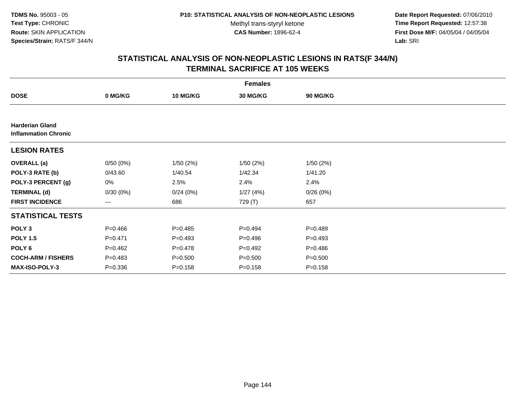**Date Report Requested:** 07/06/2010 **Time Report Requested:** 12:57:38 **First Dose M/F:** 04/05/04 / 04/05/04<br>Lab: SRI **Lab:** SRI

|                                                       | <b>Females</b> |                 |             |                 |  |  |  |  |
|-------------------------------------------------------|----------------|-----------------|-------------|-----------------|--|--|--|--|
| <b>DOSE</b>                                           | 0 MG/KG        | <b>10 MG/KG</b> | 30 MG/KG    | <b>90 MG/KG</b> |  |  |  |  |
|                                                       |                |                 |             |                 |  |  |  |  |
| <b>Harderian Gland</b><br><b>Inflammation Chronic</b> |                |                 |             |                 |  |  |  |  |
| <b>LESION RATES</b>                                   |                |                 |             |                 |  |  |  |  |
| <b>OVERALL</b> (a)                                    | 0/50(0%)       | 1/50(2%)        | 1/50(2%)    | 1/50(2%)        |  |  |  |  |
| POLY-3 RATE (b)                                       | 0/43.60        | 1/40.54         | 1/42.34     | 1/41.20         |  |  |  |  |
| POLY-3 PERCENT (g)                                    | 0%             | 2.5%            | 2.4%        | 2.4%            |  |  |  |  |
| <b>TERMINAL (d)</b>                                   | 0/30(0%)       | 0/24(0%)        | 1/27(4%)    | 0/26(0%)        |  |  |  |  |
| <b>FIRST INCIDENCE</b>                                | $---$          | 686             | 729 (T)     | 657             |  |  |  |  |
| <b>STATISTICAL TESTS</b>                              |                |                 |             |                 |  |  |  |  |
| POLY <sub>3</sub>                                     | $P = 0.466$    | $P = 0.485$     | $P=0.494$   | $P = 0.489$     |  |  |  |  |
| <b>POLY 1.5</b>                                       | $P = 0.471$    | $P = 0.493$     | $P = 0.496$ | $P = 0.493$     |  |  |  |  |
| POLY 6                                                | $P=0.462$      | $P = 0.478$     | $P = 0.492$ | $P = 0.486$     |  |  |  |  |
| <b>COCH-ARM / FISHERS</b>                             | $P = 0.483$    | $P = 0.500$     | $P = 0.500$ | $P = 0.500$     |  |  |  |  |
| <b>MAX-ISO-POLY-3</b>                                 | $P = 0.336$    | $P = 0.158$     | $P = 0.158$ | $P = 0.158$     |  |  |  |  |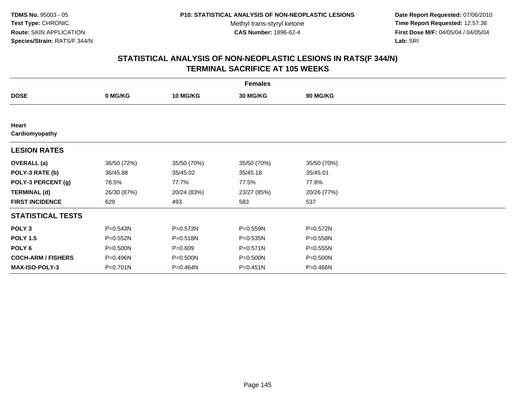**Date Report Requested:** 07/06/2010 **Time Report Requested:** 12:57:38 **First Dose M/F:** 04/05/04 / 04/05/04<br>Lab: SRI **Lab:** SRI

| <b>Females</b>            |             |                 |              |              |  |  |
|---------------------------|-------------|-----------------|--------------|--------------|--|--|
| <b>DOSE</b>               | 0 MG/KG     | <b>10 MG/KG</b> | 30 MG/KG     | 90 MG/KG     |  |  |
|                           |             |                 |              |              |  |  |
| Heart<br>Cardiomyopathy   |             |                 |              |              |  |  |
| <b>LESION RATES</b>       |             |                 |              |              |  |  |
| <b>OVERALL</b> (a)        | 36/50 (72%) | 35/50 (70%)     | 35/50 (70%)  | 35/50 (70%)  |  |  |
| POLY-3 RATE (b)           | 36/45.88    | 35/45.02        | 35/45.18     | 35/45.01     |  |  |
| POLY-3 PERCENT (g)        | 78.5%       | 77.7%           | 77.5%        | 77.8%        |  |  |
| <b>TERMINAL (d)</b>       | 26/30 (87%) | 20/24 (83%)     | 23/27 (85%)  | 20/26 (77%)  |  |  |
| <b>FIRST INCIDENCE</b>    | 629         | 493             | 583          | 537          |  |  |
| <b>STATISTICAL TESTS</b>  |             |                 |              |              |  |  |
| POLY <sub>3</sub>         | P=0.543N    | P=0.573N        | P=0.559N     | P=0.572N     |  |  |
| <b>POLY 1.5</b>           | P=0.552N    | P=0.518N        | P=0.535N     | P=0.558N     |  |  |
| POLY 6                    | P=0.500N    | $P = 0.609$     | P=0.571N     | $P = 0.555N$ |  |  |
| <b>COCH-ARM / FISHERS</b> | P=0.496N    | P=0.500N        | P=0.500N     | P=0.500N     |  |  |
| <b>MAX-ISO-POLY-3</b>     | P=0.701N    | P=0.464N        | $P = 0.451N$ | P=0.466N     |  |  |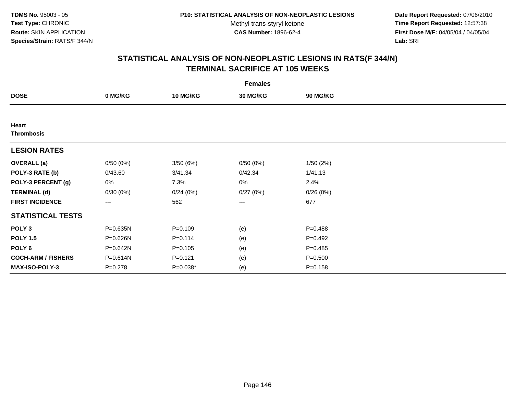**Date Report Requested:** 07/06/2010 **Time Report Requested:** 12:57:38 **First Dose M/F:** 04/05/04 / 04/05/04<br>Lab: SRI **Lab:** SRI

|                            |             |                 | <b>Females</b>  |             |  |
|----------------------------|-------------|-----------------|-----------------|-------------|--|
| <b>DOSE</b>                | 0 MG/KG     | <b>10 MG/KG</b> | <b>30 MG/KG</b> | 90 MG/KG    |  |
|                            |             |                 |                 |             |  |
| Heart<br><b>Thrombosis</b> |             |                 |                 |             |  |
| <b>LESION RATES</b>        |             |                 |                 |             |  |
| <b>OVERALL</b> (a)         | 0/50(0%)    | 3/50(6%)        | 0/50(0%)        | 1/50(2%)    |  |
| POLY-3 RATE (b)            | 0/43.60     | 3/41.34         | 0/42.34         | 1/41.13     |  |
| POLY-3 PERCENT (g)         | 0%          | 7.3%            | 0%              | 2.4%        |  |
| <b>TERMINAL (d)</b>        | 0/30(0%)    | 0/24(0%)        | 0/27(0%)        | 0/26(0%)    |  |
| <b>FIRST INCIDENCE</b>     | $---$       | 562             | ---             | 677         |  |
| <b>STATISTICAL TESTS</b>   |             |                 |                 |             |  |
| POLY <sub>3</sub>          | P=0.635N    | $P = 0.109$     | (e)             | $P = 0.488$ |  |
| <b>POLY 1.5</b>            | P=0.626N    | $P = 0.114$     | (e)             | $P=0.492$   |  |
| POLY <sub>6</sub>          | P=0.642N    | $P = 0.105$     | (e)             | $P = 0.485$ |  |
| <b>COCH-ARM / FISHERS</b>  | P=0.614N    | $P = 0.121$     | (e)             | $P = 0.500$ |  |
| <b>MAX-ISO-POLY-3</b>      | $P = 0.278$ | $P=0.038*$      | (e)             | $P = 0.158$ |  |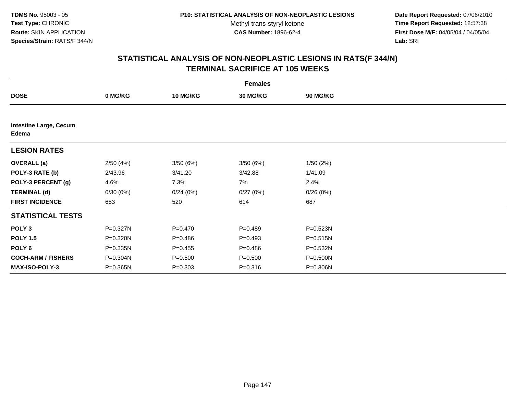**Date Report Requested:** 07/06/2010 **Time Report Requested:** 12:57:38 **First Dose M/F:** 04/05/04 / 04/05/04<br>Lab: SRI **Lab:** SRI

|                                        | <b>Females</b> |                 |                 |          |  |  |  |  |
|----------------------------------------|----------------|-----------------|-----------------|----------|--|--|--|--|
| <b>DOSE</b>                            | 0 MG/KG        | <b>10 MG/KG</b> | <b>30 MG/KG</b> | 90 MG/KG |  |  |  |  |
|                                        |                |                 |                 |          |  |  |  |  |
| <b>Intestine Large, Cecum</b><br>Edema |                |                 |                 |          |  |  |  |  |
| <b>LESION RATES</b>                    |                |                 |                 |          |  |  |  |  |
| <b>OVERALL</b> (a)                     | 2/50(4%)       | 3/50(6%)        | 3/50(6%)        | 1/50(2%) |  |  |  |  |
| POLY-3 RATE (b)                        | 2/43.96        | 3/41.20         | 3/42.88         | 1/41.09  |  |  |  |  |
| POLY-3 PERCENT (g)                     | 4.6%           | 7.3%            | 7%              | 2.4%     |  |  |  |  |
| <b>TERMINAL (d)</b>                    | 0/30(0%)       | 0/24(0%)        | 0/27(0%)        | 0/26(0%) |  |  |  |  |
| <b>FIRST INCIDENCE</b>                 | 653            | 520             | 614             | 687      |  |  |  |  |
| <b>STATISTICAL TESTS</b>               |                |                 |                 |          |  |  |  |  |
| POLY <sub>3</sub>                      | P=0.327N       | $P = 0.470$     | $P=0.489$       | P=0.523N |  |  |  |  |
| <b>POLY 1.5</b>                        | P=0.320N       | $P = 0.486$     | $P=0.493$       | P=0.515N |  |  |  |  |
| POLY 6                                 | P=0.335N       | $P=0.455$       | $P = 0.486$     | P=0.532N |  |  |  |  |
| <b>COCH-ARM / FISHERS</b>              | P=0.304N       | $P = 0.500$     | $P = 0.500$     | P=0.500N |  |  |  |  |
| MAX-ISO-POLY-3                         | P=0.365N       | $P = 0.303$     | $P = 0.316$     | P=0.306N |  |  |  |  |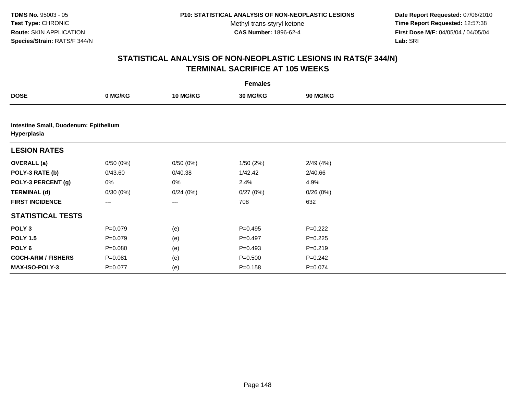**Date Report Requested:** 07/06/2010 **Time Report Requested:** 12:57:38 **First Dose M/F:** 04/05/04 / 04/05/04<br>Lab: SRI **Lab:** SRI

| <b>Females</b>                                       |             |                 |             |                 |  |  |
|------------------------------------------------------|-------------|-----------------|-------------|-----------------|--|--|
| <b>DOSE</b>                                          | 0 MG/KG     | <b>10 MG/KG</b> | 30 MG/KG    | <b>90 MG/KG</b> |  |  |
|                                                      |             |                 |             |                 |  |  |
| Intestine Small, Duodenum: Epithelium<br>Hyperplasia |             |                 |             |                 |  |  |
| <b>LESION RATES</b>                                  |             |                 |             |                 |  |  |
| <b>OVERALL</b> (a)                                   | 0/50(0%)    | 0/50(0%)        | 1/50(2%)    | 2/49(4%)        |  |  |
| POLY-3 RATE (b)                                      | 0/43.60     | 0/40.38         | 1/42.42     | 2/40.66         |  |  |
| POLY-3 PERCENT (g)                                   | 0%          | 0%              | 2.4%        | 4.9%            |  |  |
| <b>TERMINAL (d)</b>                                  | 0/30(0%)    | 0/24(0%)        | 0/27(0%)    | 0/26(0%)        |  |  |
| <b>FIRST INCIDENCE</b>                               | ---         | $---$           | 708         | 632             |  |  |
| <b>STATISTICAL TESTS</b>                             |             |                 |             |                 |  |  |
| POLY <sub>3</sub>                                    | $P = 0.079$ | (e)             | $P = 0.495$ | $P=0.222$       |  |  |
| <b>POLY 1.5</b>                                      | $P = 0.079$ | (e)             | $P=0.497$   | $P=0.225$       |  |  |
| POLY 6                                               | $P = 0.080$ | (e)             | $P = 0.493$ | $P = 0.219$     |  |  |
| <b>COCH-ARM / FISHERS</b>                            | $P = 0.081$ | (e)             | $P = 0.500$ | $P = 0.242$     |  |  |
| <b>MAX-ISO-POLY-3</b>                                | $P=0.077$   | (e)             | $P = 0.158$ | $P = 0.074$     |  |  |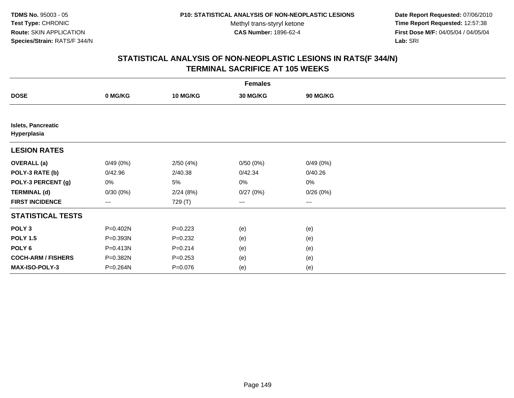**Date Report Requested:** 07/06/2010 **Time Report Requested:** 12:57:38 **First Dose M/F:** 04/05/04 / 04/05/04<br>Lab: SRI **Lab:** SRI

| <b>Females</b>                           |                   |                 |                 |          |  |  |  |
|------------------------------------------|-------------------|-----------------|-----------------|----------|--|--|--|
| <b>DOSE</b>                              | 0 MG/KG           | <b>10 MG/KG</b> | <b>30 MG/KG</b> | 90 MG/KG |  |  |  |
|                                          |                   |                 |                 |          |  |  |  |
| <b>Islets, Pancreatic</b><br>Hyperplasia |                   |                 |                 |          |  |  |  |
| <b>LESION RATES</b>                      |                   |                 |                 |          |  |  |  |
| <b>OVERALL</b> (a)                       | 0/49(0%)          | 2/50(4%)        | 0/50(0%)        | 0/49(0%) |  |  |  |
| POLY-3 RATE (b)                          | 0/42.96           | 2/40.38         | 0/42.34         | 0/40.26  |  |  |  |
| POLY-3 PERCENT (g)                       | 0%                | 5%              | 0%              | 0%       |  |  |  |
| <b>TERMINAL (d)</b>                      | 0/30(0%)          | 2/24(8%)        | 0/27(0%)        | 0/26(0%) |  |  |  |
| <b>FIRST INCIDENCE</b>                   | $\qquad \qquad -$ | 729 (T)         | ---             | $--$     |  |  |  |
| <b>STATISTICAL TESTS</b>                 |                   |                 |                 |          |  |  |  |
| POLY <sub>3</sub>                        | P=0.402N          | $P=0.223$       | (e)             | (e)      |  |  |  |
| <b>POLY 1.5</b>                          | P=0.393N          | $P = 0.232$     | (e)             | (e)      |  |  |  |
| POLY <sub>6</sub>                        | P=0.413N          | $P = 0.214$     | (e)             | (e)      |  |  |  |
| <b>COCH-ARM / FISHERS</b>                | P=0.382N          | $P = 0.253$     | (e)             | (e)      |  |  |  |
| MAX-ISO-POLY-3                           | P=0.264N          | $P = 0.076$     | (e)             | (e)      |  |  |  |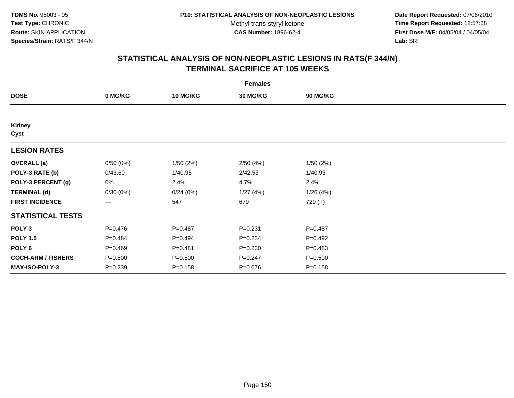**Date Report Requested:** 07/06/2010 **Time Report Requested:** 12:57:38 **First Dose M/F:** 04/05/04 / 04/05/04<br>Lab: SRI **Lab:** SRI

|                           |             |                 | <b>Females</b>  |                 |  |
|---------------------------|-------------|-----------------|-----------------|-----------------|--|
| <b>DOSE</b>               | 0 MG/KG     | <b>10 MG/KG</b> | <b>30 MG/KG</b> | <b>90 MG/KG</b> |  |
|                           |             |                 |                 |                 |  |
| Kidney<br>Cyst            |             |                 |                 |                 |  |
| <b>LESION RATES</b>       |             |                 |                 |                 |  |
| <b>OVERALL</b> (a)        | 0/50(0%)    | 1/50(2%)        | 2/50(4%)        | 1/50(2%)        |  |
| POLY-3 RATE (b)           | 0/43.60     | 1/40.95         | 2/42.53         | 1/40.93         |  |
| POLY-3 PERCENT (g)        | 0%          | 2.4%            | 4.7%            | 2.4%            |  |
| <b>TERMINAL (d)</b>       | 0/30(0%)    | 0/24(0%)        | 1/27(4%)        | 1/26(4%)        |  |
| <b>FIRST INCIDENCE</b>    | $\cdots$    | 547             | 679             | 729 (T)         |  |
| <b>STATISTICAL TESTS</b>  |             |                 |                 |                 |  |
| POLY <sub>3</sub>         | $P=0.476$   | $P = 0.487$     | $P = 0.231$     | $P = 0.487$     |  |
| <b>POLY 1.5</b>           | $P=0.484$   | $P=0.494$       | $P = 0.234$     | $P=0.492$       |  |
| POLY <sub>6</sub>         | $P=0.469$   | $P = 0.481$     | $P = 0.230$     | $P = 0.483$     |  |
| <b>COCH-ARM / FISHERS</b> | $P = 0.500$ | $P = 0.500$     | $P = 0.247$     | $P = 0.500$     |  |
| MAX-ISO-POLY-3            | $P=0.239$   | $P = 0.158$     | $P = 0.076$     | $P = 0.158$     |  |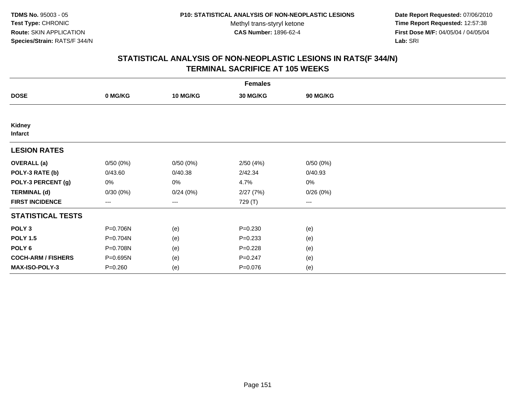**Date Report Requested:** 07/06/2010 **Time Report Requested:** 12:57:38 **First Dose M/F:** 04/05/04 / 04/05/04<br>Lab: SRI **Lab:** SRI

| <b>Females</b>                  |                        |          |                 |                   |  |  |
|---------------------------------|------------------------|----------|-----------------|-------------------|--|--|
| <b>DOSE</b>                     | 0 MG/KG                | 10 MG/KG | <b>30 MG/KG</b> | 90 MG/KG          |  |  |
|                                 |                        |          |                 |                   |  |  |
| <b>Kidney</b><br><b>Infarct</b> |                        |          |                 |                   |  |  |
| <b>LESION RATES</b>             |                        |          |                 |                   |  |  |
| <b>OVERALL</b> (a)              | 0/50(0%)               | 0/50(0%) | 2/50(4%)        | 0/50(0%)          |  |  |
| POLY-3 RATE (b)                 | 0/43.60                | 0/40.38  | 2/42.34         | 0/40.93           |  |  |
| POLY-3 PERCENT (g)              | 0%                     | 0%       | 4.7%            | $0\%$             |  |  |
| <b>TERMINAL (d)</b>             | 0/30(0%)               | 0/24(0%) | 2/27(7%)        | 0/26(0%)          |  |  |
| <b>FIRST INCIDENCE</b>          | $\qquad \qquad \cdots$ | $---$    | 729 (T)         | $\qquad \qquad -$ |  |  |
| <b>STATISTICAL TESTS</b>        |                        |          |                 |                   |  |  |
| POLY <sub>3</sub>               | P=0.706N               | (e)      | $P = 0.230$     | (e)               |  |  |
| <b>POLY 1.5</b>                 | P=0.704N               | (e)      | $P = 0.233$     | (e)               |  |  |
| POLY <sub>6</sub>               | P=0.708N               | (e)      | $P = 0.228$     | (e)               |  |  |
| <b>COCH-ARM / FISHERS</b>       | P=0.695N               | (e)      | $P = 0.247$     | (e)               |  |  |
| <b>MAX-ISO-POLY-3</b>           | $P = 0.260$            | (e)      | $P = 0.076$     | (e)               |  |  |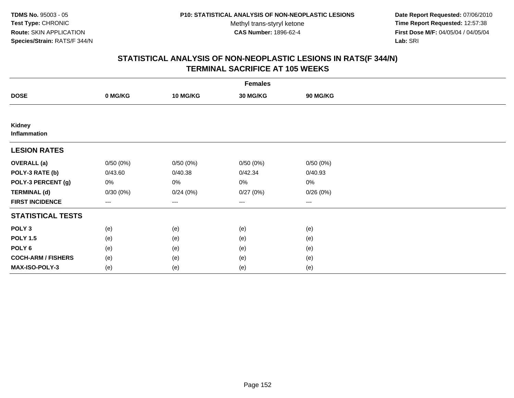**Date Report Requested:** 07/06/2010 **Time Report Requested:** 12:57:38 **First Dose M/F:** 04/05/04 / 04/05/04<br>Lab: SRI **Lab:** SRI

| <b>Females</b>            |          |                   |                 |          |  |  |  |
|---------------------------|----------|-------------------|-----------------|----------|--|--|--|
| <b>DOSE</b>               | 0 MG/KG  | <b>10 MG/KG</b>   | <b>30 MG/KG</b> | 90 MG/KG |  |  |  |
|                           |          |                   |                 |          |  |  |  |
| Kidney<br>Inflammation    |          |                   |                 |          |  |  |  |
| <b>LESION RATES</b>       |          |                   |                 |          |  |  |  |
| <b>OVERALL</b> (a)        | 0/50(0%) | 0/50(0%)          | 0/50(0%)        | 0/50(0%) |  |  |  |
| POLY-3 RATE (b)           | 0/43.60  | 0/40.38           | 0/42.34         | 0/40.93  |  |  |  |
| POLY-3 PERCENT (g)        | 0%       | $0\%$             | 0%              | 0%       |  |  |  |
| <b>TERMINAL (d)</b>       | 0/30(0%) | 0/24(0%)          | 0/27(0%)        | 0/26(0%) |  |  |  |
| <b>FIRST INCIDENCE</b>    | $--$     | $\qquad \qquad -$ | $\cdots$        | $\cdots$ |  |  |  |
| <b>STATISTICAL TESTS</b>  |          |                   |                 |          |  |  |  |
| POLY <sub>3</sub>         | (e)      | (e)               | (e)             | (e)      |  |  |  |
| <b>POLY 1.5</b>           | (e)      | (e)               | (e)             | (e)      |  |  |  |
| POLY <sub>6</sub>         | (e)      | (e)               | (e)             | (e)      |  |  |  |
| <b>COCH-ARM / FISHERS</b> | (e)      | (e)               | (e)             | (e)      |  |  |  |
| MAX-ISO-POLY-3            | (e)      | (e)               | (e)             | (e)      |  |  |  |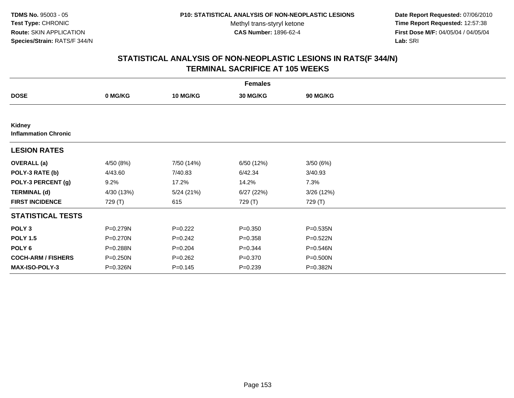**Date Report Requested:** 07/06/2010 **Time Report Requested:** 12:57:38 **First Dose M/F:** 04/05/04 / 04/05/04<br>Lab: SRI **Lab:** SRI

|                                       |            |                 | <b>Females</b>  |                 |  |
|---------------------------------------|------------|-----------------|-----------------|-----------------|--|
| <b>DOSE</b>                           | 0 MG/KG    | <b>10 MG/KG</b> | <b>30 MG/KG</b> | <b>90 MG/KG</b> |  |
|                                       |            |                 |                 |                 |  |
| Kidney<br><b>Inflammation Chronic</b> |            |                 |                 |                 |  |
| <b>LESION RATES</b>                   |            |                 |                 |                 |  |
| <b>OVERALL</b> (a)                    | 4/50 (8%)  | 7/50 (14%)      | 6/50 (12%)      | 3/50(6%)        |  |
| POLY-3 RATE (b)                       | 4/43.60    | 7/40.83         | 6/42.34         | 3/40.93         |  |
| POLY-3 PERCENT (g)                    | 9.2%       | 17.2%           | 14.2%           | 7.3%            |  |
| <b>TERMINAL (d)</b>                   | 4/30 (13%) | 5/24(21%)       | 6/27(22%)       | 3/26 (12%)      |  |
| <b>FIRST INCIDENCE</b>                | 729 (T)    | 615             | 729 (T)         | 729 (T)         |  |
| <b>STATISTICAL TESTS</b>              |            |                 |                 |                 |  |
| POLY <sub>3</sub>                     | P=0.279N   | $P=0.222$       | $P = 0.350$     | P=0.535N        |  |
| <b>POLY 1.5</b>                       | P=0.270N   | $P=0.242$       | $P = 0.358$     | $P = 0.522N$    |  |
| POLY <sub>6</sub>                     | P=0.288N   | $P = 0.204$     | $P=0.344$       | P=0.546N        |  |
| <b>COCH-ARM / FISHERS</b>             | P=0.250N   | $P=0.262$       | $P = 0.370$     | P=0.500N        |  |
| <b>MAX-ISO-POLY-3</b>                 | P=0.326N   | $P = 0.145$     | $P = 0.239$     | P=0.382N        |  |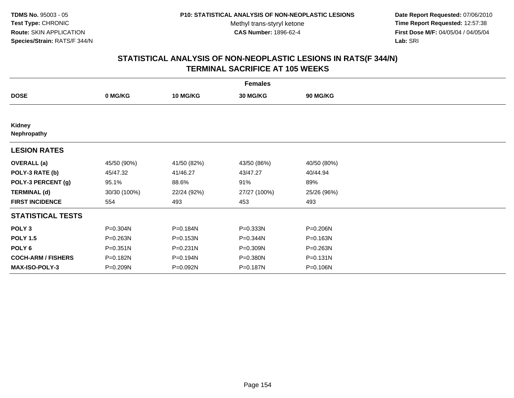**Date Report Requested:** 07/06/2010 **Time Report Requested:** 12:57:38 **First Dose M/F:** 04/05/04 / 04/05/04<br>Lab: SRI **Lab:** SRI

| <b>Females</b>               |              |                 |                 |             |  |  |  |
|------------------------------|--------------|-----------------|-----------------|-------------|--|--|--|
| <b>DOSE</b>                  | 0 MG/KG      | <b>10 MG/KG</b> | <b>30 MG/KG</b> | 90 MG/KG    |  |  |  |
|                              |              |                 |                 |             |  |  |  |
| <b>Kidney</b><br>Nephropathy |              |                 |                 |             |  |  |  |
| <b>LESION RATES</b>          |              |                 |                 |             |  |  |  |
| <b>OVERALL</b> (a)           | 45/50 (90%)  | 41/50 (82%)     | 43/50 (86%)     | 40/50 (80%) |  |  |  |
| POLY-3 RATE (b)              | 45/47.32     | 41/46.27        | 43/47.27        | 40/44.94    |  |  |  |
| POLY-3 PERCENT (g)           | 95.1%        | 88.6%           | 91%             | 89%         |  |  |  |
| <b>TERMINAL (d)</b>          | 30/30 (100%) | 22/24 (92%)     | 27/27 (100%)    | 25/26 (96%) |  |  |  |
| <b>FIRST INCIDENCE</b>       | 554          | 493             | 453             | 493         |  |  |  |
| <b>STATISTICAL TESTS</b>     |              |                 |                 |             |  |  |  |
| POLY <sub>3</sub>            | P=0.304N     | P=0.184N        | P=0.333N        | P=0.206N    |  |  |  |
| <b>POLY 1.5</b>              | P=0.263N     | P=0.153N        | P=0.344N        | P=0.163N    |  |  |  |
| POLY <sub>6</sub>            | P=0.351N     | $P = 0.231N$    | P=0.309N        | P=0.263N    |  |  |  |
| <b>COCH-ARM / FISHERS</b>    | P=0.182N     | P=0.194N        | P=0.380N        | P=0.131N    |  |  |  |
| <b>MAX-ISO-POLY-3</b>        | P=0.209N     | P=0.092N        | P=0.187N        | P=0.106N    |  |  |  |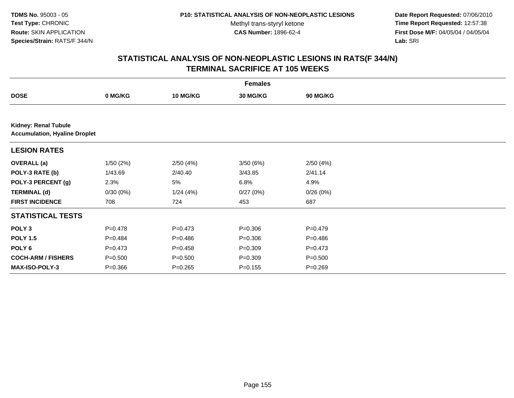**Date Report Requested:** 07/06/2010 **Time Report Requested:** 12:57:38 **First Dose M/F:** 04/05/04 / 04/05/04<br>Lab: SRI **Lab:** SRI

|                                                                     |             |                 | <b>Females</b> |                 |  |  |  |  |
|---------------------------------------------------------------------|-------------|-----------------|----------------|-----------------|--|--|--|--|
| <b>DOSE</b>                                                         | 0 MG/KG     | <b>10 MG/KG</b> | 30 MG/KG       | <b>90 MG/KG</b> |  |  |  |  |
|                                                                     |             |                 |                |                 |  |  |  |  |
| <b>Kidney: Renal Tubule</b><br><b>Accumulation, Hyaline Droplet</b> |             |                 |                |                 |  |  |  |  |
| <b>LESION RATES</b>                                                 |             |                 |                |                 |  |  |  |  |
| <b>OVERALL</b> (a)                                                  | 1/50(2%)    | 2/50(4%)        | 3/50(6%)       | 2/50(4%)        |  |  |  |  |
| POLY-3 RATE (b)                                                     | 1/43.69     | 2/40.40         | 3/43.85        | 2/41.14         |  |  |  |  |
| POLY-3 PERCENT (g)                                                  | 2.3%        | 5%              | 6.8%           | 4.9%            |  |  |  |  |
| <b>TERMINAL (d)</b>                                                 | 0/30(0%)    | 1/24(4%)        | 0/27(0%)       | 0/26(0%)        |  |  |  |  |
| <b>FIRST INCIDENCE</b>                                              | 708         | 724             | 453            | 687             |  |  |  |  |
| <b>STATISTICAL TESTS</b>                                            |             |                 |                |                 |  |  |  |  |
| POLY <sub>3</sub>                                                   | $P = 0.478$ | $P = 0.473$     | $P = 0.306$    | $P = 0.479$     |  |  |  |  |
| <b>POLY 1.5</b>                                                     | $P=0.484$   | $P = 0.486$     | $P = 0.306$    | $P = 0.486$     |  |  |  |  |
| POLY 6                                                              | $P = 0.473$ | $P=0.458$       | $P = 0.309$    | $P = 0.473$     |  |  |  |  |
| <b>COCH-ARM / FISHERS</b>                                           | $P = 0.500$ | $P = 0.500$     | $P = 0.309$    | $P = 0.500$     |  |  |  |  |
| <b>MAX-ISO-POLY-3</b>                                               | $P = 0.366$ | $P = 0.265$     | $P = 0.155$    | $P = 0.269$     |  |  |  |  |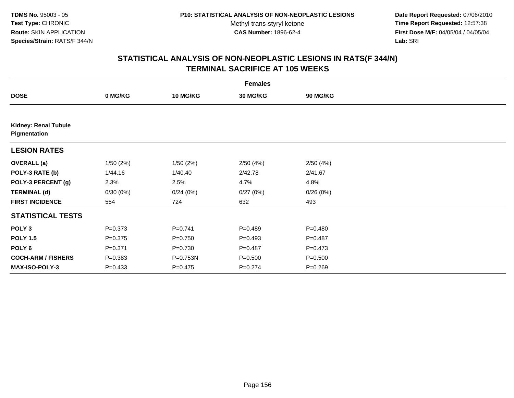**Date Report Requested:** 07/06/2010 **Time Report Requested:** 12:57:38 **First Dose M/F:** 04/05/04 / 04/05/04<br>Lab: SRI **Lab:** SRI

|                                             | <b>Females</b> |                 |                 |             |  |  |  |  |
|---------------------------------------------|----------------|-----------------|-----------------|-------------|--|--|--|--|
| <b>DOSE</b>                                 | 0 MG/KG        | <b>10 MG/KG</b> | <b>30 MG/KG</b> | 90 MG/KG    |  |  |  |  |
|                                             |                |                 |                 |             |  |  |  |  |
| <b>Kidney: Renal Tubule</b><br>Pigmentation |                |                 |                 |             |  |  |  |  |
| <b>LESION RATES</b>                         |                |                 |                 |             |  |  |  |  |
| <b>OVERALL</b> (a)                          | 1/50(2%)       | 1/50(2%)        | 2/50(4%)        | 2/50(4%)    |  |  |  |  |
| POLY-3 RATE (b)                             | 1/44.16        | 1/40.40         | 2/42.78         | 2/41.67     |  |  |  |  |
| POLY-3 PERCENT (g)                          | 2.3%           | 2.5%            | 4.7%            | 4.8%        |  |  |  |  |
| <b>TERMINAL (d)</b>                         | 0/30(0%)       | 0/24(0%)        | 0/27(0%)        | 0/26(0%)    |  |  |  |  |
| <b>FIRST INCIDENCE</b>                      | 554            | 724             | 632             | 493         |  |  |  |  |
| <b>STATISTICAL TESTS</b>                    |                |                 |                 |             |  |  |  |  |
| POLY <sub>3</sub>                           | $P = 0.373$    | $P = 0.741$     | $P=0.489$       | $P = 0.480$ |  |  |  |  |
| <b>POLY 1.5</b>                             | $P = 0.375$    | $P = 0.750$     | $P=0.493$       | $P=0.487$   |  |  |  |  |
| POLY <sub>6</sub>                           | $P = 0.371$    | $P = 0.730$     | $P = 0.487$     | $P = 0.473$ |  |  |  |  |
| <b>COCH-ARM / FISHERS</b>                   | $P = 0.383$    | P=0.753N        | $P = 0.500$     | $P = 0.500$ |  |  |  |  |
| <b>MAX-ISO-POLY-3</b>                       | $P = 0.433$    | $P=0.475$       | $P = 0.274$     | $P = 0.269$ |  |  |  |  |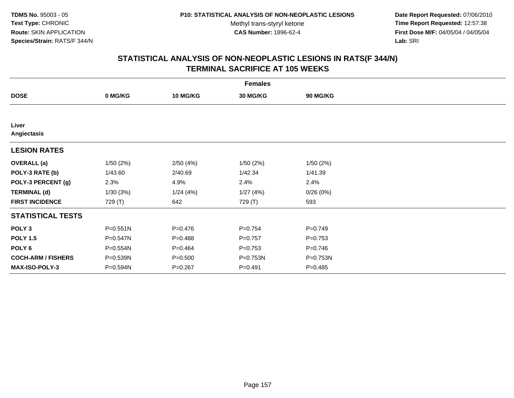**Date Report Requested:** 07/06/2010 **Time Report Requested:** 12:57:38 **First Dose M/F:** 04/05/04 / 04/05/04<br>Lab: SRI **Lab:** SRI

|                           |              |                 | <b>Females</b>  |             |  |
|---------------------------|--------------|-----------------|-----------------|-------------|--|
| <b>DOSE</b>               | 0 MG/KG      | <b>10 MG/KG</b> | <b>30 MG/KG</b> | 90 MG/KG    |  |
|                           |              |                 |                 |             |  |
| Liver<br>Angiectasis      |              |                 |                 |             |  |
| <b>LESION RATES</b>       |              |                 |                 |             |  |
| <b>OVERALL</b> (a)        | 1/50(2%)     | 2/50(4%)        | 1/50(2%)        | 1/50(2%)    |  |
| POLY-3 RATE (b)           | 1/43.60      | 2/40.69         | 1/42.34         | 1/41.39     |  |
| POLY-3 PERCENT (g)        | 2.3%         | 4.9%            | 2.4%            | 2.4%        |  |
| <b>TERMINAL (d)</b>       | 1/30(3%)     | 1/24(4%)        | 1/27(4%)        | 0/26(0%)    |  |
| <b>FIRST INCIDENCE</b>    | 729 (T)      | 642             | 729 (T)         | 593         |  |
| <b>STATISTICAL TESTS</b>  |              |                 |                 |             |  |
| POLY <sub>3</sub>         | $P = 0.551N$ | $P = 0.476$     | $P = 0.754$     | $P = 0.749$ |  |
| <b>POLY 1.5</b>           | P=0.547N     | $P = 0.488$     | $P=0.757$       | $P = 0.753$ |  |
| POLY <sub>6</sub>         | P=0.554N     | $P=0.464$       | $P = 0.753$     | $P = 0.746$ |  |
| <b>COCH-ARM / FISHERS</b> | P=0.539N     | $P = 0.500$     | P=0.753N        | P=0.753N    |  |
| <b>MAX-ISO-POLY-3</b>     | P=0.594N     | $P = 0.267$     | $P = 0.491$     | $P = 0.485$ |  |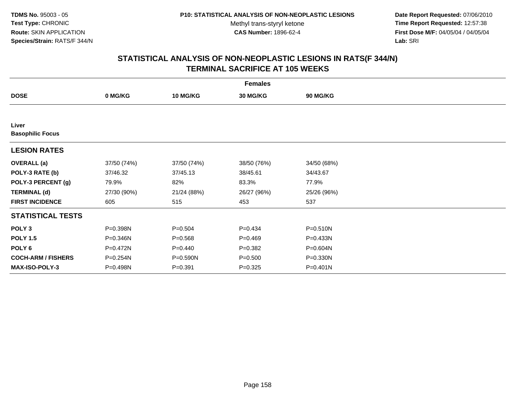**Date Report Requested:** 07/06/2010 **Time Report Requested:** 12:57:38 **First Dose M/F:** 04/05/04 / 04/05/04<br>Lab: SRI **Lab:** SRI

|                                  |             |                 | <b>Females</b> |              |  |
|----------------------------------|-------------|-----------------|----------------|--------------|--|
| <b>DOSE</b>                      | 0 MG/KG     | <b>10 MG/KG</b> | 30 MG/KG       | 90 MG/KG     |  |
|                                  |             |                 |                |              |  |
| Liver<br><b>Basophilic Focus</b> |             |                 |                |              |  |
| <b>LESION RATES</b>              |             |                 |                |              |  |
| <b>OVERALL</b> (a)               | 37/50 (74%) | 37/50 (74%)     | 38/50 (76%)    | 34/50 (68%)  |  |
| POLY-3 RATE (b)                  | 37/46.32    | 37/45.13        | 38/45.61       | 34/43.67     |  |
| POLY-3 PERCENT (g)               | 79.9%       | 82%             | 83.3%          | 77.9%        |  |
| <b>TERMINAL (d)</b>              | 27/30 (90%) | 21/24 (88%)     | 26/27 (96%)    | 25/26 (96%)  |  |
| <b>FIRST INCIDENCE</b>           | 605         | 515             | 453            | 537          |  |
| <b>STATISTICAL TESTS</b>         |             |                 |                |              |  |
| POLY <sub>3</sub>                | P=0.398N    | $P = 0.504$     | $P=0.434$      | $P = 0.510N$ |  |
| <b>POLY 1.5</b>                  | P=0.346N    | $P = 0.568$     | $P=0.469$      | $P = 0.433N$ |  |
| POLY 6                           | P=0.472N    | $P=0.440$       | $P = 0.382$    | P=0.604N     |  |
| <b>COCH-ARM / FISHERS</b>        | P=0.254N    | P=0.590N        | $P = 0.500$    | P=0.330N     |  |
| MAX-ISO-POLY-3                   | P=0.498N    | $P = 0.391$     | $P=0.325$      | $P = 0.401N$ |  |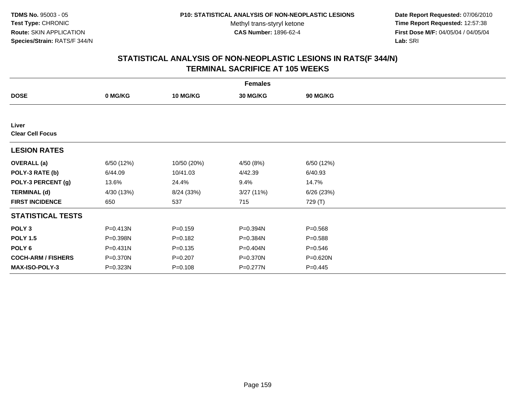**Date Report Requested:** 07/06/2010 **Time Report Requested:** 12:57:38 **First Dose M/F:** 04/05/04 / 04/05/04<br>Lab: SRI **Lab:** SRI

|                                  |              |                 | <b>Females</b>  |             |  |
|----------------------------------|--------------|-----------------|-----------------|-------------|--|
| <b>DOSE</b>                      | 0 MG/KG      | <b>10 MG/KG</b> | <b>30 MG/KG</b> | 90 MG/KG    |  |
|                                  |              |                 |                 |             |  |
| Liver<br><b>Clear Cell Focus</b> |              |                 |                 |             |  |
| <b>LESION RATES</b>              |              |                 |                 |             |  |
| <b>OVERALL</b> (a)               | 6/50 (12%)   | 10/50 (20%)     | 4/50 (8%)       | 6/50 (12%)  |  |
| POLY-3 RATE (b)                  | 6/44.09      | 10/41.03        | 4/42.39         | 6/40.93     |  |
| POLY-3 PERCENT (g)               | 13.6%        | 24.4%           | 9.4%            | 14.7%       |  |
| <b>TERMINAL (d)</b>              | 4/30 (13%)   | 8/24 (33%)      | 3/27 (11%)      | 6/26(23%)   |  |
| <b>FIRST INCIDENCE</b>           | 650          | 537             | 715             | 729 (T)     |  |
| <b>STATISTICAL TESTS</b>         |              |                 |                 |             |  |
| POLY <sub>3</sub>                | $P = 0.413N$ | $P = 0.159$     | P=0.394N        | $P = 0.568$ |  |
| <b>POLY 1.5</b>                  | P=0.398N     | $P=0.182$       | P=0.384N        | $P = 0.588$ |  |
| POLY 6                           | $P = 0.431N$ | $P = 0.135$     | P=0.404N        | $P = 0.546$ |  |
| <b>COCH-ARM / FISHERS</b>        | P=0.370N     | $P = 0.207$     | P=0.370N        | P=0.620N    |  |
| <b>MAX-ISO-POLY-3</b>            | P=0.323N     | $P = 0.108$     | P=0.277N        | $P = 0.445$ |  |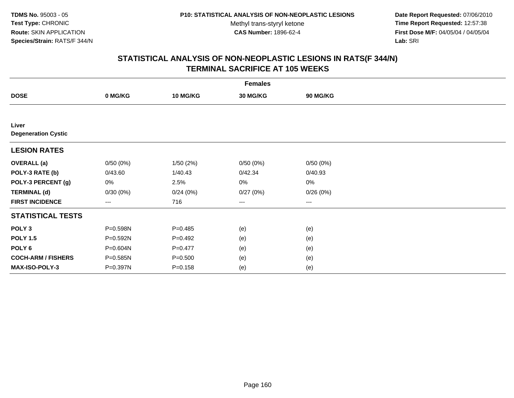**Date Report Requested:** 07/06/2010 **Time Report Requested:** 12:57:38 **First Dose M/F:** 04/05/04 / 04/05/04<br>Lab: SRI **Lab:** SRI

|                                     |              |                 | <b>Females</b>  |                   |  |
|-------------------------------------|--------------|-----------------|-----------------|-------------------|--|
| <b>DOSE</b>                         | 0 MG/KG      | <b>10 MG/KG</b> | <b>30 MG/KG</b> | 90 MG/KG          |  |
|                                     |              |                 |                 |                   |  |
| Liver<br><b>Degeneration Cystic</b> |              |                 |                 |                   |  |
| <b>LESION RATES</b>                 |              |                 |                 |                   |  |
| <b>OVERALL</b> (a)                  | 0/50(0%)     | 1/50(2%)        | 0/50(0%)        | 0/50(0%)          |  |
| POLY-3 RATE (b)                     | 0/43.60      | 1/40.43         | 0/42.34         | 0/40.93           |  |
| POLY-3 PERCENT (g)                  | 0%           | 2.5%            | 0%              | 0%                |  |
| <b>TERMINAL (d)</b>                 | 0/30(0%)     | 0/24(0%)        | 0/27(0%)        | 0/26(0%)          |  |
| <b>FIRST INCIDENCE</b>              | $---$        | 716             | ---             | $\qquad \qquad -$ |  |
| <b>STATISTICAL TESTS</b>            |              |                 |                 |                   |  |
| POLY <sub>3</sub>                   | P=0.598N     | $P = 0.485$     | (e)             | (e)               |  |
| <b>POLY 1.5</b>                     | $P = 0.592N$ | $P=0.492$       | (e)             | (e)               |  |
| POLY <sub>6</sub>                   | P=0.604N     | $P=0.477$       | (e)             | (e)               |  |
| <b>COCH-ARM / FISHERS</b>           | P=0.585N     | $P = 0.500$     | (e)             | (e)               |  |
| <b>MAX-ISO-POLY-3</b>               | P=0.397N     | $P = 0.158$     | (e)             | (e)               |  |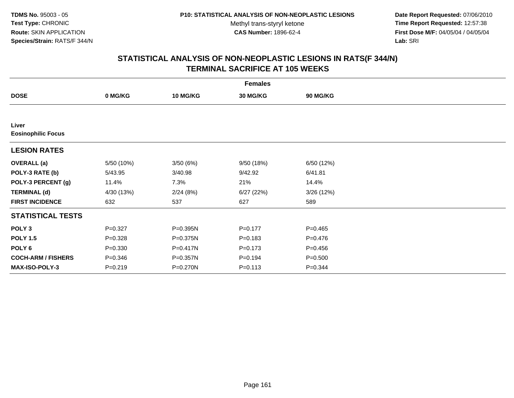**Date Report Requested:** 07/06/2010 **Time Report Requested:** 12:57:38 **First Dose M/F:** 04/05/04 / 04/05/04<br>Lab: SRI **Lab:** SRI

|                                    |             |                 | <b>Females</b>  |                 |  |
|------------------------------------|-------------|-----------------|-----------------|-----------------|--|
| <b>DOSE</b>                        | 0 MG/KG     | <b>10 MG/KG</b> | <b>30 MG/KG</b> | <b>90 MG/KG</b> |  |
|                                    |             |                 |                 |                 |  |
| Liver<br><b>Eosinophilic Focus</b> |             |                 |                 |                 |  |
| <b>LESION RATES</b>                |             |                 |                 |                 |  |
| <b>OVERALL</b> (a)                 | 5/50 (10%)  | 3/50(6%)        | 9/50(18%)       | 6/50 (12%)      |  |
| POLY-3 RATE (b)                    | 5/43.95     | 3/40.98         | 9/42.92         | 6/41.81         |  |
| POLY-3 PERCENT (g)                 | 11.4%       | 7.3%            | 21%             | 14.4%           |  |
| <b>TERMINAL (d)</b>                | 4/30 (13%)  | 2/24(8%)        | 6/27(22%)       | 3/26(12%)       |  |
| <b>FIRST INCIDENCE</b>             | 632         | 537             | 627             | 589             |  |
| <b>STATISTICAL TESTS</b>           |             |                 |                 |                 |  |
| POLY <sub>3</sub>                  | $P = 0.327$ | P=0.395N        | $P=0.177$       | $P=0.465$       |  |
| <b>POLY 1.5</b>                    | $P = 0.328$ | P=0.375N        | $P = 0.183$     | $P=0.476$       |  |
| POLY <sub>6</sub>                  | $P = 0.330$ | P=0.417N        | $P = 0.173$     | $P = 0.456$     |  |
| <b>COCH-ARM / FISHERS</b>          | $P = 0.346$ | P=0.357N        | $P = 0.194$     | $P = 0.500$     |  |
| <b>MAX-ISO-POLY-3</b>              | $P = 0.219$ | P=0.270N        | $P = 0.113$     | $P = 0.344$     |  |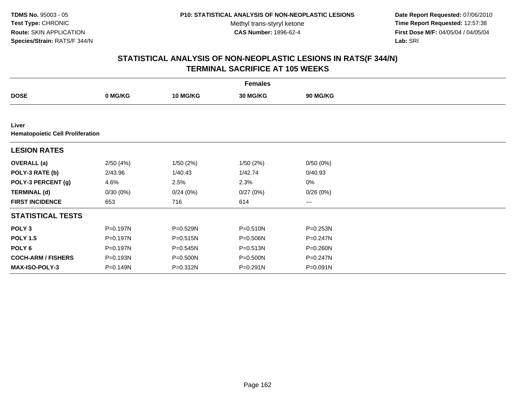**Date Report Requested:** 07/06/2010 **Time Report Requested:** 12:57:38 **First Dose M/F:** 04/05/04 / 04/05/04<br>Lab: SRI **Lab:** SRI

|                                                  |          |                 | <b>Females</b>  |              |  |
|--------------------------------------------------|----------|-----------------|-----------------|--------------|--|
| <b>DOSE</b>                                      | 0 MG/KG  | <b>10 MG/KG</b> | <b>30 MG/KG</b> | 90 MG/KG     |  |
|                                                  |          |                 |                 |              |  |
| Liver<br><b>Hematopoietic Cell Proliferation</b> |          |                 |                 |              |  |
| <b>LESION RATES</b>                              |          |                 |                 |              |  |
| <b>OVERALL</b> (a)                               | 2/50(4%) | 1/50(2%)        | 1/50(2%)        | 0/50(0%)     |  |
| POLY-3 RATE (b)                                  | 2/43.96  | 1/40.43         | 1/42.74         | 0/40.93      |  |
| POLY-3 PERCENT (g)                               | 4.6%     | 2.5%            | 2.3%            | 0%           |  |
| <b>TERMINAL (d)</b>                              | 0/30(0%) | 0/24(0%)        | 0/27(0%)        | 0/26(0%)     |  |
| <b>FIRST INCIDENCE</b>                           | 653      | 716             | 614             | $\cdots$     |  |
| <b>STATISTICAL TESTS</b>                         |          |                 |                 |              |  |
| POLY <sub>3</sub>                                | P=0.197N | P=0.529N        | $P = 0.510N$    | $P = 0.253N$ |  |
| <b>POLY 1.5</b>                                  | P=0.197N | $P = 0.515N$    | P=0.506N        | $P = 0.247N$ |  |
| POLY 6                                           | P=0.197N | $P = 0.545N$    | $P = 0.513N$    | $P = 0.260N$ |  |
| <b>COCH-ARM / FISHERS</b>                        | P=0.193N | P=0.500N        | P=0.500N        | $P = 0.247N$ |  |
| <b>MAX-ISO-POLY-3</b>                            | P=0.149N | P=0.312N        | $P = 0.291N$    | P=0.091N     |  |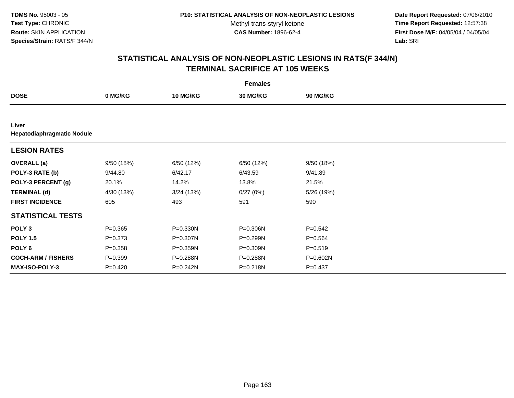**Date Report Requested:** 07/06/2010 **Time Report Requested:** 12:57:38 **First Dose M/F:** 04/05/04 / 04/05/04<br>Lab: SRI **Lab:** SRI

|                                     |             |                 | <b>Females</b> |             |  |
|-------------------------------------|-------------|-----------------|----------------|-------------|--|
| <b>DOSE</b>                         | 0 MG/KG     | <b>10 MG/KG</b> | 30 MG/KG       | 90 MG/KG    |  |
|                                     |             |                 |                |             |  |
| Liver<br>Hepatodiaphragmatic Nodule |             |                 |                |             |  |
| <b>LESION RATES</b>                 |             |                 |                |             |  |
| <b>OVERALL</b> (a)                  | 9/50 (18%)  | 6/50 (12%)      | 6/50 (12%)     | 9/50(18%)   |  |
| POLY-3 RATE (b)                     | 9/44.80     | 6/42.17         | 6/43.59        | 9/41.89     |  |
| POLY-3 PERCENT (g)                  | 20.1%       | 14.2%           | 13.8%          | 21.5%       |  |
| <b>TERMINAL (d)</b>                 | 4/30 (13%)  | 3/24(13%)       | 0/27(0%)       | 5/26 (19%)  |  |
| <b>FIRST INCIDENCE</b>              | 605         | 493             | 591            | 590         |  |
| <b>STATISTICAL TESTS</b>            |             |                 |                |             |  |
| POLY <sub>3</sub>                   | $P = 0.365$ | P=0.330N        | P=0.306N       | $P = 0.542$ |  |
| <b>POLY 1.5</b>                     | $P = 0.373$ | P=0.307N        | P=0.299N       | $P = 0.564$ |  |
| POLY 6                              | $P = 0.358$ | P=0.359N        | P=0.309N       | $P = 0.519$ |  |
| <b>COCH-ARM / FISHERS</b>           | $P = 0.399$ | P=0.288N        | P=0.288N       | P=0.602N    |  |
| MAX-ISO-POLY-3                      | $P=0.420$   | P=0.242N        | P=0.218N       | $P=0.437$   |  |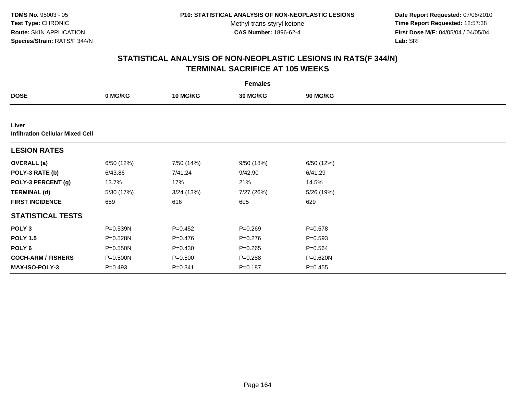**Date Report Requested:** 07/06/2010 **Time Report Requested:** 12:57:38 **First Dose M/F:** 04/05/04 / 04/05/04<br>Lab: SRI **Lab:** SRI

|                                                  |              |                 | <b>Females</b> |             |  |
|--------------------------------------------------|--------------|-----------------|----------------|-------------|--|
| <b>DOSE</b>                                      | 0 MG/KG      | <b>10 MG/KG</b> | 30 MG/KG       | 90 MG/KG    |  |
|                                                  |              |                 |                |             |  |
| Liver<br><b>Infiltration Cellular Mixed Cell</b> |              |                 |                |             |  |
| <b>LESION RATES</b>                              |              |                 |                |             |  |
| <b>OVERALL (a)</b>                               | 6/50 (12%)   | 7/50 (14%)      | 9/50(18%)      | 6/50 (12%)  |  |
| POLY-3 RATE (b)                                  | 6/43.86      | 7/41.24         | 9/42.90        | 6/41.29     |  |
| POLY-3 PERCENT (g)                               | 13.7%        | 17%             | 21%            | 14.5%       |  |
| <b>TERMINAL (d)</b>                              | 5/30 (17%)   | 3/24(13%)       | 7/27 (26%)     | 5/26 (19%)  |  |
| <b>FIRST INCIDENCE</b>                           | 659          | 616             | 605            | 629         |  |
| <b>STATISTICAL TESTS</b>                         |              |                 |                |             |  |
| POLY <sub>3</sub>                                | P=0.539N     | $P=0.452$       | $P = 0.269$    | $P = 0.578$ |  |
| <b>POLY 1.5</b>                                  | P=0.528N     | $P=0.476$       | $P = 0.276$    | $P = 0.593$ |  |
| POLY 6                                           | $P = 0.550N$ | $P = 0.430$     | $P = 0.265$    | $P = 0.564$ |  |
| <b>COCH-ARM / FISHERS</b>                        | P=0.500N     | $P = 0.500$     | $P = 0.288$    | P=0.620N    |  |
| MAX-ISO-POLY-3                                   | $P = 0.493$  | $P=0.341$       | $P = 0.187$    | $P=0.455$   |  |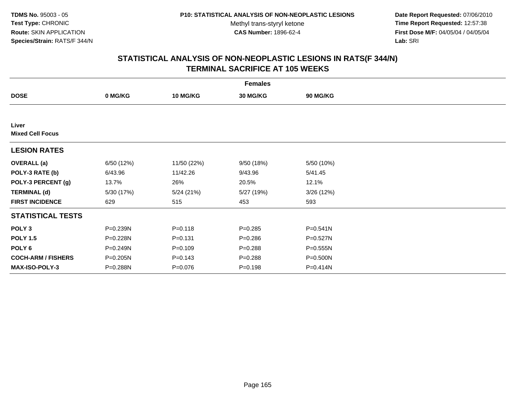**Date Report Requested:** 07/06/2010 **Time Report Requested:** 12:57:38 **First Dose M/F:** 04/05/04 / 04/05/04<br>Lab: SRI **Lab:** SRI

|                                  |            |                 | <b>Females</b>  |                 |  |
|----------------------------------|------------|-----------------|-----------------|-----------------|--|
| <b>DOSE</b>                      | 0 MG/KG    | <b>10 MG/KG</b> | <b>30 MG/KG</b> | <b>90 MG/KG</b> |  |
|                                  |            |                 |                 |                 |  |
| Liver<br><b>Mixed Cell Focus</b> |            |                 |                 |                 |  |
| <b>LESION RATES</b>              |            |                 |                 |                 |  |
| <b>OVERALL</b> (a)               | 6/50 (12%) | 11/50 (22%)     | 9/50 (18%)      | 5/50 (10%)      |  |
| POLY-3 RATE (b)                  | 6/43.96    | 11/42.26        | 9/43.96         | 5/41.45         |  |
| POLY-3 PERCENT (g)               | 13.7%      | 26%             | 20.5%           | 12.1%           |  |
| <b>TERMINAL (d)</b>              | 5/30 (17%) | 5/24(21%)       | 5/27 (19%)      | 3/26 (12%)      |  |
| <b>FIRST INCIDENCE</b>           | 629        | 515             | 453             | 593             |  |
| <b>STATISTICAL TESTS</b>         |            |                 |                 |                 |  |
| POLY <sub>3</sub>                | P=0.239N   | $P = 0.118$     | $P = 0.285$     | P=0.541N        |  |
| <b>POLY 1.5</b>                  | P=0.228N   | $P = 0.131$     | $P = 0.286$     | $P=0.527N$      |  |
| POLY <sub>6</sub>                | P=0.249N   | $P = 0.109$     | $P = 0.288$     | $P = 0.555N$    |  |
| <b>COCH-ARM / FISHERS</b>        | P=0.205N   | $P = 0.143$     | $P = 0.288$     | P=0.500N        |  |
| <b>MAX-ISO-POLY-3</b>            | P=0.288N   | $P = 0.076$     | $P = 0.198$     | P=0.414N        |  |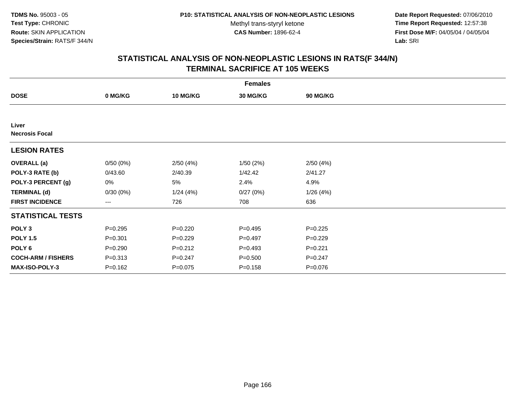**Date Report Requested:** 07/06/2010 **Time Report Requested:** 12:57:38 **First Dose M/F:** 04/05/04 / 04/05/04<br>Lab: SRI **Lab:** SRI

|                                |             |                 | <b>Females</b>  |                 |  |
|--------------------------------|-------------|-----------------|-----------------|-----------------|--|
| <b>DOSE</b>                    | 0 MG/KG     | <b>10 MG/KG</b> | <b>30 MG/KG</b> | <b>90 MG/KG</b> |  |
|                                |             |                 |                 |                 |  |
| Liver<br><b>Necrosis Focal</b> |             |                 |                 |                 |  |
| <b>LESION RATES</b>            |             |                 |                 |                 |  |
| <b>OVERALL</b> (a)             | 0/50(0%)    | 2/50(4%)        | 1/50(2%)        | 2/50(4%)        |  |
| POLY-3 RATE (b)                | 0/43.60     | 2/40.39         | 1/42.42         | 2/41.27         |  |
| POLY-3 PERCENT (g)             | 0%          | 5%              | 2.4%            | 4.9%            |  |
| <b>TERMINAL (d)</b>            | 0/30(0%)    | 1/24(4%)        | 0/27(0%)        | 1/26(4%)        |  |
| <b>FIRST INCIDENCE</b>         | $--$        | 726             | 708             | 636             |  |
| <b>STATISTICAL TESTS</b>       |             |                 |                 |                 |  |
| POLY <sub>3</sub>              | $P = 0.295$ | $P = 0.220$     | $P=0.495$       | $P=0.225$       |  |
| <b>POLY 1.5</b>                | $P = 0.301$ | $P=0.229$       | $P=0.497$       | $P=0.229$       |  |
| POLY <sub>6</sub>              | $P = 0.290$ | $P = 0.212$     | $P=0.493$       | $P = 0.221$     |  |
| <b>COCH-ARM / FISHERS</b>      | $P = 0.313$ | $P = 0.247$     | $P = 0.500$     | $P = 0.247$     |  |
| MAX-ISO-POLY-3                 | $P = 0.162$ | $P = 0.075$     | $P = 0.158$     | $P = 0.076$     |  |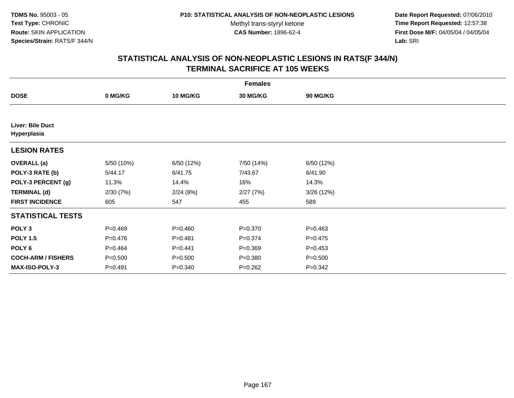**Date Report Requested:** 07/06/2010 **Time Report Requested:** 12:57:38 **First Dose M/F:** 04/05/04 / 04/05/04<br>Lab: SRI **Lab:** SRI

|                                 |             |                 | <b>Females</b>  |             |  |
|---------------------------------|-------------|-----------------|-----------------|-------------|--|
| <b>DOSE</b>                     | 0 MG/KG     | <b>10 MG/KG</b> | <b>30 MG/KG</b> | 90 MG/KG    |  |
|                                 |             |                 |                 |             |  |
| Liver: Bile Duct<br>Hyperplasia |             |                 |                 |             |  |
| <b>LESION RATES</b>             |             |                 |                 |             |  |
| <b>OVERALL</b> (a)              | 5/50 (10%)  | 6/50 (12%)      | 7/50 (14%)      | 6/50 (12%)  |  |
| POLY-3 RATE (b)                 | 5/44.17     | 6/41.75         | 7/43.67         | 6/41.90     |  |
| POLY-3 PERCENT (g)              | 11.3%       | 14.4%           | 16%             | 14.3%       |  |
| <b>TERMINAL (d)</b>             | 2/30(7%)    | 2/24(8%)        | 2/27(7%)        | 3/26(12%)   |  |
| <b>FIRST INCIDENCE</b>          | 605         | 547             | 455             | 589         |  |
| <b>STATISTICAL TESTS</b>        |             |                 |                 |             |  |
| POLY <sub>3</sub>               | $P = 0.469$ | $P = 0.460$     | $P = 0.370$     | $P = 0.463$ |  |
| <b>POLY 1.5</b>                 | $P=0.476$   | $P = 0.481$     | $P = 0.374$     | $P = 0.475$ |  |
| POLY <sub>6</sub>               | $P=0.464$   | $P=0.441$       | $P = 0.369$     | $P = 0.453$ |  |
| <b>COCH-ARM / FISHERS</b>       | $P = 0.500$ | $P = 0.500$     | $P = 0.380$     | $P = 0.500$ |  |
| <b>MAX-ISO-POLY-3</b>           | $P = 0.491$ | $P = 0.340$     | $P = 0.262$     | $P = 0.342$ |  |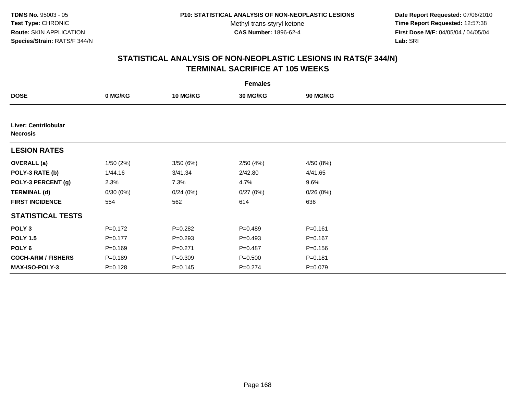**Date Report Requested:** 07/06/2010 **Time Report Requested:** 12:57:38 **First Dose M/F:** 04/05/04 / 04/05/04<br>Lab: SRI **Lab:** SRI

|                                         |             |                 | <b>Females</b>  |                 |  |
|-----------------------------------------|-------------|-----------------|-----------------|-----------------|--|
| <b>DOSE</b>                             | 0 MG/KG     | <b>10 MG/KG</b> | <b>30 MG/KG</b> | <b>90 MG/KG</b> |  |
|                                         |             |                 |                 |                 |  |
| Liver: Centrilobular<br><b>Necrosis</b> |             |                 |                 |                 |  |
| <b>LESION RATES</b>                     |             |                 |                 |                 |  |
| <b>OVERALL</b> (a)                      | 1/50(2%)    | 3/50(6%)        | 2/50(4%)        | 4/50 (8%)       |  |
| POLY-3 RATE (b)                         | 1/44.16     | 3/41.34         | 2/42.80         | 4/41.65         |  |
| POLY-3 PERCENT (g)                      | 2.3%        | 7.3%            | 4.7%            | 9.6%            |  |
| <b>TERMINAL (d)</b>                     | 0/30(0%)    | 0/24(0%)        | 0/27(0%)        | 0/26(0%)        |  |
| <b>FIRST INCIDENCE</b>                  | 554         | 562             | 614             | 636             |  |
| <b>STATISTICAL TESTS</b>                |             |                 |                 |                 |  |
| POLY <sub>3</sub>                       | $P = 0.172$ | $P = 0.282$     | $P=0.489$       | $P = 0.161$     |  |
| <b>POLY 1.5</b>                         | $P = 0.177$ | $P = 0.293$     | $P=0.493$       | $P = 0.167$     |  |
| POLY <sub>6</sub>                       | $P = 0.169$ | $P = 0.271$     | $P=0.487$       | $P = 0.156$     |  |
| <b>COCH-ARM / FISHERS</b>               | $P = 0.189$ | $P = 0.309$     | $P = 0.500$     | $P = 0.181$     |  |
| MAX-ISO-POLY-3                          | $P = 0.128$ | $P = 0.145$     | $P = 0.274$     | $P = 0.079$     |  |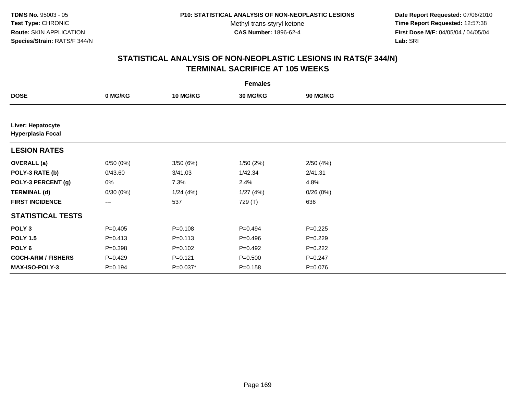**Date Report Requested:** 07/06/2010 **Time Report Requested:** 12:57:38 **First Dose M/F:** 04/05/04 / 04/05/04<br>Lab: SRI **Lab:** SRI

|                                               | <b>Females</b>                           |                 |                 |             |  |  |  |  |
|-----------------------------------------------|------------------------------------------|-----------------|-----------------|-------------|--|--|--|--|
| <b>DOSE</b>                                   | 0 MG/KG                                  | <b>10 MG/KG</b> | <b>30 MG/KG</b> | 90 MG/KG    |  |  |  |  |
|                                               |                                          |                 |                 |             |  |  |  |  |
| Liver: Hepatocyte<br><b>Hyperplasia Focal</b> |                                          |                 |                 |             |  |  |  |  |
| <b>LESION RATES</b>                           |                                          |                 |                 |             |  |  |  |  |
| <b>OVERALL</b> (a)                            | 0/50(0%)                                 | 3/50(6%)        | 1/50(2%)        | 2/50(4%)    |  |  |  |  |
| POLY-3 RATE (b)                               | 0/43.60                                  | 3/41.03         | 1/42.34         | 2/41.31     |  |  |  |  |
| POLY-3 PERCENT (g)                            | 0%                                       | 7.3%            | 2.4%            | 4.8%        |  |  |  |  |
| <b>TERMINAL (d)</b>                           | 0/30(0%)                                 | 1/24(4%)        | 1/27(4%)        | 0/26(0%)    |  |  |  |  |
| <b>FIRST INCIDENCE</b>                        | $\hspace{0.05cm} \ldots \hspace{0.05cm}$ | 537             | 729 (T)         | 636         |  |  |  |  |
| <b>STATISTICAL TESTS</b>                      |                                          |                 |                 |             |  |  |  |  |
| POLY <sub>3</sub>                             | $P=0.405$                                | $P = 0.108$     | $P=0.494$       | $P=0.225$   |  |  |  |  |
| <b>POLY 1.5</b>                               | $P = 0.413$                              | $P = 0.113$     | $P = 0.496$     | $P=0.229$   |  |  |  |  |
| POLY <sub>6</sub>                             | $P = 0.398$                              | $P=0.102$       | $P=0.492$       | $P=0.222$   |  |  |  |  |
| <b>COCH-ARM / FISHERS</b>                     | $P=0.429$                                | $P = 0.121$     | $P = 0.500$     | $P = 0.247$ |  |  |  |  |
| <b>MAX-ISO-POLY-3</b>                         | $P = 0.194$                              | $P=0.037*$      | $P = 0.158$     | $P = 0.076$ |  |  |  |  |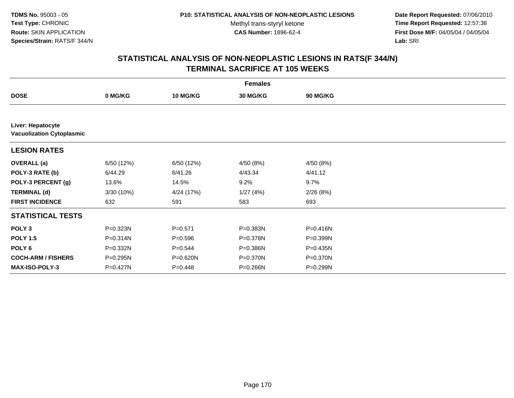**Date Report Requested:** 07/06/2010 **Time Report Requested:** 12:57:38 **First Dose M/F:** 04/05/04 / 04/05/04<br>Lab: SRI **Lab:** SRI

|                                                       | <b>Females</b> |                 |          |                 |  |  |  |  |
|-------------------------------------------------------|----------------|-----------------|----------|-----------------|--|--|--|--|
| <b>DOSE</b>                                           | 0 MG/KG        | <b>10 MG/KG</b> | 30 MG/KG | <b>90 MG/KG</b> |  |  |  |  |
|                                                       |                |                 |          |                 |  |  |  |  |
| Liver: Hepatocyte<br><b>Vacuolization Cytoplasmic</b> |                |                 |          |                 |  |  |  |  |
| <b>LESION RATES</b>                                   |                |                 |          |                 |  |  |  |  |
| <b>OVERALL</b> (a)                                    | 6/50 (12%)     | 6/50 (12%)      | 4/50(8%) | 4/50 (8%)       |  |  |  |  |
| POLY-3 RATE (b)                                       | 6/44.29        | 6/41.26         | 4/43.34  | 4/41.12         |  |  |  |  |
| POLY-3 PERCENT (g)                                    | 13.6%          | 14.5%           | 9.2%     | 9.7%            |  |  |  |  |
| <b>TERMINAL (d)</b>                                   | 3/30 (10%)     | 4/24 (17%)      | 1/27(4%) | 2/26(8%)        |  |  |  |  |
| <b>FIRST INCIDENCE</b>                                | 632            | 591             | 583      | 693             |  |  |  |  |
| <b>STATISTICAL TESTS</b>                              |                |                 |          |                 |  |  |  |  |
| POLY <sub>3</sub>                                     | P=0.323N       | $P = 0.571$     | P=0.383N | P=0.416N        |  |  |  |  |
| <b>POLY 1.5</b>                                       | P=0.314N       | $P = 0.596$     | P=0.378N | P=0.399N        |  |  |  |  |
| POLY <sub>6</sub>                                     | P=0.332N       | $P = 0.544$     | P=0.386N | P=0.435N        |  |  |  |  |
| <b>COCH-ARM / FISHERS</b>                             | P=0.295N       | P=0.620N        | P=0.370N | P=0.370N        |  |  |  |  |
| <b>MAX-ISO-POLY-3</b>                                 | P=0.427N       | $P = 0.448$     | P=0.266N | P=0.299N        |  |  |  |  |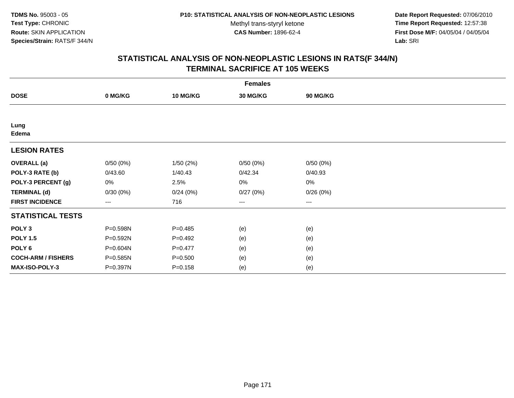**Date Report Requested:** 07/06/2010 **Time Report Requested:** 12:57:38 **First Dose M/F:** 04/05/04 / 04/05/04<br>Lab: SRI **Lab:** SRI

|                           | <b>Females</b> |             |          |                        |  |  |  |  |
|---------------------------|----------------|-------------|----------|------------------------|--|--|--|--|
| <b>DOSE</b>               | 0 MG/KG        | 10 MG/KG    | 30 MG/KG | 90 MG/KG               |  |  |  |  |
|                           |                |             |          |                        |  |  |  |  |
| Lung<br>Edema             |                |             |          |                        |  |  |  |  |
| <b>LESION RATES</b>       |                |             |          |                        |  |  |  |  |
| <b>OVERALL</b> (a)        | 0/50(0%)       | 1/50(2%)    | 0/50(0%) | 0/50(0%)               |  |  |  |  |
| POLY-3 RATE (b)           | 0/43.60        | 1/40.43     | 0/42.34  | 0/40.93                |  |  |  |  |
| POLY-3 PERCENT (g)        | 0%             | 2.5%        | 0%       | 0%                     |  |  |  |  |
| <b>TERMINAL (d)</b>       | 0/30(0%)       | 0/24(0%)    | 0/27(0%) | 0/26(0%)               |  |  |  |  |
| <b>FIRST INCIDENCE</b>    | $--$           | 716         | ---      | $\qquad \qquad \cdots$ |  |  |  |  |
| <b>STATISTICAL TESTS</b>  |                |             |          |                        |  |  |  |  |
| POLY <sub>3</sub>         | P=0.598N       | $P = 0.485$ | (e)      | (e)                    |  |  |  |  |
| <b>POLY 1.5</b>           | $P = 0.592N$   | $P=0.492$   | (e)      | (e)                    |  |  |  |  |
| POLY <sub>6</sub>         | P=0.604N       | $P=0.477$   | (e)      | (e)                    |  |  |  |  |
| <b>COCH-ARM / FISHERS</b> | P=0.585N       | $P = 0.500$ | (e)      | (e)                    |  |  |  |  |
| MAX-ISO-POLY-3            | P=0.397N       | $P = 0.158$ | (e)      | (e)                    |  |  |  |  |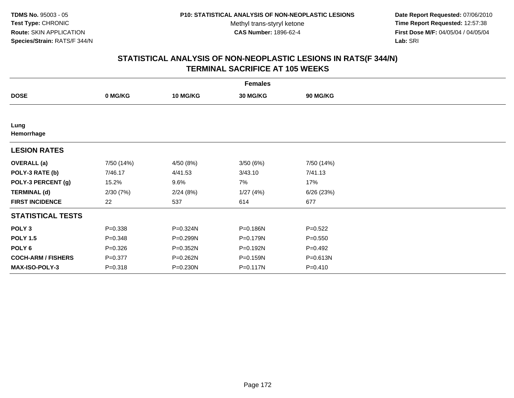**Date Report Requested:** 07/06/2010 **Time Report Requested:** 12:57:38 **First Dose M/F:** 04/05/04 / 04/05/04<br>Lab: SRI **Lab:** SRI

|                           | <b>Females</b> |                 |                 |             |  |  |  |  |
|---------------------------|----------------|-----------------|-----------------|-------------|--|--|--|--|
| <b>DOSE</b>               | 0 MG/KG        | <b>10 MG/KG</b> | <b>30 MG/KG</b> | 90 MG/KG    |  |  |  |  |
|                           |                |                 |                 |             |  |  |  |  |
| Lung<br>Hemorrhage        |                |                 |                 |             |  |  |  |  |
| <b>LESION RATES</b>       |                |                 |                 |             |  |  |  |  |
| <b>OVERALL</b> (a)        | 7/50 (14%)     | 4/50 (8%)       | 3/50(6%)        | 7/50 (14%)  |  |  |  |  |
| POLY-3 RATE (b)           | 7/46.17        | 4/41.53         | 3/43.10         | 7/41.13     |  |  |  |  |
| POLY-3 PERCENT (g)        | 15.2%          | 9.6%            | 7%              | 17%         |  |  |  |  |
| <b>TERMINAL (d)</b>       | 2/30(7%)       | 2/24(8%)        | 1/27(4%)        | 6/26(23%)   |  |  |  |  |
| <b>FIRST INCIDENCE</b>    | 22             | 537             | 614             | 677         |  |  |  |  |
| <b>STATISTICAL TESTS</b>  |                |                 |                 |             |  |  |  |  |
| POLY <sub>3</sub>         | $P = 0.338$    | P=0.324N        | P=0.186N        | $P=0.522$   |  |  |  |  |
| <b>POLY 1.5</b>           | $P = 0.348$    | P=0.299N        | P=0.179N        | $P = 0.550$ |  |  |  |  |
| POLY <sub>6</sub>         | $P = 0.326$    | P=0.352N        | P=0.192N        | $P=0.492$   |  |  |  |  |
| <b>COCH-ARM / FISHERS</b> | $P = 0.377$    | P=0.262N        | P=0.159N        | P=0.613N    |  |  |  |  |
| MAX-ISO-POLY-3            | $P = 0.318$    | P=0.230N        | P=0.117N        | $P = 0.410$ |  |  |  |  |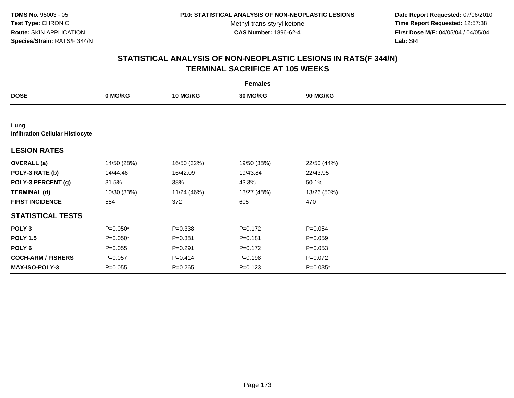**Date Report Requested:** 07/06/2010 **Time Report Requested:** 12:57:38 **First Dose M/F:** 04/05/04 / 04/05/04<br>Lab: SRI **Lab:** SRI

|                                                 | <b>Females</b> |                 |             |             |  |  |  |  |
|-------------------------------------------------|----------------|-----------------|-------------|-------------|--|--|--|--|
| <b>DOSE</b>                                     | 0 MG/KG        | <b>10 MG/KG</b> | 30 MG/KG    | 90 MG/KG    |  |  |  |  |
|                                                 |                |                 |             |             |  |  |  |  |
| Lung<br><b>Infiltration Cellular Histiocyte</b> |                |                 |             |             |  |  |  |  |
| <b>LESION RATES</b>                             |                |                 |             |             |  |  |  |  |
| <b>OVERALL</b> (a)                              | 14/50 (28%)    | 16/50 (32%)     | 19/50 (38%) | 22/50 (44%) |  |  |  |  |
| POLY-3 RATE (b)                                 | 14/44.46       | 16/42.09        | 19/43.84    | 22/43.95    |  |  |  |  |
| POLY-3 PERCENT (g)                              | 31.5%          | 38%             | 43.3%       | 50.1%       |  |  |  |  |
| <b>TERMINAL (d)</b>                             | 10/30 (33%)    | 11/24 (46%)     | 13/27 (48%) | 13/26 (50%) |  |  |  |  |
| <b>FIRST INCIDENCE</b>                          | 554            | 372             | 605         | 470         |  |  |  |  |
| <b>STATISTICAL TESTS</b>                        |                |                 |             |             |  |  |  |  |
| POLY <sub>3</sub>                               | P=0.050*       | $P = 0.338$     | $P=0.172$   | $P = 0.054$ |  |  |  |  |
| <b>POLY 1.5</b>                                 | $P=0.050*$     | $P = 0.381$     | $P = 0.181$ | $P = 0.059$ |  |  |  |  |
| POLY 6                                          | $P = 0.055$    | $P = 0.291$     | $P = 0.172$ | $P = 0.053$ |  |  |  |  |
| <b>COCH-ARM / FISHERS</b>                       | $P = 0.057$    | $P = 0.414$     | $P = 0.198$ | $P=0.072$   |  |  |  |  |
| <b>MAX-ISO-POLY-3</b>                           | $P = 0.055$    | $P = 0.265$     | $P = 0.123$ | $P=0.035*$  |  |  |  |  |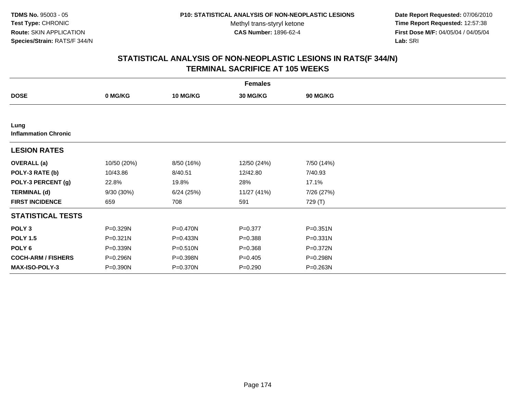**Date Report Requested:** 07/06/2010 **Time Report Requested:** 12:57:38 **First Dose M/F:** 04/05/04 / 04/05/04<br>Lab: SRI **Lab:** SRI

|                                     | <b>Females</b> |                 |             |                 |  |  |  |  |
|-------------------------------------|----------------|-----------------|-------------|-----------------|--|--|--|--|
| <b>DOSE</b>                         | 0 MG/KG        | <b>10 MG/KG</b> | 30 MG/KG    | <b>90 MG/KG</b> |  |  |  |  |
|                                     |                |                 |             |                 |  |  |  |  |
| Lung<br><b>Inflammation Chronic</b> |                |                 |             |                 |  |  |  |  |
| <b>LESION RATES</b>                 |                |                 |             |                 |  |  |  |  |
| <b>OVERALL</b> (a)                  | 10/50 (20%)    | 8/50 (16%)      | 12/50 (24%) | 7/50 (14%)      |  |  |  |  |
| POLY-3 RATE (b)                     | 10/43.86       | 8/40.51         | 12/42.80    | 7/40.93         |  |  |  |  |
| POLY-3 PERCENT (g)                  | 22.8%          | 19.8%           | 28%         | 17.1%           |  |  |  |  |
| <b>TERMINAL (d)</b>                 | 9/30 (30%)     | 6/24(25%)       | 11/27 (41%) | 7/26 (27%)      |  |  |  |  |
| <b>FIRST INCIDENCE</b>              | 659            | 708             | 591         | 729 (T)         |  |  |  |  |
| <b>STATISTICAL TESTS</b>            |                |                 |             |                 |  |  |  |  |
| POLY <sub>3</sub>                   | P=0.329N       | P=0.470N        | $P = 0.377$ | $P = 0.351N$    |  |  |  |  |
| <b>POLY 1.5</b>                     | $P = 0.321N$   | $P = 0.433N$    | $P = 0.388$ | $P = 0.331N$    |  |  |  |  |
| POLY 6                              | P=0.339N       | $P = 0.510N$    | $P = 0.368$ | $P = 0.372N$    |  |  |  |  |
| <b>COCH-ARM / FISHERS</b>           | P=0.296N       | P=0.398N        | $P=0.405$   | P=0.298N        |  |  |  |  |
| <b>MAX-ISO-POLY-3</b>               | P=0.390N       | P=0.370N        | $P = 0.290$ | P=0.263N        |  |  |  |  |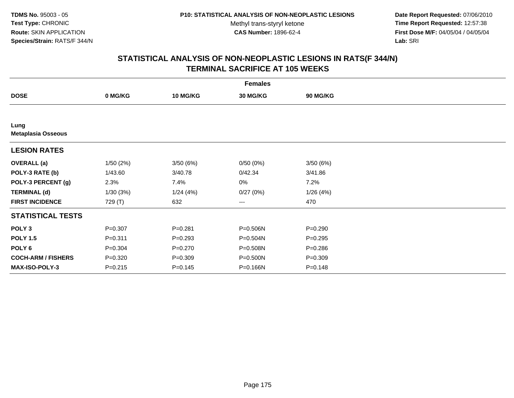**Date Report Requested:** 07/06/2010 **Time Report Requested:** 12:57:38 **First Dose M/F:** 04/05/04 / 04/05/04<br>Lab: SRI **Lab:** SRI

|                                   | <b>Females</b> |                 |                 |                 |  |  |  |  |
|-----------------------------------|----------------|-----------------|-----------------|-----------------|--|--|--|--|
| <b>DOSE</b>                       | 0 MG/KG        | <b>10 MG/KG</b> | <b>30 MG/KG</b> | <b>90 MG/KG</b> |  |  |  |  |
|                                   |                |                 |                 |                 |  |  |  |  |
| Lung<br><b>Metaplasia Osseous</b> |                |                 |                 |                 |  |  |  |  |
| <b>LESION RATES</b>               |                |                 |                 |                 |  |  |  |  |
| <b>OVERALL</b> (a)                | 1/50(2%)       | 3/50(6%)        | 0/50(0%)        | 3/50(6%)        |  |  |  |  |
| POLY-3 RATE (b)                   | 1/43.60        | 3/40.78         | 0/42.34         | 3/41.86         |  |  |  |  |
| POLY-3 PERCENT (g)                | 2.3%           | 7.4%            | 0%              | 7.2%            |  |  |  |  |
| <b>TERMINAL (d)</b>               | 1/30(3%)       | 1/24(4%)        | 0/27(0%)        | 1/26(4%)        |  |  |  |  |
| <b>FIRST INCIDENCE</b>            | 729 (T)        | 632             | ---             | 470             |  |  |  |  |
| <b>STATISTICAL TESTS</b>          |                |                 |                 |                 |  |  |  |  |
| POLY <sub>3</sub>                 | $P = 0.307$    | $P = 0.281$     | P=0.506N        | $P = 0.290$     |  |  |  |  |
| <b>POLY 1.5</b>                   | $P = 0.311$    | $P = 0.293$     | P=0.504N        | $P = 0.295$     |  |  |  |  |
| POLY <sub>6</sub>                 | $P = 0.304$    | $P = 0.270$     | P=0.508N        | $P = 0.286$     |  |  |  |  |
| <b>COCH-ARM / FISHERS</b>         | $P = 0.320$    | $P = 0.309$     | P=0.500N        | $P = 0.309$     |  |  |  |  |
| <b>MAX-ISO-POLY-3</b>             | $P = 0.215$    | $P = 0.145$     | P=0.166N        | $P = 0.148$     |  |  |  |  |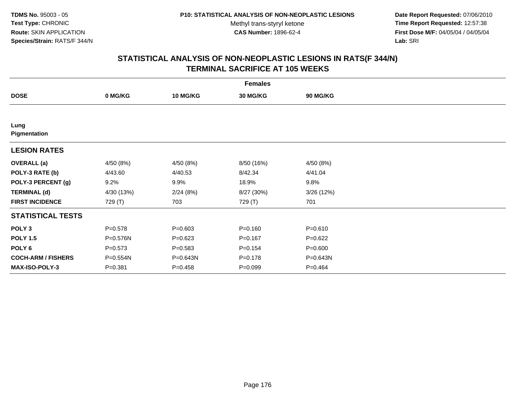**Date Report Requested:** 07/06/2010 **Time Report Requested:** 12:57:38 **First Dose M/F:** 04/05/04 / 04/05/04<br>Lab: SRI **Lab:** SRI

|                           | <b>Females</b> |                 |                 |                 |  |  |  |  |
|---------------------------|----------------|-----------------|-----------------|-----------------|--|--|--|--|
| <b>DOSE</b>               | 0 MG/KG        | <b>10 MG/KG</b> | <b>30 MG/KG</b> | <b>90 MG/KG</b> |  |  |  |  |
|                           |                |                 |                 |                 |  |  |  |  |
| Lung<br>Pigmentation      |                |                 |                 |                 |  |  |  |  |
| <b>LESION RATES</b>       |                |                 |                 |                 |  |  |  |  |
| <b>OVERALL</b> (a)        | 4/50 (8%)      | 4/50 (8%)       | 8/50 (16%)      | 4/50 (8%)       |  |  |  |  |
| POLY-3 RATE (b)           | 4/43.60        | 4/40.53         | 8/42.34         | 4/41.04         |  |  |  |  |
| POLY-3 PERCENT (g)        | 9.2%           | 9.9%            | 18.9%           | 9.8%            |  |  |  |  |
| <b>TERMINAL (d)</b>       | 4/30 (13%)     | 2/24(8%)        | 8/27 (30%)      | 3/26(12%)       |  |  |  |  |
| <b>FIRST INCIDENCE</b>    | 729 (T)        | 703             | 729 (T)         | 701             |  |  |  |  |
| <b>STATISTICAL TESTS</b>  |                |                 |                 |                 |  |  |  |  |
| POLY <sub>3</sub>         | $P = 0.578$    | $P = 0.603$     | $P = 0.160$     | $P = 0.610$     |  |  |  |  |
| <b>POLY 1.5</b>           | P=0.576N       | $P = 0.623$     | $P = 0.167$     | $P=0.622$       |  |  |  |  |
| POLY <sub>6</sub>         | $P = 0.573$    | $P = 0.583$     | $P = 0.154$     | $P = 0.600$     |  |  |  |  |
| <b>COCH-ARM / FISHERS</b> | P=0.554N       | P=0.643N        | $P = 0.178$     | P=0.643N        |  |  |  |  |
| <b>MAX-ISO-POLY-3</b>     | $P = 0.381$    | $P = 0.458$     | $P=0.099$       | $P = 0.464$     |  |  |  |  |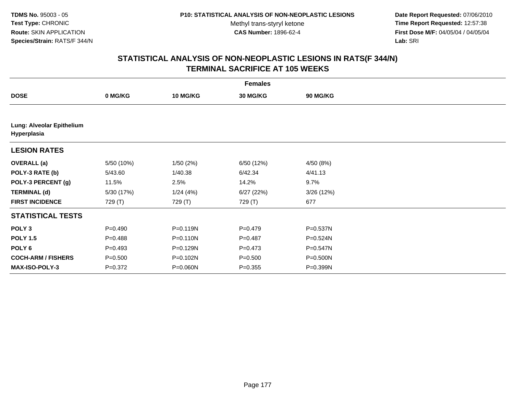**Date Report Requested:** 07/06/2010 **Time Report Requested:** 12:57:38 **First Dose M/F:** 04/05/04 / 04/05/04<br>Lab: SRI **Lab:** SRI

|                                          | <b>Females</b> |                 |             |                 |  |  |  |  |
|------------------------------------------|----------------|-----------------|-------------|-----------------|--|--|--|--|
| <b>DOSE</b>                              | 0 MG/KG        | <b>10 MG/KG</b> | 30 MG/KG    | <b>90 MG/KG</b> |  |  |  |  |
|                                          |                |                 |             |                 |  |  |  |  |
| Lung: Alveolar Epithelium<br>Hyperplasia |                |                 |             |                 |  |  |  |  |
| <b>LESION RATES</b>                      |                |                 |             |                 |  |  |  |  |
| <b>OVERALL</b> (a)                       | 5/50 (10%)     | 1/50(2%)        | 6/50 (12%)  | 4/50 (8%)       |  |  |  |  |
| POLY-3 RATE (b)                          | 5/43.60        | 1/40.38         | 6/42.34     | 4/41.13         |  |  |  |  |
| POLY-3 PERCENT (g)                       | 11.5%          | 2.5%            | 14.2%       | 9.7%            |  |  |  |  |
| <b>TERMINAL (d)</b>                      | 5/30 (17%)     | 1/24(4%)        | 6/27(22%)   | 3/26(12%)       |  |  |  |  |
| <b>FIRST INCIDENCE</b>                   | 729 (T)        | 729 (T)         | 729 (T)     | 677             |  |  |  |  |
| <b>STATISTICAL TESTS</b>                 |                |                 |             |                 |  |  |  |  |
| POLY <sub>3</sub>                        | $P=0.490$      | $P = 0.119N$    | $P = 0.479$ | P=0.537N        |  |  |  |  |
| <b>POLY 1.5</b>                          | $P = 0.488$    | P=0.110N        | $P = 0.487$ | P=0.524N        |  |  |  |  |
| POLY 6                                   | $P=0.493$      | P=0.129N        | $P = 0.473$ | P=0.547N        |  |  |  |  |
| <b>COCH-ARM / FISHERS</b>                | $P = 0.500$    | P=0.102N        | $P = 0.500$ | P=0.500N        |  |  |  |  |
| <b>MAX-ISO-POLY-3</b>                    | $P = 0.372$    | P=0.060N        | $P = 0.355$ | P=0.399N        |  |  |  |  |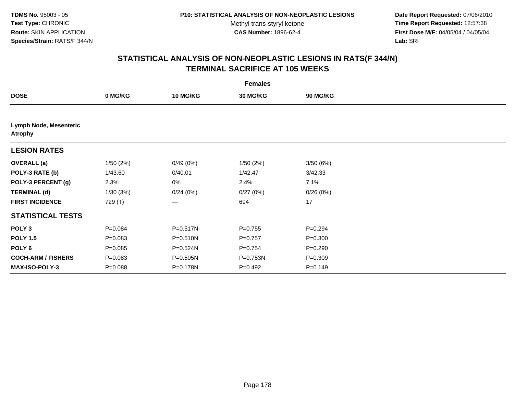**Date Report Requested:** 07/06/2010 **Time Report Requested:** 12:57:38 **First Dose M/F:** 04/05/04 / 04/05/04<br>Lab: SRI **Lab:** SRI

| <b>Females</b>                           |             |                 |           |             |  |  |  |
|------------------------------------------|-------------|-----------------|-----------|-------------|--|--|--|
| <b>DOSE</b>                              | 0 MG/KG     | <b>10 MG/KG</b> | 30 MG/KG  | 90 MG/KG    |  |  |  |
|                                          |             |                 |           |             |  |  |  |
| Lymph Node, Mesenteric<br><b>Atrophy</b> |             |                 |           |             |  |  |  |
| <b>LESION RATES</b>                      |             |                 |           |             |  |  |  |
| <b>OVERALL (a)</b>                       | 1/50(2%)    | 0/49(0%)        | 1/50(2%)  | 3/50(6%)    |  |  |  |
| POLY-3 RATE (b)                          | 1/43.60     | 0/40.01         | 1/42.47   | 3/42.33     |  |  |  |
| POLY-3 PERCENT (g)                       | 2.3%        | 0%              | 2.4%      | 7.1%        |  |  |  |
| <b>TERMINAL (d)</b>                      | 1/30(3%)    | 0/24(0%)        | 0/27(0%)  | 0/26(0%)    |  |  |  |
| <b>FIRST INCIDENCE</b>                   | 729 (T)     | ---             | 694       | 17          |  |  |  |
| <b>STATISTICAL TESTS</b>                 |             |                 |           |             |  |  |  |
| POLY <sub>3</sub>                        | $P = 0.084$ | P=0.517N        | $P=0.755$ | $P = 0.294$ |  |  |  |
| <b>POLY 1.5</b>                          | $P = 0.083$ | P=0.510N        | $P=0.757$ | $P = 0.300$ |  |  |  |
| POLY 6                                   | $P = 0.085$ | P=0.524N        | $P=0.754$ | $P = 0.290$ |  |  |  |
| <b>COCH-ARM / FISHERS</b>                | $P = 0.083$ | P=0.505N        | P=0.753N  | $P = 0.309$ |  |  |  |
| MAX-ISO-POLY-3                           | $P = 0.088$ | P=0.178N        | $P=0.492$ | $P = 0.149$ |  |  |  |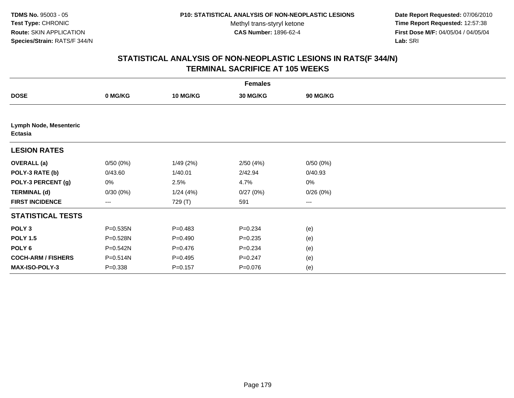**Date Report Requested:** 07/06/2010 **Time Report Requested:** 12:57:38 **First Dose M/F:** 04/05/04 / 04/05/04<br>Lab: SRI **Lab:** SRI

| <b>Females</b>                                  |             |                 |                 |          |  |  |  |
|-------------------------------------------------|-------------|-----------------|-----------------|----------|--|--|--|
| <b>DOSE</b>                                     | 0 MG/KG     | <b>10 MG/KG</b> | <b>30 MG/KG</b> | 90 MG/KG |  |  |  |
|                                                 |             |                 |                 |          |  |  |  |
| <b>Lymph Node, Mesenteric</b><br><b>Ectasia</b> |             |                 |                 |          |  |  |  |
| <b>LESION RATES</b>                             |             |                 |                 |          |  |  |  |
| <b>OVERALL</b> (a)                              | 0/50(0%)    | 1/49(2%)        | 2/50(4%)        | 0/50(0%) |  |  |  |
| POLY-3 RATE (b)                                 | 0/43.60     | 1/40.01         | 2/42.94         | 0/40.93  |  |  |  |
| POLY-3 PERCENT (g)                              | 0%          | 2.5%            | 4.7%            | 0%       |  |  |  |
| <b>TERMINAL (d)</b>                             | 0/30(0%)    | 1/24(4%)        | 0/27(0%)        | 0/26(0%) |  |  |  |
| <b>FIRST INCIDENCE</b>                          | $\cdots$    | 729 (T)         | 591             | $\cdots$ |  |  |  |
| <b>STATISTICAL TESTS</b>                        |             |                 |                 |          |  |  |  |
| POLY <sub>3</sub>                               | P=0.535N    | $P=0.483$       | $P = 0.234$     | (e)      |  |  |  |
| <b>POLY 1.5</b>                                 | P=0.528N    | $P=0.490$       | $P = 0.235$     | (e)      |  |  |  |
| POLY <sub>6</sub>                               | P=0.542N    | $P = 0.476$     | $P = 0.234$     | (e)      |  |  |  |
| <b>COCH-ARM / FISHERS</b>                       | P=0.514N    | $P=0.495$       | $P = 0.247$     | (e)      |  |  |  |
| MAX-ISO-POLY-3                                  | $P = 0.338$ | $P = 0.157$     | $P = 0.076$     | (e)      |  |  |  |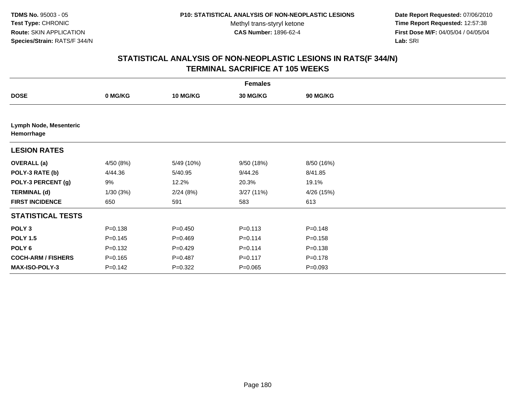**Date Report Requested:** 07/06/2010 **Time Report Requested:** 12:57:38 **First Dose M/F:** 04/05/04 / 04/05/04<br>Lab: SRI **Lab:** SRI

|                                      | <b>Females</b> |                 |             |             |  |  |  |  |
|--------------------------------------|----------------|-----------------|-------------|-------------|--|--|--|--|
| <b>DOSE</b>                          | 0 MG/KG        | <b>10 MG/KG</b> | 30 MG/KG    | 90 MG/KG    |  |  |  |  |
|                                      |                |                 |             |             |  |  |  |  |
| Lymph Node, Mesenteric<br>Hemorrhage |                |                 |             |             |  |  |  |  |
| <b>LESION RATES</b>                  |                |                 |             |             |  |  |  |  |
| <b>OVERALL (a)</b>                   | 4/50 (8%)      | 5/49 (10%)      | 9/50 (18%)  | 8/50 (16%)  |  |  |  |  |
| POLY-3 RATE (b)                      | 4/44.36        | 5/40.95         | 9/44.26     | 8/41.85     |  |  |  |  |
| POLY-3 PERCENT (g)                   | 9%             | 12.2%           | 20.3%       | 19.1%       |  |  |  |  |
| <b>TERMINAL (d)</b>                  | 1/30(3%)       | 2/24(8%)        | 3/27(11%)   | 4/26 (15%)  |  |  |  |  |
| <b>FIRST INCIDENCE</b>               | 650            | 591             | 583         | 613         |  |  |  |  |
| <b>STATISTICAL TESTS</b>             |                |                 |             |             |  |  |  |  |
| POLY <sub>3</sub>                    | $P = 0.138$    | $P = 0.450$     | $P = 0.113$ | $P = 0.148$ |  |  |  |  |
| <b>POLY 1.5</b>                      | $P = 0.145$    | $P=0.469$       | $P = 0.114$ | $P = 0.158$ |  |  |  |  |
| POLY 6                               | $P=0.132$      | $P=0.429$       | $P = 0.114$ | $P = 0.138$ |  |  |  |  |
| <b>COCH-ARM / FISHERS</b>            | $P = 0.165$    | $P = 0.487$     | $P = 0.117$ | $P = 0.178$ |  |  |  |  |
| MAX-ISO-POLY-3                       | $P = 0.142$    | $P=0.322$       | $P = 0.065$ | $P = 0.093$ |  |  |  |  |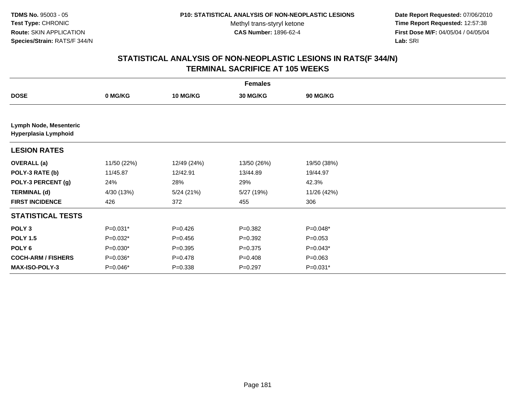**Date Report Requested:** 07/06/2010 **Time Report Requested:** 12:57:38 **First Dose M/F:** 04/05/04 / 04/05/04<br>Lab: SRI **Lab:** SRI

| <b>Females</b>                                 |             |                 |             |                 |  |  |
|------------------------------------------------|-------------|-----------------|-------------|-----------------|--|--|
| <b>DOSE</b>                                    | 0 MG/KG     | <b>10 MG/KG</b> | 30 MG/KG    | <b>90 MG/KG</b> |  |  |
|                                                |             |                 |             |                 |  |  |
| Lymph Node, Mesenteric<br>Hyperplasia Lymphoid |             |                 |             |                 |  |  |
| <b>LESION RATES</b>                            |             |                 |             |                 |  |  |
| <b>OVERALL</b> (a)                             | 11/50 (22%) | 12/49 (24%)     | 13/50 (26%) | 19/50 (38%)     |  |  |
| POLY-3 RATE (b)                                | 11/45.87    | 12/42.91        | 13/44.89    | 19/44.97        |  |  |
| POLY-3 PERCENT (g)                             | 24%         | 28%             | 29%         | 42.3%           |  |  |
| <b>TERMINAL (d)</b>                            | 4/30 (13%)  | 5/24(21%)       | 5/27 (19%)  | 11/26 (42%)     |  |  |
| <b>FIRST INCIDENCE</b>                         | 426         | 372             | 455         | 306             |  |  |
| <b>STATISTICAL TESTS</b>                       |             |                 |             |                 |  |  |
| POLY <sub>3</sub>                              | $P=0.031*$  | $P=0.426$       | $P = 0.382$ | $P=0.048*$      |  |  |
| <b>POLY 1.5</b>                                | $P=0.032*$  | $P = 0.456$     | $P=0.392$   | $P = 0.053$     |  |  |
| POLY 6                                         | $P=0.030*$  | $P = 0.395$     | $P = 0.375$ | $P=0.043*$      |  |  |
| <b>COCH-ARM / FISHERS</b>                      | P=0.036*    | $P = 0.478$     | $P = 0.408$ | $P = 0.063$     |  |  |
| MAX-ISO-POLY-3                                 | P=0.046*    | $P = 0.338$     | $P = 0.297$ | P=0.031*        |  |  |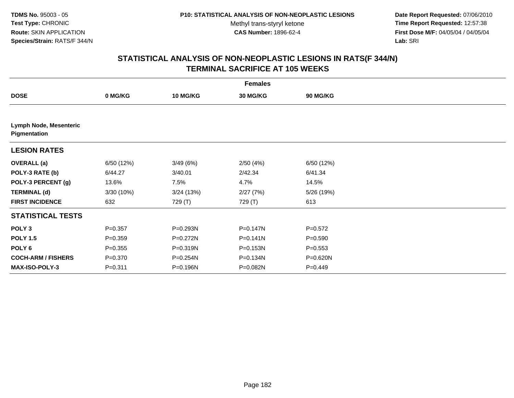**Date Report Requested:** 07/06/2010 **Time Report Requested:** 12:57:38 **First Dose M/F:** 04/05/04 / 04/05/04<br>Lab: SRI **Lab:** SRI

| <b>Females</b>                         |             |                 |              |             |  |  |  |
|----------------------------------------|-------------|-----------------|--------------|-------------|--|--|--|
| <b>DOSE</b>                            | 0 MG/KG     | <b>10 MG/KG</b> | 30 MG/KG     | 90 MG/KG    |  |  |  |
|                                        |             |                 |              |             |  |  |  |
| Lymph Node, Mesenteric<br>Pigmentation |             |                 |              |             |  |  |  |
| <b>LESION RATES</b>                    |             |                 |              |             |  |  |  |
| <b>OVERALL</b> (a)                     | 6/50 (12%)  | 3/49(6%)        | 2/50(4%)     | 6/50 (12%)  |  |  |  |
| POLY-3 RATE (b)                        | 6/44.27     | 3/40.01         | 2/42.34      | 6/41.34     |  |  |  |
| POLY-3 PERCENT (g)                     | 13.6%       | 7.5%            | 4.7%         | 14.5%       |  |  |  |
| <b>TERMINAL (d)</b>                    | 3/30 (10%)  | 3/24(13%)       | 2/27(7%)     | 5/26 (19%)  |  |  |  |
| <b>FIRST INCIDENCE</b>                 | 632         | 729 (T)         | 729 (T)      | 613         |  |  |  |
| <b>STATISTICAL TESTS</b>               |             |                 |              |             |  |  |  |
| POLY <sub>3</sub>                      | $P = 0.357$ | P=0.293N        | $P = 0.147N$ | $P = 0.572$ |  |  |  |
| <b>POLY 1.5</b>                        | $P = 0.359$ | P=0.272N        | $P = 0.141N$ | $P = 0.590$ |  |  |  |
| POLY 6                                 | $P = 0.355$ | P=0.319N        | $P = 0.153N$ | $P = 0.553$ |  |  |  |
| <b>COCH-ARM / FISHERS</b>              | $P = 0.370$ | P=0.254N        | P=0.134N     | P=0.620N    |  |  |  |
| <b>MAX-ISO-POLY-3</b>                  | $P = 0.311$ | P=0.196N        | P=0.082N     | $P = 0.449$ |  |  |  |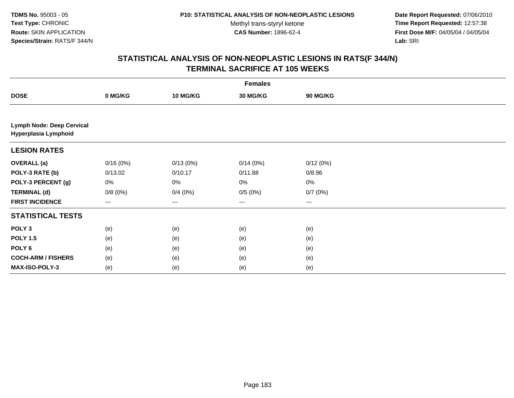**Date Report Requested:** 07/06/2010 **Time Report Requested:** 12:57:38 **First Dose M/F:** 04/05/04 / 04/05/04<br>Lab: SRI **Lab:** SRI

| <b>Females</b>                                           |          |                 |                        |          |  |  |  |
|----------------------------------------------------------|----------|-----------------|------------------------|----------|--|--|--|
| <b>DOSE</b>                                              | 0 MG/KG  | <b>10 MG/KG</b> | 30 MG/KG               | 90 MG/KG |  |  |  |
|                                                          |          |                 |                        |          |  |  |  |
| <b>Lymph Node: Deep Cervical</b><br>Hyperplasia Lymphoid |          |                 |                        |          |  |  |  |
| <b>LESION RATES</b>                                      |          |                 |                        |          |  |  |  |
| <b>OVERALL</b> (a)                                       | 0/16(0%) | 0/13(0%)        | 0/14(0%)               | 0/12(0%) |  |  |  |
| POLY-3 RATE (b)                                          | 0/13.02  | 0/10.17         | 0/11.88                | 0/8.96   |  |  |  |
| POLY-3 PERCENT (g)                                       | 0%       | 0%              | 0%                     | $0\%$    |  |  |  |
| <b>TERMINAL (d)</b>                                      | 0/8(0%)  | 0/4(0%)         | 0/5(0%)                | 0/7(0%)  |  |  |  |
| <b>FIRST INCIDENCE</b>                                   | $---$    | ---             | $\qquad \qquad \cdots$ | $---$    |  |  |  |
| <b>STATISTICAL TESTS</b>                                 |          |                 |                        |          |  |  |  |
| POLY <sub>3</sub>                                        | (e)      | (e)             | (e)                    | (e)      |  |  |  |
| <b>POLY 1.5</b>                                          | (e)      | (e)             | (e)                    | (e)      |  |  |  |
| POLY <sub>6</sub>                                        | (e)      | (e)             | (e)                    | (e)      |  |  |  |
| <b>COCH-ARM / FISHERS</b>                                | (e)      | (e)             | (e)                    | (e)      |  |  |  |
| <b>MAX-ISO-POLY-3</b>                                    | (e)      | (e)             | (e)                    | (e)      |  |  |  |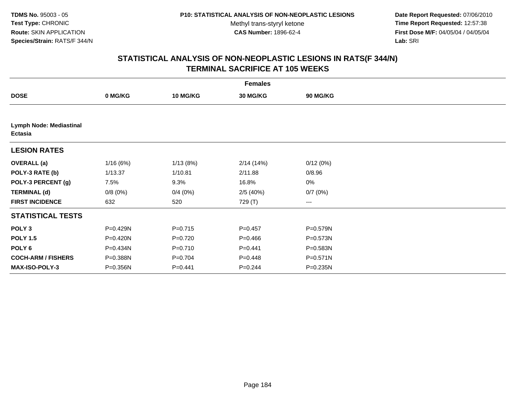**Date Report Requested:** 07/06/2010 **Time Report Requested:** 12:57:38 **First Dose M/F:** 04/05/04 / 04/05/04<br>Lab: SRI **Lab:** SRI

|                                           | <b>Females</b> |                 |                 |                 |  |  |  |  |
|-------------------------------------------|----------------|-----------------|-----------------|-----------------|--|--|--|--|
| <b>DOSE</b>                               | 0 MG/KG        | <b>10 MG/KG</b> | <b>30 MG/KG</b> | <b>90 MG/KG</b> |  |  |  |  |
|                                           |                |                 |                 |                 |  |  |  |  |
| Lymph Node: Mediastinal<br><b>Ectasia</b> |                |                 |                 |                 |  |  |  |  |
| <b>LESION RATES</b>                       |                |                 |                 |                 |  |  |  |  |
| <b>OVERALL</b> (a)                        | 1/16(6%)       | 1/13(8%)        | 2/14(14%)       | 0/12(0%)        |  |  |  |  |
| POLY-3 RATE (b)                           | 1/13.37        | 1/10.81         | 2/11.88         | 0/8.96          |  |  |  |  |
| POLY-3 PERCENT (g)                        | 7.5%           | 9.3%            | 16.8%           | 0%              |  |  |  |  |
| <b>TERMINAL (d)</b>                       | 0/8(0%)        | 0/4(0%)         | 2/5(40%)        | 0/7(0%)         |  |  |  |  |
| <b>FIRST INCIDENCE</b>                    | 632            | 520             | 729 (T)         | $--$            |  |  |  |  |
| <b>STATISTICAL TESTS</b>                  |                |                 |                 |                 |  |  |  |  |
| POLY <sub>3</sub>                         | P=0.429N       | $P = 0.715$     | $P=0.457$       | P=0.579N        |  |  |  |  |
| <b>POLY 1.5</b>                           | P=0.420N       | $P=0.720$       | $P = 0.466$     | P=0.573N        |  |  |  |  |
| POLY 6                                    | P=0.434N       | $P=0.710$       | $P=0.441$       | P=0.583N        |  |  |  |  |
| <b>COCH-ARM / FISHERS</b>                 | P=0.388N       | $P=0.704$       | $P = 0.448$     | P=0.571N        |  |  |  |  |
| <b>MAX-ISO-POLY-3</b>                     | P=0.356N       | $P=0.441$       | $P = 0.244$     | P=0.235N        |  |  |  |  |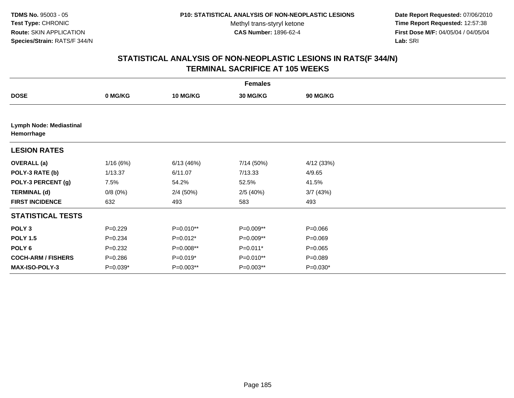**Date Report Requested:** 07/06/2010 **Time Report Requested:** 12:57:38 **First Dose M/F:** 04/05/04 / 04/05/04<br>Lab: SRI **Lab:** SRI

| <b>Females</b>                        |             |                 |                 |                 |  |  |  |
|---------------------------------------|-------------|-----------------|-----------------|-----------------|--|--|--|
| <b>DOSE</b>                           | 0 MG/KG     | <b>10 MG/KG</b> | <b>30 MG/KG</b> | <b>90 MG/KG</b> |  |  |  |
|                                       |             |                 |                 |                 |  |  |  |
| Lymph Node: Mediastinal<br>Hemorrhage |             |                 |                 |                 |  |  |  |
| <b>LESION RATES</b>                   |             |                 |                 |                 |  |  |  |
| <b>OVERALL</b> (a)                    | 1/16(6%)    | 6/13(46%)       | 7/14 (50%)      | 4/12(33%)       |  |  |  |
| POLY-3 RATE (b)                       | 1/13.37     | 6/11.07         | 7/13.33         | 4/9.65          |  |  |  |
| POLY-3 PERCENT (g)                    | 7.5%        | 54.2%           | 52.5%           | 41.5%           |  |  |  |
| <b>TERMINAL (d)</b>                   | 0/8(0%)     | 2/4(50%)        | 2/5(40%)        | 3/7(43%)        |  |  |  |
| <b>FIRST INCIDENCE</b>                | 632         | 493             | 583             | 493             |  |  |  |
| <b>STATISTICAL TESTS</b>              |             |                 |                 |                 |  |  |  |
| POLY <sub>3</sub>                     | $P=0.229$   | P=0.010**       | P=0.009**       | $P = 0.066$     |  |  |  |
| <b>POLY 1.5</b>                       | $P = 0.234$ | $P=0.012*$      | P=0.009**       | $P = 0.069$     |  |  |  |
| POLY <sub>6</sub>                     | $P = 0.232$ | P=0.008**       | $P=0.011*$      | $P=0.065$       |  |  |  |
| <b>COCH-ARM / FISHERS</b>             | $P = 0.286$ | $P=0.019*$      | P=0.010**       | $P = 0.089$     |  |  |  |
| MAX-ISO-POLY-3                        | P=0.039*    | P=0.003**       | P=0.003**       | $P=0.030*$      |  |  |  |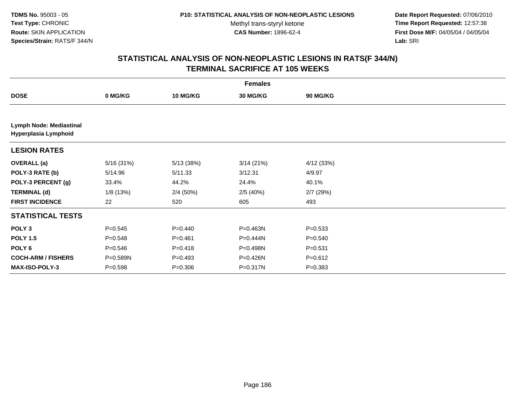**Date Report Requested:** 07/06/2010 **Time Report Requested:** 12:57:38 **First Dose M/F:** 04/05/04 / 04/05/04<br>Lab: SRI **Lab:** SRI

| <b>Females</b>                                  |             |                 |           |                 |  |  |
|-------------------------------------------------|-------------|-----------------|-----------|-----------------|--|--|
| <b>DOSE</b>                                     | 0 MG/KG     | <b>10 MG/KG</b> | 30 MG/KG  | <b>90 MG/KG</b> |  |  |
|                                                 |             |                 |           |                 |  |  |
| Lymph Node: Mediastinal<br>Hyperplasia Lymphoid |             |                 |           |                 |  |  |
| <b>LESION RATES</b>                             |             |                 |           |                 |  |  |
| <b>OVERALL</b> (a)                              | 5/16 (31%)  | 5/13 (38%)      | 3/14(21%) | 4/12(33%)       |  |  |
| POLY-3 RATE (b)                                 | 5/14.96     | 5/11.33         | 3/12.31   | 4/9.97          |  |  |
| POLY-3 PERCENT (g)                              | 33.4%       | 44.2%           | 24.4%     | 40.1%           |  |  |
| <b>TERMINAL (d)</b>                             | 1/8(13%)    | 2/4(50%)        | 2/5(40%)  | $2/7$ (29%)     |  |  |
| <b>FIRST INCIDENCE</b>                          | 22          | 520             | 605       | 493             |  |  |
| <b>STATISTICAL TESTS</b>                        |             |                 |           |                 |  |  |
| POLY <sub>3</sub>                               | $P=0.545$   | $P=0.440$       | P=0.463N  | $P = 0.533$     |  |  |
| <b>POLY 1.5</b>                                 | $P = 0.548$ | $P = 0.461$     | P=0.444N  | $P = 0.540$     |  |  |
| POLY 6                                          | $P = 0.546$ | $P = 0.418$     | P=0.498N  | $P = 0.531$     |  |  |
| <b>COCH-ARM / FISHERS</b>                       | P=0.589N    | $P = 0.493$     | P=0.426N  | $P = 0.612$     |  |  |
| MAX-ISO-POLY-3                                  | $P = 0.598$ | $P = 0.306$     | P=0.317N  | $P = 0.383$     |  |  |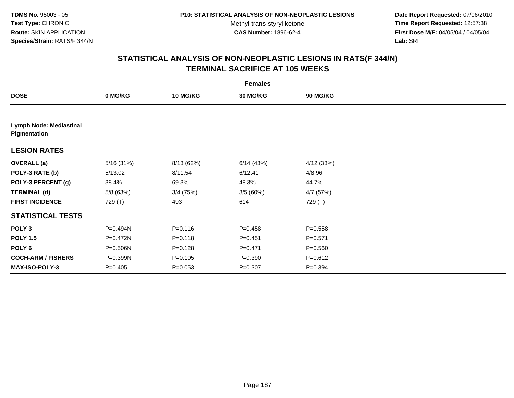**Date Report Requested:** 07/06/2010 **Time Report Requested:** 12:57:38 **First Dose M/F:** 04/05/04 / 04/05/04<br>Lab: SRI **Lab:** SRI

| <b>Females</b>                          |            |                 |             |             |  |  |  |
|-----------------------------------------|------------|-----------------|-------------|-------------|--|--|--|
| <b>DOSE</b>                             | 0 MG/KG    | <b>10 MG/KG</b> | 30 MG/KG    | 90 MG/KG    |  |  |  |
|                                         |            |                 |             |             |  |  |  |
| Lymph Node: Mediastinal<br>Pigmentation |            |                 |             |             |  |  |  |
| <b>LESION RATES</b>                     |            |                 |             |             |  |  |  |
| <b>OVERALL</b> (a)                      | 5/16 (31%) | 8/13 (62%)      | 6/14(43%)   | 4/12(33%)   |  |  |  |
| POLY-3 RATE (b)                         | 5/13.02    | 8/11.54         | 6/12.41     | 4/8.96      |  |  |  |
| POLY-3 PERCENT (g)                      | 38.4%      | 69.3%           | 48.3%       | 44.7%       |  |  |  |
| <b>TERMINAL (d)</b>                     | 5/8 (63%)  | 3/4 (75%)       | 3/5(60%)    | 4/7 (57%)   |  |  |  |
| <b>FIRST INCIDENCE</b>                  | 729 (T)    | 493             | 614         | 729 (T)     |  |  |  |
| <b>STATISTICAL TESTS</b>                |            |                 |             |             |  |  |  |
| POLY <sub>3</sub>                       | P=0.494N   | $P = 0.116$     | $P = 0.458$ | $P = 0.558$ |  |  |  |
| <b>POLY 1.5</b>                         | P=0.472N   | $P = 0.118$     | $P = 0.451$ | $P = 0.571$ |  |  |  |
| POLY 6                                  | P=0.506N   | $P = 0.128$     | $P = 0.471$ | $P = 0.560$ |  |  |  |
| <b>COCH-ARM / FISHERS</b>               | P=0.399N   | $P = 0.105$     | $P = 0.390$ | $P = 0.612$ |  |  |  |
| <b>MAX-ISO-POLY-3</b>                   | $P=0.405$  | $P = 0.053$     | $P = 0.307$ | $P = 0.394$ |  |  |  |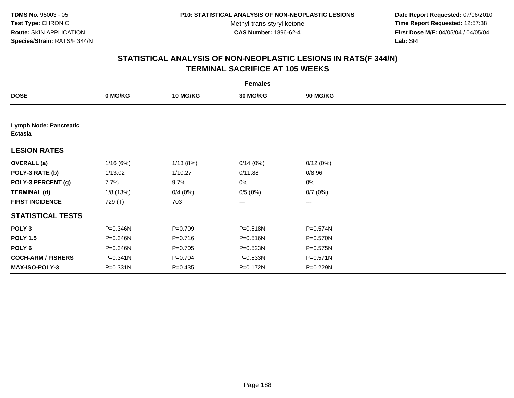**Date Report Requested:** 07/06/2010 **Time Report Requested:** 12:57:38 **First Dose M/F:** 04/05/04 / 04/05/04<br>Lab: SRI **Lab:** SRI

| <b>Females</b>                                  |              |                 |                 |              |  |  |  |
|-------------------------------------------------|--------------|-----------------|-----------------|--------------|--|--|--|
| <b>DOSE</b>                                     | 0 MG/KG      | <b>10 MG/KG</b> | <b>30 MG/KG</b> | 90 MG/KG     |  |  |  |
|                                                 |              |                 |                 |              |  |  |  |
| <b>Lymph Node: Pancreatic</b><br><b>Ectasia</b> |              |                 |                 |              |  |  |  |
| <b>LESION RATES</b>                             |              |                 |                 |              |  |  |  |
| <b>OVERALL</b> (a)                              | 1/16(6%)     | 1/13(8%)        | 0/14(0%)        | 0/12(0%)     |  |  |  |
| POLY-3 RATE (b)                                 | 1/13.02      | 1/10.27         | 0/11.88         | 0/8.96       |  |  |  |
| POLY-3 PERCENT (g)                              | 7.7%         | 9.7%            | 0%              | 0%           |  |  |  |
| <b>TERMINAL (d)</b>                             | 1/8(13%)     | 0/4(0%)         | 0/5(0%)         | 0/7(0%)      |  |  |  |
| <b>FIRST INCIDENCE</b>                          | 729 (T)      | 703             | ---             | ---          |  |  |  |
| <b>STATISTICAL TESTS</b>                        |              |                 |                 |              |  |  |  |
| POLY <sub>3</sub>                               | P=0.346N     | $P=0.709$       | P=0.518N        | P=0.574N     |  |  |  |
| <b>POLY 1.5</b>                                 | P=0.346N     | $P = 0.716$     | $P = 0.516N$    | P=0.570N     |  |  |  |
| POLY <sub>6</sub>                               | P=0.346N     | $P=0.705$       | P=0.523N        | $P = 0.575N$ |  |  |  |
| <b>COCH-ARM / FISHERS</b>                       | $P = 0.341N$ | $P = 0.704$     | P=0.533N        | P=0.571N     |  |  |  |
| <b>MAX-ISO-POLY-3</b>                           | P=0.331N     | $P=0.435$       | P=0.172N        | P=0.229N     |  |  |  |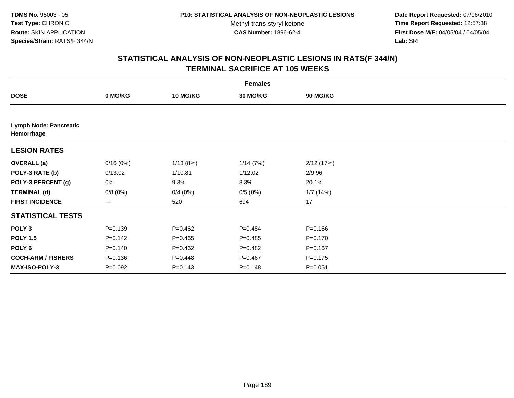**Date Report Requested:** 07/06/2010 **Time Report Requested:** 12:57:38 **First Dose M/F:** 04/05/04 / 04/05/04<br>Lab: SRI **Lab:** SRI

|                                             | <b>Females</b> |                 |             |             |  |  |  |
|---------------------------------------------|----------------|-----------------|-------------|-------------|--|--|--|
| <b>DOSE</b>                                 | 0 MG/KG        | <b>10 MG/KG</b> | 30 MG/KG    | 90 MG/KG    |  |  |  |
|                                             |                |                 |             |             |  |  |  |
| <b>Lymph Node: Pancreatic</b><br>Hemorrhage |                |                 |             |             |  |  |  |
| <b>LESION RATES</b>                         |                |                 |             |             |  |  |  |
| <b>OVERALL</b> (a)                          | 0/16(0%)       | 1/13(8%)        | 1/14(7%)    | 2/12(17%)   |  |  |  |
| POLY-3 RATE (b)                             | 0/13.02        | 1/10.81         | 1/12.02     | 2/9.96      |  |  |  |
| POLY-3 PERCENT (g)                          | 0%             | 9.3%            | 8.3%        | 20.1%       |  |  |  |
| <b>TERMINAL (d)</b>                         | 0/8(0%)        | 0/4(0%)         | 0/5(0%)     | 1/7(14%)    |  |  |  |
| <b>FIRST INCIDENCE</b>                      | ---            | 520             | 694         | 17          |  |  |  |
| <b>STATISTICAL TESTS</b>                    |                |                 |             |             |  |  |  |
| POLY <sub>3</sub>                           | $P = 0.139$    | $P=0.462$       | $P=0.484$   | $P = 0.166$ |  |  |  |
| <b>POLY 1.5</b>                             | $P = 0.142$    | $P=0.465$       | $P=0.485$   | $P = 0.170$ |  |  |  |
| POLY <sub>6</sub>                           | $P = 0.140$    | $P=0.462$       | $P=0.482$   | $P = 0.167$ |  |  |  |
| <b>COCH-ARM / FISHERS</b>                   | $P = 0.136$    | $P=0.448$       | $P = 0.467$ | $P = 0.175$ |  |  |  |
| <b>MAX-ISO-POLY-3</b>                       | $P = 0.092$    | $P = 0.143$     | $P = 0.148$ | $P = 0.051$ |  |  |  |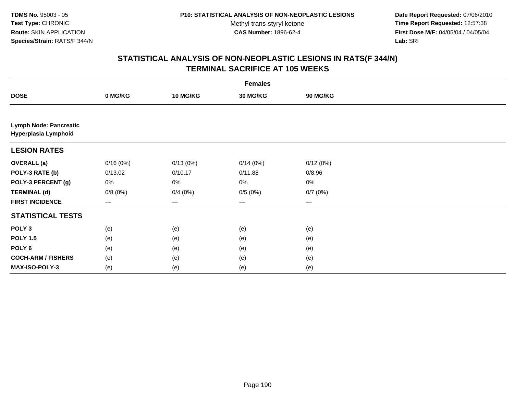**Date Report Requested:** 07/06/2010 **Time Report Requested:** 12:57:38 **First Dose M/F:** 04/05/04 / 04/05/04<br>Lab: SRI **Lab:** SRI

| <b>Females</b>                                        |          |                 |          |          |  |  |  |
|-------------------------------------------------------|----------|-----------------|----------|----------|--|--|--|
| <b>DOSE</b>                                           | 0 MG/KG  | <b>10 MG/KG</b> | 30 MG/KG | 90 MG/KG |  |  |  |
|                                                       |          |                 |          |          |  |  |  |
| <b>Lymph Node: Pancreatic</b><br>Hyperplasia Lymphoid |          |                 |          |          |  |  |  |
| <b>LESION RATES</b>                                   |          |                 |          |          |  |  |  |
| <b>OVERALL</b> (a)                                    | 0/16(0%) | 0/13(0%)        | 0/14(0%) | 0/12(0%) |  |  |  |
| POLY-3 RATE (b)                                       | 0/13.02  | 0/10.17         | 0/11.88  | 0/8.96   |  |  |  |
| POLY-3 PERCENT (g)                                    | 0%       | 0%              | 0%       | 0%       |  |  |  |
| <b>TERMINAL (d)</b>                                   | 0/8(0%)  | 0/4(0%)         | 0/5(0%)  | 0/7(0%)  |  |  |  |
| <b>FIRST INCIDENCE</b>                                | $---$    | ---             | $--$     | ---      |  |  |  |
| <b>STATISTICAL TESTS</b>                              |          |                 |          |          |  |  |  |
| POLY <sub>3</sub>                                     | (e)      | (e)             | (e)      | (e)      |  |  |  |
| <b>POLY 1.5</b>                                       | (e)      | (e)             | (e)      | (e)      |  |  |  |
| POLY <sub>6</sub>                                     | (e)      | (e)             | (e)      | (e)      |  |  |  |
| <b>COCH-ARM / FISHERS</b>                             | (e)      | (e)             | (e)      | (e)      |  |  |  |
| MAX-ISO-POLY-3                                        | (e)      | (e)             | (e)      | (e)      |  |  |  |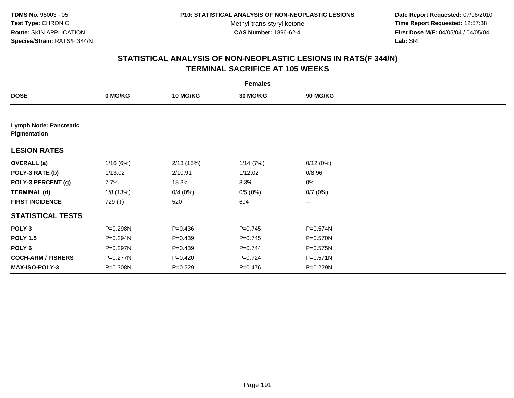**Date Report Requested:** 07/06/2010 **Time Report Requested:** 12:57:38 **First Dose M/F:** 04/05/04 / 04/05/04<br>Lab: SRI **Lab:** SRI

| <b>Females</b>                                |          |             |             |              |  |  |  |
|-----------------------------------------------|----------|-------------|-------------|--------------|--|--|--|
| <b>DOSE</b>                                   | 0 MG/KG  | 10 MG/KG    | 30 MG/KG    | 90 MG/KG     |  |  |  |
|                                               |          |             |             |              |  |  |  |
| <b>Lymph Node: Pancreatic</b><br>Pigmentation |          |             |             |              |  |  |  |
| <b>LESION RATES</b>                           |          |             |             |              |  |  |  |
| <b>OVERALL (a)</b>                            | 1/16(6%) | 2/13(15%)   | 1/14(7%)    | 0/12(0%)     |  |  |  |
| POLY-3 RATE (b)                               | 1/13.02  | 2/10.91     | 1/12.02     | 0/8.96       |  |  |  |
| POLY-3 PERCENT (g)                            | 7.7%     | 18.3%       | 8.3%        | $0\%$        |  |  |  |
| <b>TERMINAL (d)</b>                           | 1/8(13%) | 0/4(0%)     | 0/5(0%)     | 0/7(0%)      |  |  |  |
| <b>FIRST INCIDENCE</b>                        | 729 (T)  | 520         | 694         | ---          |  |  |  |
| <b>STATISTICAL TESTS</b>                      |          |             |             |              |  |  |  |
| POLY <sub>3</sub>                             | P=0.298N | $P = 0.436$ | $P = 0.745$ | P=0.574N     |  |  |  |
| <b>POLY 1.5</b>                               | P=0.294N | $P=0.439$   | $P=0.745$   | P=0.570N     |  |  |  |
| POLY 6                                        | P=0.297N | $P=0.439$   | $P=0.744$   | $P = 0.575N$ |  |  |  |
| <b>COCH-ARM / FISHERS</b>                     | P=0.277N | $P = 0.420$ | $P = 0.724$ | P=0.571N     |  |  |  |
| MAX-ISO-POLY-3                                | P=0.308N | $P=0.229$   | $P = 0.476$ | P=0.229N     |  |  |  |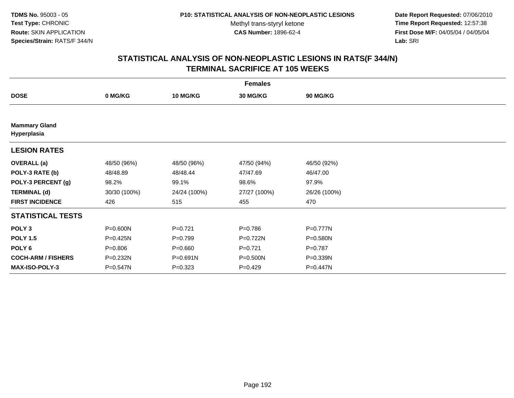**Date Report Requested:** 07/06/2010 **Time Report Requested:** 12:57:38 **First Dose M/F:** 04/05/04 / 04/05/04<br>Lab: SRI **Lab:** SRI

| <b>Females</b>                      |              |                 |                 |              |  |  |  |
|-------------------------------------|--------------|-----------------|-----------------|--------------|--|--|--|
| <b>DOSE</b>                         | 0 MG/KG      | <b>10 MG/KG</b> | <b>30 MG/KG</b> | 90 MG/KG     |  |  |  |
|                                     |              |                 |                 |              |  |  |  |
| <b>Mammary Gland</b><br>Hyperplasia |              |                 |                 |              |  |  |  |
| <b>LESION RATES</b>                 |              |                 |                 |              |  |  |  |
| <b>OVERALL</b> (a)                  | 48/50 (96%)  | 48/50 (96%)     | 47/50 (94%)     | 46/50 (92%)  |  |  |  |
| POLY-3 RATE (b)                     | 48/48.89     | 48/48.44        | 47/47.69        | 46/47.00     |  |  |  |
| POLY-3 PERCENT (g)                  | 98.2%        | 99.1%           | 98.6%           | 97.9%        |  |  |  |
| <b>TERMINAL (d)</b>                 | 30/30 (100%) | 24/24 (100%)    | 27/27 (100%)    | 26/26 (100%) |  |  |  |
| <b>FIRST INCIDENCE</b>              | 426          | 515             | 455             | 470          |  |  |  |
| <b>STATISTICAL TESTS</b>            |              |                 |                 |              |  |  |  |
| POLY <sub>3</sub>                   | P=0.600N     | $P=0.721$       | $P = 0.786$     | P=0.777N     |  |  |  |
| <b>POLY 1.5</b>                     | P=0.425N     | $P=0.799$       | P=0.722N        | P=0.580N     |  |  |  |
| POLY <sub>6</sub>                   | $P = 0.806$  | $P = 0.660$     | $P=0.721$       | $P=0.787$    |  |  |  |
| <b>COCH-ARM / FISHERS</b>           | P=0.232N     | P=0.691N        | P=0.500N        | P=0.339N     |  |  |  |
| <b>MAX-ISO-POLY-3</b>               | P=0.547N     | $P = 0.323$     | $P=0.429$       | P=0.447N     |  |  |  |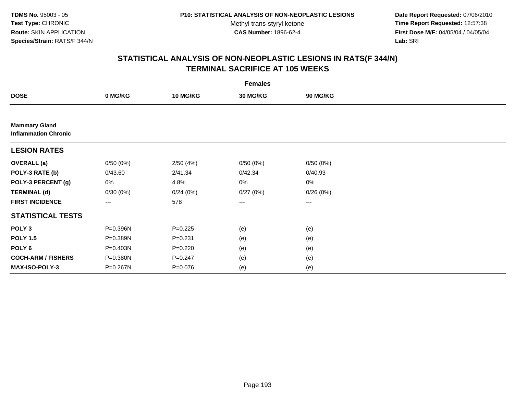**Date Report Requested:** 07/06/2010 **Time Report Requested:** 12:57:38 **First Dose M/F:** 04/05/04 / 04/05/04<br>Lab: SRI **Lab:** SRI

|                                                     |          |             | <b>Females</b>         |          |  |
|-----------------------------------------------------|----------|-------------|------------------------|----------|--|
| <b>DOSE</b>                                         | 0 MG/KG  | 10 MG/KG    | 30 MG/KG               | 90 MG/KG |  |
|                                                     |          |             |                        |          |  |
| <b>Mammary Gland</b><br><b>Inflammation Chronic</b> |          |             |                        |          |  |
| <b>LESION RATES</b>                                 |          |             |                        |          |  |
| <b>OVERALL</b> (a)                                  | 0/50(0%) | 2/50(4%)    | 0/50(0%)               | 0/50(0%) |  |
| POLY-3 RATE (b)                                     | 0/43.60  | 2/41.34     | 0/42.34                | 0/40.93  |  |
| POLY-3 PERCENT (g)                                  | 0%       | 4.8%        | $0\%$                  | $0\%$    |  |
| <b>TERMINAL (d)</b>                                 | 0/30(0%) | 0/24(0%)    | 0/27(0%)               | 0/26(0%) |  |
| <b>FIRST INCIDENCE</b>                              | ---      | 578         | $\qquad \qquad \cdots$ | $---$    |  |
| <b>STATISTICAL TESTS</b>                            |          |             |                        |          |  |
| POLY <sub>3</sub>                                   | P=0.396N | $P=0.225$   | (e)                    | (e)      |  |
| <b>POLY 1.5</b>                                     | P=0.389N | $P = 0.231$ | (e)                    | (e)      |  |
| POLY <sub>6</sub>                                   | P=0.403N | $P=0.220$   | (e)                    | (e)      |  |
| <b>COCH-ARM / FISHERS</b>                           | P=0.380N | $P=0.247$   | (e)                    | (e)      |  |
| MAX-ISO-POLY-3                                      | P=0.267N | $P=0.076$   | (e)                    | (e)      |  |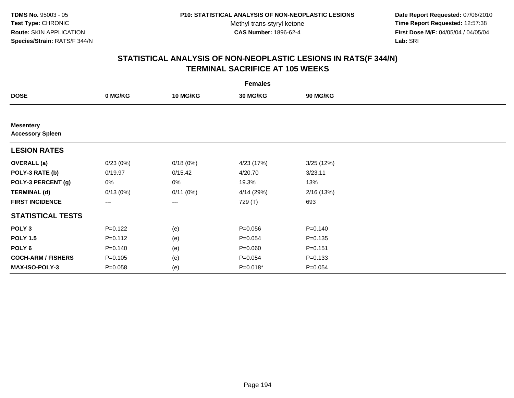**Date Report Requested:** 07/06/2010 **Time Report Requested:** 12:57:38 **First Dose M/F:** 04/05/04 / 04/05/04<br>Lab: SRI **Lab:** SRI

|                                             |             |                 | <b>Females</b>  |             |  |
|---------------------------------------------|-------------|-----------------|-----------------|-------------|--|
| <b>DOSE</b>                                 | 0 MG/KG     | <b>10 MG/KG</b> | <b>30 MG/KG</b> | 90 MG/KG    |  |
|                                             |             |                 |                 |             |  |
| <b>Mesentery</b><br><b>Accessory Spleen</b> |             |                 |                 |             |  |
| <b>LESION RATES</b>                         |             |                 |                 |             |  |
| <b>OVERALL</b> (a)                          | 0/23(0%)    | 0/18(0%)        | 4/23 (17%)      | 3/25(12%)   |  |
| POLY-3 RATE (b)                             | 0/19.97     | 0/15.42         | 4/20.70         | 3/23.11     |  |
| POLY-3 PERCENT (g)                          | $0\%$       | 0%              | 19.3%           | 13%         |  |
| <b>TERMINAL (d)</b>                         | 0/13(0%)    | 0/11(0%)        | 4/14 (29%)      | 2/16(13%)   |  |
| <b>FIRST INCIDENCE</b>                      | $---$       | ---             | 729 (T)         | 693         |  |
| <b>STATISTICAL TESTS</b>                    |             |                 |                 |             |  |
| POLY <sub>3</sub>                           | $P = 0.122$ | (e)             | $P = 0.056$     | $P = 0.140$ |  |
| <b>POLY 1.5</b>                             | $P=0.112$   | (e)             | $P = 0.054$     | $P = 0.135$ |  |
| POLY 6                                      | $P = 0.140$ | (e)             | $P = 0.060$     | $P = 0.151$ |  |
| <b>COCH-ARM / FISHERS</b>                   | $P = 0.105$ | (e)             | $P = 0.054$     | $P = 0.133$ |  |
| MAX-ISO-POLY-3                              | $P = 0.058$ | (e)             | P=0.018*        | $P = 0.054$ |  |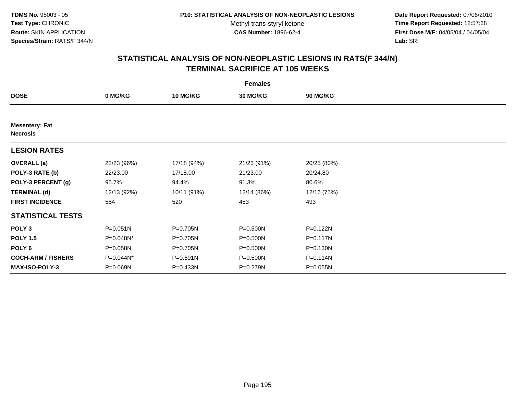**Date Report Requested:** 07/06/2010 **Time Report Requested:** 12:57:38 **First Dose M/F:** 04/05/04 / 04/05/04<br>Lab: SRI **Lab:** SRI

|                                          |              |                 | <b>Females</b> |              |  |
|------------------------------------------|--------------|-----------------|----------------|--------------|--|
| <b>DOSE</b>                              | 0 MG/KG      | <b>10 MG/KG</b> | 30 MG/KG       | 90 MG/KG     |  |
|                                          |              |                 |                |              |  |
| <b>Mesentery: Fat</b><br><b>Necrosis</b> |              |                 |                |              |  |
| <b>LESION RATES</b>                      |              |                 |                |              |  |
| <b>OVERALL</b> (a)                       | 22/23 (96%)  | 17/18 (94%)     | 21/23 (91%)    | 20/25 (80%)  |  |
| POLY-3 RATE (b)                          | 22/23.00     | 17/18.00        | 21/23.00       | 20/24.80     |  |
| POLY-3 PERCENT (g)                       | 95.7%        | 94.4%           | 91.3%          | 80.6%        |  |
| <b>TERMINAL (d)</b>                      | 12/13 (92%)  | 10/11 (91%)     | 12/14 (86%)    | 12/16 (75%)  |  |
| <b>FIRST INCIDENCE</b>                   | 554          | 520             | 453            | 493          |  |
| <b>STATISTICAL TESTS</b>                 |              |                 |                |              |  |
| POLY <sub>3</sub>                        | $P = 0.051N$ | P=0.705N        | $P = 0.500N$   | $P = 0.122N$ |  |
| <b>POLY 1.5</b>                          | P=0.048N*    | P=0.705N        | P=0.500N       | $P = 0.117N$ |  |
| POLY 6                                   | P=0.058N     | P=0.705N        | P=0.500N       | $P = 0.130N$ |  |
| <b>COCH-ARM / FISHERS</b>                | P=0.044N*    | $P = 0.691N$    | P=0.500N       | P=0.114N     |  |
| <b>MAX-ISO-POLY-3</b>                    | P=0.069N     | P=0.433N        | P=0.279N       | $P = 0.055N$ |  |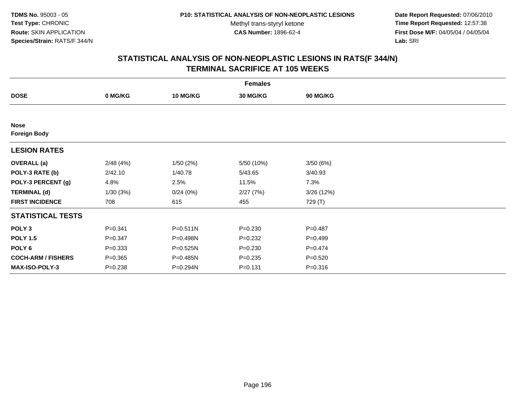**Date Report Requested:** 07/06/2010 **Time Report Requested:** 12:57:38 **First Dose M/F:** 04/05/04 / 04/05/04<br>Lab: SRI **Lab:** SRI

|                                    |             |                 | <b>Females</b>  |                 |  |
|------------------------------------|-------------|-----------------|-----------------|-----------------|--|
| <b>DOSE</b>                        | 0 MG/KG     | <b>10 MG/KG</b> | <b>30 MG/KG</b> | <b>90 MG/KG</b> |  |
|                                    |             |                 |                 |                 |  |
| <b>Nose</b><br><b>Foreign Body</b> |             |                 |                 |                 |  |
| <b>LESION RATES</b>                |             |                 |                 |                 |  |
| <b>OVERALL</b> (a)                 | 2/48(4%)    | 1/50(2%)        | 5/50 (10%)      | 3/50(6%)        |  |
| POLY-3 RATE (b)                    | 2/42.10     | 1/40.78         | 5/43.65         | 3/40.93         |  |
| POLY-3 PERCENT (g)                 | 4.8%        | 2.5%            | 11.5%           | 7.3%            |  |
| <b>TERMINAL (d)</b>                | 1/30(3%)    | 0/24(0%)        | 2/27(7%)        | 3/26 (12%)      |  |
| <b>FIRST INCIDENCE</b>             | 708         | 615             | 455             | 729 (T)         |  |
| <b>STATISTICAL TESTS</b>           |             |                 |                 |                 |  |
| POLY <sub>3</sub>                  | $P = 0.341$ | P=0.511N        | $P = 0.230$     | $P=0.487$       |  |
| <b>POLY 1.5</b>                    | $P = 0.347$ | P=0.498N        | $P=0.232$       | $P=0.499$       |  |
| POLY <sub>6</sub>                  | $P = 0.333$ | $P = 0.525N$    | $P = 0.230$     | $P=0.474$       |  |
| <b>COCH-ARM / FISHERS</b>          | $P = 0.365$ | P=0.485N        | $P = 0.235$     | $P = 0.520$     |  |
| <b>MAX-ISO-POLY-3</b>              | $P = 0.238$ | P=0.294N        | $P = 0.131$     | $P = 0.316$     |  |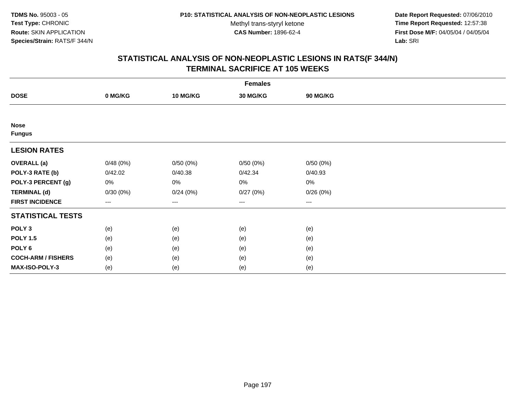**Date Report Requested:** 07/06/2010 **Time Report Requested:** 12:57:38 **First Dose M/F:** 04/05/04 / 04/05/04<br>Lab: SRI **Lab:** SRI

| <b>Females</b>               |                        |          |                 |                   |  |  |  |
|------------------------------|------------------------|----------|-----------------|-------------------|--|--|--|
| <b>DOSE</b>                  | 0 MG/KG                | 10 MG/KG | <b>30 MG/KG</b> | 90 MG/KG          |  |  |  |
|                              |                        |          |                 |                   |  |  |  |
| <b>Nose</b><br><b>Fungus</b> |                        |          |                 |                   |  |  |  |
| <b>LESION RATES</b>          |                        |          |                 |                   |  |  |  |
| <b>OVERALL (a)</b>           | 0/48(0%)               | 0/50(0%) | 0/50(0%)        | 0/50(0%)          |  |  |  |
| POLY-3 RATE (b)              | 0/42.02                | 0/40.38  | 0/42.34         | 0/40.93           |  |  |  |
| POLY-3 PERCENT (g)           | 0%                     | 0%       | 0%              | 0%                |  |  |  |
| <b>TERMINAL (d)</b>          | 0/30(0%)               | 0/24(0%) | 0/27(0%)        | 0/26(0%)          |  |  |  |
| <b>FIRST INCIDENCE</b>       | $\qquad \qquad \cdots$ | $---$    | ---             | $\qquad \qquad -$ |  |  |  |
| <b>STATISTICAL TESTS</b>     |                        |          |                 |                   |  |  |  |
| POLY <sub>3</sub>            | (e)                    | (e)      | (e)             | (e)               |  |  |  |
| <b>POLY 1.5</b>              | (e)                    | (e)      | (e)             | (e)               |  |  |  |
| POLY <sub>6</sub>            | (e)                    | (e)      | (e)             | (e)               |  |  |  |
| <b>COCH-ARM / FISHERS</b>    | (e)                    | (e)      | (e)             | (e)               |  |  |  |
| MAX-ISO-POLY-3               | (e)                    | (e)      | (e)             | (e)               |  |  |  |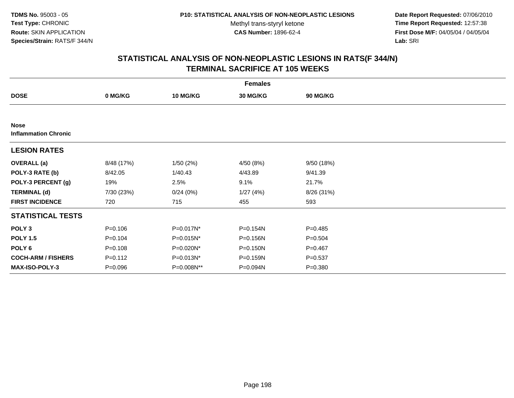**Date Report Requested:** 07/06/2010 **Time Report Requested:** 12:57:38 **First Dose M/F:** 04/05/04 / 04/05/04<br>Lab: SRI **Lab:** SRI

|                                            |             |                 | <b>Females</b>  |             |  |
|--------------------------------------------|-------------|-----------------|-----------------|-------------|--|
| <b>DOSE</b>                                | 0 MG/KG     | <b>10 MG/KG</b> | <b>30 MG/KG</b> | 90 MG/KG    |  |
|                                            |             |                 |                 |             |  |
| <b>Nose</b><br><b>Inflammation Chronic</b> |             |                 |                 |             |  |
| <b>LESION RATES</b>                        |             |                 |                 |             |  |
| <b>OVERALL</b> (a)                         | 8/48 (17%)  | 1/50(2%)        | 4/50 (8%)       | 9/50 (18%)  |  |
| POLY-3 RATE (b)                            | 8/42.05     | 1/40.43         | 4/43.89         | 9/41.39     |  |
| POLY-3 PERCENT (g)                         | 19%         | 2.5%            | 9.1%            | 21.7%       |  |
| <b>TERMINAL (d)</b>                        | 7/30 (23%)  | 0/24(0%)        | 1/27(4%)        | 8/26 (31%)  |  |
| <b>FIRST INCIDENCE</b>                     | 720         | 715             | 455             | 593         |  |
| <b>STATISTICAL TESTS</b>                   |             |                 |                 |             |  |
| POLY <sub>3</sub>                          | $P = 0.106$ | P=0.017N*       | P=0.154N        | $P = 0.485$ |  |
| <b>POLY 1.5</b>                            | $P = 0.104$ | $P=0.015N^*$    | P=0.156N        | $P = 0.504$ |  |
| POLY 6                                     | $P = 0.108$ | P=0.020N*       | $P = 0.150N$    | $P=0.467$   |  |
| <b>COCH-ARM / FISHERS</b>                  | $P = 0.112$ | $P = 0.013N^*$  | P=0.159N        | $P = 0.537$ |  |
| <b>MAX-ISO-POLY-3</b>                      | P=0.096     | P=0.008N**      | P=0.094N        | $P = 0.380$ |  |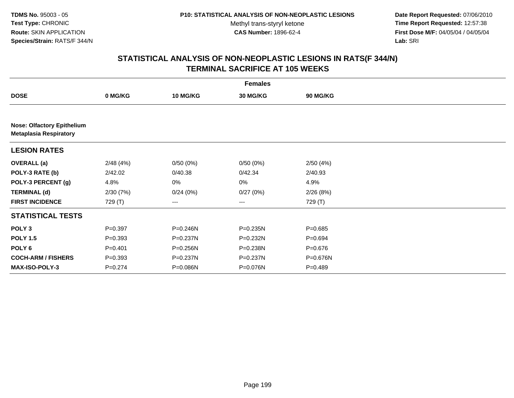**Date Report Requested:** 07/06/2010 **Time Report Requested:** 12:57:38 **First Dose M/F:** 04/05/04 / 04/05/04<br>Lab: SRI **Lab:** SRI

|                                                                    |             |              | <b>Females</b> |                 |  |
|--------------------------------------------------------------------|-------------|--------------|----------------|-----------------|--|
| <b>DOSE</b>                                                        | 0 MG/KG     | 10 MG/KG     | 30 MG/KG       | <b>90 MG/KG</b> |  |
|                                                                    |             |              |                |                 |  |
| <b>Nose: Olfactory Epithelium</b><br><b>Metaplasia Respiratory</b> |             |              |                |                 |  |
| <b>LESION RATES</b>                                                |             |              |                |                 |  |
| <b>OVERALL</b> (a)                                                 | 2/48(4%)    | 0/50(0%)     | 0/50(0%)       | 2/50(4%)        |  |
| POLY-3 RATE (b)                                                    | 2/42.02     | 0/40.38      | 0/42.34        | 2/40.93         |  |
| POLY-3 PERCENT (g)                                                 | 4.8%        | 0%           | 0%             | 4.9%            |  |
| <b>TERMINAL (d)</b>                                                | 2/30(7%)    | 0/24(0%)     | 0/27(0%)       | 2/26(8%)        |  |
| <b>FIRST INCIDENCE</b>                                             | 729 (T)     | ---          | $---$          | 729 (T)         |  |
| <b>STATISTICAL TESTS</b>                                           |             |              |                |                 |  |
| POLY <sub>3</sub>                                                  | $P=0.397$   | $P = 0.246N$ | $P = 0.235N$   | $P = 0.685$     |  |
| <b>POLY 1.5</b>                                                    | $P = 0.393$ | P=0.237N     | P=0.232N       | $P=0.694$       |  |
| POLY <sub>6</sub>                                                  | $P = 0.401$ | P=0.256N     | P=0.238N       | $P=0.676$       |  |
| <b>COCH-ARM / FISHERS</b>                                          | $P = 0.393$ | P=0.237N     | P=0.237N       | P=0.676N        |  |
| <b>MAX-ISO-POLY-3</b>                                              | $P = 0.274$ | P=0.086N     | P=0.076N       | $P = 0.489$     |  |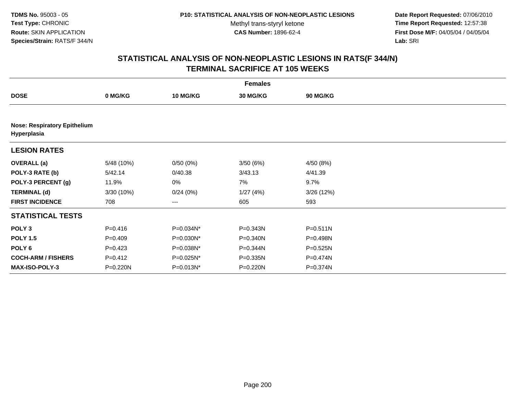**Date Report Requested:** 07/06/2010 **Time Report Requested:** 12:57:38 **First Dose M/F:** 04/05/04 / 04/05/04<br>Lab: SRI **Lab:** SRI

|                                                    |             |                 | <b>Females</b>  |              |  |
|----------------------------------------------------|-------------|-----------------|-----------------|--------------|--|
| <b>DOSE</b>                                        | 0 MG/KG     | <b>10 MG/KG</b> | <b>30 MG/KG</b> | 90 MG/KG     |  |
|                                                    |             |                 |                 |              |  |
| <b>Nose: Respiratory Epithelium</b><br>Hyperplasia |             |                 |                 |              |  |
| <b>LESION RATES</b>                                |             |                 |                 |              |  |
| <b>OVERALL</b> (a)                                 | 5/48 (10%)  | 0/50(0%)        | 3/50(6%)        | 4/50 (8%)    |  |
| POLY-3 RATE (b)                                    | 5/42.14     | 0/40.38         | 3/43.13         | 4/41.39      |  |
| POLY-3 PERCENT (g)                                 | 11.9%       | 0%              | 7%              | 9.7%         |  |
| <b>TERMINAL (d)</b>                                | 3/30 (10%)  | 0/24(0%)        | 1/27(4%)        | 3/26(12%)    |  |
| <b>FIRST INCIDENCE</b>                             | 708         | ---             | 605             | 593          |  |
| <b>STATISTICAL TESTS</b>                           |             |                 |                 |              |  |
| POLY <sub>3</sub>                                  | $P = 0.416$ | P=0.034N*       | P=0.343N        | $P = 0.511N$ |  |
| <b>POLY 1.5</b>                                    | $P=0.409$   | P=0.030N*       | P=0.340N        | P=0.498N     |  |
| POLY <sub>6</sub>                                  | $P=0.423$   | P=0.038N*       | P=0.344N        | $P = 0.525N$ |  |
| <b>COCH-ARM / FISHERS</b>                          | $P=0.412$   | P=0.025N*       | P=0.335N        | P=0.474N     |  |
| <b>MAX-ISO-POLY-3</b>                              | P=0.220N    | $P = 0.013N^*$  | P=0.220N        | P=0.374N     |  |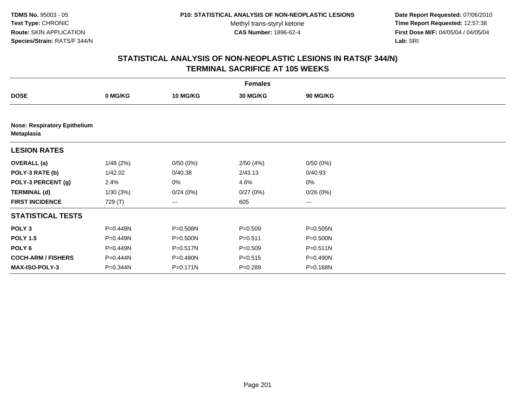**Date Report Requested:** 07/06/2010 **Time Report Requested:** 12:57:38 **First Dose M/F:** 04/05/04 / 04/05/04<br>Lab: SRI **Lab:** SRI

|                                                          |          |                 | <b>Females</b> |              |  |
|----------------------------------------------------------|----------|-----------------|----------------|--------------|--|
| <b>DOSE</b>                                              | 0 MG/KG  | <b>10 MG/KG</b> | 30 MG/KG       | 90 MG/KG     |  |
|                                                          |          |                 |                |              |  |
| <b>Nose: Respiratory Epithelium</b><br><b>Metaplasia</b> |          |                 |                |              |  |
| <b>LESION RATES</b>                                      |          |                 |                |              |  |
| <b>OVERALL (a)</b>                                       | 1/48(2%) | 0/50(0%)        | 2/50(4%)       | 0/50(0%)     |  |
| POLY-3 RATE (b)                                          | 1/42.02  | 0/40.38         | 2/43.13        | 0/40.93      |  |
| POLY-3 PERCENT (g)                                       | 2.4%     | 0%              | 4.6%           | 0%           |  |
| <b>TERMINAL (d)</b>                                      | 1/30(3%) | 0/24(0%)        | 0/27(0%)       | 0/26(0%)     |  |
| <b>FIRST INCIDENCE</b>                                   | 729 (T)  | ---             | 605            | $--$         |  |
| <b>STATISTICAL TESTS</b>                                 |          |                 |                |              |  |
| POLY <sub>3</sub>                                        | P=0.449N | P=0.508N        | $P = 0.509$    | $P = 0.505N$ |  |
| <b>POLY 1.5</b>                                          | P=0.449N | P=0.500N        | $P = 0.511$    | P=0.500N     |  |
| POLY 6                                                   | P=0.449N | P=0.517N        | $P = 0.509$    | $P = 0.511N$ |  |
| <b>COCH-ARM / FISHERS</b>                                | P=0.444N | P=0.490N        | $P = 0.515$    | P=0.490N     |  |
| <b>MAX-ISO-POLY-3</b>                                    | P=0.344N | P=0.171N        | $P = 0.289$    | P=0.168N     |  |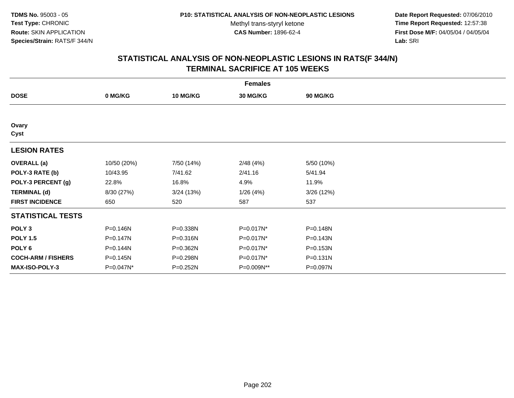**Date Report Requested:** 07/06/2010 **Time Report Requested:** 12:57:38 **First Dose M/F:** 04/05/04 / 04/05/04<br>Lab: SRI **Lab:** SRI

|                           |              |                 | <b>Females</b>  |                 |  |
|---------------------------|--------------|-----------------|-----------------|-----------------|--|
| <b>DOSE</b>               | 0 MG/KG      | <b>10 MG/KG</b> | <b>30 MG/KG</b> | <b>90 MG/KG</b> |  |
|                           |              |                 |                 |                 |  |
| Ovary<br>Cyst             |              |                 |                 |                 |  |
| <b>LESION RATES</b>       |              |                 |                 |                 |  |
| <b>OVERALL</b> (a)        | 10/50 (20%)  | 7/50 (14%)      | 2/48(4%)        | 5/50 (10%)      |  |
| POLY-3 RATE (b)           | 10/43.95     | 7/41.62         | 2/41.16         | 5/41.94         |  |
| POLY-3 PERCENT (g)        | 22.8%        | 16.8%           | 4.9%            | 11.9%           |  |
| <b>TERMINAL (d)</b>       | 8/30 (27%)   | 3/24(13%)       | 1/26(4%)        | 3/26 (12%)      |  |
| <b>FIRST INCIDENCE</b>    | 650          | 520             | 587             | 537             |  |
| <b>STATISTICAL TESTS</b>  |              |                 |                 |                 |  |
| POLY <sub>3</sub>         | P=0.146N     | P=0.338N        | P=0.017N*       | P=0.148N        |  |
| <b>POLY 1.5</b>           | $P = 0.147N$ | $P = 0.316N$    | P=0.017N*       | $P = 0.143N$    |  |
| POLY <sub>6</sub>         | P=0.144N     | P=0.362N        | P=0.017N*       | P=0.153N        |  |
| <b>COCH-ARM / FISHERS</b> | P=0.145N     | P=0.298N        | P=0.017N*       | $P = 0.131N$    |  |
| <b>MAX-ISO-POLY-3</b>     | P=0.047N*    | $P = 0.252N$    | P=0.009N**      | P=0.097N        |  |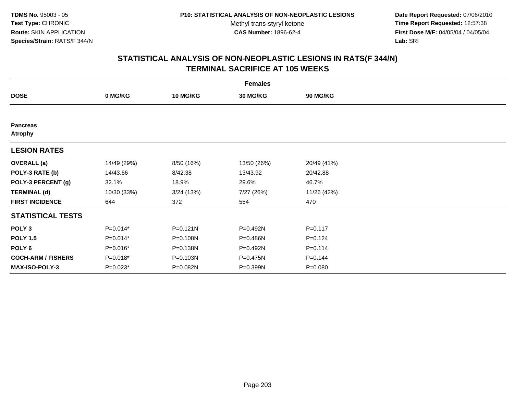**Date Report Requested:** 07/06/2010 **Time Report Requested:** 12:57:38 **First Dose M/F:** 04/05/04 / 04/05/04<br>Lab: SRI **Lab:** SRI

|                                   |             |                 | <b>Females</b>  |             |  |
|-----------------------------------|-------------|-----------------|-----------------|-------------|--|
| <b>DOSE</b>                       | 0 MG/KG     | <b>10 MG/KG</b> | <b>30 MG/KG</b> | 90 MG/KG    |  |
|                                   |             |                 |                 |             |  |
| <b>Pancreas</b><br><b>Atrophy</b> |             |                 |                 |             |  |
| <b>LESION RATES</b>               |             |                 |                 |             |  |
| <b>OVERALL</b> (a)                | 14/49 (29%) | 8/50 (16%)      | 13/50 (26%)     | 20/49 (41%) |  |
| POLY-3 RATE (b)                   | 14/43.66    | 8/42.38         | 13/43.92        | 20/42.88    |  |
| POLY-3 PERCENT (g)                | 32.1%       | 18.9%           | 29.6%           | 46.7%       |  |
| <b>TERMINAL (d)</b>               | 10/30 (33%) | 3/24(13%)       | 7/27 (26%)      | 11/26 (42%) |  |
| <b>FIRST INCIDENCE</b>            | 644         | 372             | 554             | 470         |  |
| <b>STATISTICAL TESTS</b>          |             |                 |                 |             |  |
| POLY <sub>3</sub>                 | P=0.014*    | P=0.121N        | P=0.492N        | $P = 0.117$ |  |
| <b>POLY 1.5</b>                   | P=0.014*    | P=0.108N        | P=0.486N        | $P = 0.124$ |  |
| POLY <sub>6</sub>                 | P=0.016*    | P=0.138N        | P=0.492N        | $P = 0.114$ |  |
| <b>COCH-ARM / FISHERS</b>         | $P=0.018*$  | P=0.103N        | P=0.475N        | $P = 0.144$ |  |
| <b>MAX-ISO-POLY-3</b>             | $P=0.023*$  | P=0.082N        | P=0.399N        | $P = 0.080$ |  |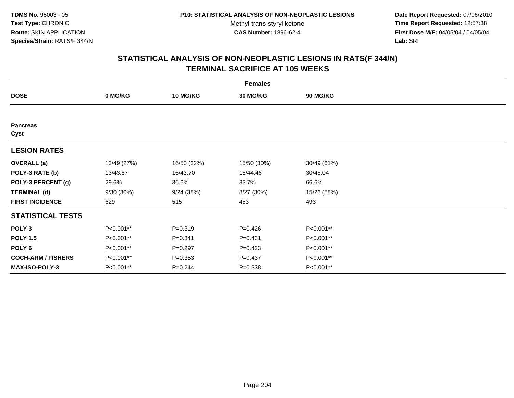**Date Report Requested:** 07/06/2010 **Time Report Requested:** 12:57:38 **First Dose M/F:** 04/05/04 / 04/05/04<br>Lab: SRI **Lab:** SRI

| <b>Females</b>            |              |                 |                 |                 |  |  |  |
|---------------------------|--------------|-----------------|-----------------|-----------------|--|--|--|
| <b>DOSE</b>               | 0 MG/KG      | <b>10 MG/KG</b> | <b>30 MG/KG</b> | <b>90 MG/KG</b> |  |  |  |
|                           |              |                 |                 |                 |  |  |  |
| <b>Pancreas</b><br>Cyst   |              |                 |                 |                 |  |  |  |
| <b>LESION RATES</b>       |              |                 |                 |                 |  |  |  |
| <b>OVERALL</b> (a)        | 13/49 (27%)  | 16/50 (32%)     | 15/50 (30%)     | 30/49 (61%)     |  |  |  |
| POLY-3 RATE (b)           | 13/43.87     | 16/43.70        | 15/44.46        | 30/45.04        |  |  |  |
| POLY-3 PERCENT (g)        | 29.6%        | 36.6%           | 33.7%           | 66.6%           |  |  |  |
| <b>TERMINAL (d)</b>       | $9/30(30\%)$ | 9/24(38%)       | 8/27 (30%)      | 15/26 (58%)     |  |  |  |
| <b>FIRST INCIDENCE</b>    | 629          | 515             | 453             | 493             |  |  |  |
| <b>STATISTICAL TESTS</b>  |              |                 |                 |                 |  |  |  |
| POLY <sub>3</sub>         | P<0.001**    | $P = 0.319$     | $P=0.426$       | P<0.001**       |  |  |  |
| <b>POLY 1.5</b>           | P<0.001**    | $P = 0.341$     | $P = 0.431$     | P<0.001**       |  |  |  |
| POLY <sub>6</sub>         | P<0.001**    | $P = 0.297$     | $P=0.423$       | P<0.001**       |  |  |  |
| <b>COCH-ARM / FISHERS</b> | P<0.001**    | $P = 0.353$     | $P = 0.437$     | P<0.001**       |  |  |  |
| MAX-ISO-POLY-3            | P<0.001**    | $P = 0.244$     | $P = 0.338$     | P<0.001**       |  |  |  |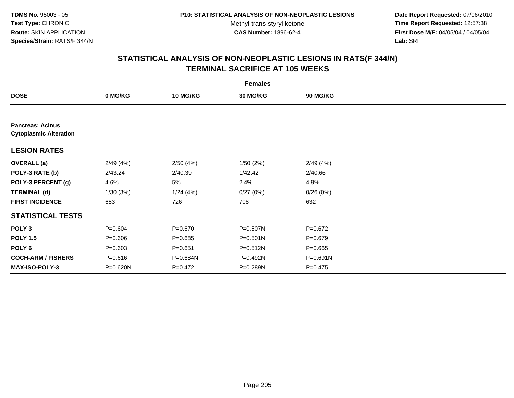**Date Report Requested:** 07/06/2010 **Time Report Requested:** 12:57:38 **First Dose M/F:** 04/05/04 / 04/05/04<br>Lab: SRI **Lab:** SRI

|                                                          |             |             | <b>Females</b> |                 |  |
|----------------------------------------------------------|-------------|-------------|----------------|-----------------|--|
| <b>DOSE</b>                                              | 0 MG/KG     | 10 MG/KG    | 30 MG/KG       | <b>90 MG/KG</b> |  |
|                                                          |             |             |                |                 |  |
| <b>Pancreas: Acinus</b><br><b>Cytoplasmic Alteration</b> |             |             |                |                 |  |
| <b>LESION RATES</b>                                      |             |             |                |                 |  |
| <b>OVERALL</b> (a)                                       | 2/49(4%)    | 2/50(4%)    | 1/50(2%)       | 2/49(4%)        |  |
| POLY-3 RATE (b)                                          | 2/43.24     | 2/40.39     | 1/42.42        | 2/40.66         |  |
| POLY-3 PERCENT (g)                                       | 4.6%        | 5%          | 2.4%           | 4.9%            |  |
| <b>TERMINAL (d)</b>                                      | 1/30(3%)    | 1/24(4%)    | 0/27(0%)       | 0/26(0%)        |  |
| <b>FIRST INCIDENCE</b>                                   | 653         | 726         | 708            | 632             |  |
| <b>STATISTICAL TESTS</b>                                 |             |             |                |                 |  |
| POLY <sub>3</sub>                                        | $P = 0.604$ | $P = 0.670$ | P=0.507N       | $P=0.672$       |  |
| <b>POLY 1.5</b>                                          | $P = 0.606$ | $P = 0.685$ | $P = 0.501N$   | $P = 0.679$     |  |
| POLY 6                                                   | $P = 0.603$ | $P = 0.651$ | $P = 0.512N$   | $P = 0.665$     |  |
| <b>COCH-ARM / FISHERS</b>                                | $P = 0.616$ | P=0.684N    | $P=0.492N$     | $P = 0.691N$    |  |
| <b>MAX-ISO-POLY-3</b>                                    | P=0.620N    | $P=0.472$   | P=0.289N       | P=0.475         |  |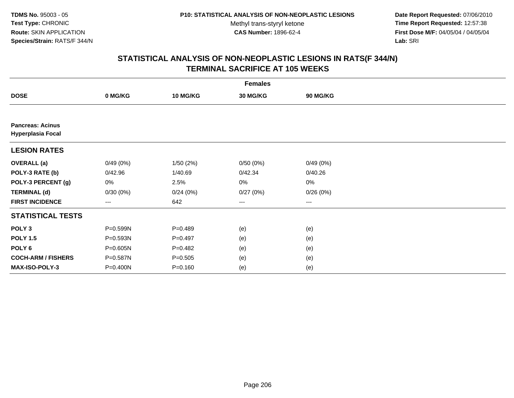**Date Report Requested:** 07/06/2010 **Time Report Requested:** 12:57:38 **First Dose M/F:** 04/05/04 / 04/05/04<br>Lab: SRI **Lab:** SRI

|                                                     | <b>Females</b>         |                 |                 |                        |  |  |  |  |
|-----------------------------------------------------|------------------------|-----------------|-----------------|------------------------|--|--|--|--|
| <b>DOSE</b>                                         | 0 MG/KG                | <b>10 MG/KG</b> | <b>30 MG/KG</b> | 90 MG/KG               |  |  |  |  |
|                                                     |                        |                 |                 |                        |  |  |  |  |
| <b>Pancreas: Acinus</b><br><b>Hyperplasia Focal</b> |                        |                 |                 |                        |  |  |  |  |
| <b>LESION RATES</b>                                 |                        |                 |                 |                        |  |  |  |  |
| <b>OVERALL</b> (a)                                  | 0/49(0%)               | 1/50(2%)        | 0/50(0%)        | 0/49(0%)               |  |  |  |  |
| POLY-3 RATE (b)                                     | 0/42.96                | 1/40.69         | 0/42.34         | 0/40.26                |  |  |  |  |
| POLY-3 PERCENT (g)                                  | 0%                     | 2.5%            | 0%              | 0%                     |  |  |  |  |
| <b>TERMINAL (d)</b>                                 | 0/30(0%)               | 0/24(0%)        | 0/27(0%)        | 0/26(0%)               |  |  |  |  |
| <b>FIRST INCIDENCE</b>                              | $\qquad \qquad \cdots$ | 642             | ---             | $\qquad \qquad \cdots$ |  |  |  |  |
| <b>STATISTICAL TESTS</b>                            |                        |                 |                 |                        |  |  |  |  |
| POLY <sub>3</sub>                                   | P=0.599N               | $P=0.489$       | (e)             | (e)                    |  |  |  |  |
| <b>POLY 1.5</b>                                     | P=0.593N               | $P=0.497$       | (e)             | (e)                    |  |  |  |  |
| POLY <sub>6</sub>                                   | P=0.605N               | $P=0.482$       | (e)             | (e)                    |  |  |  |  |
| <b>COCH-ARM / FISHERS</b>                           | P=0.587N               | $P = 0.505$     | (e)             | (e)                    |  |  |  |  |
| MAX-ISO-POLY-3                                      | P=0.400N               | $P = 0.160$     | (e)             | (e)                    |  |  |  |  |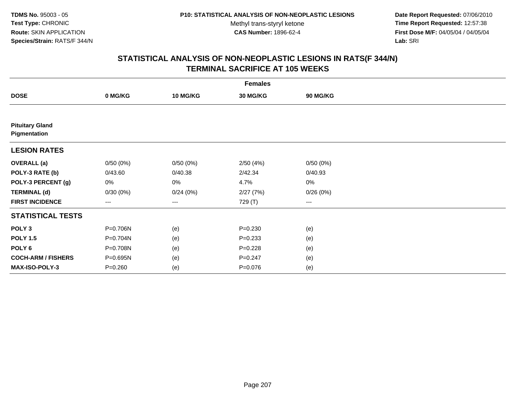**Date Report Requested:** 07/06/2010 **Time Report Requested:** 12:57:38 **First Dose M/F:** 04/05/04 / 04/05/04<br>Lab: SRI **Lab:** SRI

| <b>Females</b>                         |             |          |                 |                        |  |  |  |
|----------------------------------------|-------------|----------|-----------------|------------------------|--|--|--|
| <b>DOSE</b>                            | 0 MG/KG     | 10 MG/KG | <b>30 MG/KG</b> | 90 MG/KG               |  |  |  |
|                                        |             |          |                 |                        |  |  |  |
| <b>Pituitary Gland</b><br>Pigmentation |             |          |                 |                        |  |  |  |
| <b>LESION RATES</b>                    |             |          |                 |                        |  |  |  |
| <b>OVERALL</b> (a)                     | 0/50(0%)    | 0/50(0%) | 2/50(4%)        | 0/50(0%)               |  |  |  |
| POLY-3 RATE (b)                        | 0/43.60     | 0/40.38  | 2/42.34         | 0/40.93                |  |  |  |
| POLY-3 PERCENT (g)                     | 0%          | 0%       | 4.7%            | 0%                     |  |  |  |
| <b>TERMINAL (d)</b>                    | 0/30(0%)    | 0/24(0%) | 2/27(7%)        | 0/26(0%)               |  |  |  |
| <b>FIRST INCIDENCE</b>                 | $---$       | ---      | 729 (T)         | $\qquad \qquad \cdots$ |  |  |  |
| <b>STATISTICAL TESTS</b>               |             |          |                 |                        |  |  |  |
| POLY <sub>3</sub>                      | P=0.706N    | (e)      | $P = 0.230$     | (e)                    |  |  |  |
| <b>POLY 1.5</b>                        | P=0.704N    | (e)      | $P = 0.233$     | (e)                    |  |  |  |
| POLY <sub>6</sub>                      | P=0.708N    | (e)      | $P = 0.228$     | (e)                    |  |  |  |
| <b>COCH-ARM / FISHERS</b>              | P=0.695N    | (e)      | $P = 0.247$     | (e)                    |  |  |  |
| MAX-ISO-POLY-3                         | $P = 0.260$ | (e)      | $P = 0.076$     | (e)                    |  |  |  |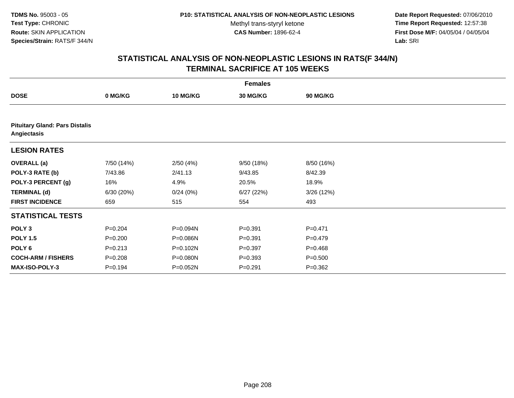**Date Report Requested:** 07/06/2010 **Time Report Requested:** 12:57:38 **First Dose M/F:** 04/05/04 / 04/05/04<br>Lab: SRI **Lab:** SRI

|                                                      | <b>Females</b> |                 |             |             |  |  |  |  |
|------------------------------------------------------|----------------|-----------------|-------------|-------------|--|--|--|--|
| <b>DOSE</b>                                          | 0 MG/KG        | <b>10 MG/KG</b> | 30 MG/KG    | 90 MG/KG    |  |  |  |  |
|                                                      |                |                 |             |             |  |  |  |  |
| <b>Pituitary Gland: Pars Distalis</b><br>Angiectasis |                |                 |             |             |  |  |  |  |
| <b>LESION RATES</b>                                  |                |                 |             |             |  |  |  |  |
| <b>OVERALL (a)</b>                                   | 7/50 (14%)     | 2/50(4%)        | 9/50 (18%)  | 8/50 (16%)  |  |  |  |  |
| POLY-3 RATE (b)                                      | 7/43.86        | 2/41.13         | 9/43.85     | 8/42.39     |  |  |  |  |
| POLY-3 PERCENT (g)                                   | 16%            | 4.9%            | 20.5%       | 18.9%       |  |  |  |  |
| <b>TERMINAL (d)</b>                                  | 6/30(20%)      | 0/24(0%)        | 6/27(22%)   | 3/26 (12%)  |  |  |  |  |
| <b>FIRST INCIDENCE</b>                               | 659            | 515             | 554         | 493         |  |  |  |  |
| <b>STATISTICAL TESTS</b>                             |                |                 |             |             |  |  |  |  |
| POLY <sub>3</sub>                                    | $P = 0.204$    | P=0.094N        | $P = 0.391$ | $P = 0.471$ |  |  |  |  |
| <b>POLY 1.5</b>                                      | $P = 0.200$    | P=0.086N        | $P = 0.391$ | $P=0.479$   |  |  |  |  |
| POLY 6                                               | $P = 0.213$    | P=0.102N        | $P = 0.397$ | $P = 0.468$ |  |  |  |  |
| <b>COCH-ARM / FISHERS</b>                            | $P = 0.208$    | P=0.080N        | $P = 0.393$ | $P = 0.500$ |  |  |  |  |
| MAX-ISO-POLY-3                                       | $P = 0.194$    | P=0.052N        | $P = 0.291$ | $P = 0.362$ |  |  |  |  |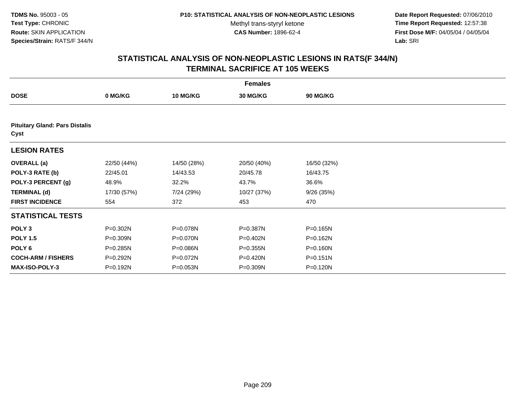**Date Report Requested:** 07/06/2010 **Time Report Requested:** 12:57:38 **First Dose M/F:** 04/05/04 / 04/05/04<br>Lab: SRI **Lab:** SRI

| <b>Females</b>                                |             |                 |                 |                 |  |  |  |  |
|-----------------------------------------------|-------------|-----------------|-----------------|-----------------|--|--|--|--|
| <b>DOSE</b>                                   | 0 MG/KG     | <b>10 MG/KG</b> | <b>30 MG/KG</b> | <b>90 MG/KG</b> |  |  |  |  |
|                                               |             |                 |                 |                 |  |  |  |  |
| <b>Pituitary Gland: Pars Distalis</b><br>Cyst |             |                 |                 |                 |  |  |  |  |
| <b>LESION RATES</b>                           |             |                 |                 |                 |  |  |  |  |
| <b>OVERALL</b> (a)                            | 22/50 (44%) | 14/50 (28%)     | 20/50 (40%)     | 16/50 (32%)     |  |  |  |  |
| POLY-3 RATE (b)                               | 22/45.01    | 14/43.53        | 20/45.78        | 16/43.75        |  |  |  |  |
| POLY-3 PERCENT (g)                            | 48.9%       | 32.2%           | 43.7%           | 36.6%           |  |  |  |  |
| <b>TERMINAL (d)</b>                           | 17/30 (57%) | 7/24 (29%)      | 10/27 (37%)     | 9/26(35%)       |  |  |  |  |
| <b>FIRST INCIDENCE</b>                        | 554         | 372             | 453             | 470             |  |  |  |  |
| <b>STATISTICAL TESTS</b>                      |             |                 |                 |                 |  |  |  |  |
| POLY <sub>3</sub>                             | P=0.302N    | P=0.078N        | P=0.387N        | $P = 0.165N$    |  |  |  |  |
| <b>POLY 1.5</b>                               | P=0.309N    | P=0.070N        | P=0.402N        | P=0.162N        |  |  |  |  |
| POLY <sub>6</sub>                             | P=0.285N    | P=0.086N        | $P = 0.355N$    | $P = 0.160N$    |  |  |  |  |
| <b>COCH-ARM / FISHERS</b>                     | P=0.292N    | P=0.072N        | P=0.420N        | $P = 0.151N$    |  |  |  |  |
| <b>MAX-ISO-POLY-3</b>                         | P=0.192N    | P=0.053N        | P=0.309N        | P=0.120N        |  |  |  |  |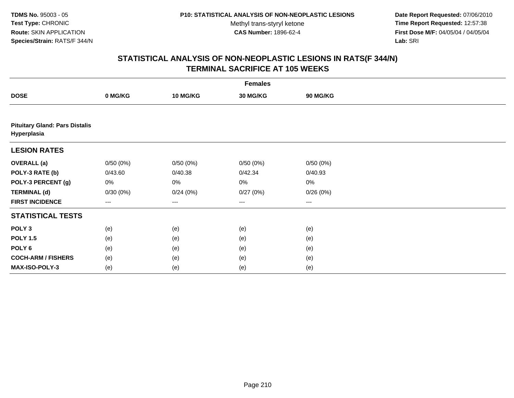**Date Report Requested:** 07/06/2010 **Time Report Requested:** 12:57:38 **First Dose M/F:** 04/05/04 / 04/05/04<br>Lab: SRI **Lab:** SRI

| <b>Females</b>                                       |          |                 |                   |          |  |  |  |
|------------------------------------------------------|----------|-----------------|-------------------|----------|--|--|--|
| <b>DOSE</b>                                          | 0 MG/KG  | <b>10 MG/KG</b> | 30 MG/KG          | 90 MG/KG |  |  |  |
|                                                      |          |                 |                   |          |  |  |  |
| <b>Pituitary Gland: Pars Distalis</b><br>Hyperplasia |          |                 |                   |          |  |  |  |
| <b>LESION RATES</b>                                  |          |                 |                   |          |  |  |  |
| <b>OVERALL</b> (a)                                   | 0/50(0%) | 0/50(0%)        | 0/50(0%)          | 0/50(0%) |  |  |  |
| POLY-3 RATE (b)                                      | 0/43.60  | 0/40.38         | 0/42.34           | 0/40.93  |  |  |  |
| POLY-3 PERCENT (g)                                   | 0%       | 0%              | 0%                | 0%       |  |  |  |
| <b>TERMINAL (d)</b>                                  | 0/30(0%) | 0/24(0%)        | 0/27(0%)          | 0/26(0%) |  |  |  |
| <b>FIRST INCIDENCE</b>                               | ---      | ---             | $\qquad \qquad -$ | ---      |  |  |  |
| <b>STATISTICAL TESTS</b>                             |          |                 |                   |          |  |  |  |
| POLY <sub>3</sub>                                    | (e)      | (e)             | (e)               | (e)      |  |  |  |
| <b>POLY 1.5</b>                                      | (e)      | (e)             | (e)               | (e)      |  |  |  |
| POLY <sub>6</sub>                                    | (e)      | (e)             | (e)               | (e)      |  |  |  |
| <b>COCH-ARM / FISHERS</b>                            | (e)      | (e)             | (e)               | (e)      |  |  |  |
| MAX-ISO-POLY-3                                       | (e)      | (e)             | (e)               | (e)      |  |  |  |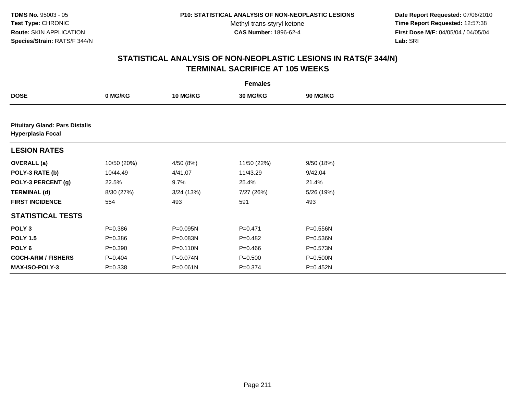**Date Report Requested:** 07/06/2010 **Time Report Requested:** 12:57:38 **First Dose M/F:** 04/05/04 / 04/05/04<br>Lab: SRI **Lab:** SRI

| <b>Females</b>                                                    |             |                 |             |                 |  |  |  |
|-------------------------------------------------------------------|-------------|-----------------|-------------|-----------------|--|--|--|
| <b>DOSE</b>                                                       | 0 MG/KG     | <b>10 MG/KG</b> | 30 MG/KG    | <b>90 MG/KG</b> |  |  |  |
|                                                                   |             |                 |             |                 |  |  |  |
| <b>Pituitary Gland: Pars Distalis</b><br><b>Hyperplasia Focal</b> |             |                 |             |                 |  |  |  |
| <b>LESION RATES</b>                                               |             |                 |             |                 |  |  |  |
| <b>OVERALL</b> (a)                                                | 10/50 (20%) | 4/50 (8%)       | 11/50 (22%) | 9/50(18%)       |  |  |  |
| POLY-3 RATE (b)                                                   | 10/44.49    | 4/41.07         | 11/43.29    | 9/42.04         |  |  |  |
| POLY-3 PERCENT (g)                                                | 22.5%       | 9.7%            | 25.4%       | 21.4%           |  |  |  |
| <b>TERMINAL (d)</b>                                               | 8/30 (27%)  | 3/24 (13%)      | 7/27 (26%)  | 5/26 (19%)      |  |  |  |
| <b>FIRST INCIDENCE</b>                                            | 554         | 493             | 591         | 493             |  |  |  |
| <b>STATISTICAL TESTS</b>                                          |             |                 |             |                 |  |  |  |
| POLY <sub>3</sub>                                                 | $P = 0.386$ | P=0.095N        | $P=0.471$   | P=0.556N        |  |  |  |
| <b>POLY 1.5</b>                                                   | $P = 0.386$ | P=0.083N        | $P = 0.482$ | P=0.536N        |  |  |  |
| POLY <sub>6</sub>                                                 | $P = 0.390$ | P=0.110N        | $P = 0.466$ | P=0.573N        |  |  |  |
| <b>COCH-ARM / FISHERS</b>                                         | $P=0.404$   | P=0.074N        | $P = 0.500$ | P=0.500N        |  |  |  |
| <b>MAX-ISO-POLY-3</b>                                             | $P = 0.338$ | P=0.061N        | $P = 0.374$ | P=0.452N        |  |  |  |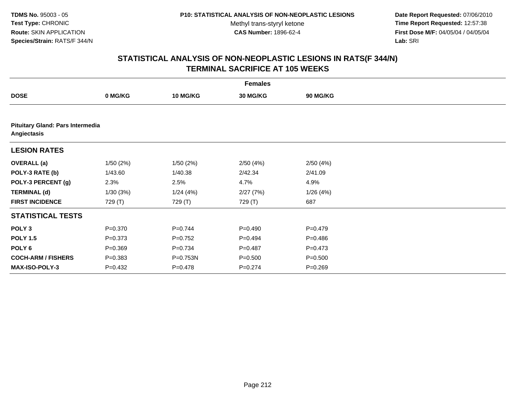**Date Report Requested:** 07/06/2010 **Time Report Requested:** 12:57:38 **First Dose M/F:** 04/05/04 / 04/05/04<br>Lab: SRI **Lab:** SRI

| <b>Females</b>            |                                  |                 |             |                 |  |  |  |  |  |
|---------------------------|----------------------------------|-----------------|-------------|-----------------|--|--|--|--|--|
| <b>DOSE</b>               | 0 MG/KG                          | <b>10 MG/KG</b> | 30 MG/KG    | <b>90 MG/KG</b> |  |  |  |  |  |
|                           |                                  |                 |             |                 |  |  |  |  |  |
| Angiectasis               | Pituitary Gland: Pars Intermedia |                 |             |                 |  |  |  |  |  |
| <b>LESION RATES</b>       |                                  |                 |             |                 |  |  |  |  |  |
| <b>OVERALL</b> (a)        | 1/50(2%)                         | 1/50(2%)        | 2/50(4%)    | 2/50(4%)        |  |  |  |  |  |
| POLY-3 RATE (b)           | 1/43.60                          | 1/40.38         | 2/42.34     | 2/41.09         |  |  |  |  |  |
| POLY-3 PERCENT (g)        | 2.3%                             | 2.5%            | 4.7%        | 4.9%            |  |  |  |  |  |
| <b>TERMINAL (d)</b>       | 1/30(3%)                         | 1/24(4%)        | 2/27(7%)    | 1/26(4%)        |  |  |  |  |  |
| <b>FIRST INCIDENCE</b>    | 729 (T)                          | 729 (T)         | 729 (T)     | 687             |  |  |  |  |  |
| <b>STATISTICAL TESTS</b>  |                                  |                 |             |                 |  |  |  |  |  |
| POLY <sub>3</sub>         | $P = 0.370$                      | $P=0.744$       | $P = 0.490$ | $P=0.479$       |  |  |  |  |  |
| <b>POLY 1.5</b>           | $P = 0.373$                      | $P=0.752$       | $P=0.494$   | $P = 0.486$     |  |  |  |  |  |
| POLY <sub>6</sub>         | $P = 0.369$                      | $P = 0.734$     | $P=0.487$   | $P=0.473$       |  |  |  |  |  |
| <b>COCH-ARM / FISHERS</b> | $P = 0.383$                      | P=0.753N        | $P = 0.500$ | $P = 0.500$     |  |  |  |  |  |
| <b>MAX-ISO-POLY-3</b>     | $P=0.432$                        | $P = 0.478$     | $P = 0.274$ | $P = 0.269$     |  |  |  |  |  |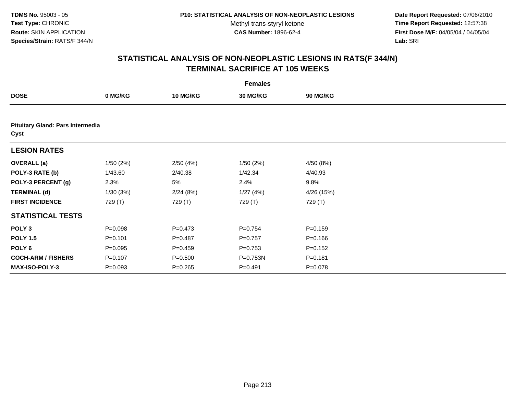**Date Report Requested:** 07/06/2010 **Time Report Requested:** 12:57:38 **First Dose M/F:** 04/05/04 / 04/05/04<br>Lab: SRI **Lab:** SRI

|                           | <b>Females</b>                   |                 |                 |                 |  |  |  |  |  |
|---------------------------|----------------------------------|-----------------|-----------------|-----------------|--|--|--|--|--|
| <b>DOSE</b>               | 0 MG/KG                          | <b>10 MG/KG</b> | <b>30 MG/KG</b> | <b>90 MG/KG</b> |  |  |  |  |  |
|                           |                                  |                 |                 |                 |  |  |  |  |  |
| Cyst                      | Pituitary Gland: Pars Intermedia |                 |                 |                 |  |  |  |  |  |
| <b>LESION RATES</b>       |                                  |                 |                 |                 |  |  |  |  |  |
| <b>OVERALL</b> (a)        | 1/50(2%)                         | 2/50(4%)        | 1/50(2%)        | 4/50 (8%)       |  |  |  |  |  |
| POLY-3 RATE (b)           | 1/43.60                          | 2/40.38         | 1/42.34         | 4/40.93         |  |  |  |  |  |
| POLY-3 PERCENT (g)        | 2.3%                             | 5%              | 2.4%            | 9.8%            |  |  |  |  |  |
| <b>TERMINAL (d)</b>       | 1/30(3%)                         | 2/24(8%)        | 1/27(4%)        | 4/26 (15%)      |  |  |  |  |  |
| <b>FIRST INCIDENCE</b>    | 729 (T)                          | 729 (T)         | 729 (T)         | 729 (T)         |  |  |  |  |  |
| <b>STATISTICAL TESTS</b>  |                                  |                 |                 |                 |  |  |  |  |  |
| POLY <sub>3</sub>         | $P = 0.098$                      | $P = 0.473$     | $P = 0.754$     | $P = 0.159$     |  |  |  |  |  |
| <b>POLY 1.5</b>           | $P = 0.101$                      | $P = 0.487$     | $P=0.757$       | $P = 0.166$     |  |  |  |  |  |
| POLY 6                    | $P = 0.095$                      | $P = 0.459$     | $P = 0.753$     | $P = 0.152$     |  |  |  |  |  |
| <b>COCH-ARM / FISHERS</b> | $P = 0.107$                      | $P = 0.500$     | P=0.753N        | $P = 0.181$     |  |  |  |  |  |
| MAX-ISO-POLY-3            | $P = 0.093$                      | $P = 0.265$     | $P = 0.491$     | $P = 0.078$     |  |  |  |  |  |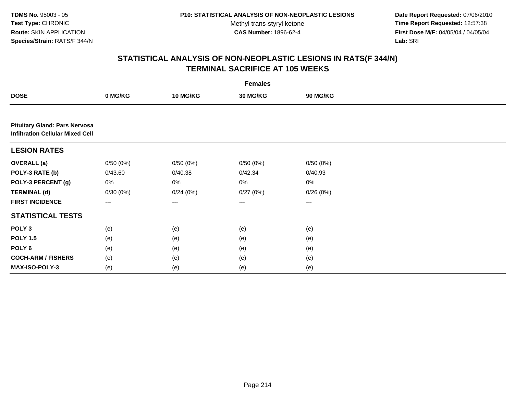**Date Report Requested:** 07/06/2010 **Time Report Requested:** 12:57:38 **First Dose M/F:** 04/05/04 / 04/05/04<br>Lab: SRI **Lab:** SRI

| <b>Females</b>                                                                  |          |                   |          |                   |  |  |  |
|---------------------------------------------------------------------------------|----------|-------------------|----------|-------------------|--|--|--|
| <b>DOSE</b>                                                                     | 0 MG/KG  | 10 MG/KG          | 30 MG/KG | <b>90 MG/KG</b>   |  |  |  |
|                                                                                 |          |                   |          |                   |  |  |  |
| <b>Pituitary Gland: Pars Nervosa</b><br><b>Infiltration Cellular Mixed Cell</b> |          |                   |          |                   |  |  |  |
| <b>LESION RATES</b>                                                             |          |                   |          |                   |  |  |  |
| <b>OVERALL (a)</b>                                                              | 0/50(0%) | 0/50(0%)          | 0/50(0%) | 0/50(0%)          |  |  |  |
| POLY-3 RATE (b)                                                                 | 0/43.60  | 0/40.38           | 0/42.34  | 0/40.93           |  |  |  |
| POLY-3 PERCENT (g)                                                              | 0%       | 0%                | $0\%$    | $0\%$             |  |  |  |
| <b>TERMINAL (d)</b>                                                             | 0/30(0%) | 0/24(0%)          | 0/27(0%) | 0/26(0%)          |  |  |  |
| <b>FIRST INCIDENCE</b>                                                          | ---      | $\qquad \qquad -$ | ---      | $\qquad \qquad -$ |  |  |  |
| <b>STATISTICAL TESTS</b>                                                        |          |                   |          |                   |  |  |  |
| POLY <sub>3</sub>                                                               | (e)      | (e)               | (e)      | (e)               |  |  |  |
| <b>POLY 1.5</b>                                                                 | (e)      | (e)               | (e)      | (e)               |  |  |  |
| POLY 6                                                                          | (e)      | (e)               | (e)      | (e)               |  |  |  |
| <b>COCH-ARM / FISHERS</b>                                                       | (e)      | (e)               | (e)      | (e)               |  |  |  |
| MAX-ISO-POLY-3                                                                  | (e)      | (e)               | (e)      | (e)               |  |  |  |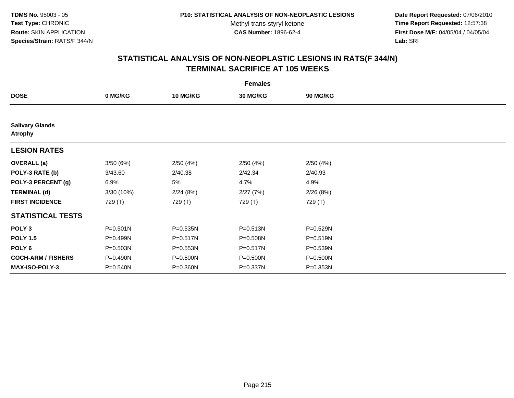**Date Report Requested:** 07/06/2010 **Time Report Requested:** 12:57:38 **First Dose M/F:** 04/05/04 / 04/05/04<br>Lab: SRI **Lab:** SRI

| <b>Females</b>                           |              |                 |                 |              |  |  |  |
|------------------------------------------|--------------|-----------------|-----------------|--------------|--|--|--|
| <b>DOSE</b>                              | 0 MG/KG      | <b>10 MG/KG</b> | <b>30 MG/KG</b> | 90 MG/KG     |  |  |  |
|                                          |              |                 |                 |              |  |  |  |
| <b>Salivary Glands</b><br><b>Atrophy</b> |              |                 |                 |              |  |  |  |
| <b>LESION RATES</b>                      |              |                 |                 |              |  |  |  |
| <b>OVERALL</b> (a)                       | 3/50(6%)     | 2/50(4%)        | 2/50(4%)        | 2/50(4%)     |  |  |  |
| POLY-3 RATE (b)                          | 3/43.60      | 2/40.38         | 2/42.34         | 2/40.93      |  |  |  |
| POLY-3 PERCENT (g)                       | 6.9%         | 5%              | 4.7%            | 4.9%         |  |  |  |
| <b>TERMINAL (d)</b>                      | 3/30 (10%)   | 2/24(8%)        | 2/27(7%)        | 2/26(8%)     |  |  |  |
| <b>FIRST INCIDENCE</b>                   | 729 (T)      | 729 (T)         | 729 (T)         | 729 (T)      |  |  |  |
| <b>STATISTICAL TESTS</b>                 |              |                 |                 |              |  |  |  |
| POLY <sub>3</sub>                        | $P = 0.501N$ | P=0.535N        | P=0.513N        | P=0.529N     |  |  |  |
| <b>POLY 1.5</b>                          | P=0.499N     | P=0.517N        | P=0.508N        | $P = 0.519N$ |  |  |  |
| POLY <sub>6</sub>                        | P=0.503N     | P=0.553N        | P=0.517N        | P=0.539N     |  |  |  |
| <b>COCH-ARM / FISHERS</b>                | P=0.490N     | P=0.500N        | P=0.500N        | P=0.500N     |  |  |  |
| MAX-ISO-POLY-3                           | P=0.540N     | P=0.360N        | P=0.337N        | P=0.353N     |  |  |  |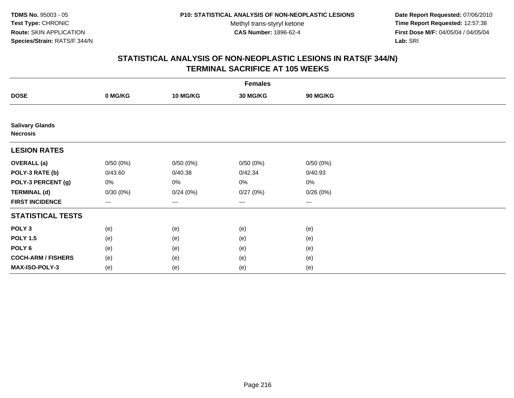**Date Report Requested:** 07/06/2010 **Time Report Requested:** 12:57:38 **First Dose M/F:** 04/05/04 / 04/05/04<br>Lab: SRI **Lab:** SRI

| <b>Females</b>                            |                        |                 |                   |                   |  |  |  |
|-------------------------------------------|------------------------|-----------------|-------------------|-------------------|--|--|--|
| <b>DOSE</b>                               | 0 MG/KG                | <b>10 MG/KG</b> | 30 MG/KG          | 90 MG/KG          |  |  |  |
|                                           |                        |                 |                   |                   |  |  |  |
| <b>Salivary Glands</b><br><b>Necrosis</b> |                        |                 |                   |                   |  |  |  |
| <b>LESION RATES</b>                       |                        |                 |                   |                   |  |  |  |
| <b>OVERALL</b> (a)                        | 0/50(0%)               | 0/50(0%)        | 0/50(0%)          | 0/50(0%)          |  |  |  |
| POLY-3 RATE (b)                           | 0/43.60                | 0/40.38         | 0/42.34           | 0/40.93           |  |  |  |
| POLY-3 PERCENT (g)                        | 0%                     | 0%              | 0%                | 0%                |  |  |  |
| <b>TERMINAL (d)</b>                       | 0/30(0%)               | 0/24(0%)        | 0/27(0%)          | 0/26(0%)          |  |  |  |
| <b>FIRST INCIDENCE</b>                    | $\qquad \qquad \cdots$ | $\cdots$        | $\qquad \qquad -$ | $\qquad \qquad -$ |  |  |  |
| <b>STATISTICAL TESTS</b>                  |                        |                 |                   |                   |  |  |  |
| POLY <sub>3</sub>                         | (e)                    | (e)             | (e)               | (e)               |  |  |  |
| <b>POLY 1.5</b>                           | (e)                    | (e)             | (e)               | (e)               |  |  |  |
| POLY <sub>6</sub>                         | (e)                    | (e)             | (e)               | (e)               |  |  |  |
| <b>COCH-ARM / FISHERS</b>                 | (e)                    | (e)             | (e)               | (e)               |  |  |  |
| MAX-ISO-POLY-3                            | (e)                    | (e)             | (e)               | (e)               |  |  |  |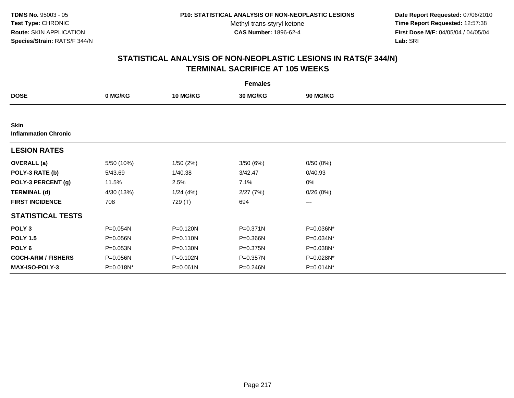**Date Report Requested:** 07/06/2010 **Time Report Requested:** 12:57:38 **First Dose M/F:** 04/05/04 / 04/05/04<br>Lab: SRI **Lab:** SRI

| <b>Females</b>                             |              |                 |          |                 |  |  |  |
|--------------------------------------------|--------------|-----------------|----------|-----------------|--|--|--|
| <b>DOSE</b>                                | 0 MG/KG      | <b>10 MG/KG</b> | 30 MG/KG | <b>90 MG/KG</b> |  |  |  |
|                                            |              |                 |          |                 |  |  |  |
| <b>Skin</b><br><b>Inflammation Chronic</b> |              |                 |          |                 |  |  |  |
| <b>LESION RATES</b>                        |              |                 |          |                 |  |  |  |
| <b>OVERALL</b> (a)                         | 5/50 (10%)   | 1/50(2%)        | 3/50(6%) | 0/50(0%)        |  |  |  |
| POLY-3 RATE (b)                            | 5/43.69      | 1/40.38         | 3/42.47  | 0/40.93         |  |  |  |
| POLY-3 PERCENT (g)                         | 11.5%        | 2.5%            | 7.1%     | 0%              |  |  |  |
| <b>TERMINAL (d)</b>                        | 4/30 (13%)   | 1/24(4%)        | 2/27(7%) | 0/26(0%)        |  |  |  |
| <b>FIRST INCIDENCE</b>                     | 708          | 729 (T)         | 694      | ---             |  |  |  |
| <b>STATISTICAL TESTS</b>                   |              |                 |          |                 |  |  |  |
| POLY <sub>3</sub>                          | P=0.054N     | P=0.120N        | P=0.371N | P=0.036N*       |  |  |  |
| <b>POLY 1.5</b>                            | $P = 0.056N$ | $P = 0.110N$    | P=0.366N | P=0.034N*       |  |  |  |
| POLY 6                                     | P=0.053N     | $P = 0.130N$    | P=0.375N | P=0.038N*       |  |  |  |
| <b>COCH-ARM / FISHERS</b>                  | P=0.056N     | P=0.102N        | P=0.357N | P=0.028N*       |  |  |  |
| <b>MAX-ISO-POLY-3</b>                      | P=0.018N*    | $P = 0.061N$    | P=0.246N | $P = 0.014N^*$  |  |  |  |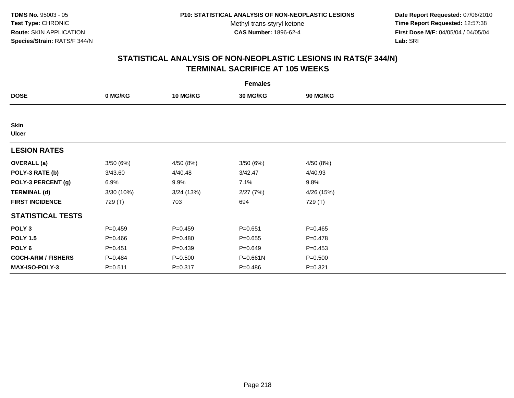**Date Report Requested:** 07/06/2010 **Time Report Requested:** 12:57:38 **First Dose M/F:** 04/05/04 / 04/05/04<br>Lab: SRI **Lab:** SRI

|                             | <b>Females</b> |                 |                 |                 |  |  |  |  |
|-----------------------------|----------------|-----------------|-----------------|-----------------|--|--|--|--|
| <b>DOSE</b>                 | 0 MG/KG        | <b>10 MG/KG</b> | <b>30 MG/KG</b> | <b>90 MG/KG</b> |  |  |  |  |
|                             |                |                 |                 |                 |  |  |  |  |
| <b>Skin</b><br><b>Ulcer</b> |                |                 |                 |                 |  |  |  |  |
| <b>LESION RATES</b>         |                |                 |                 |                 |  |  |  |  |
| <b>OVERALL</b> (a)          | 3/50(6%)       | 4/50 (8%)       | 3/50(6%)        | 4/50 (8%)       |  |  |  |  |
| POLY-3 RATE (b)             | 3/43.60        | 4/40.48         | 3/42.47         | 4/40.93         |  |  |  |  |
| POLY-3 PERCENT (g)          | 6.9%           | 9.9%            | 7.1%            | 9.8%            |  |  |  |  |
| <b>TERMINAL (d)</b>         | 3/30(10%)      | 3/24(13%)       | 2/27(7%)        | 4/26 (15%)      |  |  |  |  |
| <b>FIRST INCIDENCE</b>      | 729 (T)        | 703             | 694             | 729 (T)         |  |  |  |  |
| <b>STATISTICAL TESTS</b>    |                |                 |                 |                 |  |  |  |  |
| POLY <sub>3</sub>           | $P=0.459$      | $P=0.459$       | $P = 0.651$     | $P=0.465$       |  |  |  |  |
| <b>POLY 1.5</b>             | $P=0.466$      | $P = 0.480$     | $P = 0.655$     | $P=0.478$       |  |  |  |  |
| POLY <sub>6</sub>           | $P = 0.451$    | $P = 0.439$     | $P = 0.649$     | $P=0.453$       |  |  |  |  |
| <b>COCH-ARM / FISHERS</b>   | $P = 0.484$    | $P = 0.500$     | $P = 0.661N$    | $P = 0.500$     |  |  |  |  |
| <b>MAX-ISO-POLY-3</b>       | $P = 0.511$    | $P = 0.317$     | $P = 0.486$     | $P = 0.321$     |  |  |  |  |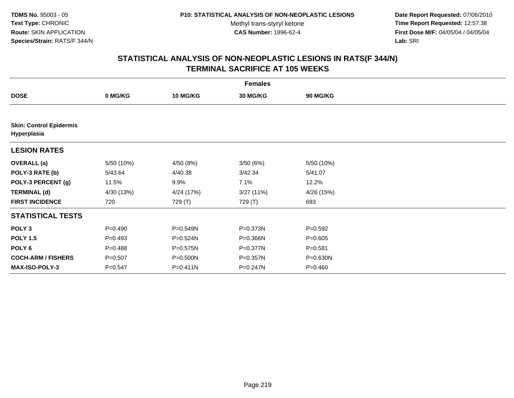**Date Report Requested:** 07/06/2010 **Time Report Requested:** 12:57:38 **First Dose M/F:** 04/05/04 / 04/05/04<br>Lab: SRI **Lab:** SRI

| <b>Females</b>                                |             |                 |                 |                 |  |  |  |
|-----------------------------------------------|-------------|-----------------|-----------------|-----------------|--|--|--|
| <b>DOSE</b>                                   | 0 MG/KG     | <b>10 MG/KG</b> | <b>30 MG/KG</b> | <b>90 MG/KG</b> |  |  |  |
|                                               |             |                 |                 |                 |  |  |  |
| <b>Skin: Control Epidermis</b><br>Hyperplasia |             |                 |                 |                 |  |  |  |
| <b>LESION RATES</b>                           |             |                 |                 |                 |  |  |  |
| <b>OVERALL</b> (a)                            | 5/50 (10%)  | 4/50 (8%)       | 3/50(6%)        | 5/50 (10%)      |  |  |  |
| POLY-3 RATE (b)                               | 5/43.64     | 4/40.38         | 3/42.34         | 5/41.07         |  |  |  |
| POLY-3 PERCENT (g)                            | 11.5%       | 9.9%            | 7.1%            | 12.2%           |  |  |  |
| <b>TERMINAL (d)</b>                           | 4/30 (13%)  | 4/24 (17%)      | 3/27(11%)       | 4/26 (15%)      |  |  |  |
| <b>FIRST INCIDENCE</b>                        | 720         | 729 (T)         | 729 (T)         | 693             |  |  |  |
| <b>STATISTICAL TESTS</b>                      |             |                 |                 |                 |  |  |  |
| POLY <sub>3</sub>                             | $P = 0.490$ | P=0.549N        | P=0.373N        | $P=0.592$       |  |  |  |
| <b>POLY 1.5</b>                               | $P=0.493$   | P=0.524N        | P=0.366N        | $P = 0.605$     |  |  |  |
| POLY 6                                        | $P = 0.488$ | P=0.575N        | P=0.377N        | $P = 0.581$     |  |  |  |
| <b>COCH-ARM / FISHERS</b>                     | $P = 0.507$ | P=0.500N        | P=0.357N        | P=0.630N        |  |  |  |
| <b>MAX-ISO-POLY-3</b>                         | $P = 0.547$ | $P = 0.411N$    | P=0.247N        | $P = 0.460$     |  |  |  |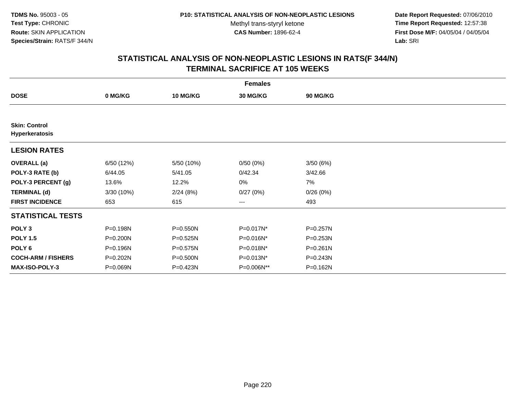**Date Report Requested:** 07/06/2010 **Time Report Requested:** 12:57:38 **First Dose M/F:** 04/05/04 / 04/05/04<br>Lab: SRI **Lab:** SRI

| <b>Females</b>                         |            |                 |                 |              |  |  |  |
|----------------------------------------|------------|-----------------|-----------------|--------------|--|--|--|
| <b>DOSE</b>                            | 0 MG/KG    | <b>10 MG/KG</b> | <b>30 MG/KG</b> | 90 MG/KG     |  |  |  |
|                                        |            |                 |                 |              |  |  |  |
| <b>Skin: Control</b><br>Hyperkeratosis |            |                 |                 |              |  |  |  |
| <b>LESION RATES</b>                    |            |                 |                 |              |  |  |  |
| <b>OVERALL</b> (a)                     | 6/50 (12%) | 5/50 (10%)      | 0/50(0%)        | 3/50(6%)     |  |  |  |
| POLY-3 RATE (b)                        | 6/44.05    | 5/41.05         | 0/42.34         | 3/42.66      |  |  |  |
| POLY-3 PERCENT (g)                     | 13.6%      | 12.2%           | 0%              | 7%           |  |  |  |
| <b>TERMINAL (d)</b>                    | 3/30(10%)  | 2/24(8%)        | 0/27(0%)        | 0/26(0%)     |  |  |  |
| <b>FIRST INCIDENCE</b>                 | 653        | 615             | ---             | 493          |  |  |  |
| <b>STATISTICAL TESTS</b>               |            |                 |                 |              |  |  |  |
| POLY <sub>3</sub>                      | P=0.198N   | $P = 0.550N$    | $P=0.017N^*$    | P=0.257N     |  |  |  |
| <b>POLY 1.5</b>                        | P=0.200N   | $P = 0.525N$    | P=0.016N*       | P=0.253N     |  |  |  |
| POLY <sub>6</sub>                      | P=0.196N   | P=0.575N        | P=0.018N*       | $P = 0.261N$ |  |  |  |
| <b>COCH-ARM / FISHERS</b>              | P=0.202N   | P=0.500N        | P=0.013N*       | P=0.243N     |  |  |  |
| <b>MAX-ISO-POLY-3</b>                  | P=0.069N   | P=0.423N        | P=0.006N**      | P=0.162N     |  |  |  |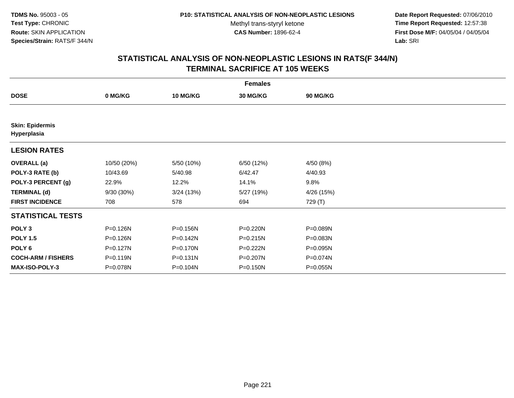**Date Report Requested:** 07/06/2010 **Time Report Requested:** 12:57:38 **First Dose M/F:** 04/05/04 / 04/05/04<br>Lab: SRI **Lab:** SRI

|                                       | <b>Females</b> |                 |                 |            |  |  |  |  |
|---------------------------------------|----------------|-----------------|-----------------|------------|--|--|--|--|
| <b>DOSE</b>                           | 0 MG/KG        | <b>10 MG/KG</b> | <b>30 MG/KG</b> | 90 MG/KG   |  |  |  |  |
|                                       |                |                 |                 |            |  |  |  |  |
| <b>Skin: Epidermis</b><br>Hyperplasia |                |                 |                 |            |  |  |  |  |
| <b>LESION RATES</b>                   |                |                 |                 |            |  |  |  |  |
| <b>OVERALL</b> (a)                    | 10/50 (20%)    | 5/50 (10%)      | 6/50 (12%)      | 4/50(8%)   |  |  |  |  |
| POLY-3 RATE (b)                       | 10/43.69       | 5/40.98         | 6/42.47         | 4/40.93    |  |  |  |  |
| POLY-3 PERCENT (g)                    | 22.9%          | 12.2%           | 14.1%           | 9.8%       |  |  |  |  |
| <b>TERMINAL (d)</b>                   | 9/30 (30%)     | 3/24(13%)       | 5/27 (19%)      | 4/26 (15%) |  |  |  |  |
| <b>FIRST INCIDENCE</b>                | 708            | 578             | 694             | 729 (T)    |  |  |  |  |
| <b>STATISTICAL TESTS</b>              |                |                 |                 |            |  |  |  |  |
| POLY <sub>3</sub>                     | P=0.126N       | P=0.156N        | P=0.220N        | P=0.089N   |  |  |  |  |
| <b>POLY 1.5</b>                       | P=0.126N       | P=0.142N        | $P = 0.215N$    | P=0.083N   |  |  |  |  |
| POLY <sub>6</sub>                     | $P = 0.127N$   | P=0.170N        | P=0.222N        | P=0.095N   |  |  |  |  |
| <b>COCH-ARM / FISHERS</b>             | P=0.119N       | P=0.131N        | P=0.207N        | P=0.074N   |  |  |  |  |
| <b>MAX-ISO-POLY-3</b>                 | P=0.078N       | P=0.104N        | P=0.150N        | P=0.055N   |  |  |  |  |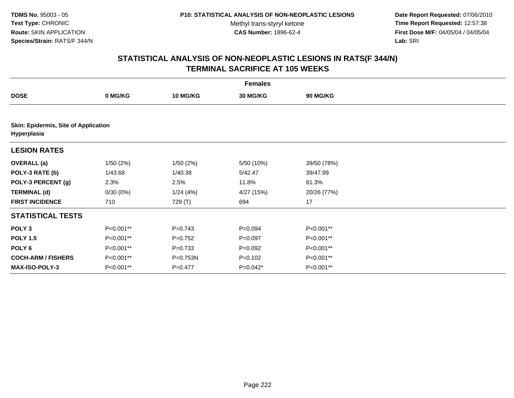**Date Report Requested:** 07/06/2010 **Time Report Requested:** 12:57:38 **First Dose M/F:** 04/05/04 / 04/05/04<br>Lab: SRI **Lab:** SRI

| <b>Females</b>                                             |           |             |             |             |  |  |  |
|------------------------------------------------------------|-----------|-------------|-------------|-------------|--|--|--|
| <b>DOSE</b>                                                | 0 MG/KG   | 10 MG/KG    | 30 MG/KG    | 90 MG/KG    |  |  |  |
|                                                            |           |             |             |             |  |  |  |
| <b>Skin: Epidermis, Site of Application</b><br>Hyperplasia |           |             |             |             |  |  |  |
| <b>LESION RATES</b>                                        |           |             |             |             |  |  |  |
| <b>OVERALL (a)</b>                                         | 1/50(2%)  | 1/50(2%)    | 5/50 (10%)  | 39/50 (78%) |  |  |  |
| POLY-3 RATE (b)                                            | 1/43.68   | 1/40.38     | 5/42.47     | 39/47.99    |  |  |  |
| POLY-3 PERCENT (g)                                         | 2.3%      | 2.5%        | 11.8%       | 81.3%       |  |  |  |
| <b>TERMINAL (d)</b>                                        | 0/30(0%)  | 1/24(4%)    | 4/27 (15%)  | 20/26 (77%) |  |  |  |
| <b>FIRST INCIDENCE</b>                                     | 710       | 729 (T)     | 694         | 17          |  |  |  |
| <b>STATISTICAL TESTS</b>                                   |           |             |             |             |  |  |  |
| POLY <sub>3</sub>                                          | P<0.001** | $P = 0.743$ | $P = 0.094$ | P<0.001**   |  |  |  |
| <b>POLY 1.5</b>                                            | P<0.001** | $P=0.752$   | $P=0.097$   | P<0.001**   |  |  |  |
| POLY 6                                                     | P<0.001** | $P = 0.733$ | $P = 0.092$ | P<0.001**   |  |  |  |
| <b>COCH-ARM / FISHERS</b>                                  | P<0.001** | P=0.753N    | $P = 0.102$ | P<0.001**   |  |  |  |
| <b>MAX-ISO-POLY-3</b>                                      | P<0.001** | $P=0.477$   | $P=0.042*$  | P<0.001**   |  |  |  |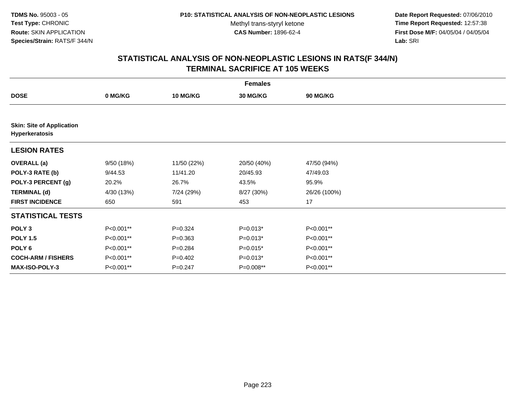**Date Report Requested:** 07/06/2010 **Time Report Requested:** 12:57:38 **First Dose M/F:** 04/05/04 / 04/05/04<br>Lab: SRI **Lab:** SRI

| <b>Females</b>                                     |            |                 |             |                 |  |  |  |
|----------------------------------------------------|------------|-----------------|-------------|-----------------|--|--|--|
| <b>DOSE</b>                                        | 0 MG/KG    | <b>10 MG/KG</b> | 30 MG/KG    | <b>90 MG/KG</b> |  |  |  |
|                                                    |            |                 |             |                 |  |  |  |
| <b>Skin: Site of Application</b><br>Hyperkeratosis |            |                 |             |                 |  |  |  |
| <b>LESION RATES</b>                                |            |                 |             |                 |  |  |  |
| <b>OVERALL</b> (a)                                 | 9/50 (18%) | 11/50 (22%)     | 20/50 (40%) | 47/50 (94%)     |  |  |  |
| POLY-3 RATE (b)                                    | 9/44.53    | 11/41.20        | 20/45.93    | 47/49.03        |  |  |  |
| POLY-3 PERCENT (g)                                 | 20.2%      | 26.7%           | 43.5%       | 95.9%           |  |  |  |
| <b>TERMINAL (d)</b>                                | 4/30 (13%) | 7/24 (29%)      | 8/27 (30%)  | 26/26 (100%)    |  |  |  |
| <b>FIRST INCIDENCE</b>                             | 650        | 591             | 453         | 17              |  |  |  |
| <b>STATISTICAL TESTS</b>                           |            |                 |             |                 |  |  |  |
| POLY <sub>3</sub>                                  | P<0.001**  | $P = 0.324$     | $P=0.013*$  | P<0.001**       |  |  |  |
| <b>POLY 1.5</b>                                    | P<0.001**  | $P = 0.363$     | $P=0.013*$  | P<0.001**       |  |  |  |
| POLY 6                                             | P<0.001**  | $P=0.284$       | $P=0.015*$  | P<0.001**       |  |  |  |
| <b>COCH-ARM / FISHERS</b>                          | P<0.001**  | $P=0.402$       | $P=0.013*$  | P<0.001**       |  |  |  |
| MAX-ISO-POLY-3                                     | P<0.001**  | $P = 0.247$     | P=0.008**   | P<0.001**       |  |  |  |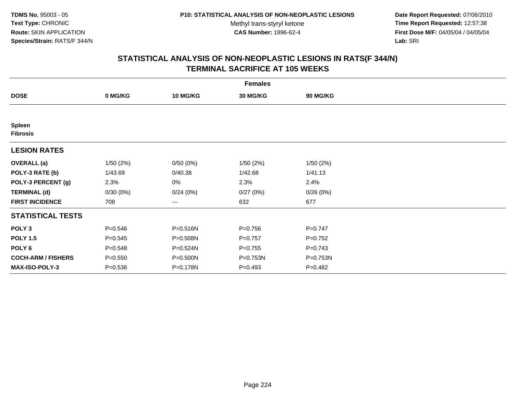**Date Report Requested:** 07/06/2010 **Time Report Requested:** 12:57:38 **First Dose M/F:** 04/05/04 / 04/05/04<br>Lab: SRI **Lab:** SRI

|                                  | <b>Females</b> |                 |                 |             |  |  |  |  |
|----------------------------------|----------------|-----------------|-----------------|-------------|--|--|--|--|
| <b>DOSE</b>                      | 0 MG/KG        | <b>10 MG/KG</b> | <b>30 MG/KG</b> | 90 MG/KG    |  |  |  |  |
|                                  |                |                 |                 |             |  |  |  |  |
| <b>Spleen</b><br><b>Fibrosis</b> |                |                 |                 |             |  |  |  |  |
| <b>LESION RATES</b>              |                |                 |                 |             |  |  |  |  |
| <b>OVERALL</b> (a)               | 1/50(2%)       | 0/50(0%)        | 1/50(2%)        | 1/50(2%)    |  |  |  |  |
| POLY-3 RATE (b)                  | 1/43.69        | 0/40.38         | 1/42.68         | 1/41.13     |  |  |  |  |
| POLY-3 PERCENT (g)               | 2.3%           | 0%              | 2.3%            | 2.4%        |  |  |  |  |
| <b>TERMINAL (d)</b>              | 0/30(0%)       | 0/24(0%)        | 0/27(0%)        | 0/26(0%)    |  |  |  |  |
| <b>FIRST INCIDENCE</b>           | 708            | ---             | 632             | 677         |  |  |  |  |
| <b>STATISTICAL TESTS</b>         |                |                 |                 |             |  |  |  |  |
| POLY <sub>3</sub>                | $P = 0.546$    | $P = 0.516N$    | $P = 0.756$     | $P=0.747$   |  |  |  |  |
| <b>POLY 1.5</b>                  | $P = 0.545$    | P=0.508N        | $P = 0.757$     | $P=0.752$   |  |  |  |  |
| POLY <sub>6</sub>                | $P = 0.548$    | P=0.524N        | $P = 0.755$     | $P = 0.743$ |  |  |  |  |
| <b>COCH-ARM / FISHERS</b>        | $P = 0.550$    | P=0.500N        | P=0.753N        | P=0.753N    |  |  |  |  |
| MAX-ISO-POLY-3                   | $P = 0.536$    | P=0.178N        | $P=0.493$       | $P = 0.482$ |  |  |  |  |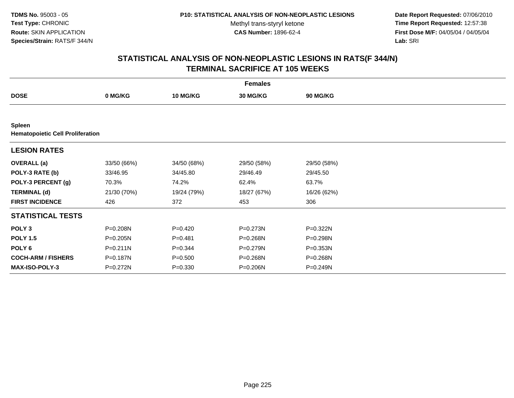**Date Report Requested:** 07/06/2010 **Time Report Requested:** 12:57:38 **First Dose M/F:** 04/05/04 / 04/05/04<br>Lab: SRI **Lab:** SRI

| <b>Females</b>                                           |             |                 |                 |                 |  |  |  |
|----------------------------------------------------------|-------------|-----------------|-----------------|-----------------|--|--|--|
| <b>DOSE</b>                                              | 0 MG/KG     | <b>10 MG/KG</b> | <b>30 MG/KG</b> | <b>90 MG/KG</b> |  |  |  |
|                                                          |             |                 |                 |                 |  |  |  |
| <b>Spleen</b><br><b>Hematopoietic Cell Proliferation</b> |             |                 |                 |                 |  |  |  |
| <b>LESION RATES</b>                                      |             |                 |                 |                 |  |  |  |
| <b>OVERALL</b> (a)                                       | 33/50 (66%) | 34/50 (68%)     | 29/50 (58%)     | 29/50 (58%)     |  |  |  |
| POLY-3 RATE (b)                                          | 33/46.95    | 34/45.80        | 29/46.49        | 29/45.50        |  |  |  |
| POLY-3 PERCENT (g)                                       | 70.3%       | 74.2%           | 62.4%           | 63.7%           |  |  |  |
| <b>TERMINAL (d)</b>                                      | 21/30 (70%) | 19/24 (79%)     | 18/27 (67%)     | 16/26 (62%)     |  |  |  |
| <b>FIRST INCIDENCE</b>                                   | 426         | 372             | 453             | 306             |  |  |  |
| <b>STATISTICAL TESTS</b>                                 |             |                 |                 |                 |  |  |  |
| POLY <sub>3</sub>                                        | P=0.208N    | $P=0.420$       | P=0.273N        | P=0.322N        |  |  |  |
| <b>POLY 1.5</b>                                          | P=0.205N    | $P=0.481$       | P=0.268N        | P=0.298N        |  |  |  |
| POLY <sub>6</sub>                                        | P=0.211N    | $P = 0.344$     | $P = 0.279N$    | $P = 0.353N$    |  |  |  |
| <b>COCH-ARM / FISHERS</b>                                | P=0.187N    | $P = 0.500$     | P=0.268N        | P=0.268N        |  |  |  |
| MAX-ISO-POLY-3                                           | P=0.272N    | $P = 0.330$     | P=0.206N        | P=0.249N        |  |  |  |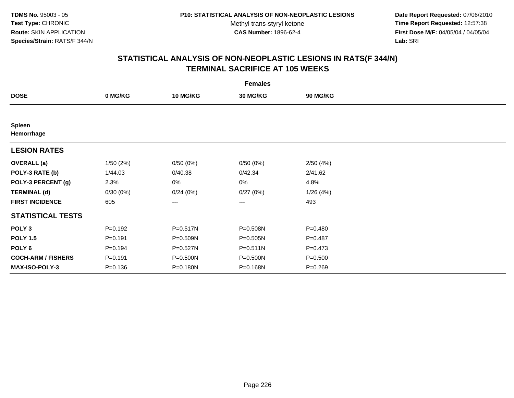**Date Report Requested:** 07/06/2010 **Time Report Requested:** 12:57:38 **First Dose M/F:** 04/05/04 / 04/05/04<br>Lab: SRI **Lab:** SRI

|                             | <b>Females</b> |                 |                 |             |  |  |  |  |
|-----------------------------|----------------|-----------------|-----------------|-------------|--|--|--|--|
| <b>DOSE</b>                 | 0 MG/KG        | <b>10 MG/KG</b> | <b>30 MG/KG</b> | 90 MG/KG    |  |  |  |  |
|                             |                |                 |                 |             |  |  |  |  |
| <b>Spleen</b><br>Hemorrhage |                |                 |                 |             |  |  |  |  |
| <b>LESION RATES</b>         |                |                 |                 |             |  |  |  |  |
| <b>OVERALL</b> (a)          | 1/50(2%)       | 0/50(0%)        | 0/50(0%)        | 2/50(4%)    |  |  |  |  |
| POLY-3 RATE (b)             | 1/44.03        | 0/40.38         | 0/42.34         | 2/41.62     |  |  |  |  |
| POLY-3 PERCENT (g)          | 2.3%           | 0%              | 0%              | 4.8%        |  |  |  |  |
| <b>TERMINAL (d)</b>         | 0/30(0%)       | 0/24(0%)        | 0/27(0%)        | 1/26(4%)    |  |  |  |  |
| <b>FIRST INCIDENCE</b>      | 605            | ---             | ---             | 493         |  |  |  |  |
| <b>STATISTICAL TESTS</b>    |                |                 |                 |             |  |  |  |  |
| POLY <sub>3</sub>           | $P = 0.192$    | P=0.517N        | P=0.508N        | $P = 0.480$ |  |  |  |  |
| <b>POLY 1.5</b>             | $P=0.191$      | $P = 0.509N$    | $P = 0.505N$    | $P=0.487$   |  |  |  |  |
| POLY <sub>6</sub>           | $P = 0.194$    | P=0.527N        | $P = 0.511N$    | $P = 0.473$ |  |  |  |  |
| <b>COCH-ARM / FISHERS</b>   | $P = 0.191$    | P=0.500N        | P=0.500N        | $P = 0.500$ |  |  |  |  |
| MAX-ISO-POLY-3              | $P = 0.136$    | P=0.180N        | P=0.168N        | $P = 0.269$ |  |  |  |  |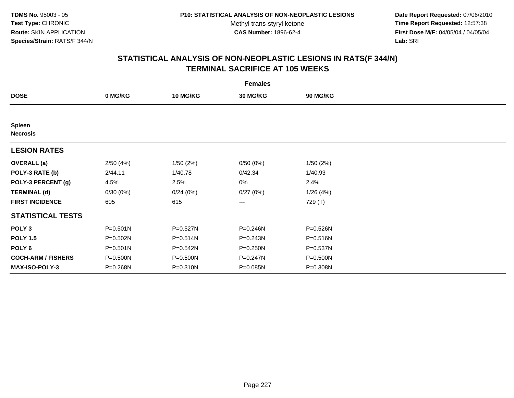**Date Report Requested:** 07/06/2010 **Time Report Requested:** 12:57:38 **First Dose M/F:** 04/05/04 / 04/05/04<br>Lab: SRI **Lab:** SRI

|                                  | <b>Females</b> |                 |                 |          |  |  |  |  |
|----------------------------------|----------------|-----------------|-----------------|----------|--|--|--|--|
| <b>DOSE</b>                      | 0 MG/KG        | <b>10 MG/KG</b> | <b>30 MG/KG</b> | 90 MG/KG |  |  |  |  |
|                                  |                |                 |                 |          |  |  |  |  |
| <b>Spleen</b><br><b>Necrosis</b> |                |                 |                 |          |  |  |  |  |
| <b>LESION RATES</b>              |                |                 |                 |          |  |  |  |  |
| <b>OVERALL</b> (a)               | 2/50(4%)       | 1/50(2%)        | 0/50(0%)        | 1/50(2%) |  |  |  |  |
| POLY-3 RATE (b)                  | 2/44.11        | 1/40.78         | 0/42.34         | 1/40.93  |  |  |  |  |
| POLY-3 PERCENT (g)               | 4.5%           | 2.5%            | 0%              | 2.4%     |  |  |  |  |
| <b>TERMINAL (d)</b>              | 0/30(0%)       | 0/24(0%)        | 0/27(0%)        | 1/26(4%) |  |  |  |  |
| <b>FIRST INCIDENCE</b>           | 605            | 615             | ---             | 729 (T)  |  |  |  |  |
| <b>STATISTICAL TESTS</b>         |                |                 |                 |          |  |  |  |  |
| POLY <sub>3</sub>                | $P = 0.501N$   | P=0.527N        | P=0.246N        | P=0.526N |  |  |  |  |
| <b>POLY 1.5</b>                  | P=0.502N       | $P = 0.514N$    | $P = 0.243N$    | P=0.516N |  |  |  |  |
| POLY <sub>6</sub>                | $P = 0.501N$   | P=0.542N        | $P = 0.250N$    | P=0.537N |  |  |  |  |
| <b>COCH-ARM / FISHERS</b>        | P=0.500N       | P=0.500N        | P=0.247N        | P=0.500N |  |  |  |  |
| <b>MAX-ISO-POLY-3</b>            | P=0.268N       | P=0.310N        | P=0.085N        | P=0.308N |  |  |  |  |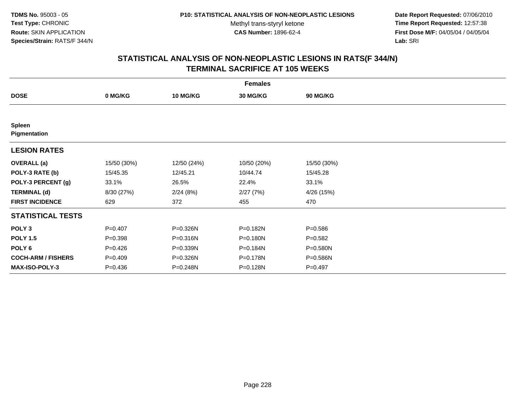**Date Report Requested:** 07/06/2010 **Time Report Requested:** 12:57:38 **First Dose M/F:** 04/05/04 / 04/05/04<br>Lab: SRI **Lab:** SRI

| <b>Females</b>                |             |                 |                 |             |  |  |  |
|-------------------------------|-------------|-----------------|-----------------|-------------|--|--|--|
| <b>DOSE</b>                   | 0 MG/KG     | <b>10 MG/KG</b> | <b>30 MG/KG</b> | 90 MG/KG    |  |  |  |
|                               |             |                 |                 |             |  |  |  |
| <b>Spleen</b><br>Pigmentation |             |                 |                 |             |  |  |  |
| <b>LESION RATES</b>           |             |                 |                 |             |  |  |  |
| <b>OVERALL</b> (a)            | 15/50 (30%) | 12/50 (24%)     | 10/50 (20%)     | 15/50 (30%) |  |  |  |
| POLY-3 RATE (b)               | 15/45.35    | 12/45.21        | 10/44.74        | 15/45.28    |  |  |  |
| POLY-3 PERCENT (g)            | 33.1%       | 26.5%           | 22.4%           | 33.1%       |  |  |  |
| <b>TERMINAL (d)</b>           | 8/30 (27%)  | 2/24(8%)        | 2/27(7%)        | 4/26 (15%)  |  |  |  |
| <b>FIRST INCIDENCE</b>        | 629         | 372             | 455             | 470         |  |  |  |
| <b>STATISTICAL TESTS</b>      |             |                 |                 |             |  |  |  |
| POLY <sub>3</sub>             | $P=0.407$   | P=0.326N        | P=0.182N        | $P = 0.586$ |  |  |  |
| <b>POLY 1.5</b>               | $P = 0.398$ | P=0.316N        | P=0.180N        | $P = 0.582$ |  |  |  |
| POLY <sub>6</sub>             | $P=0.426$   | P=0.339N        | P=0.184N        | P=0.580N    |  |  |  |
| <b>COCH-ARM / FISHERS</b>     | $P = 0.409$ | P=0.326N        | P=0.178N        | P=0.586N    |  |  |  |
| <b>MAX-ISO-POLY-3</b>         | $P = 0.436$ | P=0.248N        | P=0.128N        | $P=0.497$   |  |  |  |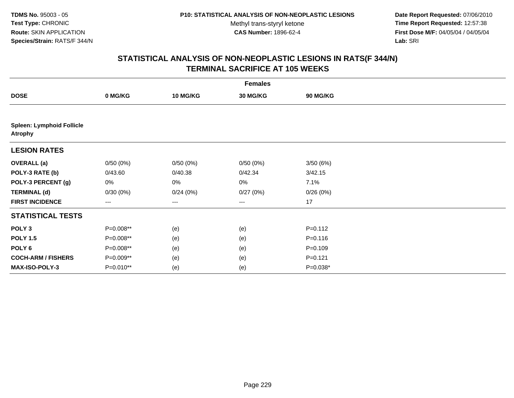**Date Report Requested:** 07/06/2010 **Time Report Requested:** 12:57:38 **First Dose M/F:** 04/05/04 / 04/05/04<br>Lab: SRI **Lab:** SRI

| <b>Females</b>                                     |             |                 |          |             |  |  |  |
|----------------------------------------------------|-------------|-----------------|----------|-------------|--|--|--|
| <b>DOSE</b>                                        | 0 MG/KG     | <b>10 MG/KG</b> | 30 MG/KG | 90 MG/KG    |  |  |  |
|                                                    |             |                 |          |             |  |  |  |
| <b>Spleen: Lymphoid Follicle</b><br><b>Atrophy</b> |             |                 |          |             |  |  |  |
| <b>LESION RATES</b>                                |             |                 |          |             |  |  |  |
| <b>OVERALL (a)</b>                                 | 0/50(0%)    | 0/50(0%)        | 0/50(0%) | 3/50(6%)    |  |  |  |
| POLY-3 RATE (b)                                    | 0/43.60     | 0/40.38         | 0/42.34  | 3/42.15     |  |  |  |
| POLY-3 PERCENT (g)                                 | 0%          | 0%              | 0%       | 7.1%        |  |  |  |
| <b>TERMINAL (d)</b>                                | 0/30(0%)    | 0/24(0%)        | 0/27(0%) | 0/26(0%)    |  |  |  |
| <b>FIRST INCIDENCE</b>                             | $---$       | ---             | $--$     | 17          |  |  |  |
| <b>STATISTICAL TESTS</b>                           |             |                 |          |             |  |  |  |
| POLY <sub>3</sub>                                  | P=0.008**   | (e)             | (e)      | $P = 0.112$ |  |  |  |
| <b>POLY 1.5</b>                                    | P=0.008**   | (e)             | (e)      | $P = 0.116$ |  |  |  |
| POLY 6                                             | P=0.008**   | (e)             | (e)      | $P = 0.109$ |  |  |  |
| <b>COCH-ARM / FISHERS</b>                          | P=0.009**   | (e)             | (e)      | $P=0.121$   |  |  |  |
| MAX-ISO-POLY-3                                     | $P=0.010**$ | (e)             | (e)      | $P=0.038*$  |  |  |  |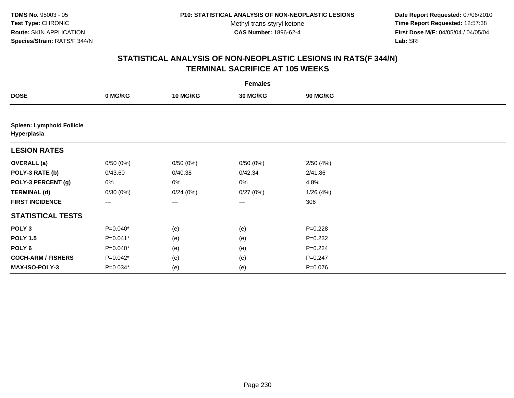**Date Report Requested:** 07/06/2010 **Time Report Requested:** 12:57:38 **First Dose M/F:** 04/05/04 / 04/05/04<br>Lab: SRI **Lab:** SRI

| <b>Females</b>                                  |                   |                 |                   |                 |  |  |  |
|-------------------------------------------------|-------------------|-----------------|-------------------|-----------------|--|--|--|
| <b>DOSE</b>                                     | 0 MG/KG           | <b>10 MG/KG</b> | 30 MG/KG          | <b>90 MG/KG</b> |  |  |  |
|                                                 |                   |                 |                   |                 |  |  |  |
| <b>Spleen: Lymphoid Follicle</b><br>Hyperplasia |                   |                 |                   |                 |  |  |  |
| <b>LESION RATES</b>                             |                   |                 |                   |                 |  |  |  |
| <b>OVERALL</b> (a)                              | 0/50(0%)          | 0/50(0%)        | 0/50(0%)          | 2/50(4%)        |  |  |  |
| POLY-3 RATE (b)                                 | 0/43.60           | 0/40.38         | 0/42.34           | 2/41.86         |  |  |  |
| POLY-3 PERCENT (g)                              | 0%                | 0%              | 0%                | 4.8%            |  |  |  |
| <b>TERMINAL (d)</b>                             | 0/30(0%)          | 0/24(0%)        | 0/27(0%)          | 1/26(4%)        |  |  |  |
| <b>FIRST INCIDENCE</b>                          | $\qquad \qquad -$ | ---             | $\qquad \qquad -$ | 306             |  |  |  |
| <b>STATISTICAL TESTS</b>                        |                   |                 |                   |                 |  |  |  |
| POLY <sub>3</sub>                               | P=0.040*          | (e)             | (e)               | $P=0.228$       |  |  |  |
| <b>POLY 1.5</b>                                 | $P=0.041*$        | (e)             | (e)               | $P=0.232$       |  |  |  |
| POLY <sub>6</sub>                               | P=0.040*          | (e)             | (e)               | $P = 0.224$     |  |  |  |
| <b>COCH-ARM / FISHERS</b>                       | $P=0.042*$        | (e)             | (e)               | $P = 0.247$     |  |  |  |
| MAX-ISO-POLY-3                                  | P=0.034*          | (e)             | (e)               | $P = 0.076$     |  |  |  |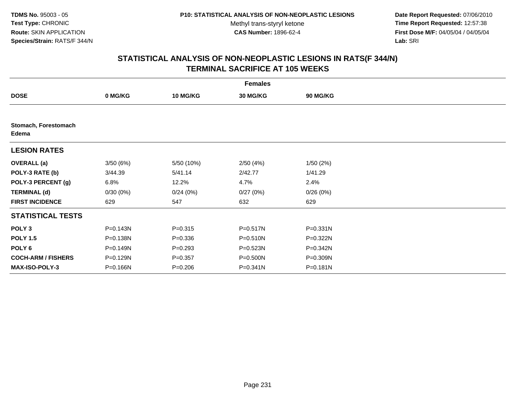**Date Report Requested:** 07/06/2010 **Time Report Requested:** 12:57:38 **First Dose M/F:** 04/05/04 / 04/05/04<br>Lab: SRI **Lab:** SRI

|                               | <b>Females</b> |                 |                 |                 |  |  |  |  |
|-------------------------------|----------------|-----------------|-----------------|-----------------|--|--|--|--|
| <b>DOSE</b>                   | 0 MG/KG        | <b>10 MG/KG</b> | <b>30 MG/KG</b> | <b>90 MG/KG</b> |  |  |  |  |
|                               |                |                 |                 |                 |  |  |  |  |
| Stomach, Forestomach<br>Edema |                |                 |                 |                 |  |  |  |  |
| <b>LESION RATES</b>           |                |                 |                 |                 |  |  |  |  |
| <b>OVERALL</b> (a)            | 3/50(6%)       | 5/50 (10%)      | 2/50(4%)        | 1/50(2%)        |  |  |  |  |
| POLY-3 RATE (b)               | 3/44.39        | 5/41.14         | 2/42.77         | 1/41.29         |  |  |  |  |
| POLY-3 PERCENT (g)            | 6.8%           | 12.2%           | 4.7%            | 2.4%            |  |  |  |  |
| <b>TERMINAL (d)</b>           | 0/30(0%)       | 0/24(0%)        | 0/27(0%)        | 0/26(0%)        |  |  |  |  |
| <b>FIRST INCIDENCE</b>        | 629            | 547             | 632             | 629             |  |  |  |  |
| <b>STATISTICAL TESTS</b>      |                |                 |                 |                 |  |  |  |  |
| POLY <sub>3</sub>             | P=0.143N       | $P = 0.315$     | P=0.517N        | $P = 0.331N$    |  |  |  |  |
| <b>POLY 1.5</b>               | P=0.138N       | $P = 0.336$     | $P = 0.510N$    | P=0.322N        |  |  |  |  |
| POLY 6                        | P=0.149N       | $P = 0.293$     | $P = 0.523N$    | $P = 0.342N$    |  |  |  |  |
| <b>COCH-ARM / FISHERS</b>     | P=0.129N       | $P = 0.357$     | P=0.500N        | P=0.309N        |  |  |  |  |
| <b>MAX-ISO-POLY-3</b>         | P=0.166N       | $P = 0.206$     | $P = 0.341N$    | P=0.181N        |  |  |  |  |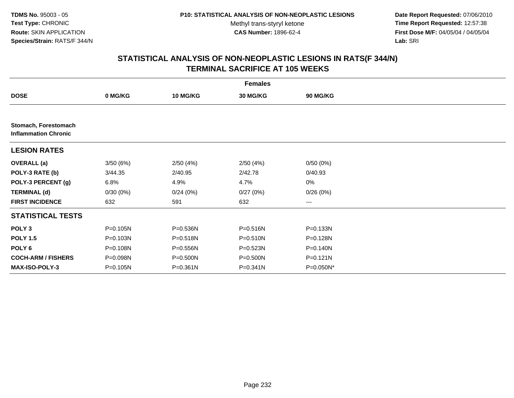**Date Report Requested:** 07/06/2010 **Time Report Requested:** 12:57:38 **First Dose M/F:** 04/05/04 / 04/05/04<br>Lab: SRI **Lab:** SRI

|                                                     | <b>Females</b> |                 |              |                        |  |  |  |  |
|-----------------------------------------------------|----------------|-----------------|--------------|------------------------|--|--|--|--|
| <b>DOSE</b>                                         | 0 MG/KG        | <b>10 MG/KG</b> | 30 MG/KG     | <b>90 MG/KG</b>        |  |  |  |  |
|                                                     |                |                 |              |                        |  |  |  |  |
| Stomach, Forestomach<br><b>Inflammation Chronic</b> |                |                 |              |                        |  |  |  |  |
| <b>LESION RATES</b>                                 |                |                 |              |                        |  |  |  |  |
| <b>OVERALL</b> (a)                                  | 3/50(6%)       | 2/50(4%)        | 2/50(4%)     | 0/50(0%)               |  |  |  |  |
| POLY-3 RATE (b)                                     | 3/44.35        | 2/40.95         | 2/42.78      | 0/40.93                |  |  |  |  |
| POLY-3 PERCENT (g)                                  | 6.8%           | 4.9%            | 4.7%         | $0\%$                  |  |  |  |  |
| <b>TERMINAL (d)</b>                                 | 0/30(0%)       | 0/24(0%)        | 0/27(0%)     | 0/26(0%)               |  |  |  |  |
| <b>FIRST INCIDENCE</b>                              | 632            | 591             | 632          | $\qquad \qquad \cdots$ |  |  |  |  |
| <b>STATISTICAL TESTS</b>                            |                |                 |              |                        |  |  |  |  |
| POLY <sub>3</sub>                                   | P=0.105N       | P=0.536N        | P=0.516N     | P=0.133N               |  |  |  |  |
| <b>POLY 1.5</b>                                     | P=0.103N       | P=0.518N        | P=0.510N     | P=0.128N               |  |  |  |  |
| POLY <sub>6</sub>                                   | P=0.108N       | P=0.556N        | P=0.523N     | P=0.140N               |  |  |  |  |
| <b>COCH-ARM / FISHERS</b>                           | P=0.098N       | P=0.500N        | P=0.500N     | P=0.121N               |  |  |  |  |
| <b>MAX-ISO-POLY-3</b>                               | P=0.105N       | $P = 0.361N$    | $P = 0.341N$ | P=0.050N*              |  |  |  |  |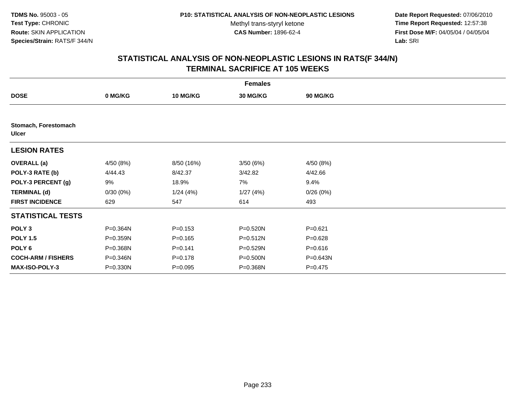**Date Report Requested:** 07/06/2010 **Time Report Requested:** 12:57:38 **First Dose M/F:** 04/05/04 / 04/05/04<br>Lab: SRI **Lab:** SRI

| <b>Females</b>                       |           |                 |                 |             |  |  |  |
|--------------------------------------|-----------|-----------------|-----------------|-------------|--|--|--|
| <b>DOSE</b>                          | 0 MG/KG   | <b>10 MG/KG</b> | <b>30 MG/KG</b> | 90 MG/KG    |  |  |  |
|                                      |           |                 |                 |             |  |  |  |
| Stomach, Forestomach<br><b>Ulcer</b> |           |                 |                 |             |  |  |  |
| <b>LESION RATES</b>                  |           |                 |                 |             |  |  |  |
| <b>OVERALL</b> (a)                   | 4/50 (8%) | 8/50 (16%)      | 3/50(6%)        | 4/50(8%)    |  |  |  |
| POLY-3 RATE (b)                      | 4/44.43   | 8/42.37         | 3/42.82         | 4/42.66     |  |  |  |
| POLY-3 PERCENT (g)                   | 9%        | 18.9%           | 7%              | 9.4%        |  |  |  |
| <b>TERMINAL (d)</b>                  | 0/30(0%)  | 1/24(4%)        | 1/27(4%)        | 0/26(0%)    |  |  |  |
| <b>FIRST INCIDENCE</b>               | 629       | 547             | 614             | 493         |  |  |  |
| <b>STATISTICAL TESTS</b>             |           |                 |                 |             |  |  |  |
| POLY <sub>3</sub>                    | P=0.364N  | $P = 0.153$     | P=0.520N        | $P = 0.621$ |  |  |  |
| <b>POLY 1.5</b>                      | P=0.359N  | $P = 0.165$     | P=0.512N        | $P = 0.628$ |  |  |  |
| POLY <sub>6</sub>                    | P=0.368N  | $P = 0.141$     | P=0.529N        | $P = 0.616$ |  |  |  |
| <b>COCH-ARM / FISHERS</b>            | P=0.346N  | $P = 0.178$     | P=0.500N        | P=0.643N    |  |  |  |
| <b>MAX-ISO-POLY-3</b>                | P=0.330N  | $P = 0.095$     | P=0.368N        | $P = 0.475$ |  |  |  |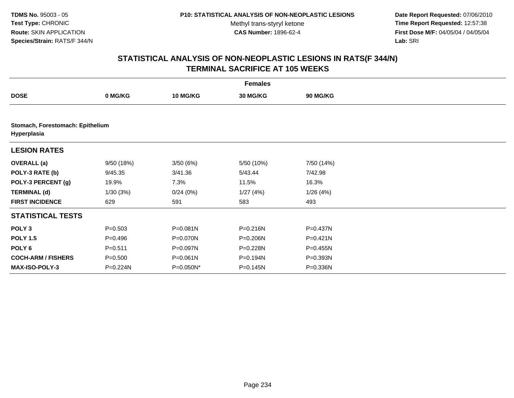**Date Report Requested:** 07/06/2010 **Time Report Requested:** 12:57:38 **First Dose M/F:** 04/05/04 / 04/05/04<br>Lab: SRI **Lab:** SRI

| <b>Females</b>            |                                  |                 |              |                 |  |  |  |  |
|---------------------------|----------------------------------|-----------------|--------------|-----------------|--|--|--|--|
| <b>DOSE</b>               | 0 MG/KG                          | <b>10 MG/KG</b> | 30 MG/KG     | <b>90 MG/KG</b> |  |  |  |  |
|                           |                                  |                 |              |                 |  |  |  |  |
| Hyperplasia               | Stomach, Forestomach: Epithelium |                 |              |                 |  |  |  |  |
| <b>LESION RATES</b>       |                                  |                 |              |                 |  |  |  |  |
| <b>OVERALL</b> (a)        | 9/50 (18%)                       | 3/50(6%)        | 5/50 (10%)   | 7/50 (14%)      |  |  |  |  |
| POLY-3 RATE (b)           | 9/45.35                          | 3/41.36         | 5/43.44      | 7/42.98         |  |  |  |  |
| POLY-3 PERCENT (g)        | 19.9%                            | 7.3%            | 11.5%        | 16.3%           |  |  |  |  |
| <b>TERMINAL (d)</b>       | 1/30(3%)                         | 0/24(0%)        | 1/27(4%)     | 1/26(4%)        |  |  |  |  |
| <b>FIRST INCIDENCE</b>    | 629                              | 591             | 583          | 493             |  |  |  |  |
| <b>STATISTICAL TESTS</b>  |                                  |                 |              |                 |  |  |  |  |
| POLY <sub>3</sub>         | $P = 0.503$                      | $P = 0.081N$    | $P = 0.216N$ | P=0.437N        |  |  |  |  |
| <b>POLY 1.5</b>           | $P=0.496$                        | P=0.070N        | P=0.206N     | P=0.421N        |  |  |  |  |
| POLY 6                    | $P = 0.511$                      | P=0.097N        | P=0.228N     | P=0.455N        |  |  |  |  |
| <b>COCH-ARM / FISHERS</b> | $P = 0.500$                      | P=0.061N        | P=0.194N     | P=0.393N        |  |  |  |  |
| <b>MAX-ISO-POLY-3</b>     | P=0.224N                         | P=0.050N*       | P=0.145N     | P=0.336N        |  |  |  |  |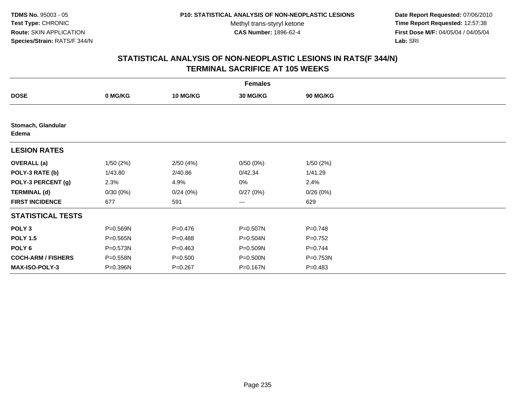**Date Report Requested:** 07/06/2010 **Time Report Requested:** 12:57:38 **First Dose M/F:** 04/05/04 / 04/05/04<br>Lab: SRI **Lab:** SRI

|                             | <b>Females</b> |                 |                 |                 |  |  |  |  |
|-----------------------------|----------------|-----------------|-----------------|-----------------|--|--|--|--|
| <b>DOSE</b>                 | 0 MG/KG        | <b>10 MG/KG</b> | <b>30 MG/KG</b> | <b>90 MG/KG</b> |  |  |  |  |
|                             |                |                 |                 |                 |  |  |  |  |
| Stomach, Glandular<br>Edema |                |                 |                 |                 |  |  |  |  |
| <b>LESION RATES</b>         |                |                 |                 |                 |  |  |  |  |
| <b>OVERALL</b> (a)          | 1/50(2%)       | 2/50(4%)        | 0/50(0%)        | 1/50(2%)        |  |  |  |  |
| POLY-3 RATE (b)             | 1/43.80        | 2/40.86         | 0/42.34         | 1/41.29         |  |  |  |  |
| POLY-3 PERCENT (g)          | 2.3%           | 4.9%            | 0%              | 2.4%            |  |  |  |  |
| <b>TERMINAL (d)</b>         | 0/30(0%)       | 0/24(0%)        | 0/27(0%)        | 0/26(0%)        |  |  |  |  |
| <b>FIRST INCIDENCE</b>      | 677            | 591             | ---             | 629             |  |  |  |  |
| <b>STATISTICAL TESTS</b>    |                |                 |                 |                 |  |  |  |  |
| POLY <sub>3</sub>           | P=0.569N       | $P = 0.476$     | P=0.507N        | $P = 0.748$     |  |  |  |  |
| <b>POLY 1.5</b>             | $P = 0.565N$   | $P=0.488$       | P=0.504N        | $P=0.752$       |  |  |  |  |
| POLY 6                      | P=0.573N       | $P = 0.463$     | P=0.509N        | $P=0.744$       |  |  |  |  |
| <b>COCH-ARM / FISHERS</b>   | P=0.558N       | $P = 0.500$     | P=0.500N        | P=0.753N        |  |  |  |  |
| <b>MAX-ISO-POLY-3</b>       | P=0.396N       | $P = 0.267$     | P=0.167N        | $P=0.483$       |  |  |  |  |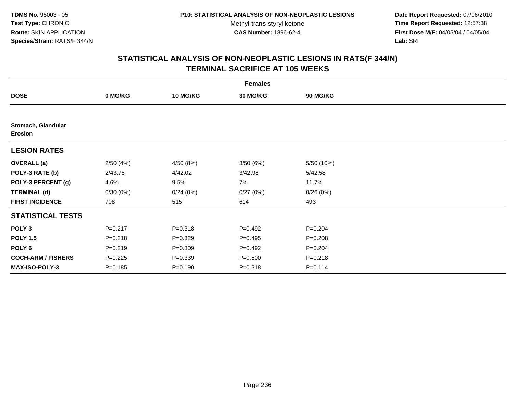**Date Report Requested:** 07/06/2010 **Time Report Requested:** 12:57:38 **First Dose M/F:** 04/05/04 / 04/05/04<br>Lab: SRI **Lab:** SRI

|                                      | <b>Females</b> |                 |                 |                 |  |  |  |  |
|--------------------------------------|----------------|-----------------|-----------------|-----------------|--|--|--|--|
| <b>DOSE</b>                          | 0 MG/KG        | <b>10 MG/KG</b> | <b>30 MG/KG</b> | <b>90 MG/KG</b> |  |  |  |  |
|                                      |                |                 |                 |                 |  |  |  |  |
| Stomach, Glandular<br><b>Erosion</b> |                |                 |                 |                 |  |  |  |  |
| <b>LESION RATES</b>                  |                |                 |                 |                 |  |  |  |  |
| <b>OVERALL</b> (a)                   | 2/50(4%)       | 4/50 (8%)       | 3/50 (6%)       | 5/50 (10%)      |  |  |  |  |
| POLY-3 RATE (b)                      | 2/43.75        | 4/42.02         | 3/42.98         | 5/42.58         |  |  |  |  |
| POLY-3 PERCENT (g)                   | 4.6%           | 9.5%            | 7%              | 11.7%           |  |  |  |  |
| <b>TERMINAL (d)</b>                  | 0/30(0%)       | 0/24(0%)        | 0/27(0%)        | 0/26(0%)        |  |  |  |  |
| <b>FIRST INCIDENCE</b>               | 708            | 515             | 614             | 493             |  |  |  |  |
| <b>STATISTICAL TESTS</b>             |                |                 |                 |                 |  |  |  |  |
| POLY <sub>3</sub>                    | $P = 0.217$    | $P = 0.318$     | $P=0.492$       | $P = 0.204$     |  |  |  |  |
| <b>POLY 1.5</b>                      | $P = 0.218$    | $P = 0.329$     | $P=0.495$       | $P = 0.208$     |  |  |  |  |
| POLY 6                               | $P = 0.219$    | $P = 0.309$     | $P=0.492$       | $P = 0.204$     |  |  |  |  |
| <b>COCH-ARM / FISHERS</b>            | $P=0.225$      | $P = 0.339$     | $P = 0.500$     | $P = 0.218$     |  |  |  |  |
| MAX-ISO-POLY-3                       | $P = 0.185$    | $P = 0.190$     | $P = 0.318$     | $P = 0.114$     |  |  |  |  |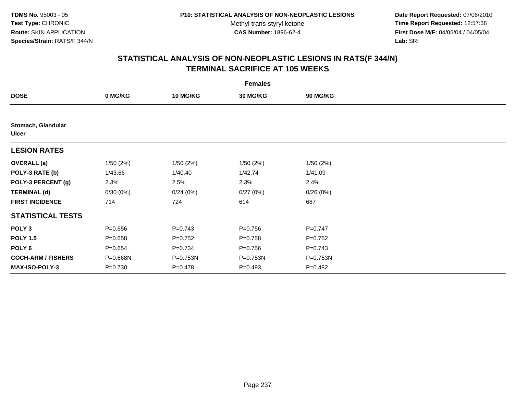**Date Report Requested:** 07/06/2010 **Time Report Requested:** 12:57:38 **First Dose M/F:** 04/05/04 / 04/05/04<br>Lab: SRI **Lab:** SRI

| <b>Females</b>                     |             |                 |                 |                 |  |  |  |
|------------------------------------|-------------|-----------------|-----------------|-----------------|--|--|--|
| <b>DOSE</b>                        | 0 MG/KG     | <b>10 MG/KG</b> | <b>30 MG/KG</b> | <b>90 MG/KG</b> |  |  |  |
|                                    |             |                 |                 |                 |  |  |  |
| Stomach, Glandular<br><b>Ulcer</b> |             |                 |                 |                 |  |  |  |
| <b>LESION RATES</b>                |             |                 |                 |                 |  |  |  |
| <b>OVERALL</b> (a)                 | 1/50(2%)    | 1/50(2%)        | 1/50(2%)        | 1/50(2%)        |  |  |  |
| POLY-3 RATE (b)                    | 1/43.66     | 1/40.40         | 1/42.74         | 1/41.09         |  |  |  |
| POLY-3 PERCENT (g)                 | 2.3%        | 2.5%            | 2.3%            | 2.4%            |  |  |  |
| <b>TERMINAL (d)</b>                | 0/30(0%)    | 0/24(0%)        | 0/27(0%)        | 0/26(0%)        |  |  |  |
| <b>FIRST INCIDENCE</b>             | 714         | 724             | 614             | 687             |  |  |  |
| <b>STATISTICAL TESTS</b>           |             |                 |                 |                 |  |  |  |
| POLY <sub>3</sub>                  | $P = 0.656$ | $P = 0.743$     | $P = 0.756$     | $P=0.747$       |  |  |  |
| <b>POLY 1.5</b>                    | $P = 0.658$ | $P=0.752$       | $P = 0.758$     | $P=0.752$       |  |  |  |
| POLY <sub>6</sub>                  | $P = 0.654$ | $P = 0.734$     | $P = 0.756$     | $P = 0.743$     |  |  |  |
| <b>COCH-ARM / FISHERS</b>          | P=0.668N    | P=0.753N        | P=0.753N        | P=0.753N        |  |  |  |
| MAX-ISO-POLY-3                     | $P = 0.730$ | $P = 0.478$     | $P = 0.493$     | $P = 0.482$     |  |  |  |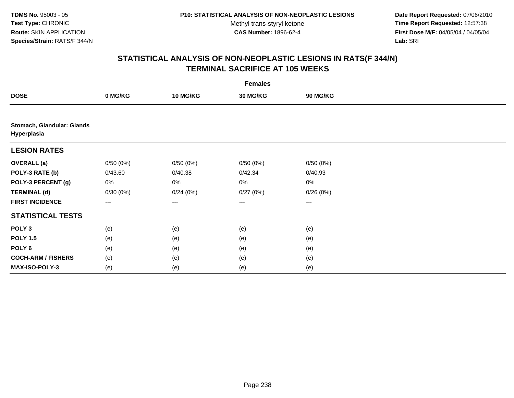**Date Report Requested:** 07/06/2010 **Time Report Requested:** 12:57:38 **First Dose M/F:** 04/05/04 / 04/05/04<br>Lab: SRI **Lab:** SRI

| <b>Females</b>                            |                   |                 |          |          |  |  |
|-------------------------------------------|-------------------|-----------------|----------|----------|--|--|
| <b>DOSE</b>                               | 0 MG/KG           | <b>10 MG/KG</b> | 30 MG/KG | 90 MG/KG |  |  |
|                                           |                   |                 |          |          |  |  |
| Stomach, Glandular: Glands<br>Hyperplasia |                   |                 |          |          |  |  |
| <b>LESION RATES</b>                       |                   |                 |          |          |  |  |
| <b>OVERALL</b> (a)                        | 0/50(0%)          | 0/50(0%)        | 0/50(0%) | 0/50(0%) |  |  |
| POLY-3 RATE (b)                           | 0/43.60           | 0/40.38         | 0/42.34  | 0/40.93  |  |  |
| POLY-3 PERCENT (g)                        | 0%                | 0%              | $0\%$    | $0\%$    |  |  |
| <b>TERMINAL (d)</b>                       | 0/30(0%)          | 0/24(0%)        | 0/27(0%) | 0/26(0%) |  |  |
| <b>FIRST INCIDENCE</b>                    | $\qquad \qquad -$ | $---$           | $\cdots$ | $\cdots$ |  |  |
| <b>STATISTICAL TESTS</b>                  |                   |                 |          |          |  |  |
| POLY <sub>3</sub>                         | (e)               | (e)             | (e)      | (e)      |  |  |
| <b>POLY 1.5</b>                           | (e)               | (e)             | (e)      | (e)      |  |  |
| POLY <sub>6</sub>                         | (e)               | (e)             | (e)      | (e)      |  |  |
| <b>COCH-ARM / FISHERS</b>                 | (e)               | (e)             | (e)      | (e)      |  |  |
| <b>MAX-ISO-POLY-3</b>                     | (e)               | (e)             | (e)      | (e)      |  |  |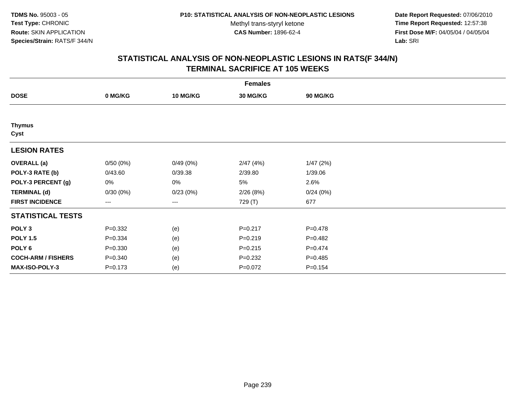**Date Report Requested:** 07/06/2010 **Time Report Requested:** 12:57:38 **First Dose M/F:** 04/05/04 / 04/05/04<br>Lab: SRI **Lab:** SRI

| <b>Females</b>            |             |                 |                 |             |  |  |  |
|---------------------------|-------------|-----------------|-----------------|-------------|--|--|--|
| <b>DOSE</b>               | 0 MG/KG     | <b>10 MG/KG</b> | <b>30 MG/KG</b> | 90 MG/KG    |  |  |  |
|                           |             |                 |                 |             |  |  |  |
| <b>Thymus</b><br>Cyst     |             |                 |                 |             |  |  |  |
| <b>LESION RATES</b>       |             |                 |                 |             |  |  |  |
| <b>OVERALL</b> (a)        | 0/50(0%)    | 0/49(0%)        | 2/47(4%)        | 1/47(2%)    |  |  |  |
| POLY-3 RATE (b)           | 0/43.60     | 0/39.38         | 2/39.80         | 1/39.06     |  |  |  |
| POLY-3 PERCENT (g)        | 0%          | 0%              | 5%              | 2.6%        |  |  |  |
| <b>TERMINAL (d)</b>       | 0/30(0%)    | 0/23(0%)        | 2/26(8%)        | 0/24(0%)    |  |  |  |
| <b>FIRST INCIDENCE</b>    | $--$        | ---             | 729 (T)         | 677         |  |  |  |
| <b>STATISTICAL TESTS</b>  |             |                 |                 |             |  |  |  |
| POLY <sub>3</sub>         | $P = 0.332$ | (e)             | $P = 0.217$     | $P = 0.478$ |  |  |  |
| <b>POLY 1.5</b>           | $P = 0.334$ | (e)             | $P = 0.219$     | $P = 0.482$ |  |  |  |
| POLY <sub>6</sub>         | $P = 0.330$ | (e)             | $P = 0.215$     | $P = 0.474$ |  |  |  |
| <b>COCH-ARM / FISHERS</b> | $P = 0.340$ | (e)             | $P=0.232$       | $P = 0.485$ |  |  |  |
| MAX-ISO-POLY-3            | $P = 0.173$ | (e)             | $P=0.072$       | $P = 0.154$ |  |  |  |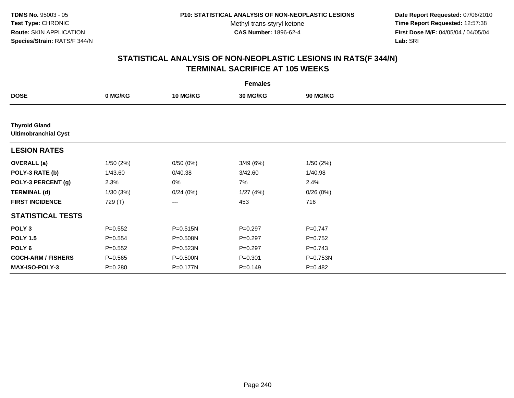**Date Report Requested:** 07/06/2010 **Time Report Requested:** 12:57:38 **First Dose M/F:** 04/05/04 / 04/05/04<br>Lab: SRI **Lab:** SRI

| <b>Females</b>                                      |             |              |             |             |  |  |  |
|-----------------------------------------------------|-------------|--------------|-------------|-------------|--|--|--|
| <b>DOSE</b>                                         | 0 MG/KG     | 10 MG/KG     | 30 MG/KG    | 90 MG/KG    |  |  |  |
|                                                     |             |              |             |             |  |  |  |
| <b>Thyroid Gland</b><br><b>Ultimobranchial Cyst</b> |             |              |             |             |  |  |  |
| <b>LESION RATES</b>                                 |             |              |             |             |  |  |  |
| <b>OVERALL</b> (a)                                  | 1/50(2%)    | 0/50(0%)     | 3/49(6%)    | 1/50(2%)    |  |  |  |
| POLY-3 RATE (b)                                     | 1/43.60     | 0/40.38      | 3/42.60     | 1/40.98     |  |  |  |
| POLY-3 PERCENT (g)                                  | 2.3%        | 0%           | 7%          | 2.4%        |  |  |  |
| <b>TERMINAL (d)</b>                                 | 1/30(3%)    | 0/24(0%)     | 1/27(4%)    | 0/26(0%)    |  |  |  |
| <b>FIRST INCIDENCE</b>                              | 729 (T)     | ---          | 453         | 716         |  |  |  |
| <b>STATISTICAL TESTS</b>                            |             |              |             |             |  |  |  |
| POLY <sub>3</sub>                                   | $P = 0.552$ | P=0.515N     | $P = 0.297$ | $P = 0.747$ |  |  |  |
| <b>POLY 1.5</b>                                     | $P = 0.554$ | P=0.508N     | $P=0.297$   | $P=0.752$   |  |  |  |
| POLY <sub>6</sub>                                   | $P = 0.552$ | $P = 0.523N$ | $P=0.297$   | $P = 0.743$ |  |  |  |
| <b>COCH-ARM / FISHERS</b>                           | $P = 0.565$ | P=0.500N     | $P = 0.301$ | P=0.753N    |  |  |  |
| <b>MAX-ISO-POLY-3</b>                               | $P = 0.280$ | P=0.177N     | $P = 0.149$ | P=0.482     |  |  |  |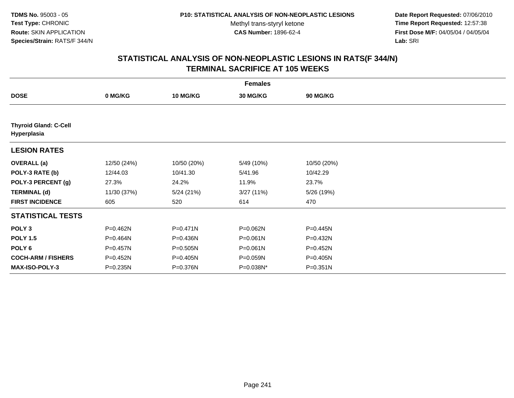**Date Report Requested:** 07/06/2010 **Time Report Requested:** 12:57:38 **First Dose M/F:** 04/05/04 / 04/05/04<br>Lab: SRI **Lab:** SRI

| <b>Females</b>                              |             |                 |                 |                 |  |
|---------------------------------------------|-------------|-----------------|-----------------|-----------------|--|
| <b>DOSE</b>                                 | 0 MG/KG     | <b>10 MG/KG</b> | <b>30 MG/KG</b> | <b>90 MG/KG</b> |  |
|                                             |             |                 |                 |                 |  |
| <b>Thyroid Gland: C-Cell</b><br>Hyperplasia |             |                 |                 |                 |  |
| <b>LESION RATES</b>                         |             |                 |                 |                 |  |
| <b>OVERALL</b> (a)                          | 12/50 (24%) | 10/50 (20%)     | 5/49 (10%)      | 10/50 (20%)     |  |
| POLY-3 RATE (b)                             | 12/44.03    | 10/41.30        | 5/41.96         | 10/42.29        |  |
| POLY-3 PERCENT (g)                          | 27.3%       | 24.2%           | 11.9%           | 23.7%           |  |
| <b>TERMINAL (d)</b>                         | 11/30 (37%) | 5/24(21%)       | 3/27(11%)       | 5/26 (19%)      |  |
| <b>FIRST INCIDENCE</b>                      | 605         | 520             | 614             | 470             |  |
| <b>STATISTICAL TESTS</b>                    |             |                 |                 |                 |  |
| POLY <sub>3</sub>                           | P=0.462N    | $P = 0.471N$    | P=0.062N        | P=0.445N        |  |
| <b>POLY 1.5</b>                             | P=0.464N    | P=0.436N        | $P = 0.061N$    | P=0.432N        |  |
| POLY 6                                      | P=0.457N    | $P = 0.505N$    | $P = 0.061N$    | P=0.452N        |  |
| <b>COCH-ARM / FISHERS</b>                   | P=0.452N    | P=0.405N        | P=0.059N        | $P = 0.405N$    |  |
| <b>MAX-ISO-POLY-3</b>                       | P=0.235N    | P=0.376N        | P=0.038N*       | $P = 0.351N$    |  |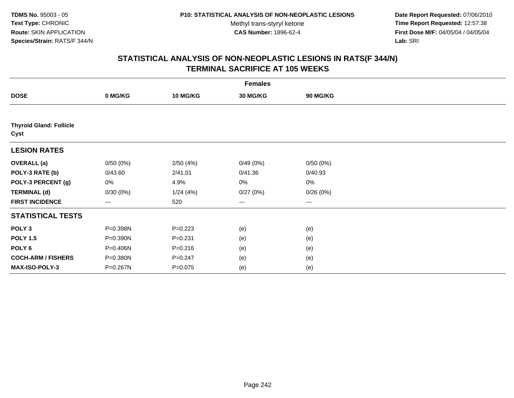**Date Report Requested:** 07/06/2010 **Time Report Requested:** 12:57:38 **First Dose M/F:** 04/05/04 / 04/05/04<br>Lab: SRI **Lab:** SRI

| <b>Females</b>                         |                        |                 |                 |                 |  |
|----------------------------------------|------------------------|-----------------|-----------------|-----------------|--|
| <b>DOSE</b>                            | 0 MG/KG                | <b>10 MG/KG</b> | <b>30 MG/KG</b> | <b>90 MG/KG</b> |  |
|                                        |                        |                 |                 |                 |  |
| <b>Thyroid Gland: Follicle</b><br>Cyst |                        |                 |                 |                 |  |
| <b>LESION RATES</b>                    |                        |                 |                 |                 |  |
| <b>OVERALL</b> (a)                     | 0/50(0%)               | 2/50(4%)        | 0/49(0%)        | 0/50(0%)        |  |
| POLY-3 RATE (b)                        | 0/43.60                | 2/41.01         | 0/41.36         | 0/40.93         |  |
| POLY-3 PERCENT (g)                     | 0%                     | 4.9%            | 0%              | 0%              |  |
| <b>TERMINAL (d)</b>                    | 0/30(0%)               | 1/24(4%)        | 0/27(0%)        | 0/26(0%)        |  |
| <b>FIRST INCIDENCE</b>                 | $\qquad \qquad \cdots$ | 520             | ---             | $--$            |  |
| <b>STATISTICAL TESTS</b>               |                        |                 |                 |                 |  |
| POLY <sub>3</sub>                      | P=0.398N               | $P=0.223$       | (e)             | (e)             |  |
| <b>POLY 1.5</b>                        | P=0.390N               | $P = 0.231$     | (e)             | (e)             |  |
| POLY 6                                 | P=0.406N               | $P = 0.216$     | (e)             | (e)             |  |
| <b>COCH-ARM / FISHERS</b>              | P=0.380N               | $P = 0.247$     | (e)             | (e)             |  |
| MAX-ISO-POLY-3                         | P=0.267N               | $P = 0.075$     | (e)             | (e)             |  |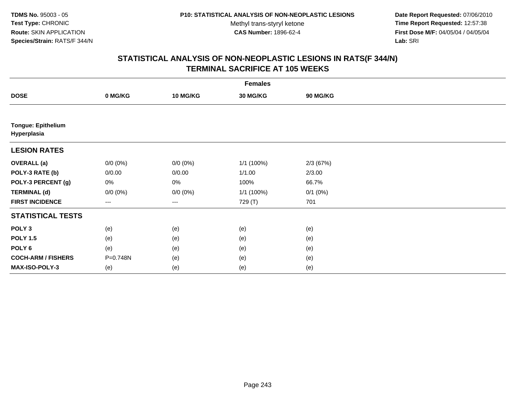**Date Report Requested:** 07/06/2010 **Time Report Requested:** 12:57:38 **First Dose M/F:** 04/05/04 / 04/05/04<br>Lab: SRI **Lab:** SRI

| <b>Females</b>                           |                     |                 |                 |              |  |
|------------------------------------------|---------------------|-----------------|-----------------|--------------|--|
| <b>DOSE</b>                              | 0 MG/KG             | <b>10 MG/KG</b> | <b>30 MG/KG</b> | 90 MG/KG     |  |
|                                          |                     |                 |                 |              |  |
| <b>Tongue: Epithelium</b><br>Hyperplasia |                     |                 |                 |              |  |
| <b>LESION RATES</b>                      |                     |                 |                 |              |  |
| <b>OVERALL</b> (a)                       | $0/0 (0\%)$         | $0/0 (0\%)$     | 1/1 (100%)      | 2/3(67%)     |  |
| POLY-3 RATE (b)                          | 0/0.00              | 0/0.00          | 1/1.00          | 2/3.00       |  |
| POLY-3 PERCENT (g)                       | 0%                  | 0%              | 100%            | 66.7%        |  |
| <b>TERMINAL (d)</b>                      | $0/0 (0\%)$         | $0/0 (0\%)$     | 1/1 (100%)      | $0/1$ $(0%)$ |  |
| <b>FIRST INCIDENCE</b>                   | $\qquad \qquad - -$ | ---             | 729 (T)         | 701          |  |
| <b>STATISTICAL TESTS</b>                 |                     |                 |                 |              |  |
| POLY <sub>3</sub>                        | (e)                 | (e)             | (e)             | (e)          |  |
| <b>POLY 1.5</b>                          | (e)                 | (e)             | (e)             | (e)          |  |
| POLY <sub>6</sub>                        | (e)                 | (e)             | (e)             | (e)          |  |
| <b>COCH-ARM / FISHERS</b>                | P=0.748N            | (e)             | (e)             | (e)          |  |
| MAX-ISO-POLY-3                           | (e)                 | (e)             | (e)             | (e)          |  |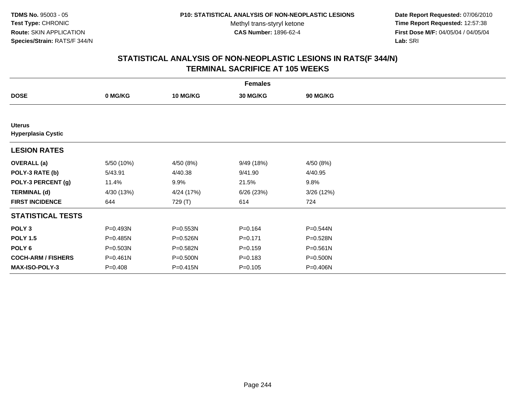**Date Report Requested:** 07/06/2010 **Time Report Requested:** 12:57:38 **First Dose M/F:** 04/05/04 / 04/05/04<br>Lab: SRI **Lab:** SRI

| <b>Females</b>                             |              |                 |                 |                 |  |
|--------------------------------------------|--------------|-----------------|-----------------|-----------------|--|
| <b>DOSE</b>                                | 0 MG/KG      | <b>10 MG/KG</b> | <b>30 MG/KG</b> | <b>90 MG/KG</b> |  |
|                                            |              |                 |                 |                 |  |
| <b>Uterus</b><br><b>Hyperplasia Cystic</b> |              |                 |                 |                 |  |
| <b>LESION RATES</b>                        |              |                 |                 |                 |  |
| <b>OVERALL</b> (a)                         | 5/50 (10%)   | 4/50 (8%)       | 9/49 (18%)      | 4/50(8%)        |  |
| POLY-3 RATE (b)                            | 5/43.91      | 4/40.38         | 9/41.90         | 4/40.95         |  |
| POLY-3 PERCENT (g)                         | 11.4%        | 9.9%            | 21.5%           | 9.8%            |  |
| <b>TERMINAL (d)</b>                        | 4/30 (13%)   | 4/24 (17%)      | 6/26(23%)       | 3/26 (12%)      |  |
| <b>FIRST INCIDENCE</b>                     | 644          | 729 (T)         | 614             | 724             |  |
| <b>STATISTICAL TESTS</b>                   |              |                 |                 |                 |  |
| POLY <sub>3</sub>                          | P=0.493N     | P=0.553N        | $P = 0.164$     | P=0.544N        |  |
| <b>POLY 1.5</b>                            | P=0.485N     | P=0.526N        | $P=0.171$       | P=0.528N        |  |
| POLY <sub>6</sub>                          | P=0.503N     | P=0.582N        | $P = 0.159$     | $P = 0.561N$    |  |
| <b>COCH-ARM / FISHERS</b>                  | $P = 0.461N$ | $P = 0.500N$    | $P = 0.183$     | P=0.500N        |  |
| <b>MAX-ISO-POLY-3</b>                      | $P = 0.408$  | P=0.415N        | $P = 0.105$     | P=0.406N        |  |